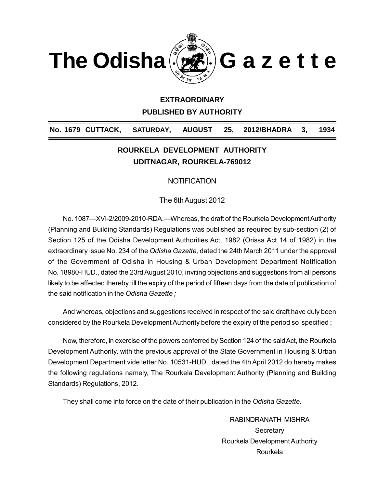



### **EXTRAORDINARY**

**PUBLISHED BY AUTHORITY**

# **No. 1679 CUTTACK, SATURDAY, AUGUST 25, 2012/BHADRA 3, 1934**

# **ROURKELA DEVELOPMENT AUTHORITY UDITNAGAR, ROURKELA-769012**

### **NOTIFICATION**

The 6th August 2012

No. 1087—XVI-2/2009-2010-RDA.—Whereas, the draft of the Rourkela Development Authority (Planning and Building Standards) Regulations was published as required by sub-section (2) of Section 125 of the Odisha Development Authorities Act, 1982 (Orissa Act 14 of 1982) in the extraordinary issue No. 234 of the *Odisha Gazette,* dated the 24th March 2011 under the approval of the Government of Odisha in Housing & Urban Development Department Notification No. 18980-HUD., dated the 23rd August 2010, inviting objections and suggestions from all persons likely to be affected thereby till the expiry of the period of fifteen days from the date of publication of the said notification in the *Odisha Gazette ;*

And whereas, objections and suggestions received in respect of the said draft have duly been considered by the Rourkela Development Authority before the expiry of the period so specified ;

Now, therefore, in exercise of the powers conferred by Section 124 of the said Act, the Rourkela Development Authority, with the previous approval of the State Government in Housing & Urban Development Department vide letter No. 10531-HUD., dated the 4th April 2012 do hereby makes the following regulations namely, The Rourkela Development Authority (Planning and Building Standards) Regulations, 2012.

They shall come into force on the date of their publication in the *Odisha Gazette.*

RABINDRANATH MISHRA **Secretary** Rourkela Development Authority Rourkela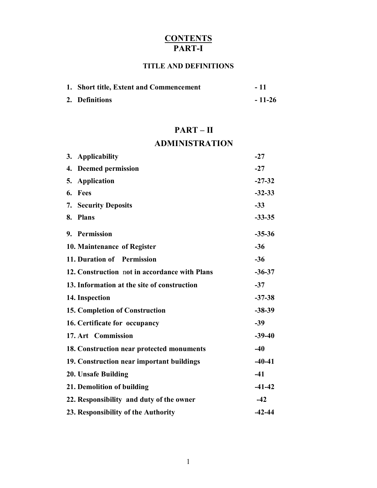# **CONTENTS PART-I**

# **TITLE AND DEFINITIONS**

| 1. Short title, Extent and Commencement | - 11     |
|-----------------------------------------|----------|
| 2. Definitions                          | $-11-26$ |

# **PART – II**

# **ADMINISTRATION**

| Applicability<br>3.                           | $-27$    |
|-----------------------------------------------|----------|
| 4. Deemed permission                          | $-27$    |
| 5.<br><b>Application</b>                      | $-27-32$ |
| Fees<br>6.                                    | $-32-33$ |
| 7.<br><b>Security Deposits</b>                | $-33$    |
| <b>Plans</b><br>8.                            | $-33-35$ |
| 9. Permission                                 | $-35-36$ |
| 10. Maintenance of Register                   | $-36$    |
| 11. Duration of Permission                    | $-36$    |
| 12. Construction not in accordance with Plans | $-36-37$ |
| 13. Information at the site of construction   | $-37$    |
| 14. Inspection                                | $-37-38$ |
| 15. Completion of Construction                | $-38-39$ |
| 16. Certificate for occupancy                 | $-39$    |
| 17. Art Commission                            | $-39-40$ |
| 18. Construction near protected monuments     | $-40$    |
| 19. Construction near important buildings     | $-40-41$ |
| 20. Unsafe Building                           | $-41$    |
| 21. Demolition of building                    | $-41-42$ |
| 22. Responsibility and duty of the owner      | $-42$    |
| 23. Responsibility of the Authority           | $-42-44$ |
|                                               |          |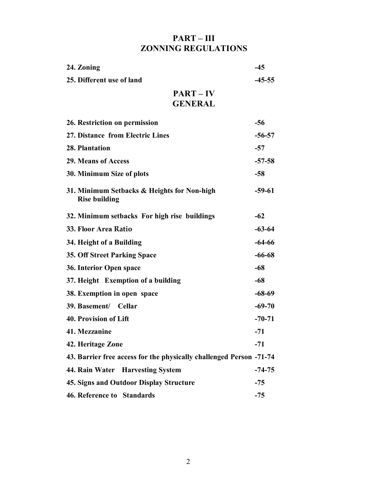# **PART – III ZONNING REGULATIONS**

| 24. Zoning                                                          | $-45$    |
|---------------------------------------------------------------------|----------|
| 25. Different use of land                                           | $-45-55$ |
| $PART - IV$<br><b>GENERAL</b>                                       |          |
| 26. Restriction on permission                                       | $-56$    |
| 27. Distance from Electric Lines                                    | $-56-57$ |
| 28. Plantation                                                      | $-57$    |
| <b>29. Means of Access</b>                                          | $-57-58$ |
| 30. Minimum Size of plots                                           | $-58$    |
| 31. Minimum Setbacks & Heights for Non-high<br><b>Rise building</b> | $-59-61$ |
| 32. Minimum setbacks For high rise buildings                        | $-62$    |
| 33. Floor Area Ratio                                                | $-63-64$ |
| 34. Height of a Building                                            | $-64-66$ |
| <b>35. Off Street Parking Space</b>                                 | $-66-68$ |
| 36. Interior Open space                                             | $-68$    |
| 37. Height Exemption of a building                                  | $-68$    |
| 38. Exemption in open space                                         | $-68-69$ |
| 39. Basement/ Cellar                                                | $-69-70$ |
| <b>40. Provision of Lift</b>                                        | $-70-71$ |
| 41. Mezzanine                                                       | $-71$    |
| 42. Heritage Zone                                                   | $-71$    |
| 43. Barrier free access for the physically challenged Person -71-74 |          |
| 44. Rain Water Harvesting System                                    | $-74-75$ |
| <b>45. Signs and Outdoor Display Structure</b>                      | $-75$    |
| 46. Reference to Standards                                          | $-75$    |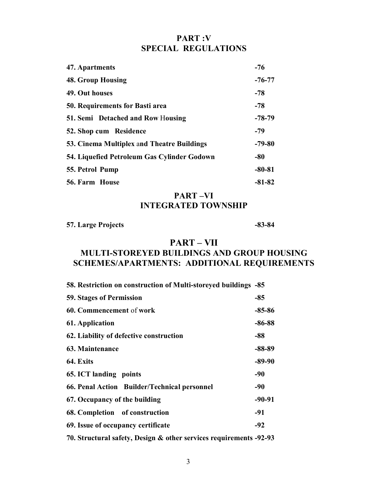### **PART :V SPECIAL REGULATIONS**

| 47. Apartments                              | $-76$    |
|---------------------------------------------|----------|
| <b>48. Group Housing</b>                    | $-76-77$ |
| 49. Out houses                              | $-78$    |
| 50. Requirements for Basti area             | $-78$    |
| 51. Semi Detached and Row Housing           | $-78-79$ |
| 52. Shop cum Residence                      | $-79$    |
| 53. Cinema Multiplex and Theatre Buildings  | $-79-80$ |
| 54. Liquefied Petroleum Gas Cylinder Godown | $-80$    |
| 55. Petrol Pump                             | $-80-81$ |
| <b>56. Farm House</b>                       | $-81-82$ |

**PART –VI INTEGRATED TOWNSHIP**

### **57. Large Projects -83-84**

# **PART – VII**

# **MULTI-STOREYED BUILDINGS AND GROUP HOUSING SCHEMES/APARTMENTS: ADDITIONAL REQUIREMENTS**

| 58. Restriction on construction of Multi-storeyed buildings -85 |            |
|-----------------------------------------------------------------|------------|
| <b>59. Stages of Permission</b>                                 | $-85$      |
| 60. Commencement of work                                        | $-85 - 86$ |
| 61. Application                                                 | $-86 - 88$ |
| 62. Liability of defective construction                         | -88        |
| 63. Maintenance                                                 | $-88-89$   |
| 64. Exits                                                       | $-89-90$   |
| 65. ICT landing points                                          | -90        |
| 66. Penal Action Builder/Technical personnel                    | -90        |
| 67. Occupancy of the building                                   | $-90-91$   |
| 68. Completion of construction                                  | -91        |
| 69. Issue of occupancy certificate                              | $-92$      |
|                                                                 |            |

**70. Structural safety, Design & other services requirements -92-93**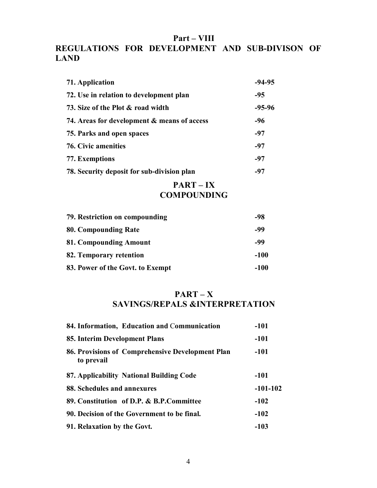### **Part – VIII**

# **REGULATIONS FOR DEVELOPMENT AND SUB-DIVISON OF LAND**

| 71. Application                             | $-94-95$ |
|---------------------------------------------|----------|
| 72. Use in relation to development plan     | $-95$    |
| 73. Size of the Plot & road width           | $-95-96$ |
| 74. Areas for development & means of access | -96      |
| 75. Parks and open spaces                   | $-97$    |
| 76. Civic amenities                         | -97      |
| 77. Exemptions                              | $-97$    |
| 78. Security deposit for sub-division plan  | -97      |
| DADT                                        |          |

### **PART – IX COMPOUNDING**

| 79. Restriction on compounding   |        |
|----------------------------------|--------|
| 80. Compounding Rate             | -99    |
| 81. Compounding Amount           | -99    |
| 82. Temporary retention          | $-100$ |
| 83. Power of the Govt. to Exempt | -100   |

# **PART – X SAVINGS/REPALS &INTERPRETATION**

| 84. Information, Education and Communication                   | $-101$     |
|----------------------------------------------------------------|------------|
| 85. Interim Development Plans                                  | $-101$     |
| 86. Provisions of Comprehensive Development Plan<br>to prevail | $-101$     |
| 87. Applicability National Building Code                       | -101       |
| 88. Schedules and annexures                                    | $-101-102$ |
| 89. Constitution of D.P. & B.P.Committee                       | $-102$     |
| 90. Decision of the Government to be final.                    | $-102$     |
| 91. Relaxation by the Govt.                                    | $-103$     |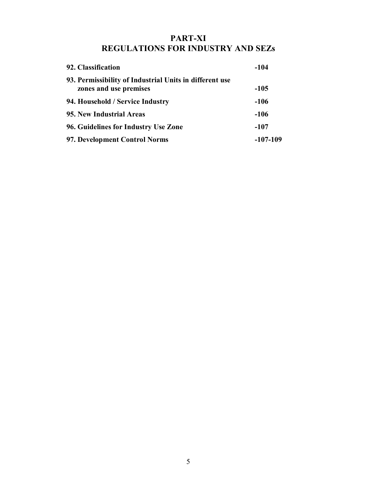# **PART-XI REGULATIONS FOR INDUSTRY AND SEZs**

| 92. Classification                                                                | -104     |  |
|-----------------------------------------------------------------------------------|----------|--|
| 93. Permissibility of Industrial Units in different use<br>zones and use premises | -105     |  |
| 94. Household / Service Industry                                                  | $-106$   |  |
| 95. New Industrial Areas                                                          | $-106$   |  |
| 96. Guidelines for Industry Use Zone                                              | $-107$   |  |
| 97. Development Control Norms                                                     | -107-109 |  |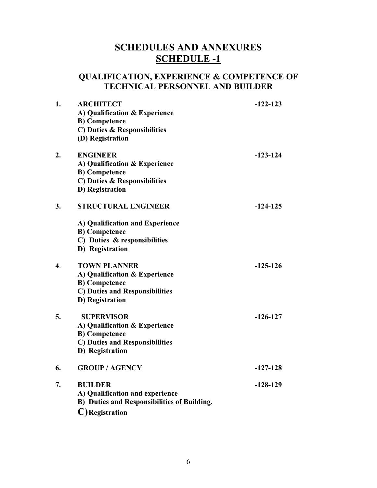# **SCHEDULES AND ANNEXURES SCHEDULE -1**

# **QUALIFICATION, EXPERIENCE & COMPETENCE OF TECHNICAL PERSONNEL AND BUILDER**

| 1.               | <b>ARCHITECT</b><br>A) Qualification & Experience<br><b>B)</b> Competence<br>C) Duties & Responsibilities<br>(D) Registration             | $-122-123$ |
|------------------|-------------------------------------------------------------------------------------------------------------------------------------------|------------|
| 2.               | <b>ENGINEER</b><br>A) Qualification & Experience<br><b>B)</b> Competence<br>C) Duties & Responsibilities<br>D) Registration               | $-123-124$ |
| 3.               | <b>STRUCTURAL ENGINEER</b><br>A) Qualification and Experience<br><b>B)</b> Competence<br>C) Duties & responsibilities<br>D) Registration  | $-124-125$ |
| $\overline{4}$ . | <b>TOWN PLANNER</b><br>A) Qualification & Experience<br><b>B</b> ) Competence<br><b>C) Duties and Responsibilities</b><br>D) Registration | $-125-126$ |
| 5.               | <b>SUPERVISOR</b><br>A) Qualification & Experience<br><b>B</b> ) Competence<br><b>C) Duties and Responsibilities</b><br>D) Registration   | $-126-127$ |
| 6.               | <b>GROUP / AGENCY</b>                                                                                                                     | $-127-128$ |
| 7.               | <b>BUILDER</b><br>A) Qualification and experience<br><b>B)</b> Duties and Responsibilities of Building.<br>C)Registration                 | $-128-129$ |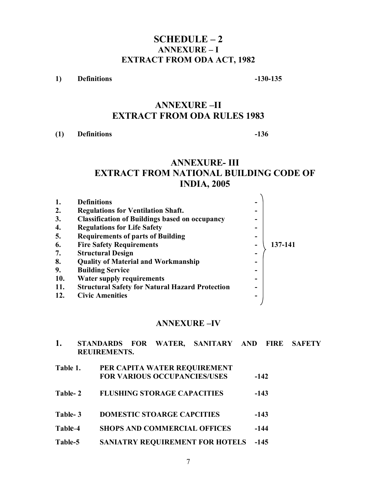# **SCHEDULE – 2 ANNEXURE – I EXTRACT FROM ODA ACT, 1982**

**1) Definitions -130-135**

# **ANNEXURE –II EXTRACT FROM ODA RULES 1983**

**(1) Definitions -136**

# **ANNEXURE- III EXTRACT FROM NATIONAL BUILDING CODE OF INDIA, 2005**

| 1.         | <b>Definitions</b>                                     |   |         |
|------------|--------------------------------------------------------|---|---------|
| 2.         | <b>Regulations for Ventilation Shaft.</b>              |   |         |
| 3.         | <b>Classification of Buildings based on occupancy</b>  |   |         |
| 4.         | <b>Regulations for Life Safety</b>                     | - |         |
| 5.         | <b>Requirements of parts of Building</b>               | - |         |
| 6.         | <b>Fire Safety Requirements</b>                        |   | 137-141 |
| 7.         | <b>Structural Design</b>                               | - |         |
| 8.         | <b>Quality of Material and Workmanship</b>             |   |         |
| 9.         | <b>Building Service</b>                                |   |         |
| <b>10.</b> | <b>Water supply requirements</b>                       |   |         |
| 11.        | <b>Structural Safety for Natural Hazard Protection</b> | - |         |
| 12.        | <b>Civic Amenities</b>                                 | - |         |
|            |                                                        |   |         |

### **ANNEXURE –IV**

| 1.       | <b>REUIREMENTS.</b> |                                    | STANDARDS FOR WATER, SANITARY AND FIRE                              |        | <b>SAFETY</b> |
|----------|---------------------|------------------------------------|---------------------------------------------------------------------|--------|---------------|
| Table 1. |                     |                                    | PER CAPITA WATER REQUIREMENT<br><b>FOR VARIOUS OCCUPANCIES/USES</b> | $-142$ |               |
| Table-2  |                     | <b>FLUSHING STORAGE CAPACITIES</b> |                                                                     | $-143$ |               |
| Table-3  |                     | <b>DOMESTIC STOARGE CAPCITIES</b>  |                                                                     | $-143$ |               |
| Table-4  |                     |                                    | <b>SHOPS AND COMMERCIAL OFFICES</b>                                 | $-144$ |               |
| Table-5  |                     |                                    | <b>SANIATRY REQUIREMENT FOR HOTELS</b>                              | $-145$ |               |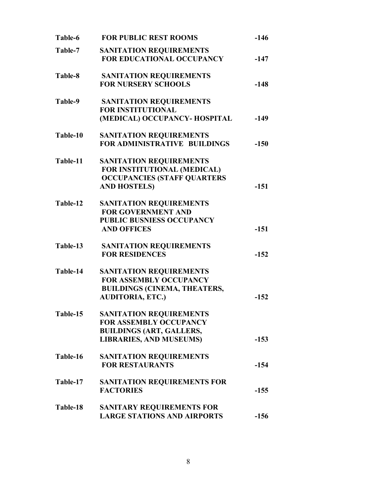| Table-6  | <b>FOR PUBLIC REST ROOMS</b>                                                                                                         | $-146$ |
|----------|--------------------------------------------------------------------------------------------------------------------------------------|--------|
| Table-7  | <b>SANITATION REQUIREMENTS</b><br><b>FOR EDUCATIONAL OCCUPANCY</b>                                                                   | $-147$ |
| Table-8  | <b>SANITATION REQUIREMENTS</b><br><b>FOR NURSERY SCHOOLS</b>                                                                         | $-148$ |
| Table-9  | <b>SANITATION REQUIREMENTS</b><br><b>FOR INSTITUTIONAL</b><br>(MEDICAL) OCCUPANCY- HOSPITAL                                          | $-149$ |
| Table-10 | <b>SANITATION REQUIREMENTS</b><br><b>FOR ADMINISTRATIVE BUILDINGS</b>                                                                | $-150$ |
| Table-11 | <b>SANITATION REQUIREMENTS</b><br>FOR INSTITUTIONAL (MEDICAL)<br><b>OCCUPANCIES (STAFF QUARTERS</b><br><b>AND HOSTELS)</b>           | $-151$ |
| Table-12 | <b>SANITATION REQUIREMENTS</b><br><b>FOR GOVERNMENT AND</b><br><b>PUBLIC BUSNIESS OCCUPANCY</b><br><b>AND OFFICES</b>                | $-151$ |
| Table-13 | <b>SANITATION REQUIREMENTS</b><br><b>FOR RESIDENCES</b>                                                                              | $-152$ |
| Table-14 | <b>SANITATION REQUIREMENTS</b><br><b>FOR ASSEMBLY OCCUPANCY</b><br><b>BUILDINGS (CINEMA, THEATERS,</b><br><b>AUDITORIA, ETC.)</b>    | $-152$ |
| Table-15 | <b>SANITATION REQUIREMENTS</b><br><b>FOR ASSEMBLY OCCUPANCY</b><br><b>BUILDINGS (ART, GALLERS,</b><br><b>LIBRARIES, AND MUSEUMS)</b> | $-153$ |
| Table-16 | <b>SANITATION REQUIREMENTS</b><br><b>FOR RESTAURANTS</b>                                                                             | $-154$ |
| Table-17 | SANITATION REQUIREMENTS FOR<br><b>FACTORIES</b>                                                                                      | $-155$ |
| Table-18 | <b>SANITARY REQUIREMENTS FOR</b><br><b>LARGE STATIONS AND AIRPORTS</b>                                                               | $-156$ |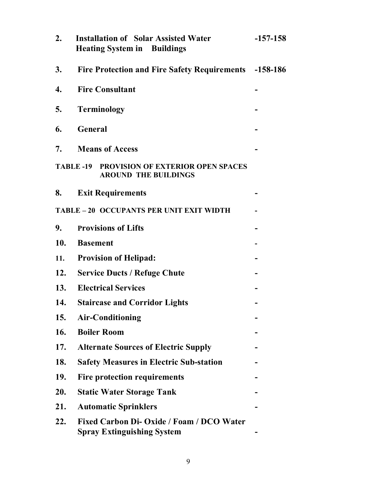| 2.                                       | <b>Installation of Solar Assisted Water</b><br><b>Heating System in Buildings</b> | $-157-158$ |
|------------------------------------------|-----------------------------------------------------------------------------------|------------|
| 3.                                       | <b>Fire Protection and Fire Safety Requirements</b> -158-186                      |            |
| 4.                                       | <b>Fire Consultant</b>                                                            |            |
| 5.                                       | <b>Terminology</b>                                                                |            |
| 6.                                       | <b>General</b>                                                                    |            |
| 7.                                       | <b>Means of Access</b>                                                            |            |
|                                          | <b>TABLE -19 PROVISION OF EXTERIOR OPEN SPACES</b><br><b>AROUND THE BUILDINGS</b> |            |
| 8.                                       | <b>Exit Requirements</b>                                                          |            |
| TABLE - 20 OCCUPANTS PER UNIT EXIT WIDTH |                                                                                   |            |
| 9.                                       | <b>Provisions of Lifts</b>                                                        |            |
| 10.                                      | <b>Basement</b>                                                                   |            |
| 11.                                      | <b>Provision of Helipad:</b>                                                      |            |
| 12.                                      | <b>Service Ducts / Refuge Chute</b>                                               |            |
|                                          | 13. Electrical Services                                                           |            |
| 14.                                      | <b>Staircase and Corridor Lights</b>                                              |            |
| 15.                                      | <b>Air-Conditioning</b>                                                           |            |
| 16.                                      | <b>Boiler Room</b>                                                                |            |
| 17.                                      | <b>Alternate Sources of Electric Supply</b>                                       |            |
| 18.                                      | <b>Safety Measures in Electric Sub-station</b>                                    |            |
| 19.                                      | <b>Fire protection requirements</b>                                               |            |
| 20.                                      | <b>Static Water Storage Tank</b>                                                  |            |
| 21.                                      | <b>Automatic Sprinklers</b>                                                       |            |
| 22.                                      | Fixed Carbon Di- Oxide / Foam / DCO Water<br><b>Spray Extinguishing System</b>    |            |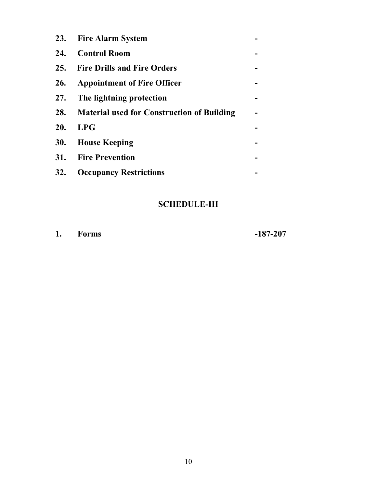| 23. Fire Alarm System                          |  |
|------------------------------------------------|--|
| 24. Control Room                               |  |
| 25. Fire Drills and Fire Orders                |  |
| 26. Appointment of Fire Officer                |  |
| 27. The lightning protection                   |  |
| 28. Material used for Construction of Building |  |
| 20. LPG                                        |  |
| 30. House Keeping                              |  |
| 31. Fire Prevention                            |  |
| 32. Occupancy Restrictions                     |  |

# **SCHEDULE-III**

**1. Forms -187-207**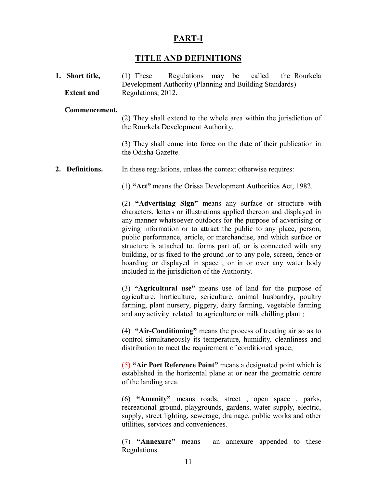# **PART-I**

# **TITLE AND DEFINITIONS**

**1. Short title,** (1) These Regulations may be called the Rourkela Development Authority (Planning and Building Standards) **Extent and** Regulations, 2012.

### **Commencement.**

(2) They shall extend to the whole area within the jurisdiction of the Rourkela Development Authority.

(3) They shall come into force on the date of their publication in the Odisha Gazette.

**2. Definitions.** In these regulations, unless the context otherwise requires:

(1) **"Act"** means the Orissa Development Authorities Act, 1982.

(2) **"Advertising Sign"** means any surface or structure with characters, letters or illustrations applied thereon and displayed in any manner whatsoever outdoors for the purpose of advertising or giving information or to attract the public to any place, person, public performance, article, or merchandise, and which surface or structure is attached to, forms part of, or is connected with any building, or is fixed to the ground ,or to any pole, screen, fence or hoarding or displayed in space , or in or over any water body included in the jurisdiction of the Authority.

(3) **"Agricultural use"** means use of land for the purpose of agriculture, horticulture, sericulture, animal husbandry, poultry farming, plant nursery, piggery, dairy farming, vegetable farming and any activity related to agriculture or milk chilling plant ;

(4) **"Air-Conditioning"** means the process of treating air so as to control simultaneously its temperature, humidity, cleanliness and distribution to meet the requirement of conditioned space;

(5) **"Air Port Reference Point"** means a designated point which is established in the horizontal plane at or near the geometric centre of the landing area.

(6) **"Amenity"** means roads, street , open space , parks, recreational ground, playgrounds, gardens, water supply, electric, supply, street lighting, sewerage, drainage, public works and other utilities, services and conveniences.

(7) **"Annexure"** means an annexure appended to these Regulations.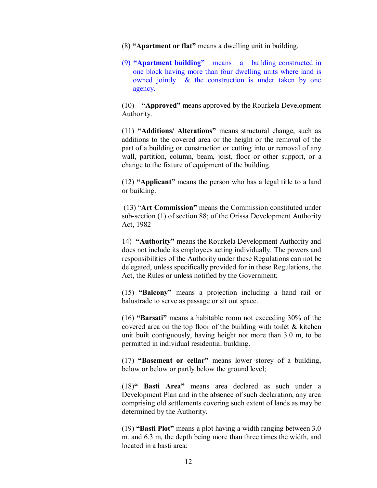- (8) **"Apartment or flat"** means a dwelling unit in building.
- (9) **"Apartment building"** means a building constructed in one block having more than four dwelling units where land is owned jointly & the construction is under taken by one agency.

(10) **"Approved"** means approved by the Rourkela Development Authority.

(11) **"Additions/ Alterations"** means structural change, such as additions to the covered area or the height or the removal of the part of a building or construction or cutting into or removal of any wall, partition, column, beam, joist, floor or other support, or a change to the fixture of equipment of the building.

(12) **"Applicant"** means the person who has a legal title to a land or building.

 (13) "**Art Commission"** means the Commission constituted under sub-section (1) of section 88; of the Orissa Development Authority Act, 1982

14) **"Authority"** means the Rourkela Development Authority and does not include its employees acting individually. The powers and responsibilities of the Authority under these Regulations can not be delegated, unless specifically provided for in these Regulations, the Act, the Rules or unless notified by the Government;

(15) **"Balcony"** means a projection including a hand rail or balustrade to serve as passage or sit out space.

(16) **"Barsati"** means a habitable room not exceeding 30% of the covered area on the top floor of the building with toilet & kitchen unit built contiguously, having height not more than 3.0 m, to be permitted in individual residential building.

(17) **"Basement or cellar"** means lower storey of a building, below or below or partly below the ground level;

(18)**" Basti Area"** means area declared as such under a Development Plan and in the absence of such declaration, any area comprising old settlements covering such extent of lands as may be determined by the Authority.

(19) **"Basti Plot"** means a plot having a width ranging between 3.0 m. and 6.3 m, the depth being more than three times the width, and located in a basti area;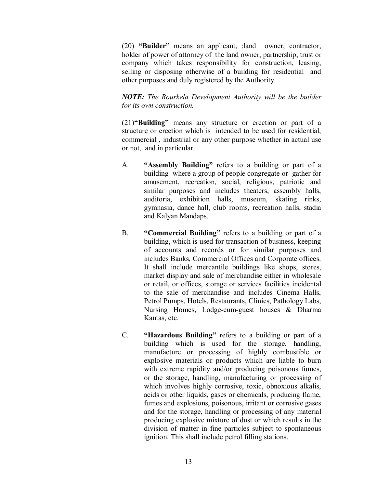(20) **"Builder"** means an applicant, ;land owner, contractor, holder of power of attorney of the land owner, partnership, trust or company which takes responsibility for construction, leasing, selling or disposing otherwise of a building for residential and other purposes and duly registered by the Authority.

*NOTE: The Rourkela Development Authority will be the builder for its own construction.*

(21)**"Building"** means any structure or erection or part of a structure or erection which is intended to be used for residential, commercial , industrial or any other purpose whether in actual use or not, and in particular.

- A. **"Assembly Building"** refers to a building or part of a building where a group of people congregate or gather for amusement, recreation, social, religious, patriotic and similar purposes and includes theaters, assembly halls, auditoria, exhibition halls, museum, skating rinks, gymnasia, dance hall, club rooms, recreation halls, stadia and Kalyan Mandaps.
- B. **"Commercial Building"** refers to a building or part of a building, which is used for transaction of business, keeping of accounts and records or for similar purposes and includes Banks, Commercial Offices and Corporate offices. It shall include mercantile buildings like shops, stores, market display and sale of merchandise either in wholesale or retail, or offices, storage or services facilities incidental to the sale of merchandise and includes Cinema Halls, Petrol Pumps, Hotels, Restaurants, Clinics, Pathology Labs, Nursing Homes, Lodge-cum-guest houses & Dharma Kantas, etc.
- C. **"Hazardous Building"** refers to a building or part of a building which is used for the storage, handling, manufacture or processing of highly combustible or explosive materials or products which are liable to burn with extreme rapidity and/or producing poisonous fumes, or the storage, handling, manufacturing or processing of which involves highly corrosive, toxic, obnoxious alkalis, acids or other liquids, gases or chemicals, producing flame, fumes and explosions, poisonous, irritant or corrosive gases and for the storage, handling or processing of any material producing explosive mixture of dust or which results in the division of matter in fine particles subject to spontaneous ignition. This shall include petrol filling stations.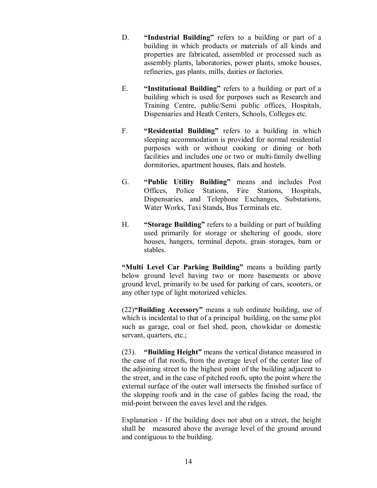- D. **"Industrial Building"** refers to a building or part of a building in which products or materials of all kinds and properties are fabricated, assembled or processed such as assembly plants, laboratories, power plants, smoke houses, refineries, gas plants, mills, dairies or factories.
- E. **"Institutional Building"** refers to a building or part of a building which is used for purposes such as Research and Training Centre, public/Semi public offices, Hospitals, Dispensaries and Heath Centers, Schools, Colleges etc.
- F. **"Residential Building"** refers to a building in which sleeping accommodation is provided for normal residential purposes with or without cooking or dining or both facilities and includes one or two or multi-family dwelling dormitories, apartment houses, flats and hostels.
- G. **"Public Utility Building"** means and includes Post Offices, Police Stations, Fire Stations, Hospitals, Dispensaries, and Telephone Exchanges, Substations, Water Works, Taxi Stands, Bus Terminals etc.
- H. **"Storage Building"** refers to a building or part of building used primarily for storage or sheltering of goods, store houses, hangers, terminal depots, grain storages, barn or stables.

**"Multi Level Car Parking Building"** means a building partly below ground level having two or more basements or above ground level, primarily to be used for parking of cars, scooters, or any other type of light motorized vehicles.

(22)**"Building Accessory"** means a sub ordinate building, use of which is incidental to that of a principal building, on the same plot such as garage, coal or fuel shed, peon, chowkidar or domestic servant, quarters, etc.;

(23). **"Building Height"** means the vertical distance measured in the case of flat roofs, from the average level of the center line of the adjoining street to the highest point of the building adjacent to the street, and in the case of pitched roofs, upto the point where the external surface of the outer wall intersects the finished surface of the slopping roofs and in the case of gables facing the road, the mid-point between the eaves level and the ridges.

Explanation - If the building does not abut on a street, the height shall be measured above the average level of the ground around and contiguous to the building.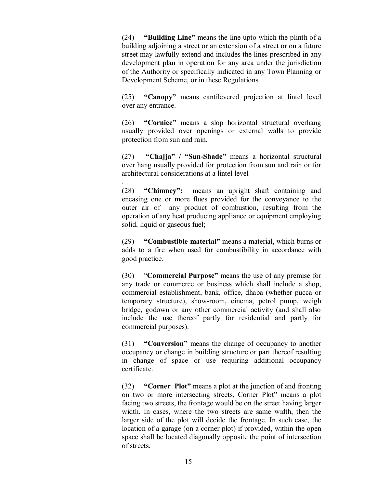(24) **"Building Line"** means the line upto which the plinth of a building adjoining a street or an extension of a street or on a future street may lawfully extend and includes the lines prescribed in any development plan in operation for any area under the jurisdiction of the Authority or specifically indicated in any Town Planning or Development Scheme, or in these Regulations.

(25) **"Canopy"** means cantilevered projection at lintel level over any entrance.

(26) **"Cornice"** means a slop horizontal structural overhang usually provided over openings or external walls to provide protection from sun and rain.

(27) **"Chajja" / "Sun-Shade"** means a horizontal structural over hang usually provided for protection from sun and rain or for architectural considerations at a lintel level

. (28) **"Chimney":** means an upright shaft containing and encasing one or more flues provided for the conveyance to the outer air of any product of combustion, resulting from the operation of any heat producing appliance or equipment employing solid, liquid or gaseous fuel;

(29) **"Combustible material"** means a material, which burns or adds to a fire when used for combustibility in accordance with good practice.

(30) "**Commercial Purpose"** means the use of any premise for any trade or commerce or business which shall include a shop, commercial establishment, bank, office, dhaba (whether pucca or temporary structure), show-room, cinema, petrol pump, weigh bridge, godown or any other commercial activity (and shall also include the use thereof partly for residential and partly for commercial purposes).

(31) **"Conversion"** means the change of occupancy to another occupancy or change in building structure or part thereof resulting in change of space or use requiring additional occupancy certificate.

(32) **"Corner Plot"** means a plot at the junction of and fronting on two or more intersecting streets, Corner Plot" means a plot facing two streets, the frontage would be on the street having larger width. In cases, where the two streets are same width, then the larger side of the plot will decide the frontage. In such case, the location of a garage (on a corner plot) if provided, within the open space shall be located diagonally opposite the point of intersection of streets.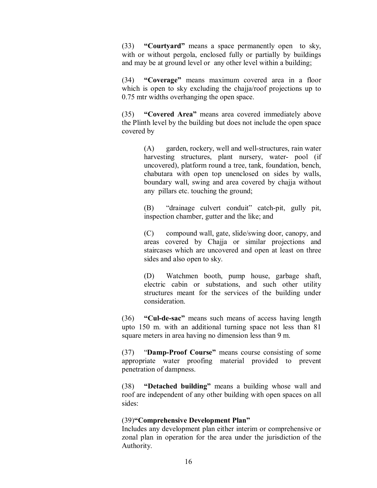(33) **"Courtyard"** means a space permanently open to sky, with or without pergola, enclosed fully or partially by buildings and may be at ground level or any other level within a building;

(34) **"Coverage"** means maximum covered area in a floor which is open to sky excluding the chajja/roof projections up to 0.75 mtr widths overhanging the open space.

(35) **"Covered Area"** means area covered immediately above the Plinth level by the building but does not include the open space covered by

> (A) garden, rockery, well and well-structures, rain water harvesting structures, plant nursery, water- pool (if uncovered), platform round a tree, tank, foundation, bench, chabutara with open top unenclosed on sides by walls, boundary wall, swing and area covered by chajja without any pillars etc. touching the ground;

> (B) "drainage culvert conduit" catch-pit, gully pit, inspection chamber, gutter and the like; and

> (C) compound wall, gate, slide/swing door, canopy, and areas covered by Chajja or similar projections and staircases which are uncovered and open at least on three sides and also open to sky.

> (D) Watchmen booth, pump house, garbage shaft, electric cabin or substations, and such other utility structures meant for the services of the building under consideration.

(36) **"Cul-de-sac"** means such means of access having length upto 150 m. with an additional turning space not less than 81 square meters in area having no dimension less than 9 m.

(37) "**Damp-Proof Course"** means course consisting of some appropriate water proofing material provided to prevent penetration of dampness.

(38) **"Detached building"** means a building whose wall and roof are independent of any other building with open spaces on all sides:

### (39)**"Comprehensive Development Plan"**

Includes any development plan either interim or comprehensive or zonal plan in operation for the area under the jurisdiction of the Authority.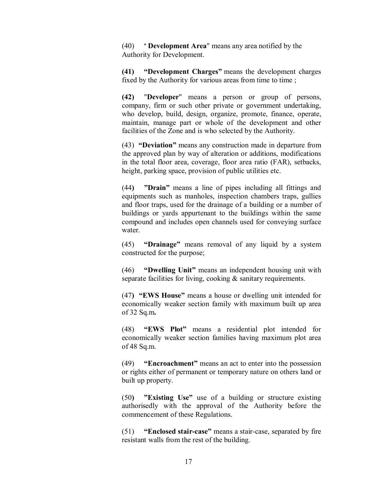(40) " **Development Area**" means any area notified by the Authority for Development.

**(41) "Development Charges"** means the development charges fixed by the Authority for various areas from time to time;

**(42)** "**Developer**" means a person or group of persons, company, firm or such other private or government undertaking, who develop, build, design, organize, promote, finance, operate, maintain, manage part or whole of the development and other facilities of the Zone and is who selected by the Authority.

(43) **"Deviation"** means any construction made in departure from the approved plan by way of alteration or additions, modifications in the total floor area, coverage, floor area ratio (FAR), setbacks, height, parking space, provision of public utilities etc.

(44**) "Drain"** means a line of pipes including all fittings and equipments such as manholes, inspection chambers traps, gullies and floor traps, used for the drainage of a building or a number of buildings or yards appurtenant to the buildings within the same compound and includes open channels used for conveying surface water.

(45) **"Drainage"** means removal of any liquid by a system constructed for the purpose;

(46) **"Dwelling Unit"** means an independent housing unit with separate facilities for living, cooking & sanitary requirements.

(47**) "EWS House"** means a house or dwelling unit intended for economically weaker section family with maximum built up area of 32 Sq.m**.**

(48) **"EWS Plot"** means a residential plot intended for economically weaker section families having maximum plot area of 48 Sq.m.

(49) **"Encroachment"** means an act to enter into the possession or rights either of permanent or temporary nature on others land or built up property.

(50**) "Existing Use"** use of a building or structure existing authorisedly with the approval of the Authority before the commencement of these Regulations.

(51) **"Enclosed stair-case"** means a stair-case, separated by fire resistant walls from the rest of the building.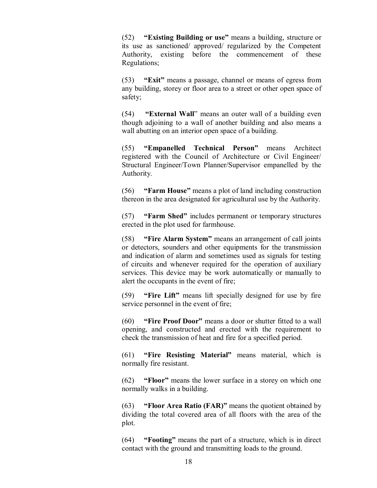(52) **"Existing Building or use"** means a building, structure or its use as sanctioned/ approved/ regularized by the Competent Authority, existing before the commencement of these Regulations;

(53) **"Exit"** means a passage, channel or means of egress from any building, storey or floor area to a street or other open space of safety;

(54) **"External Wall**" means an outer wall of a building even though adjoining to a wall of another building and also means a wall abutting on an interior open space of a building.

(55) **"Empanelled Technical Person"** means Architect registered with the Council of Architecture or Civil Engineer/ Structural Engineer/Town Planner/Supervisor empanelled by the Authority.

(56) **"Farm House"** means a plot of land including construction thereon in the area designated for agricultural use by the Authority.

(57) **"Farm Shed"** includes permanent or temporary structures erected in the plot used for farmhouse.

(58) **"Fire Alarm System"** means an arrangement of call joints or detectors, sounders and other equipments for the transmission and indication of alarm and sometimes used as signals for testing of circuits and whenever required for the operation of auxiliary services. This device may be work automatically or manually to alert the occupants in the event of fire;

(59) **"Fire Lift"** means lift specially designed for use by fire service personnel in the event of fire;

(60) **"Fire Proof Door"** means a door or shutter fitted to a wall opening, and constructed and erected with the requirement to check the transmission of heat and fire for a specified period.

(61) **"Fire Resisting Material"** means material, which is normally fire resistant.

(62) **"Floor"** means the lower surface in a storey on which one normally walks in a building.

(63) **"Floor Area Ratio (FAR)"** means the quotient obtained by dividing the total covered area of all floors with the area of the plot.

(64) **"Footing"** means the part of a structure, which is in direct contact with the ground and transmitting loads to the ground.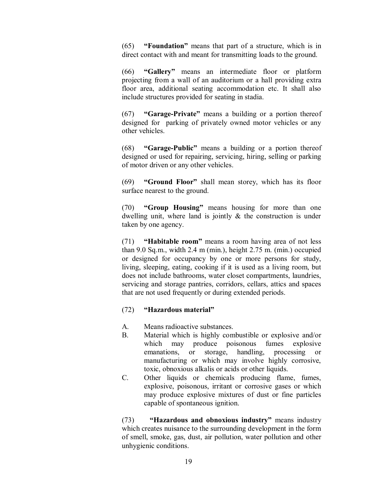(65) **"Foundation"** means that part of a structure, which is in direct contact with and meant for transmitting loads to the ground.

(66) **"Gallery"** means an intermediate floor or platform projecting from a wall of an auditorium or a hall providing extra floor area, additional seating accommodation etc. It shall also include structures provided for seating in stadia.

(67) **"Garage-Private"** means a building or a portion thereof designed for parking of privately owned motor vehicles or any other vehicles.

(68) **"Garage-Public"** means a building or a portion thereof designed or used for repairing, servicing, hiring, selling or parking of motor driven or any other vehicles.

(69) **"Ground Floor"** shall mean storey, which has its floor surface nearest to the ground.

(70) **"Group Housing"** means housing for more than one dwelling unit, where land is jointly & the construction is under taken by one agency.

(71) **"Habitable room"** means a room having area of not less than 9.0 Sq.m., width 2.4 m (min.), height 2.75 m. (min.) occupied or designed for occupancy by one or more persons for study, living, sleeping, eating, cooking if it is used as a living room, but does not include bathrooms, water closet compartments, laundries, servicing and storage pantries, corridors, cellars, attics and spaces that are not used frequently or during extended periods.

### (72) **"Hazardous material"**

- A. Means radioactive substances.
- B. Material which is highly combustible or explosive and/or which may produce poisonous fumes explosive emanations, or storage, handling, processing or manufacturing or which may involve highly corrosive, toxic, obnoxious alkalis or acids or other liquids.
- C. Other liquids or chemicals producing flame, fumes, explosive, poisonous, irritant or corrosive gases or which may produce explosive mixtures of dust or fine particles capable of spontaneous ignition.

(73) **"Hazardous and obnoxious industry"** means industry which creates nuisance to the surrounding development in the form of smell, smoke, gas, dust, air pollution, water pollution and other unhygienic conditions.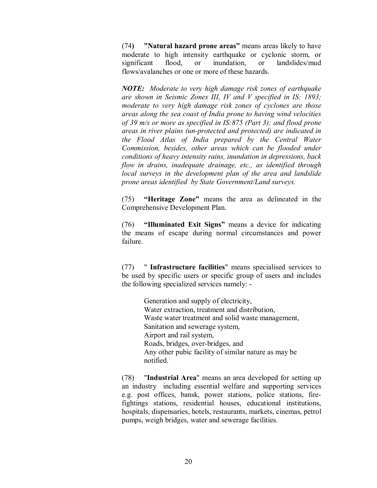(74**) "Natural hazard prone areas"** means areas likely to have moderate to high intensity earthquake or cyclonic storm, or significant flood, or inundation, or landslides/mud flows/avalanches or one or more of these hazards.

*NOTE: Moderate to very high damage risk zones of earthquake are shown in Seismic Zones III, IV and V specified in IS: 1893; moderate to very high damage risk zones of cyclones are those areas along the sea coast of India prone to having wind velocities of 39 m/s or more as specified in IS:875 (Part 3); and flood prone areas in river plains (un-protected and protected) are indicated in the Flood Atlas of India prepared by the Central Water Commission, besides, other areas which can be flooded under conditions of heavy intensity rains, inundation in depressions, back flow in drains, inadequate drainage, etc., as identified through local surveys in the development plan of the area and landslide prone areas identified by State Government/Land surveys.*

(75) **"Heritage Zone"** means the area as delineated in the Comprehensive Development Plan.

(76) **"Illuminated Exit Signs"** means a device for indicating the means of escape during normal circumstances and power failure.

(77) " **Infrastructure facilities**" means specialised services to be used by specific users or specific group of users and includes the following specialized services namely: -

> Generation and supply of electricity, Water extraction, treatment and distribution, Waste water treatment and solid waste management, Sanitation and sewerage system, Airport and rail system, Roads, bridges, over-bridges, and Any other pubic facility of similar nature as may be notified.

(78) "**Industrial Area**" means an area developed for setting up an industry including essential welfare and supporting services e.g. post offices, bansk, power stations, police stations, firefightings stations, residential houses, educational institutions, hospitals, dispensaries, hotels, restaurants, markets, cinemas, petrol pumps, weigh bridges, water and sewerage facilities.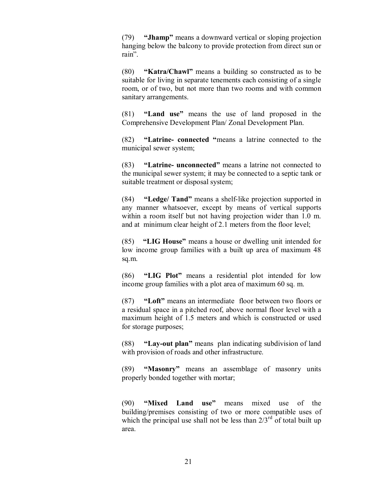(79) **"Jhamp"** means a downward vertical or sloping projection hanging below the balcony to provide protection from direct sun or rain".

(80) **"Katra/Chawl"** means a building so constructed as to be suitable for living in separate tenements each consisting of a single room, or of two, but not more than two rooms and with common sanitary arrangements.

(81) **"Land use"** means the use of land proposed in the Comprehensive Development Plan/ Zonal Development Plan.

(82) **"Latrine- connected "**means a latrine connected to the municipal sewer system;

(83) **"Latrine- unconnected"** means a latrine not connected to the municipal sewer system; it may be connected to a septic tank or suitable treatment or disposal system;

(84) **"Ledge/ Tand"** means a shelf-like projection supported in any manner whatsoever, except by means of vertical supports within a room itself but not having projection wider than 1.0 m. and at minimum clear height of 2.1 meters from the floor level;

(85) **"LIG House"** means a house or dwelling unit intended for low income group families with a built up area of maximum 48 sq.m.

(86) **"LIG Plot"** means a residential plot intended for low income group families with a plot area of maximum 60 sq. m.

(87) **"Loft"** means an intermediate floor between two floors or a residual space in a pitched roof, above normal floor level with a maximum height of 1.5 meters and which is constructed or used for storage purposes;

(88) **"Lay-out plan"** means plan indicating subdivision of land with provision of roads and other infrastructure.

(89) **"Masonry"** means an assemblage of masonry units properly bonded together with mortar;

(90) **"Mixed Land use"** means mixed use of the building/premises consisting of two or more compatible uses of which the principal use shall not be less than  $2/3^{rd}$  of total built up area.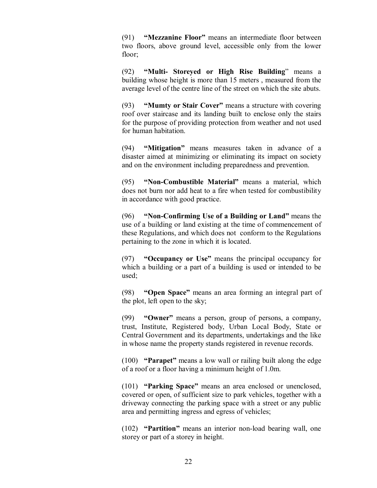(91) **"Mezzanine Floor"** means an intermediate floor between two floors, above ground level, accessible only from the lower floor;

(92) **"Multi- Storeyed or High Rise Building**" means a building whose height is more than 15 meters , measured from the average level of the centre line of the street on which the site abuts.

(93) **"Mumty or Stair Cover"** means a structure with covering roof over staircase and its landing built to enclose only the stairs for the purpose of providing protection from weather and not used for human habitation.

(94) **"Mitigation"** means measures taken in advance of a disaster aimed at minimizing or eliminating its impact on society and on the environment including preparedness and prevention.

(95) **"Non-Combustible Material"** means a material, which does not burn nor add heat to a fire when tested for combustibility in accordance with good practice.

(96) **"Non-Confirming Use of a Building or Land"** means the use of a building or land existing at the time of commencement of these Regulations, and which does not conform to the Regulations pertaining to the zone in which it is located.

(97) **"Occupancy or Use"** means the principal occupancy for which a building or a part of a building is used or intended to be used;

(98) **"Open Space"** means an area forming an integral part of the plot, left open to the sky;

(99) **"Owner"** means a person, group of persons, a company, trust, Institute, Registered body, Urban Local Body, State or Central Government and its departments, undertakings and the like in whose name the property stands registered in revenue records.

(100) **"Parapet"** means a low wall or railing built along the edge of a roof or a floor having a minimum height of 1.0m.

(101) **"Parking Space"** means an area enclosed or unenclosed, covered or open, of sufficient size to park vehicles, together with a driveway connecting the parking space with a street or any public area and permitting ingress and egress of vehicles;

(102) **"Partition"** means an interior non-load bearing wall, one storey or part of a storey in height.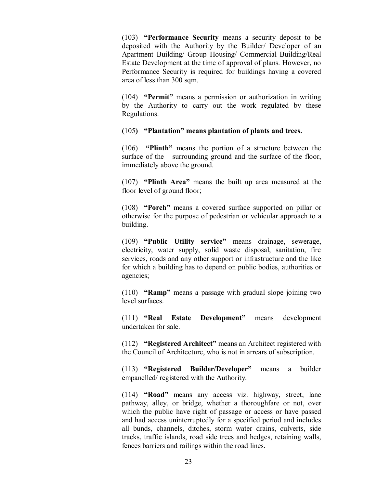(103) **"Performance Security** means a security deposit to be deposited with the Authority by the Builder/ Developer of an Apartment Building/ Group Housing/ Commercial Building/Real Estate Development at the time of approval of plans. However, no Performance Security is required for buildings having a covered area of less than 300 sqm.

(104) **"Permit"** means a permission or authorization in writing by the Authority to carry out the work regulated by these Regulations.

### **(**105**) "Plantation" means plantation of plants and trees.**

(106) **"Plinth"** means the portion of a structure between the surface of the surrounding ground and the surface of the floor, immediately above the ground.

(107) **"Plinth Area"** means the built up area measured at the floor level of ground floor;

(108) **"Porch"** means a covered surface supported on pillar or otherwise for the purpose of pedestrian or vehicular approach to a building.

(109) **"Public Utility service"** means drainage, sewerage, electricity, water supply, solid waste disposal, sanitation, fire services, roads and any other support or infrastructure and the like for which a building has to depend on public bodies, authorities or agencies;

(110) **"Ramp"** means a passage with gradual slope joining two level surfaces.

(111) **"Real Estate Development"** means development undertaken for sale.

(112) **"Registered Architect"** means an Architect registered with the Council of Architecture, who is not in arrears of subscription.

(113) **"Registered Builder/Developer"** means a builder empanelled/ registered with the Authority.

(114) **"Road"** means any access viz. highway, street, lane pathway, alley, or bridge, whether a thoroughfare or not, over which the public have right of passage or access or have passed and had access uninterruptedly for a specified period and includes all bunds, channels, ditches, storm water drains, culverts, side tracks, traffic islands, road side trees and hedges, retaining walls, fences barriers and railings within the road lines.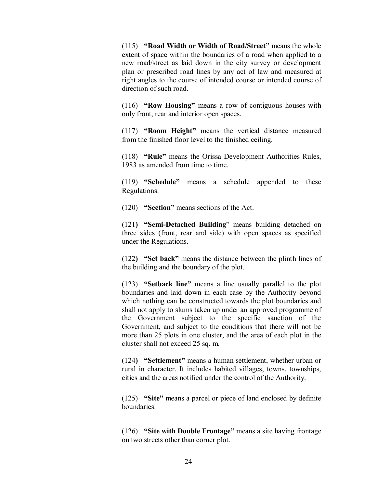(115) **"Road Width or Width of Road/Street"** means the whole extent of space within the boundaries of a road when applied to a new road/street as laid down in the city survey or development plan or prescribed road lines by any act of law and measured at right angles to the course of intended course or intended course of direction of such road.

(116) **"Row Housing"** means a row of contiguous houses with only front, rear and interior open spaces.

(117) **"Room Height"** means the vertical distance measured from the finished floor level to the finished ceiling.

(118) **"Rule"** means the Orissa Development Authorities Rules, 1983 as amended from time to time.

(119) **"Schedule"** means a schedule appended to these Regulations.

(120) **"Section"** means sections of the Act.

(121**) "Semi-Detached Building**" means building detached on three sides (front, rear and side) with open spaces as specified under the Regulations.

(122**) "Set back"** means the distance between the plinth lines of the building and the boundary of the plot.

(123) **"Setback line"** means a line usually parallel to the plot boundaries and laid down in each case by the Authority beyond which nothing can be constructed towards the plot boundaries and shall not apply to slums taken up under an approved programme of the Government subject to the specific sanction of the Government, and subject to the conditions that there will not be more than 25 plots in one cluster, and the area of each plot in the cluster shall not exceed 25 sq. m.

(124**) "Settlement"** means a human settlement, whether urban or rural in character. It includes habited villages, towns, townships, cities and the areas notified under the control of the Authority.

(125) **"Site"** means a parcel or piece of land enclosed by definite boundaries.

(126) **"Site with Double Frontage"** means a site having frontage on two streets other than corner plot.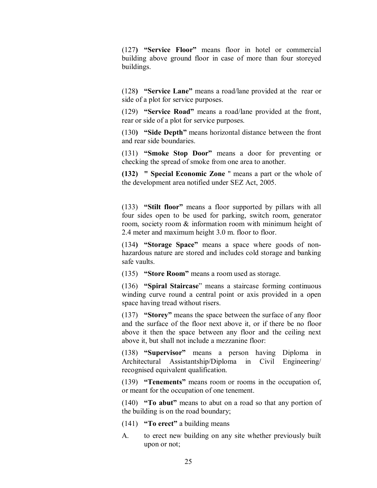(127**) "Service Floor"** means floor in hotel or commercial building above ground floor in case of more than four storeyed buildings.

(128**) "Service Lane"** means a road/lane provided at the rear or side of a plot for service purposes.

(129) **"Service Road"** means a road/lane provided at the front, rear or side of a plot for service purposes.

(130**) "Side Depth"** means horizontal distance between the front and rear side boundaries.

(131) **"Smoke Stop Door"** means a door for preventing or checking the spread of smoke from one area to another.

**(132) " Special Economic Zone** " means a part or the whole of the development area notified under SEZ Act, 2005.

(133) **"Stilt floor"** means a floor supported by pillars with all four sides open to be used for parking, switch room, generator room, society room & information room with minimum height of 2.4 meter and maximum height 3.0 m. floor to floor.

(134**) "Storage Space"** means a space where goods of nonhazardous nature are stored and includes cold storage and banking safe vaults.

(135) **"Store Room"** means a room used as storage.

(136) **"Spiral Staircase**" means a staircase forming continuous winding curve round a central point or axis provided in a open space having tread without risers.

(137) **"Storey"** means the space between the surface of any floor and the surface of the floor next above it, or if there be no floor above it then the space between any floor and the ceiling next above it, but shall not include a mezzanine floor:

(138) **"Supervisor"** means a person having Diploma in Architectural Assistantship/Diploma in Civil Engineering/ recognised equivalent qualification.

(139) **"Tenements"** means room or rooms in the occupation of, or meant for the occupation of one tenement.

(140) **"To abut"** means to abut on a road so that any portion of the building is on the road boundary;

- (141) **"To erect"** a building means
- A. to erect new building on any site whether previously built upon or not;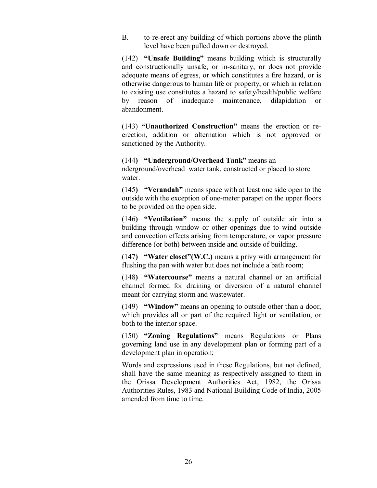B. to re-erect any building of which portions above the plinth level have been pulled down or destroyed.

(142) **"Unsafe Building"** means building which is structurally and constructionally unsafe, or in-sanitary, or does not provide adequate means of egress, or which constitutes a fire hazard, or is otherwise dangerous to human life or property, or which in relation to existing use constitutes a hazard to safety/health/public welfare by reason of inadequate maintenance, dilapidation or abandonment.

(143) **"Unauthorized Construction"** means the erection or reerection, addition or alternation which is not approved or sanctioned by the Authority.

(144**) "Underground/Overhead Tank"** means an nderground/overhead water tank, constructed or placed to store water.

(145**) "Verandah"** means space with at least one side open to the outside with the exception of one-meter parapet on the upper floors to be provided on the open side.

(146**) "Ventilation"** means the supply of outside air into a building through window or other openings due to wind outside and convection effects arising from temperature, or vapor pressure difference (or both) between inside and outside of building.

(147**) "Water closet"(W.C.)** means a privy with arrangement for flushing the pan with water but does not include a bath room;

(148**) "Watercourse"** means a natural channel or an artificial channel formed for draining or diversion of a natural channel meant for carrying storm and wastewater.

(149) **"Window"** means an opening to outside other than a door, which provides all or part of the required light or ventilation, or both to the interior space.

(150) **"Zoning Regulations"** means Regulations or Plans governing land use in any development plan or forming part of a development plan in operation;

Words and expressions used in these Regulations, but not defined, shall have the same meaning as respectively assigned to them in the Orissa Development Authorities Act, 1982, the Orissa Authorities Rules, 1983 and National Building Code of India, 2005 amended from time to time.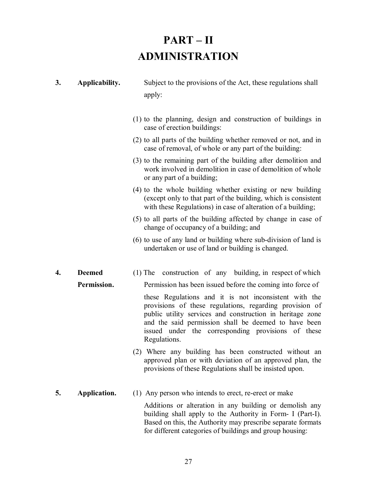# **PART – II ADMINISTRATION**

- **3. Applicability.** Subject to the provisions of the Act, these regulations shall apply:
	- (1) to the planning, design and construction of buildings in case of erection buildings:
	- (2) to all parts of the building whether removed or not, and in case of removal, of whole or any part of the building:
	- (3) to the remaining part of the building after demolition and work involved in demolition in case of demolition of whole or any part of a building;
	- (4) to the whole building whether existing or new building (except only to that part of the building, which is consistent with these Regulations) in case of alteration of a building;
	- (5) to all parts of the building affected by change in case of change of occupancy of a building; and
	- (6) to use of any land or building where sub-division of land is undertaken or use of land or building is changed.
- **4. Deemed** (1) The construction of any building, in respect of which **Permission.** Permission has been issued before the coming into force of

these Regulations and it is not inconsistent with the provisions of these regulations, regarding provision of public utility services and construction in heritage zone and the said permission shall be deemed to have been issued under the corresponding provisions of these Regulations.

- (2) Where any building has been constructed without an approved plan or with deviation of an approved plan, the provisions of these Regulations shall be insisted upon.
- **5. Application.** (1) Any person who intends to erect, re-erect or make

Additions or alteration in any building or demolish any building shall apply to the Authority in Form- I (Part-I). Based on this, the Authority may prescribe separate formats for different categories of buildings and group housing: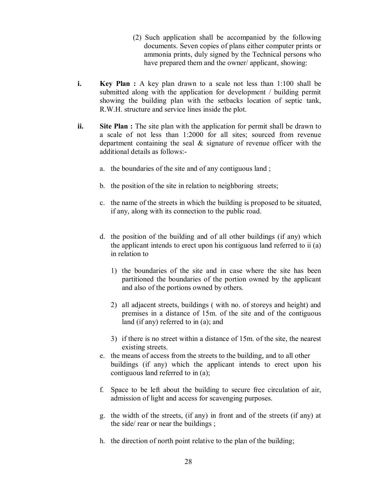- (2) Such application shall be accompanied by the following documents. Seven copies of plans either computer prints or ammonia prints, duly signed by the Technical persons who have prepared them and the owner/ applicant, showing:
- **i. Key Plan :** A key plan drawn to a scale not less than 1:100 shall be submitted along with the application for development / building permit showing the building plan with the setbacks location of septic tank, R.W.H. structure and service lines inside the plot.
- **ii.** Site Plan : The site plan with the application for permit shall be drawn to a scale of not less than 1:2000 for all sites; sourced from revenue department containing the seal & signature of revenue officer with the additional details as follows:
	- a. the boundaries of the site and of any contiguous land ;
	- b. the position of the site in relation to neighboring streets;
	- c. the name of the streets in which the building is proposed to be situated, if any, along with its connection to the public road.
	- d. the position of the building and of all other buildings (if any) which the applicant intends to erect upon his contiguous land referred to ii (a) in relation to
		- 1) the boundaries of the site and in case where the site has been partitioned the boundaries of the portion owned by the applicant and also of the portions owned by others.
		- 2) all adjacent streets, buildings ( with no. of storeys and height) and premises in a distance of 15m. of the site and of the contiguous land (if any) referred to in (a); and
		- 3) if there is no street within a distance of 15m. of the site, the nearest existing streets.
	- e. the means of access from the streets to the building, and to all other buildings (if any) which the applicant intends to erect upon his contiguous land referred to in (a);
	- f. Space to be left about the building to secure free circulation of air, admission of light and access for scavenging purposes.
	- g. the width of the streets, (if any) in front and of the streets (if any) at the side/ rear or near the buildings ;
	- h. the direction of north point relative to the plan of the building;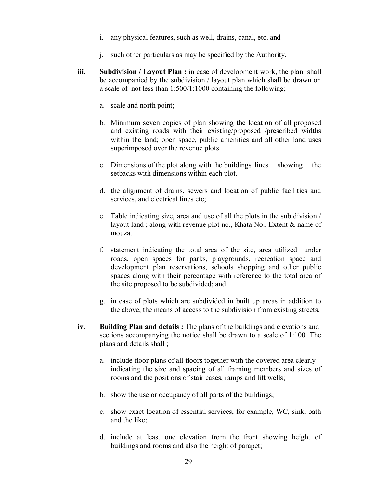- i. any physical features, such as well, drains, canal, etc. and
- j. such other particulars as may be specified by the Authority.
- **iii. Subdivision / Layout Plan :** in case of development work, the plan shall be accompanied by the subdivision / layout plan which shall be drawn on a scale of not less than 1:500/1:1000 containing the following;
	- a. scale and north point;
	- b. Minimum seven copies of plan showing the location of all proposed and existing roads with their existing/proposed /prescribed widths within the land; open space, public amenities and all other land uses superimposed over the revenue plots.
	- c. Dimensions of the plot along with the buildings lines showing the setbacks with dimensions within each plot.
	- d. the alignment of drains, sewers and location of public facilities and services, and electrical lines etc;
	- e. Table indicating size, area and use of all the plots in the sub division / layout land ; along with revenue plot no., Khata No., Extent & name of mouza.
	- f. statement indicating the total area of the site, area utilized under roads, open spaces for parks, playgrounds, recreation space and development plan reservations, schools shopping and other public spaces along with their percentage with reference to the total area of the site proposed to be subdivided; and
	- g. in case of plots which are subdivided in built up areas in addition to the above, the means of access to the subdivision from existing streets.
- **iv. Building Plan and details :** The plans of the buildings and elevations and sections accompanying the notice shall be drawn to a scale of 1:100. The plans and details shall ;
	- a. include floor plans of all floors together with the covered area clearly indicating the size and spacing of all framing members and sizes of rooms and the positions of stair cases, ramps and lift wells;
	- b. show the use or occupancy of all parts of the buildings;
	- c. show exact location of essential services, for example, WC, sink, bath and the like;
	- d. include at least one elevation from the front showing height of buildings and rooms and also the height of parapet;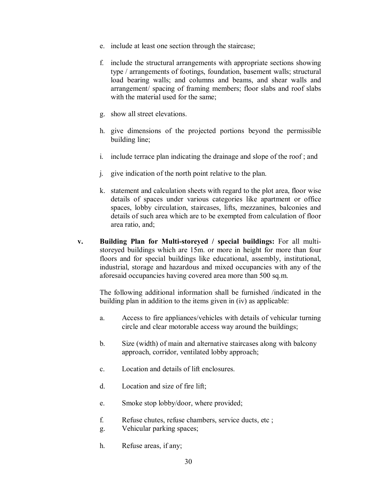- e. include at least one section through the staircase;
- f. include the structural arrangements with appropriate sections showing type / arrangements of footings, foundation, basement walls; structural load bearing walls; and columns and beams, and shear walls and arrangement/ spacing of framing members; floor slabs and roof slabs with the material used for the same;
- g. show all street elevations.
- h. give dimensions of the projected portions beyond the permissible building line;
- i. include terrace plan indicating the drainage and slope of the roof ; and
- j. give indication of the north point relative to the plan.
- k. statement and calculation sheets with regard to the plot area, floor wise details of spaces under various categories like apartment or office spaces, lobby circulation, staircases, lifts, mezzanines, balconies and details of such area which are to be exempted from calculation of floor area ratio, and;
- **v. Building Plan for Multi-storeyed / special buildings:** For all multistoreyed buildings which are 15m. or more in height for more than four floors and for special buildings like educational, assembly, institutional, industrial, storage and hazardous and mixed occupancies with any of the aforesaid occupancies having covered area more than 500 sq.m.

The following additional information shall be furnished /indicated in the building plan in addition to the items given in (iv) as applicable:

- a. Access to fire appliances/vehicles with details of vehicular turning circle and clear motorable access way around the buildings;
- b. Size (width) of main and alternative staircases along with balcony approach, corridor, ventilated lobby approach;
- c. Location and details of lift enclosures.
- d. Location and size of fire lift;
- e. Smoke stop lobby/door, where provided;
- f. Refuse chutes, refuse chambers, service ducts, etc ;
- g. Vehicular parking spaces;
- h. Refuse areas, if any;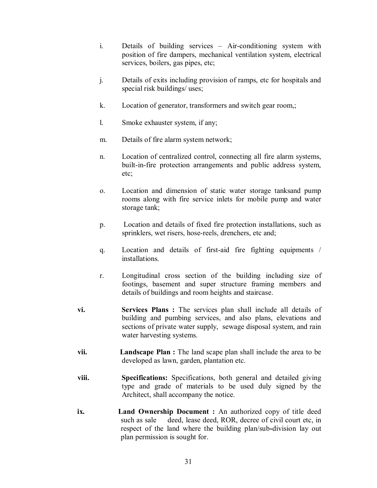- i. Details of building services Air-conditioning system with position of fire dampers, mechanical ventilation system, electrical services, boilers, gas pipes, etc;
- j. Details of exits including provision of ramps, etc for hospitals and special risk buildings/ uses;
- k. Location of generator, transformers and switch gear room,;
- l. Smoke exhauster system, if any;
- m. Details of fire alarm system network;
- n. Location of centralized control, connecting all fire alarm systems, built-in-fire protection arrangements and public address system, etc;
- o. Location and dimension of static water storage tanksand pump rooms along with fire service inlets for mobile pump and water storage tank;
- p. Location and details of fixed fire protection installations, such as sprinklers, wet risers, hose-reels, drenchers, etc and;
- q. Location and details of first-aid fire fighting equipments / installations.
- r. Longitudinal cross section of the building including size of footings, basement and super structure framing members and details of buildings and room heights and staircase.
- **vi. Services Plans :** The services plan shall include all details of building and pumbing services, and also plans, elevations and sections of private water supply, sewage disposal system, and rain water harvesting systems.
- **vii. Landscape Plan :** The land scape plan shall include the area to be developed as lawn, garden, plantation etc.
- **viii. Specifications:** Specifications, both general and detailed giving type and grade of materials to be used duly signed by the Architect, shall accompany the notice.
- **ix. Land Ownership Document :** An authorized copy of title deed such as sale deed, lease deed, ROR, decree of civil court etc, in respect of the land where the building plan/sub**-**division lay out plan permission is sought for.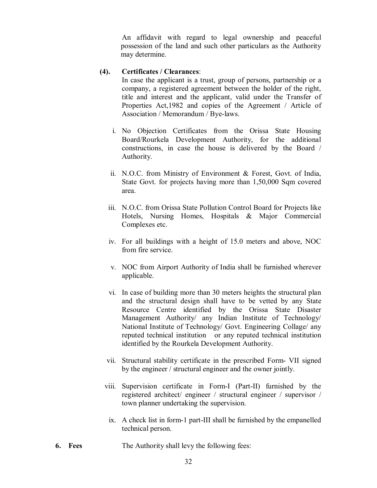An affidavit with regard to legal ownership and peaceful possession of the land and such other particulars as the Authority may determine.

### **(4). Certificates / Clearances**:

In case the applicant is a trust, group of persons, partnership or a company, a registered agreement between the holder of the right, title and interest and the applicant, valid under the Transfer of Properties Act,1982 and copies of the Agreement / Article of Association / Memorandum / Bye-laws.

- i. No Objection Certificates from the Orissa State Housing Board/Rourkela Development Authority, for the additional constructions, in case the house is delivered by the Board / Authority.
- ii. N.O.C. from Ministry of Environment & Forest, Govt. of India, State Govt. for projects having more than 1,50,000 Sqm covered area.
- iii. N.O.C. from Orissa State Pollution Control Board for Projects like Hotels, Nursing Homes, Hospitals & Major Commercial Complexes etc.
- iv. For all buildings with a height of 15.0 meters and above, NOC from fire service.
- v. NOC from Airport Authority of India shall be furnished wherever applicable.
- vi. In case of building more than 30 meters heights the structural plan and the structural design shall have to be vetted by any State Resource Centre identified by the Orissa State Disaster Management Authority/ any Indian Institute of Technology/ National Institute of Technology/ Govt. Engineering Collage/ any reputed technical institution or any reputed technical institution identified by the Rourkela Development Authority.
- vii. Structural stability certificate in the prescribed Form- VII signed by the engineer / structural engineer and the owner jointly.
- viii. Supervision certificate in Form-I (Part-II) furnished by the registered architect/ engineer / structural engineer / supervisor / town planner undertaking the supervision.
	- ix. A check list in form-1 part-III shall be furnished by the empanelled technical person.
- **6. Fees** The Authority shall levy the following fees: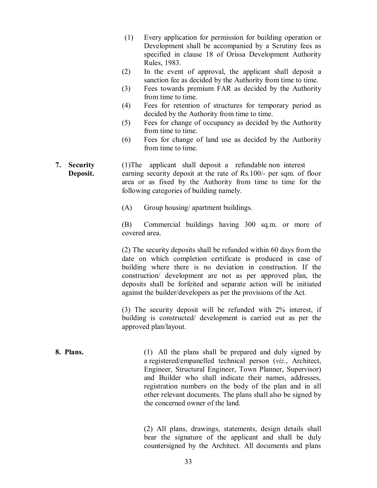- (1) Every application for permission for building operation or Development shall be accompanied by a Scrutiny fees as specified in clause 18 of Orissa Development Authority Rules, 1983.
- (2) In the event of approval, the applicant shall deposit a sanction fee as decided by the Authority from time to time.
- (3) Fees towards premium FAR as decided by the Authority from time to time.
- (4) Fees for retention of structures for temporary period as decided by the Authority from time to time.
- (5) Fees for change of occupancy as decided by the Authority from time to time.
- (6) Fees for change of land use as decided by the Authority from time to time.
- **7. Security** (1)The applicant shall deposit a refundable non interest **Deposit.** earning security deposit at the rate of Rs.100/- per sqm. of floor area or as fixed by the Authority from time to time for the following categories of building namely.
	- (A) Group housing/ apartment buildings.

(B) Commercial buildings having 300 sq.m. or more of covered area.

(2) The security deposits shall be refunded within 60 days from the date on which completion certificate is produced in case of building where there is no deviation in construction. If the construction/ development are not as per approved plan, the deposits shall be forfeited and separate action will be initiated against the builder/developers as per the provisions of the Act.

(3) The security deposit will be refunded with 2% interest, if building is constructed/ development is carried out as per the approved plan/layout.

**8. Plans.** (1) All the plans shall be prepared and duly signed by a registered/empanelled technical person (*viz.*, Architect, Engineer, Structural Engineer, Town Planner, Supervisor) and Builder who shall indicate their names, addresses, registration numbers on the body of the plan and in all other relevant documents. The plans shall also be signed by the concerned owner of the land.

> (2) All plans, drawings, statements, design details shall bear the signature of the applicant and shall be duly countersigned by the Architect. All documents and plans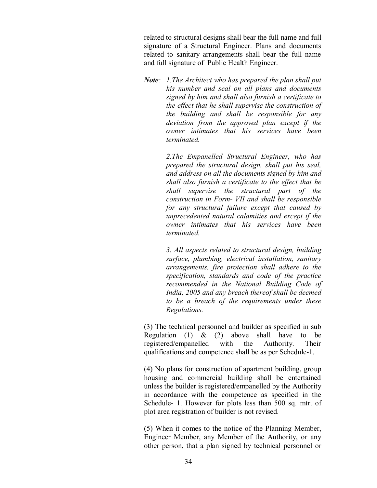related to structural designs shall bear the full name and full signature of a Structural Engineer. Plans and documents related to sanitary arrangements shall bear the full name and full signature of Public Health Engineer.

*Note: 1.The Architect who has prepared the plan shall put his number and seal on all plans and documents signed by him and shall also furnish a certificate to the effect that he shall supervise the construction of the building and shall be responsible for any deviation from the approved plan except if the owner intimates that his services have been terminated.*

> *2.The Empanelled Structural Engineer, who has prepared the structural design, shall put his seal, and address on all the documents signed by him and shall also furnish a certificate to the effect that he shall supervise the structural part of the construction in Form- VII and shall be responsible for any structural failure except that caused by unprecedented natural calamities and except if the owner intimates that his services have been terminated.*

> *3. All aspects related to structural design, building surface, plumbing, electrical installation, sanitary arrangements, fire protection shall adhere to the specification, standards and code of the practice recommended in the National Building Code of India, 2005 and any breach thereof shall be deemed to be a breach of the requirements under these Regulations.*

(3) The technical personnel and builder as specified in sub Regulation (1)  $\&$  (2) above shall have to be registered/empanelled with the Authority. Their qualifications and competence shall be as per Schedule-1.

(4) No plans for construction of apartment building, group housing and commercial building shall be entertained unless the builder is registered/empanelled by the Authority in accordance with the competence as specified in the Schedule- 1. However for plots less than 500 sq. mtr. of plot area registration of builder is not revised.

(5) When it comes to the notice of the Planning Member, Engineer Member, any Member of the Authority, or any other person, that a plan signed by technical personnel or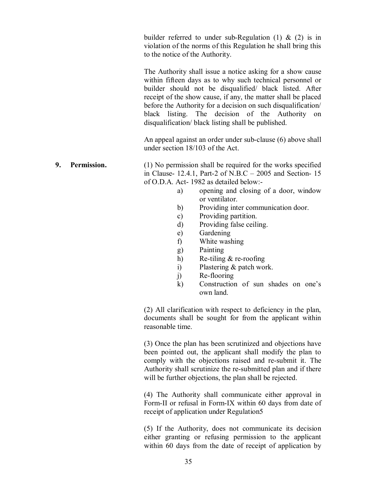builder referred to under sub-Regulation  $(1)$  &  $(2)$  is in violation of the norms of this Regulation he shall bring this to the notice of the Authority.

The Authority shall issue a notice asking for a show cause within fifteen days as to why such technical personnel or builder should not be disqualified/ black listed. After receipt of the show cause, if any, the matter shall be placed before the Authority for a decision on such disqualification/ black listing. The decision of the Authority on disqualification/ black listing shall be published.

An appeal against an order under sub-clause (6) above shall under section 18/103 of the Act.

**9. Permission.** (1) No permission shall be required for the works specified in Clause- 12.4.1, Part-2 of N.B.C – 2005 and Section- 15 of O.D.A. Act- 1982 as detailed below:-

- a) opening and closing of a door, window or ventilator.
- b) Providing inter communication door.
- c) Providing partition.
- d) Providing false ceiling.
- e) Gardening
- f) White washing
- g) Painting
- h) Re-tiling & re-roofing
- i) Plastering & patch work.
- j) Re-flooring
- k) Construction of sun shades on one's own land.

(2) All clarification with respect to deficiency in the plan, documents shall be sought for from the applicant within reasonable time.

(3) Once the plan has been scrutinized and objections have been pointed out, the applicant shall modify the plan to comply with the objections raised and re-submit it. The Authority shall scrutinize the re-submitted plan and if there will be further objections, the plan shall be rejected.

(4) The Authority shall communicate either approval in Form-II or refusal in Form-IX within 60 days from date of receipt of application under Regulation5

(5) If the Authority, does not communicate its decision either granting or refusing permission to the applicant within 60 days from the date of receipt of application by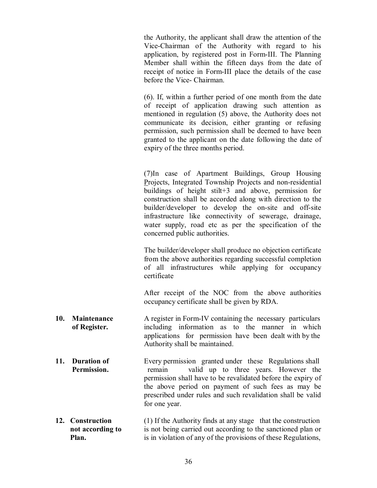the Authority, the applicant shall draw the attention of the Vice-Chairman of the Authority with regard to his application, by registered post in Form-III. The Planning Member shall within the fifteen days from the date of receipt of notice in Form-III place the details of the case before the Vice- Chairman.

(6). If, within a further period of one month from the date of receipt of application drawing such attention as mentioned in regulation (5) above, the Authority does not communicate its decision, either granting or refusing permission, such permission shall be deemed to have been granted to the applicant on the date following the date of expiry of the three months period.

(7)In case of Apartment Buildings, Group Housing Projects, Integrated Township Projects and non-residential buildings of height stilt+3 and above, permission for construction shall be accorded along with direction to the builder/developer to develop the on-site and off-site infrastructure like connectivity of sewerage, drainage, water supply, road etc as per the specification of the concerned public authorities.

The builder/developer shall produce no objection certificate from the above authorities regarding successful completion of all infrastructures while applying for occupancy certificate

After receipt of the NOC from the above authorities occupancy certificate shall be given by RDA.

- **10. Maintenance** A register in Form-IV containing the necessary particulars **of Register.** including information as to the manner in which applications for permission have been dealt with by the Authority shall be maintained.
- **11. Duration of** Every permission granted under these Regulations shall **Permission.** remain valid up to three years. However the permission shall have to be revalidated before the expiry of the above period on payment of such fees as may be prescribed under rules and such revalidation shall be valid for one year.
- **12. Construction** (1) If the Authority finds at any stage that the construction **not according to** is not being carried out according to the sanctioned plan or **Plan.** is in violation of any of the provisions of these Regulations,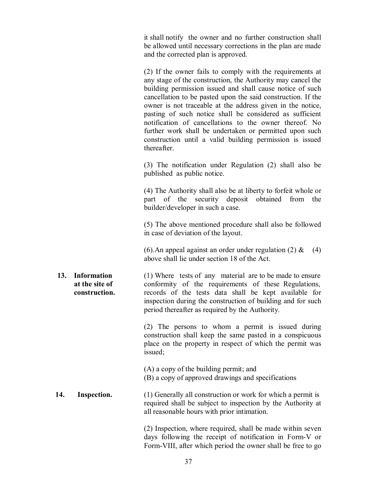it shall notify the owner and no further construction shall be allowed until necessary corrections in the plan are made and the corrected plan is approved.

(2) If the owner fails to comply with the requirements at any stage of the construction, the Authority may cancel the building permission issued and shall cause notice of such cancellation to be pasted upon the said construction. If the owner is not traceable at the address given in the notice, pasting of such notice shall be considered as sufficient notification of cancellations to the owner thereof. No further work shall be undertaken or permitted upon such construction until a valid building permission is issued thereafter.

(3) The notification under Regulation (2) shall also be published as public notice.

(4) The Authority shall also be at liberty to forfeit whole or part of the security deposit obtained from the builder/developer in such a case.

(5) The above mentioned procedure shall also be followed in case of deviation of the layout.

(6). An appeal against an order under regulation (2)  $\&$  (4) above shall lie under section 18 of the Act.

**13. Information** (1) Where tests of any material are to be made to ensure **at the site of** conformity of the requirements of these Regulations,  **construction.** records of the tests data shall be kept available for inspection during the construction of building and for such period thereafter as required by the Authority.

> (2) The persons to whom a permit is issued during construction shall keep the same pasted in a conspicuous place on the property in respect of which the permit was issued;

- (A) a copy of the building permit; and (B) a copy of approved drawings and specifications
- **14.** Inspection. (1) Generally all construction or work for which a permit is required shall be subject to inspection by the Authority at all reasonable hours with prior intimation.

(2) Inspection, where required, shall be made within seven days following the receipt of notification in Form-V or Form-VIII, after which period the owner shall be free to go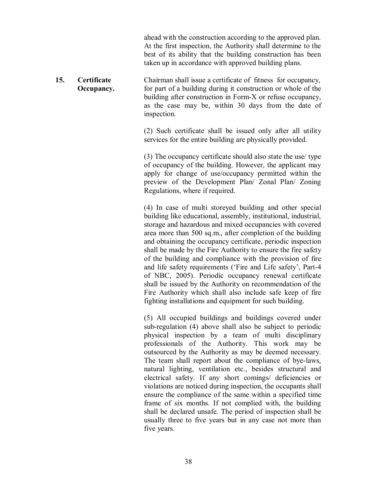ahead with the construction according to the approved plan. At the first inspection, the Authority shall determine to the best of its ability that the building construction has been taken up in accordance with approved building plans.

**15. Certificate** Chairman shall issue a certificate of fitness for occupancy, **Occupancy.** for part of a building during it construction or whole of the building after construction in Form-X or refuse occupancy, as the case may be, within 30 days from the date of inspection.

> (2) Such certificate shall be issued only after all utility services for the entire building are physically provided.

> (3) The occupancy certificate should also state the use/ type of occupancy of the building. However, the applicant may apply for change of use/occupancy permitted within the preview of the Development Plan/ Zonal Plan/ Zoning Regulations, where if required.

> (4) In case of multi storeyed building and other special building like educational, assembly, institutional, industrial, storage and hazardous and mixed occupancies with covered area more than 500 sq.m., after completion of the building and obtaining the occupancy certificate, periodic inspection shall be made by the Fire Authority to ensure the fire safety of the building and compliance with the provision of fire and life safety requirements ('Fire and Life safety', Part-4 of NBC, 2005). Periodic occupancy renewal certificate shall be issued by the Authority on recommendation of the Fire Authority which shall also include safe keep of fire fighting installations and equipment for such building.

> (5) All occupied buildings and buildings covered under sub-regulation (4) above shall also be subject to periodic physical inspection by a team of multi disciplinary professionals of the Authority. This work may be outsourced by the Authority as may be deemed necessary. The team shall report about the compliance of bye-laws, natural lighting, ventilation etc., besides structural and electrical safety. If any short comings/ deficiencies or violations are noticed during inspection, the occupants shall ensure the compliance of the same within a specified time frame of six months. If not complied with, the building shall be declared unsafe. The period of inspection shall be usually three to five years but in any case not more than five years.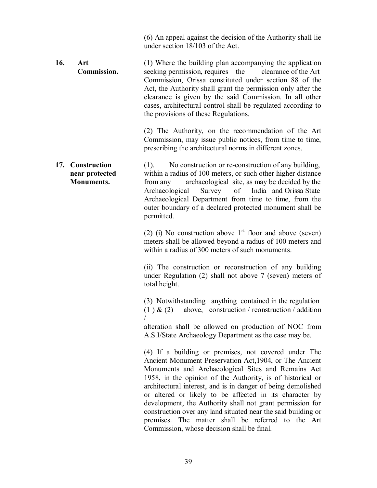(6) An appeal against the decision of the Authority shall lie under section 18/103 of the Act.

**16.** Art (1) Where the building plan accompanying the application **Commission.** seeking permission, requires the clearance of the Art Commission, Orissa constituted under section 88 of the Act, the Authority shall grant the permission only after the clearance is given by the said Commission. In all other cases, architectural control shall be regulated according to the provisions of these Regulations.

> (2) The Authority, on the recommendation of the Art Commission, may issue public notices, from time to time, prescribing the architectural norms in different zones.

**17. Construction** (1). No construction or re-construction of any building, **near protected** within a radius of 100 meters, or such other higher distance **Monuments.** from any archaeological site, as may be decided by the Archaeological Survey of India and Orissa State Archaeological Department from time to time, from the outer boundary of a declared protected monument shall be permitted.

> (2) (i) No construction above  $1<sup>st</sup>$  floor and above (seven) meters shall be allowed beyond a radius of 100 meters and within a radius of 300 meters of such monuments.

> (ii) The construction or reconstruction of any building under Regulation (2) shall not above 7 (seven) meters of total height.

> (3) Notwithstanding anything contained in the regulation (1)  $\&$  (2) above, construction / reonstruction / addition /

> alteration shall be allowed on production of NOC from A.S.I/State Archaeology Department as the case may be.

> (4) If a building or premises, not covered under The Ancient Monument Preservation Act,1904, or The Ancient Monuments and Archaeological Sites and Remains Act 1958, in the opinion of the Authority, is of historical or architectural interest, and is in danger of being demolished or altered or likely to be affected in its character by development, the Authority shall not grant permission for construction over any land situated near the said building or premises. The matter shall be referred to the Art Commission, whose decision shall be final.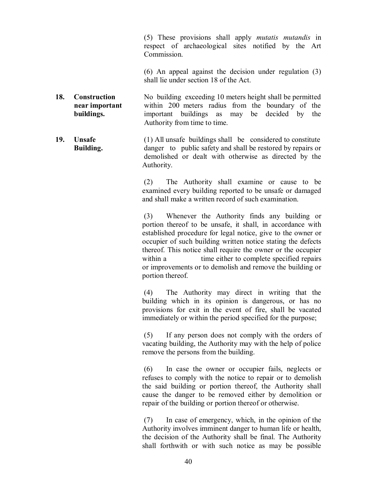(5) These provisions shall apply *mutatis mutandis* in respect of archaeological sites notified by the Art Commission.

(6) An appeal against the decision under regulation (3) shall lie under section 18 of the Act.

- **18. Construction** No building exceeding 10 meters height shall be permitted  **near important** within 200 meters radius from the boundary of the **buildings.** important buildings as may be decided by the Authority from time to time.
- **19. Unsafe** (1) All unsafe buildings shall be considered to constitute **Building.** danger to public safety and shall be restored by repairs or demolished or dealt with otherwise as directed by the Authority.

(2) The Authority shall examine or cause to be examined every building reported to be unsafe or damaged and shall make a written record of such examination.

(3) Whenever the Authority finds any building or portion thereof to be unsafe, it shall, in accordance with established procedure for legal notice, give to the owner or occupier of such building written notice stating the defects thereof. This notice shall require the owner or the occupier within a time either to complete specified repairs or improvements or to demolish and remove the building or portion thereof.

(4) The Authority may direct in writing that the building which in its opinion is dangerous, or has no provisions for exit in the event of fire, shall be vacated immediately or within the period specified for the purpose;

(5) If any person does not comply with the orders of vacating building, the Authority may with the help of police remove the persons from the building.

(6) In case the owner or occupier fails, neglects or refuses to comply with the notice to repair or to demolish the said building or portion thereof, the Authority shall cause the danger to be removed either by demolition or repair of the building or portion thereof or otherwise.

(7) In case of emergency, which, in the opinion of the Authority involves imminent danger to human life or health, the decision of the Authority shall be final. The Authority shall forthwith or with such notice as may be possible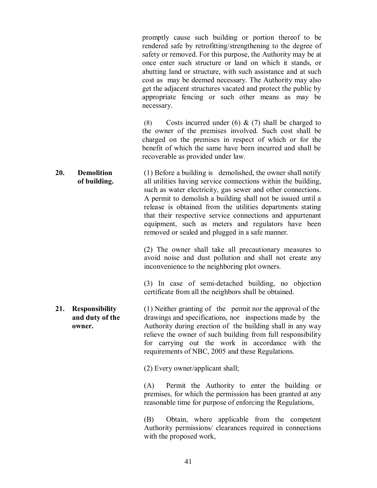promptly cause such building or portion thereof to be rendered safe by retrofitting/strengthening to the degree of safety or removed. For this purpose, the Authority may be at once enter such structure or land on which it stands, or abutting land or structure, with such assistance and at such cost as may be deemed necessary. The Authority may also get the adjacent structures vacated and protect the public by appropriate fencing or such other means as may be necessary.

(8) Costs incurred under (6)  $\&$  (7) shall be charged to the owner of the premises involved. Such cost shall be charged on the premises in respect of which or for the benefit of which the same have been incurred and shall be recoverable as provided under law.

**20. Demolition** (1) Before a building is demolished, the owner shall notify **of building.** all utilities having service connections within the building, such as water electricity, gas sewer and other connections. A permit to demolish a building shall not be issued until a release is obtained from the utilities departments stating that their respective service connections and appurtenant equipment, such as meters and regulators have been removed or sealed and plugged in a safe manner.

> (2) The owner shall take all precautionary measures to avoid noise and dust pollution and shall not create any inconvenience to the neighboring plot owners.

> (3) In case of semi-detached building, no objection certificate from all the neighbors shall be obtained.

**21. Responsibility** (1) Neither granting of the permit nor the approval of the **and duty of the** drawings and specifications, nor inspections made by the **owner.** Authority during erection of the building shall in any way relieve the owner of such building from full responsibility for carrying out the work in accordance with the requirements of NBC, 2005 and these Regulations.

(2) Every owner/applicant shall;

(A) Permit the Authority to enter the building or premises, for which the permission has been granted at any reasonable time for purpose of enforcing the Regulations,

(B) Obtain, where applicable from the competent Authority permissions/ clearances required in connections with the proposed work,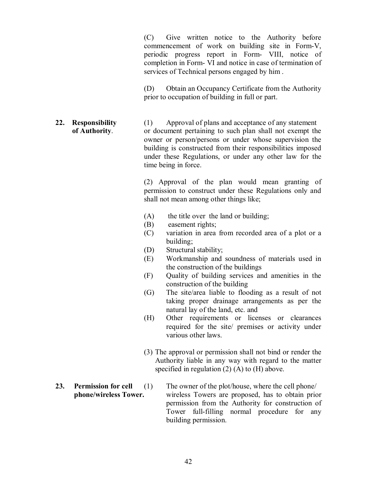(C) Give written notice to the Authority before commencement of work on building site in Form-V, periodic progress report in Form- VIII, notice of completion in Form- VI and notice in case of termination of services of Technical persons engaged by him .

(D) Obtain an Occupancy Certificate from the Authority prior to occupation of building in full or part.

**22. Responsibility** (1) Approval of plans and acceptance of any statement  **of Authority**. or document pertaining to such plan shall not exempt the owner or person/persons or under whose supervision the building is constructed from their responsibilities imposed under these Regulations, or under any other law for the time being in force.

> (2) Approval of the plan would mean granting of permission to construct under these Regulations only and shall not mean among other things like;

- (A) the title over the land or building;
- (B) easement rights;
- (C) variation in area from recorded area of a plot or a building;
- (D) Structural stability;
- (E) Workmanship and soundness of materials used in the construction of the buildings
- (F) Quality of building services and amenities in the construction of the building
- (G) The site/area liable to flooding as a result of not taking proper drainage arrangements as per the natural lay of the land, etc. and
- (H) Other requirements or licenses or clearances required for the site/ premises or activity under various other laws.
- (3) The approval or permission shall not bind or render the Authority liable in any way with regard to the matter specified in regulation (2) (A) to (H) above.
- **23. Permission for cell** (1) The owner of the plot/house, where the cell phone/  **phone/wireless Tower.** wireless Towers are proposed, has to obtain prior permission from the Authority for construction of Tower full-filling normal procedure for any building permission.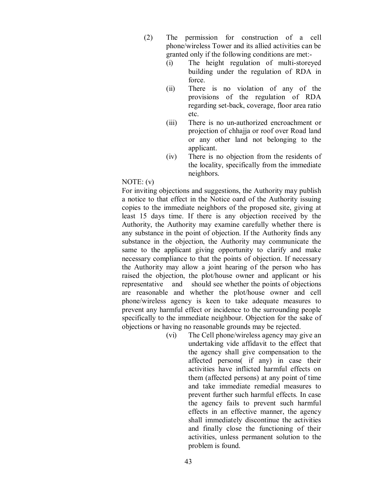- (2) The permission for construction of a cell phone/wireless Tower and its allied activities can be granted only if the following conditions are met:-
	- (i) The height regulation of multi-storeyed building under the regulation of RDA in force.
	- (ii) There is no violation of any of the provisions of the regulation of RDA regarding set-back, coverage, floor area ratio etc.
	- (iii) There is no un-authorized encroachment or projection of chhajja or roof over Road land or any other land not belonging to the applicant.
	- (iv) There is no objection from the residents of the locality, specifically from the immediate neighbors.

NOTE: (v)

For inviting objections and suggestions, the Authority may publish a notice to that effect in the Notice oard of the Authority issuing copies to the immediate neighbors of the proposed site, giving at least 15 days time. If there is any objection received by the Authority, the Authority may examine carefully whether there is any substance in the point of objection. If the Authority finds any substance in the objection, the Authority may communicate the same to the applicant giving opportunity to clarify and make necessary compliance to that the points of objection. If necessary the Authority may allow a joint hearing of the person who has raised the objection, the plot/house owner and applicant or his representative and should see whether the points of objections are reasonable and whether the plot/house owner and cell phone/wireless agency is keen to take adequate measures to prevent any harmful effect or incidence to the surrounding people specifically to the immediate neighbour. Objection for the sake of objections or having no reasonable grounds may be rejected.

> (vi) The Cell phone/wireless agency may give an undertaking vide affidavit to the effect that the agency shall give compensation to the affected persons( if any) in case their activities have inflicted harmful effects on them (affected persons) at any point of time and take immediate remedial measures to prevent further such harmful effects. In case the agency fails to prevent such harmful effects in an effective manner, the agency shall immediately discontinue the activities and finally close the functioning of their activities, unless permanent solution to the problem is found.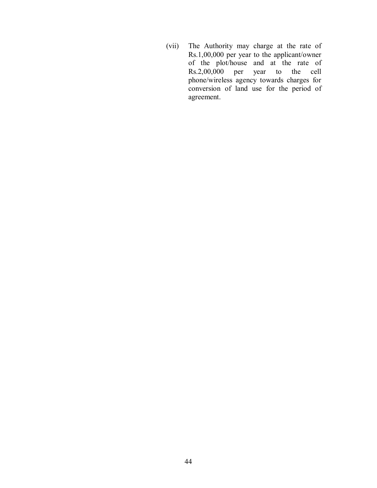(vii) The Authority may charge at the rate of Rs.1,00,000 per year to the applicant/owner of the plot/house and at the rate of Rs.2,00,000 per year to the cell year to the cell phone/wireless agency towards charges for conversion of land use for the period of agreement.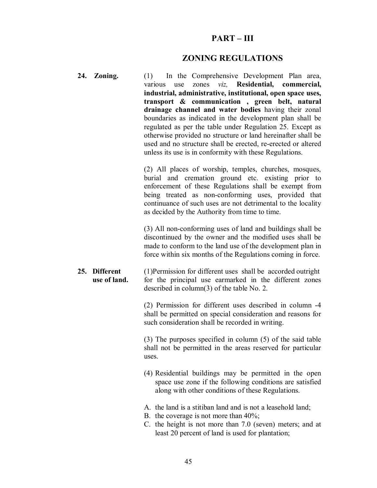# **PART – III**

## **ZONING REGULATIONS**

| 24. Zoning.                   | (1) In the Comprehensive Development Plan area,<br>zones viz, Residential, commercial,<br>various use<br>industrial, administrative, institutional, open space uses,<br>transport & communication, green belt, natural<br>drainage channel and water bodies having their zonal<br>boundaries as indicated in the development plan shall be<br>regulated as per the table under Regulation 25. Except as<br>otherwise provided no structure or land hereinafter shall be<br>used and no structure shall be erected, re-erected or altered<br>unless its use is in conformity with these Regulations. |
|-------------------------------|-----------------------------------------------------------------------------------------------------------------------------------------------------------------------------------------------------------------------------------------------------------------------------------------------------------------------------------------------------------------------------------------------------------------------------------------------------------------------------------------------------------------------------------------------------------------------------------------------------|
|                               | (2) All places of worship, temples, churches, mosques,<br>burial and cremation ground etc. existing prior to<br>enforcement of these Regulations shall be exempt from<br>being treated as non-conforming uses, provided that<br>continuance of such uses are not detrimental to the locality<br>as decided by the Authority from time to time.                                                                                                                                                                                                                                                      |
|                               | (3) All non-conforming uses of land and buildings shall be<br>discontinued by the owner and the modified uses shall be<br>made to conform to the land use of the development plan in<br>force within six months of the Regulations coming in force.                                                                                                                                                                                                                                                                                                                                                 |
| 25. Different<br>use of land. | (1) Permission for different uses shall be accorded outright<br>for the principal use earmarked in the different zones<br>described in column(3) of the table No. 2.                                                                                                                                                                                                                                                                                                                                                                                                                                |
|                               | (2) Permission for different uses described in column -4<br>shall be permitted on special consideration and reasons for<br>such consideration shall be recorded in writing.                                                                                                                                                                                                                                                                                                                                                                                                                         |
|                               | $(3)$ The purposes specified in column $(5)$ of the said table<br>shall not be permitted in the areas reserved for particular<br>uses.                                                                                                                                                                                                                                                                                                                                                                                                                                                              |
|                               | (4) Residential buildings may be permitted in the open<br>space use zone if the following conditions are satisfied<br>along with other conditions of these Regulations.                                                                                                                                                                                                                                                                                                                                                                                                                             |
|                               | A. the land is a stitiban land and is not a leasehold land;<br>B. the coverage is not more than $40\%$ ;<br>C. the height is not more than 7.0 (seven) meters; and at<br>least 20 percent of land is used for plantation;                                                                                                                                                                                                                                                                                                                                                                           |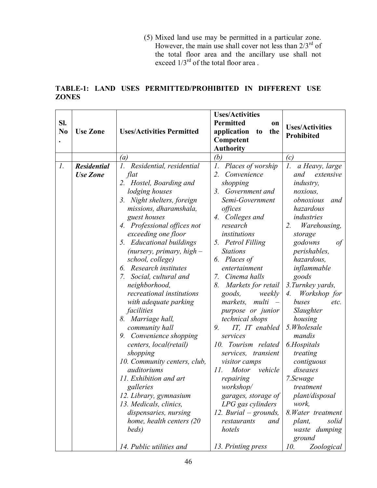(5) Mixed land use may be permitted in a particular zone. However, the main use shall cover not less than  $2/3^{rd}$  of the total floor area and the ancillary use shall not exceed  $1/3^{rd}$  of the total floor area.

|              |  | <b>TABLE-1: LAND USES PERMITTED/PROHIBITED IN DIFFERENT USE</b> |  |  |
|--------------|--|-----------------------------------------------------------------|--|--|
| <b>ZONES</b> |  |                                                                 |  |  |

| SI.<br>N <sub>0</sub> | <b>Use Zone</b>                       | <b>Uses/Activities Permitted</b>                                                                                                                                                                                                                                                                                                                                                                                                                                                                                                                                                                                                                                                                                                                          | <b>Uses/Activities</b><br><b>Permitted</b><br>on<br>application<br>the<br>t <sub>0</sub><br>Competent<br><b>Authority</b>                                                                                                                                                                                                                                                                                                                                                                                                                                                                                                                                        | <b>Uses/Activities</b><br>Prohibited                                                                                                                                                                                                                                                                                                                                                                                                                                                                                                          |
|-----------------------|---------------------------------------|-----------------------------------------------------------------------------------------------------------------------------------------------------------------------------------------------------------------------------------------------------------------------------------------------------------------------------------------------------------------------------------------------------------------------------------------------------------------------------------------------------------------------------------------------------------------------------------------------------------------------------------------------------------------------------------------------------------------------------------------------------------|------------------------------------------------------------------------------------------------------------------------------------------------------------------------------------------------------------------------------------------------------------------------------------------------------------------------------------------------------------------------------------------------------------------------------------------------------------------------------------------------------------------------------------------------------------------------------------------------------------------------------------------------------------------|-----------------------------------------------------------------------------------------------------------------------------------------------------------------------------------------------------------------------------------------------------------------------------------------------------------------------------------------------------------------------------------------------------------------------------------------------------------------------------------------------------------------------------------------------|
|                       |                                       | (a)                                                                                                                                                                                                                                                                                                                                                                                                                                                                                                                                                                                                                                                                                                                                                       | (b)                                                                                                                                                                                                                                                                                                                                                                                                                                                                                                                                                                                                                                                              | (c)                                                                                                                                                                                                                                                                                                                                                                                                                                                                                                                                           |
| $\mathfrak{1}.$       | <b>Residential</b><br><b>Use Zone</b> | 1. Residential, residential<br>flat<br>2. Hostel, Boarding and<br>lodging houses<br>3. Night shelters, foreign<br>missions, dharamshala,<br>guest houses<br>4. Professional offices not<br>exceeding one floor<br>5. Educational buildings<br>(nursery, primary, $high-$<br>school, college)<br>6. Research institutes<br>Social, cultural and<br>7.<br>neighborhood,<br>recreational institutions<br>with adequate parking<br>facilities<br>8. Marriage hall,<br>community hall<br>9. Convenience shopping<br>centers, local(retail)<br>shopping<br>10. Community centers, club,<br>auditoriums<br>11. Exhibition and art<br>galleries<br>12. Library, gymnasium<br>13. Medicals, clinics,<br>dispensaries, nursing<br>home, health centers (20<br>beds) | $\mathfrak{1}.$<br>Places of worship<br>2.<br>Convenience<br>shopping<br>3.<br>Government and<br>Semi-Government<br>offices<br>4. Colleges and<br>research<br>institutions<br>5. Petrol Filling<br><b>Stations</b><br>6. Places of<br>entertainment<br>Cinema halls<br>7.<br>Markets for retail<br>8.<br>weekly<br>goods,<br>markets,<br>multi<br>purpose or junior<br>technical shops<br>IT, IT enabled<br>9.<br>services<br>Tourism related<br>10.<br>services,<br>transient<br>visitor camps<br>11.<br><b>Motor</b><br>vehicle<br>repairing<br>workshop/<br>garages, storage of<br>LPG gas cylinders<br>12. Burial – grounds,<br>restaurants<br>and<br>hotels | $\mathcal{I}.$<br>a Heavy, large<br>and<br>extensive<br><i>industry,</i><br>noxious,<br>obnoxious<br>and<br>hazardous<br>industries<br>2.<br>Warehousing,<br>storage<br>godowns<br>of<br><i>perishables,</i><br>hazardous,<br>inflammable<br>goods<br>3. Turnkey yards,<br>Workshop for<br>4.<br>buses<br>etc.<br>Slaughter<br>housing<br>5. Wholesale<br>mandis<br>6.Hospitals<br>treating<br>contiguous<br>diseases<br>7.Sewage<br>treatment<br>plant/disposal<br>work,<br>8. Water treatment<br>solid<br>plant,<br>waste dumping<br>ground |
|                       |                                       | 14. Public utilities and                                                                                                                                                                                                                                                                                                                                                                                                                                                                                                                                                                                                                                                                                                                                  | 13. Printing press                                                                                                                                                                                                                                                                                                                                                                                                                                                                                                                                                                                                                                               | 10.<br>Zoological                                                                                                                                                                                                                                                                                                                                                                                                                                                                                                                             |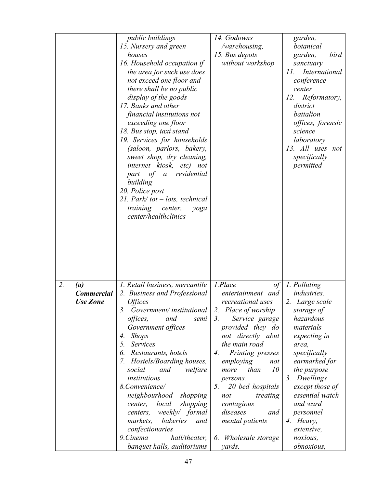|                                                                 | <i>public buildings</i><br>15. Nursery and green<br>houses<br>16. Household occupation if<br>the area for such use does<br>not exceed one floor and<br>there shall be no public<br>display of the goods<br>17. Banks and other<br>financial institutions not<br>exceeding one floor<br>18. Bus stop, taxi stand<br>19. Services for households<br>(saloon, parlors, bakery,<br>sweet shop, dry cleaning,<br>internet kiosk, etc) not<br>residential<br>part<br>of a<br>building<br>20. Police post<br>21. Park/tot $-$ lots, technical<br>training<br>center,<br>yoga<br>center/healthclinics | 14. Godowns<br>/warehousing,<br>15. Bus depots<br>without workshop                                                                                                                                                                                                                                                                                                                                                              | garden,<br>botanical<br>garden,<br>bird<br>sanctuary<br>International<br>11.<br>conference<br>center<br>Reformatory,<br>12.<br>district<br>battalion<br>offices, forensic<br>science<br>laboratory<br>13. All uses not<br>specifically<br>permitted                                                              |
|-----------------------------------------------------------------|-----------------------------------------------------------------------------------------------------------------------------------------------------------------------------------------------------------------------------------------------------------------------------------------------------------------------------------------------------------------------------------------------------------------------------------------------------------------------------------------------------------------------------------------------------------------------------------------------|---------------------------------------------------------------------------------------------------------------------------------------------------------------------------------------------------------------------------------------------------------------------------------------------------------------------------------------------------------------------------------------------------------------------------------|------------------------------------------------------------------------------------------------------------------------------------------------------------------------------------------------------------------------------------------------------------------------------------------------------------------|
| 2.<br>$\left( a\right)$<br><b>Commercial</b><br><b>Use Zone</b> | 1. Retail business, mercantile<br>2. Business and Professional<br><i><b>Offices</b></i><br>3 <sub>1</sub><br>Government/institutional<br>offices,<br>and<br>semi<br>Government offices<br><b>Shops</b><br>4.<br>Services<br>5.<br>Restaurants, hotels<br>6.<br>Hostels/Boarding houses,<br>7.<br>social<br>welfare<br>and<br>institutions<br>8. Convenience/<br>neighbourhood<br>shopping<br>shopping<br>local<br>center,<br>weekly/ formal<br>centers,<br>bakeries<br>markets,<br>and<br>confectionaries<br>9. Cinema<br>hall/theater,<br>banquet halls, auditoriums                         | 1.Place<br>$\sigma f$<br>entertainment and<br>recreational uses<br>2.<br>Place of worship<br>$\mathfrak{Z}$ .<br>Service garage<br>provided they do<br>not directly abut<br>the main road<br>$\mathcal{A}_{\cdot}$<br>Printing presses<br>employing<br>not<br>10<br>than<br>more<br>persons.<br>5.<br>20 bed hospitals<br>treating<br>not<br>contagious<br>diseases<br>and<br>mental patients<br>6. Wholesale storage<br>yards. | 1. Polluting<br><i>industries.</i><br>2. Large scale<br>storage of<br>hazardous<br>materials<br>expecting in<br>area,<br>specifically<br>earmarked for<br>the purpose<br>3. Dwellings<br>except those of<br>essential watch<br>and ward<br>personnel<br>4. Heavy,<br>extensive,<br>noxious,<br><i>obnoxious,</i> |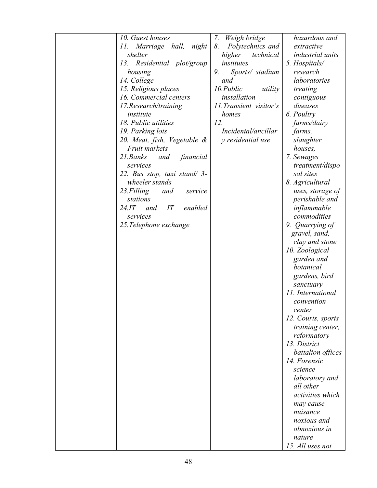|  | 10. Guest houses                   | 7.<br>Weigh bridge      | hazardous and           |
|--|------------------------------------|-------------------------|-------------------------|
|  | 11.<br>Marriage hall, night        | 8.<br>Polytechnics and  | extractive              |
|  | shelter                            | higher<br>technical     | <i>industrial</i> units |
|  | Residential plot/group<br>13.      | institutes              | 5. Hospitals/           |
|  | housing                            | 9.<br>Sports/ stadium   | research                |
|  | 14. College                        | and                     | laboratories            |
|  | 15. Religious places               | 10.Public<br>utility    | treating                |
|  | 16. Commercial centers             | installation            | contiguous              |
|  |                                    | 11. Transient visitor's | diseases                |
|  | 17. Research/training<br>institute |                         |                         |
|  |                                    | homes                   | 6. Poultry              |
|  | 18. Public utilities               | 12.                     | farms/dairy             |
|  | 19. Parking lots                   | Incidental/ancillar     | farms,                  |
|  | 20. Meat, fish, Vegetable &        | y residential use       | slaughter               |
|  | <b>Fruit markets</b>               |                         | houses,                 |
|  | 21.Banks<br>financial<br>and       |                         | 7. Sewages              |
|  | services                           |                         | treatment/dispo         |
|  | 22. Bus stop, taxi stand/ 3-       |                         | sal sites               |
|  | wheeler stands                     |                         | 8. Agricultural         |
|  | 23. Filling<br>and<br>service      |                         | uses, storage of        |
|  | stations                           |                         | perishable and          |
|  | 24.1T<br>IT<br>enabled<br>and      |                         | inflammable             |
|  | services                           |                         | commodities             |
|  | 25. Telephone exchange             |                         | 9. Quarrying of         |
|  |                                    |                         | gravel, sand,           |
|  |                                    |                         | clay and stone          |
|  |                                    |                         | 10. Zoological          |
|  |                                    |                         |                         |
|  |                                    |                         | garden and              |
|  |                                    |                         | botanical               |
|  |                                    |                         | gardens, bird           |
|  |                                    |                         | sanctuary               |
|  |                                    |                         | 11. International       |
|  |                                    |                         | convention              |
|  |                                    |                         | center                  |
|  |                                    |                         | 12. Courts, sports      |
|  |                                    |                         | training center,        |
|  |                                    |                         | reformatory             |
|  |                                    |                         | 13. District            |
|  |                                    |                         | battalion offices       |
|  |                                    |                         | 14. Forensic            |
|  |                                    |                         | science                 |
|  |                                    |                         | laboratory and          |
|  |                                    |                         | all other               |
|  |                                    |                         | activities which        |
|  |                                    |                         | may cause               |
|  |                                    |                         | nuisance                |
|  |                                    |                         | noxious and             |
|  |                                    |                         | obnoxious in            |
|  |                                    |                         |                         |
|  |                                    |                         | nature                  |
|  |                                    |                         | 15. All uses not        |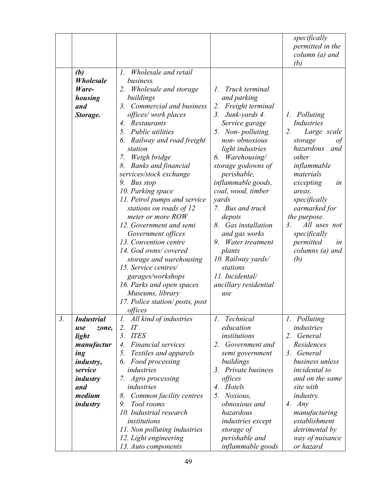|                  |                   |                                           |                               | specifically                 |
|------------------|-------------------|-------------------------------------------|-------------------------------|------------------------------|
|                  |                   |                                           |                               | permitted in the             |
|                  |                   |                                           |                               | $column (a)$ and             |
|                  |                   |                                           |                               | (b)                          |
|                  | (b)               | Wholesale and retail<br>$I_{\cdot}$       |                               |                              |
|                  | Wholesale         | business.                                 |                               |                              |
|                  | Ware-             | 2. Wholesale and storage                  | Truck terminal<br>$l_{\cdot}$ |                              |
|                  | housing           | buildings                                 | and parking                   |                              |
|                  | and               | Commercial and business<br>3.             | 2.<br>Freight terminal        |                              |
|                  | Storage.          | offices/work places                       | 3. Junk-yards 4.              | Polluting<br>1.              |
|                  |                   | Restaurants<br>4.                         | Service garage                | Industries                   |
|                  |                   | Public utilities<br>5.                    | 5. Non-polluting,             | 2.<br>Large scale            |
|                  |                   | 6. Railway and road freight               | non-obnoxious                 | storage<br>οf                |
|                  |                   | station                                   | light industries              | hazardous<br>and             |
|                  |                   | Weigh bridge<br>7.                        | Warehousing/<br>6.            | other                        |
|                  |                   | 8. Banks and financial                    | storage godowns of            | inflammable                  |
|                  |                   | services/stock exchange                   | perishable,                   | materials                    |
|                  |                   | 9. Bus stop                               | inflammable goods,            | excepting<br>in              |
|                  |                   | 10. Parking space                         | coal, wood, timber            | areas,                       |
|                  |                   | 11. Petrol pumps and service              | yards                         | specifically                 |
|                  |                   | stations on roads of 12                   | 7. Bus and truck              | earmarked for                |
|                  |                   | meter or more ROW                         | depots                        | the purpose.                 |
|                  |                   | 12. Government and semi                   | 8. Gas installation           | 3.<br>All uses not           |
|                  |                   | Government offices                        | and gas works                 | specifically                 |
|                  |                   | 13. Convention centre                     | Water treatment<br>9.         | permitted<br>in              |
|                  |                   | 14. God owns/covered                      | plants                        | columns (a) and              |
|                  |                   | storage and warehousing                   | 10. Railway yards/            | (b)                          |
|                  |                   | 15. Service centres/                      | stations                      |                              |
|                  |                   | garages/workshops                         | 11. Incidental/               |                              |
|                  |                   | 16. Parks and open spaces                 | ancillary residential         |                              |
|                  |                   | Museums, library                          | use                           |                              |
|                  |                   | 17. Police station/posts, post            |                               |                              |
|                  |                   | offices                                   |                               |                              |
| $\mathfrak{Z}$ . | <b>Industrial</b> | $\mathcal{I}$ .<br>All kind of industries | Technical<br>$\iota$ .        | Polluting<br>$\mathcal{I}$ . |
|                  | zone,<br>use      | IT<br>2.                                  | education                     | industries                   |
|                  | light             | <b>ITES</b><br>3 <sub>1</sub>             | institutions                  | 2.<br>General                |
|                  | manufactur        | <b>Financial services</b><br>4.           | 2. Government and             | Residences                   |
|                  | ing               | Textiles and apparels<br>5.               | semi government               | General<br>3.                |
|                  | <i>industry,</i>  | Food processing<br>6.                     | buildings                     | business unless              |
|                  | service           | industries                                | 3. Private business           | incidental to                |
|                  | industry          | 7. Agro processing                        | offices                       | and on the same              |
|                  | and               | industries                                | Hotels<br>4.                  | site with                    |
|                  | medium            | Common facility centres<br>8.             | Noxious,<br>5 <sub>1</sub>    | <i>industry.</i>             |
|                  | <i>industry</i>   | Tool rooms<br>9.                          | <i>obnoxious and</i>          | Any<br>4.                    |
|                  |                   | 10. Industrial research                   | hazardous                     | manufacturing                |
|                  |                   | institutions                              | <i>industries</i> except      | establishment                |
|                  |                   | 11. Non polluting industries              | storage of                    | detrimental by               |
|                  |                   | 12. Light engineering                     | perishable and                | way of nuisance              |
|                  |                   | 13. Auto components                       | inflammable goods             | or hazard                    |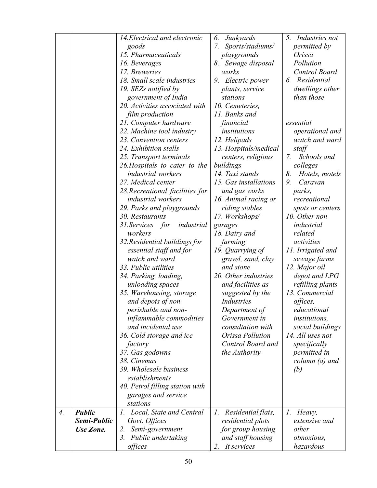|    |               | 14. Electrical and electronic           | 6.<br>Junkyards          | <i>Industries not</i><br>5. |
|----|---------------|-----------------------------------------|--------------------------|-----------------------------|
|    |               | goods                                   | Sports/stadiums/<br>7.   | <i>permitted by</i>         |
|    |               | 15. Pharmaceuticals                     | playgrounds              | Orissa                      |
|    |               | 16. Beverages                           | Sewage disposal<br>8.    | Pollution                   |
|    |               | 17. Breweries                           | works                    | <b>Control Board</b>        |
|    |               | 18. Small scale industries              | 9. Electric power        | 6. Residential              |
|    |               | 19. SEZs notified by                    | plants, service          | dwellings other             |
|    |               | government of India                     | stations                 | than those                  |
|    |               | 20. Activities associated with          | 10. Cemeteries,          |                             |
|    |               | film production                         | 11. Banks and            |                             |
|    |               | 21. Computer hardware                   | financial                | essential                   |
|    |               | 22. Machine tool industry               | institutions             | operational and             |
|    |               | 23. Convention centers                  | 12. Helipads             | watch and ward              |
|    |               | 24. Exhibition stalls                   | 13. Hospitals/medical    | staff                       |
|    |               | 25. Transport terminals                 | centers, religious       | Schools and<br>7.           |
|    |               | 26. Hospitals to cater to the           | buildings                | colleges                    |
|    |               | <i>industrial</i> workers               | 14. Taxi stands          | 8.<br>Hotels, motels        |
|    |               | 27. Medical center                      | 15. Gas installations    | Caravan<br>9.               |
|    |               | 28. Recreational facilities for         | and gas works            | parks,                      |
|    |               | <i>industrial</i> workers               | 16. Animal racing or     | recreational                |
|    |               | 29. Parks and playgrounds               | riding stables           | spots or centers            |
|    |               | 30. Restaurants                         | 17. Workshops/           | 10. Other non-              |
|    |               | 31. Services for<br>industrial          | garages                  | industrial                  |
|    |               | workers                                 | 18. Dairy and            | related                     |
|    |               | 32. Residential buildings for           | farming                  | activities                  |
|    |               | essential staff and for                 | 19. Quarrying of         | 11. Irrigated and           |
|    |               | watch and ward                          | gravel, sand, clay       | sewage farms                |
|    |               | 33. Public utilities                    | and stone                | 12. Major oil               |
|    |               | 34. Parking, loading,                   | 20. Other industries     | depot and LPG               |
|    |               | unloading spaces                        | and facilities as        | refilling plants            |
|    |               | 35. Warehousing, storage                | suggested by the         | 13. Commercial              |
|    |               | and depots of non                       | Industries               | offices,                    |
|    |               | perishable and non-                     | Department of            | educational                 |
|    |               | inflammable commodities                 | Government in            | institutions,               |
|    |               | and incidental use                      | consultation with        | social buildings            |
|    |               | 36. Cold storage and ice                | Orissa Pollution         | 14. All uses not            |
|    |               | factory                                 | Control Board and        | specifically                |
|    |               | 37. Gas godowns                         | the Authority            | <i>permitted in</i>         |
|    |               | 38. Cinemas                             |                          | column (a) and              |
|    |               | 39. Wholesale business                  |                          | (b)                         |
|    |               | establishments                          |                          |                             |
|    |               | 40. Petrol filling station with         |                          |                             |
|    |               | garages and service                     |                          |                             |
|    |               | stations                                |                          |                             |
| 4. | <b>Public</b> | Local, State and Central<br>$I_{\cdot}$ | 1.<br>Residential flats, | 1.<br>Heavy,                |
|    | Semi-Public   | Govt. Offices                           | residential plots        | extensive and               |
|    | Use Zone.     | Semi-government<br>2.                   | for group housing        | other                       |
|    |               | Public undertaking<br>3.                | and staff housing        | <i>obnoxious,</i>           |
|    |               | offices                                 | 2. It services           | hazardous                   |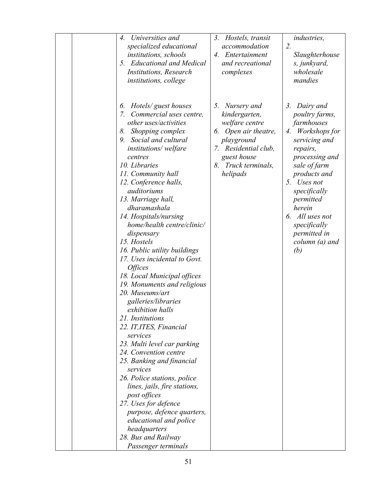| Universities and<br>$\mathcal{A}_{\cdot}$<br>specialized educational<br>institutions, schools<br>5. Educational and Medical<br>Institutions, Research<br><i>institutions, college</i><br>6.                                                                                                                                                                                                                                                                                                                                                                                                                                                                                                                                                                                                                                                                                                                                                                                               | Hostels, transit<br>3 <sub>1</sub><br>accommodation<br>4. Entertainment<br>and recreational<br>complexes<br>5.                                                    | industries,<br>2.<br>Slaughterhouse<br>s, junkyard,<br>wholesale<br>mandies<br>3.                                                                                                                                                                                                      |
|-------------------------------------------------------------------------------------------------------------------------------------------------------------------------------------------------------------------------------------------------------------------------------------------------------------------------------------------------------------------------------------------------------------------------------------------------------------------------------------------------------------------------------------------------------------------------------------------------------------------------------------------------------------------------------------------------------------------------------------------------------------------------------------------------------------------------------------------------------------------------------------------------------------------------------------------------------------------------------------------|-------------------------------------------------------------------------------------------------------------------------------------------------------------------|----------------------------------------------------------------------------------------------------------------------------------------------------------------------------------------------------------------------------------------------------------------------------------------|
| Hotels/ guest houses<br>7. Commercial uses centre,<br>other uses/activities<br>Shopping complex<br>8.<br>9. Social and cultural<br>institutions/welfare<br>centres<br>10. Libraries<br>11. Community hall<br>12. Conference halls,<br>auditoriums<br>13. Marriage hall,<br>dharamashala<br>14. Hospitals/nursing<br>home/health centre/clinic/<br>dispensary<br>15. Hostels<br>16. Public utility buildings<br>17. Uses incidental to Govt.<br><i><b>Offices</b></i><br>18. Local Municipal offices<br>19. Monuments and religious<br>20. Museums/art<br>galleries/libraries<br>exhibition halls<br>21. Institutions<br>22. IT, ITES, Financial<br>services<br>23. Multi level car parking<br>24. Convention centre<br>25. Banking and financial<br>services<br>26. Police stations, police<br>lines, jails, fire stations,<br>post offices<br>27. Uses for defence<br>purpose, defence quarters,<br>educational and police<br>headquarters<br>28. Bus and Railway<br>Passenger terminals | Nursery and<br>kindergarten,<br>welfare centre<br>6. Open air theatre,<br>playground<br>7. Residential club,<br>guest house<br>Truck terminals,<br>8.<br>helipads | Dairy and<br>poultry farms,<br>farmhouses<br>Workshops for<br>4.<br>servicing and<br>repairs,<br>processing and<br>sale of farm<br>products and<br>Uses not<br>5.<br>specifically<br>permitted<br>herein<br>6. All uses not<br>specifically<br>permitted in<br>$column (a)$ and<br>(b) |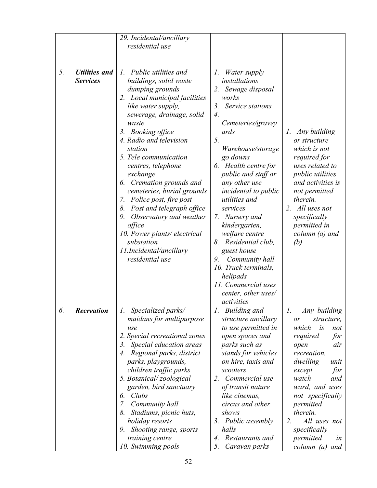|    |                      | 29. Incidental/ancillary      |                            |                         |
|----|----------------------|-------------------------------|----------------------------|-------------------------|
|    |                      | residential use               |                            |                         |
|    |                      |                               |                            |                         |
|    |                      |                               |                            |                         |
| 5. | <b>Utilities and</b> | 1. Public utilities and       | 1.<br><i>Water supply</i>  |                         |
|    | <b>Services</b>      | buildings, solid waste        | installations              |                         |
|    |                      |                               | 2. Sewage disposal         |                         |
|    |                      | dumping grounds               | works                      |                         |
|    |                      | 2. Local municipal facilities |                            |                         |
|    |                      | like water supply,            | Service stations<br>3.     |                         |
|    |                      | sewerage, drainage, solid     | 4.                         |                         |
|    |                      | waste                         | Cemeteries/gravey          |                         |
|    |                      | 3. Booking office             | ards                       | Any building<br>Ι.      |
|    |                      | 4. Radio and television       | 5.                         | or structure            |
|    |                      | station                       | Warehouse/storage          | which is not            |
|    |                      | 5. Tele communication         | go downs                   | required for            |
|    |                      | centres, telephone            | 6. Health centre for       | uses related to         |
|    |                      | exchange                      | <i>public and staff or</i> | <i>public utilities</i> |
|    |                      | 6. Cremation grounds and      | any other use              | and activities is       |
|    |                      | cemeteries, burial grounds    | incidental to public       | not permitted           |
|    |                      | 7. Police post, fire post     | utilities and              | therein.                |
|    |                      | 8. Post and telegraph office  | services                   | 2. All uses not         |
|    |                      | 9. Observatory and weather    | 7. Nursery and             | specifically            |
|    |                      | office                        | kindergarten,              | permitted in            |
|    |                      | 10. Power plants/electrical   | welfare centre             | $column (a)$ and        |
|    |                      | substation                    | Residential club,<br>8.    | (b)                     |
|    |                      | 11.Incidental/ancillary       | guest house                |                         |
|    |                      | residential use               | Community hall<br>9.       |                         |
|    |                      |                               | 10. Truck terminals,       |                         |
|    |                      |                               | helipads                   |                         |
|    |                      |                               | 11. Commercial uses        |                         |
|    |                      |                               | center, other uses/        |                         |
|    |                      |                               | activities                 |                         |
| 6. | <b>Recreation</b>    | 1. Specialized parks/         | 1. Building and            | Any building<br>1.      |
|    |                      | maidans for multipurpose      | structure ancillary        | structure,<br>or        |
|    |                      | use                           | to use permitted in        | which<br>is<br>not      |
|    |                      | 2. Special recreational zones | open spaces and            | required<br>for         |
|    |                      | 3. Special education areas    | parks such as              | open<br>air             |
|    |                      | 4. Regional parks, district   | stands for vehicles        | recreation,             |
|    |                      | parks, playgrounds,           | on hire, taxis and         | dwelling<br>unit        |
|    |                      | children traffic parks        | scooters                   | for<br>except           |
|    |                      | 5. Botanical/zoological       | 2. Commercial use          | watch<br>and            |
|    |                      | garden, bird sanctuary        | of transit nature          | ward, and uses          |
|    |                      | Clubs<br>6.                   | like cinemas,              | not specifically        |
|    |                      | 7. Community hall             | circus and other           | permitted               |
|    |                      | Stadiums, picnic huts,<br>8.  | shows                      | therein.                |
|    |                      | holiday resorts               | 3. Public assembly         | All uses not<br>2.      |
|    |                      | 9. Shooting range, sports     | halls                      | specifically            |
|    |                      | training centre               | Restaurants and<br>4.      | permitted<br>in         |
|    |                      | 10. Swimming pools            | 5.<br>Caravan parks        | column (a) and          |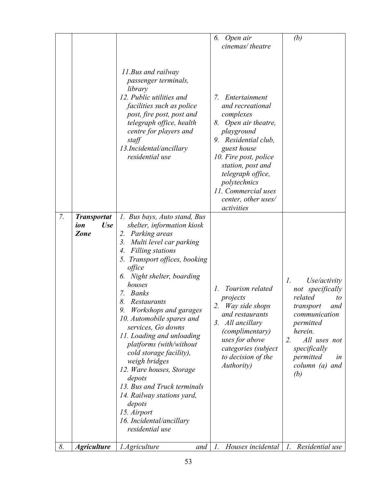|    |                                                        |                                                                                                                                                                                                                                                                                                                                                                                                                                                                                                                                                                                                                                                        | 6.<br>Open air<br>cinemas/theatre                                                                                                                                                                                                                                                | (b)                                                                                                                                                                                                                 |
|----|--------------------------------------------------------|--------------------------------------------------------------------------------------------------------------------------------------------------------------------------------------------------------------------------------------------------------------------------------------------------------------------------------------------------------------------------------------------------------------------------------------------------------------------------------------------------------------------------------------------------------------------------------------------------------------------------------------------------------|----------------------------------------------------------------------------------------------------------------------------------------------------------------------------------------------------------------------------------------------------------------------------------|---------------------------------------------------------------------------------------------------------------------------------------------------------------------------------------------------------------------|
|    |                                                        | 11. Bus and railway<br><i>passenger terminals,</i><br>library<br>12. Public utilities and<br>facilities such as police<br>post, fire post, post and<br>telegraph office, health<br>centre for players and<br>staff<br>13.Incidental/ancillary<br>residential use                                                                                                                                                                                                                                                                                                                                                                                       | 7.<br>Entertainment<br>and recreational<br>complexes<br>8. Open air theatre,<br>playground<br>9. Residential club,<br>guest house<br>10. Fire post, police<br>station, post and<br>telegraph office,<br>polytechnics<br>11. Commercial uses<br>center, other uses/<br>activities |                                                                                                                                                                                                                     |
| 7. | <b>Transportat</b><br><b>Use</b><br>ion<br><b>Zone</b> | 1. Bus bays, Auto stand, Bus<br>shelter, information kiosk<br>Parking areas<br>2.<br>Multi level car parking<br>3.<br><b>Filling stations</b><br>4.<br>5. Transport offices, booking<br>office<br>6. Night shelter, boarding<br>houses<br><b>Banks</b><br>7.<br>8.<br><b>Restaurants</b><br>9. Workshops and garages<br>10. Automobile spares and<br>services, Go downs<br>11. Loading and unloading<br>platforms (with/without<br>cold storage facility),<br>weigh bridges<br>12. Ware houses, Storage<br>depots<br>13. Bus and Truck terminals<br>14. Railway stations yard,<br>depots<br>15. Airport<br>16. Incidental/ancillary<br>residential use | Tourism related<br>1.<br>projects<br>2.<br>Way side shops<br>and restaurants<br>3. All ancillary<br>(complimentary)<br>uses for above<br>categories (subject<br>to decision of the<br><i>Authority</i> )                                                                         | Use/activity<br>$\mathcal{I}$ .<br>not specifically<br>related<br>to<br>transport<br>and<br>communication<br>permitted<br>herein.<br>All uses not<br>2.<br>specifically<br>permitted<br>in<br>column (a) and<br>(b) |
| 8. | <b>Agriculture</b>                                     | 1.Agriculture<br>and                                                                                                                                                                                                                                                                                                                                                                                                                                                                                                                                                                                                                                   | Houses incidental $ l$ .<br>1.                                                                                                                                                                                                                                                   | Residential use                                                                                                                                                                                                     |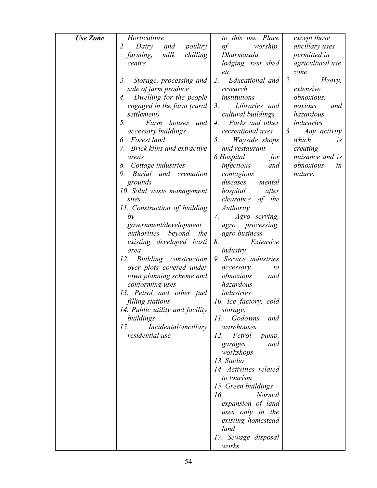| <b>Use Zone</b> | Horticulture                    | to this use. Place                | except those            |
|-----------------|---------------------------------|-----------------------------------|-------------------------|
|                 | 2.<br>Dairy<br>poultry<br>and   | of<br>worship,                    | <i>ancillary uses</i>   |
|                 | milk<br>chilling<br>farming,    | Dharmasala,                       | permitted in            |
|                 | centre                          | lodging, rest shed                | agricultural use        |
|                 |                                 | etc                               | zone                    |
|                 | 3.<br>Storage, processing and   | Educational and<br>2.             | 2.<br>Heavy,            |
|                 | sale of farm produce            | research                          | extensive,              |
|                 | Dwelling for the people<br>4.   | institutions                      | <i>obnoxious,</i>       |
|                 | engaged in the farm (rural      | Libraries and<br>3.               | noxious<br>and          |
|                 | settlement)                     | cultural buildings                | hazardous               |
|                 | 5.<br>Farm houses<br>and        | Parks and other<br>4.             | industries              |
|                 | <i>accessory buildings</i>      | recreational uses                 | 3.<br>Any activity      |
|                 | 6. Forest land                  | Wayside shops<br>5.               | which<br>i <sub>S</sub> |
|                 | 7. Brick kilns and extractive   | and restaurant                    | creating                |
|                 | areas                           | 6.Hospital<br>for                 | nuisance and is         |
|                 | 8. Cottage industries           | infectious<br>and                 | obnoxious<br>in         |
|                 | 9. Burial<br>and cremation      |                                   | nature.                 |
|                 | grounds                         | contagious<br>diseases,<br>mental |                         |
|                 | 10. Solid waste management      | after<br>hospital                 |                         |
|                 | sites                           | clearance<br>of the               |                         |
|                 | 11. Construction of building    | <b>Authority</b>                  |                         |
|                 | by                              | 7.<br>Agro serving,               |                         |
|                 | government/development          | agro processing,                  |                         |
|                 | authorities<br>beyond<br>the    | agro business                     |                         |
|                 | existing developed basti        | 8.<br>Extensive                   |                         |
|                 | area                            | industry                          |                         |
|                 | 12.<br>Building construction    | 9. Service industries             |                         |
|                 | over plots covered under        | accessory<br>to                   |                         |
|                 | town planning scheme and        | obnoxious<br>and                  |                         |
|                 | conforming uses                 | hazardous                         |                         |
|                 | 13. Petrol and other fuel       | industries                        |                         |
|                 | filling stations                | 10. Ice factory, cold             |                         |
|                 | 14. Public utility and facility | storage,                          |                         |
|                 | buildings                       | 11.<br>Godowns<br>and             |                         |
|                 | 15.<br>Incidental/ancillary     | warehouses                        |                         |
|                 | residential use                 | 12.<br>Petrol<br>pump,            |                         |
|                 |                                 | and<br>garages                    |                         |
|                 |                                 | workshops                         |                         |
|                 |                                 | 13. Studio                        |                         |
|                 |                                 | 14. Activities related            |                         |
|                 |                                 | to tourism                        |                         |
|                 |                                 | 15. Green buildings               |                         |
|                 |                                 | <b>Normal</b><br>16.              |                         |
|                 |                                 | expansion of land                 |                         |
|                 |                                 | uses only in the                  |                         |
|                 |                                 | existing homestead                |                         |
|                 |                                 | land                              |                         |
|                 |                                 | 17. Sewage disposal               |                         |
|                 |                                 | works                             |                         |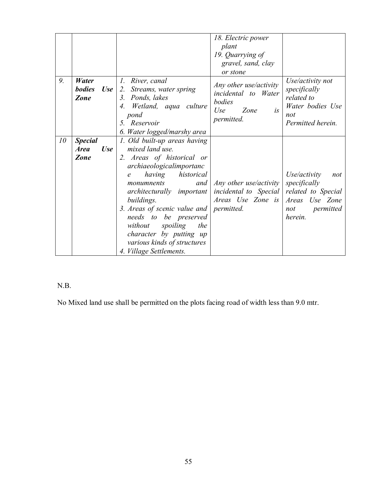|    |                                                     |                                                                                                                                                                                                                                                                                                                                                                                               | 18. Electric power<br>plant<br>19. Quarrying of<br>gravel, sand, clay<br>or stone                 |                                                                                                            |
|----|-----------------------------------------------------|-----------------------------------------------------------------------------------------------------------------------------------------------------------------------------------------------------------------------------------------------------------------------------------------------------------------------------------------------------------------------------------------------|---------------------------------------------------------------------------------------------------|------------------------------------------------------------------------------------------------------------|
| 9. | Water<br><b>bodies</b><br><b>Use</b><br>Zone        | 1. River, canal<br>2. Streams, water spring<br>Ponds, lakes<br>3.<br>Wetland, aqua culture<br>$\mathcal{A}_{\cdot}$<br>pond<br>5. Reservoir<br>6. Water logged/marshy area                                                                                                                                                                                                                    | Any other use/activity<br><i>incidental</i> to Water<br>bodies<br>Use<br>Zone<br>is<br>permitted. | Use/activity not<br>specifically<br>related to<br>Water bodies Use<br>not<br>Permitted herein.             |
| 10 | <b>Special</b><br><b>Area</b><br><b>Use</b><br>Zone | 1. Old built-up areas having<br>mixed land use.<br>2. Areas of historical or<br>archiaeologicalimportanc<br>historical<br>having<br>$\mathcal{C}$<br>and<br>monumnents<br>architecturally important<br>buildings.<br>3. Areas of scenic value and<br>needs to be preserved<br>without<br>spoiling<br>the<br>character by putting up<br>various kinds of structures<br>4. Village Settlements. | Any other use/activity<br><i>incidental to Special</i><br>Areas Use Zone is<br><i>permitted.</i>  | Use/activity<br>not<br>specifically<br>related to Special<br>Areas Use Zone<br>permitted<br>not<br>herein. |

## N.B.

No Mixed land use shall be permitted on the plots facing road of width less than 9.0 mtr.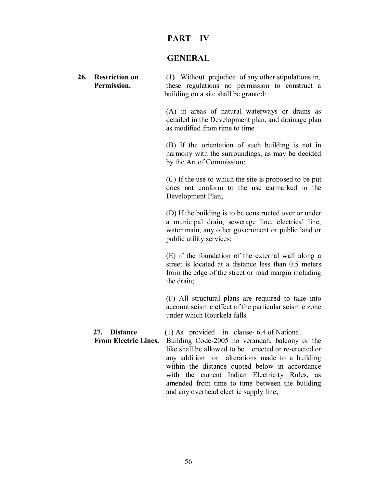| ART<br>D. |  |
|-----------|--|
|-----------|--|

## **GENERAL**

| 26. | <b>Restriction on</b><br>Permission.        | (1) Without prejudice of any other stipulations in,<br>these regulations no permission to construct a<br>building on a site shall be granted:                                                                                                                                                                                                                |
|-----|---------------------------------------------|--------------------------------------------------------------------------------------------------------------------------------------------------------------------------------------------------------------------------------------------------------------------------------------------------------------------------------------------------------------|
|     |                                             | (A) in areas of natural waterways or drains as<br>detailed in the Development plan, and drainage plan<br>as modified from time to time.                                                                                                                                                                                                                      |
|     |                                             | (B) If the orientation of such building is not in<br>harmony with the surroundings, as may be decided<br>by the Art of Commission;                                                                                                                                                                                                                           |
|     |                                             | (C) If the use to which the site is proposed to be put<br>does not conform to the use earmarked in the<br>Development Plan;                                                                                                                                                                                                                                  |
|     |                                             | (D) If the building is to be constructed over or under<br>a municipal drain, sewerage line, electrical line,<br>water main, any other government or public land or<br>public utility services;                                                                                                                                                               |
|     |                                             | (E) if the foundation of the external wall along a<br>street is located at a distance less than 0.5 meters<br>from the edge of the street or road margin including<br>the drain;                                                                                                                                                                             |
|     |                                             | (F) All structural plans are required to take into<br>account seismic effect of the particular seismic zone<br>under which Rourkela falls.                                                                                                                                                                                                                   |
|     | 27. Distance<br><b>From Electric Lines.</b> | $(1)$ As provided in clause-6.4 of National<br>Building Code-2005 no verandah, balcony or the<br>like shall be allowed to be erected or re-erected or<br>any addition or alterations made to a building<br>within the distance quoted below in accordance<br>with the current Indian Electricity Rules, as<br>amended from time to time between the building |

and any overhead electric supply line;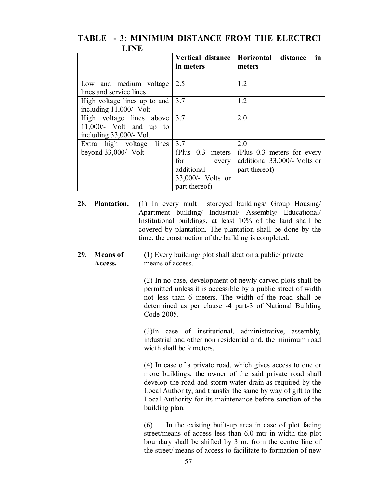| шир                                                                            |                                                                                               |                                                                                    |
|--------------------------------------------------------------------------------|-----------------------------------------------------------------------------------------------|------------------------------------------------------------------------------------|
|                                                                                | Vertical distance<br>in meters                                                                | Horizontal distance<br>in<br>meters                                                |
| Low and medium voltage<br>lines and service lines                              | 2.5                                                                                           | 1.2                                                                                |
| High voltage lines up to and<br>including $11,000/-$ Volt                      | 3.7                                                                                           | 1.2                                                                                |
| High voltage lines above<br>11,000/- Volt and up to<br>including 33,000/- Volt | 3.7                                                                                           | 2.0                                                                                |
| Extra high voltage<br>lines<br>beyond $33,000/-$ Volt                          | 3.7<br>(Plus $0.3$ meters<br>for<br>every<br>additional<br>33,000/- Volts or<br>part thereof) | 2.0<br>(Plus 0.3 meters for every<br>additional 33,000/- Volts or<br>part thereof) |

## **TABLE - 3: MINIMUM DISTANCE FROM THE ELECTRCI LINE**

**28. Plantation. (**1) In every multi –storeyed buildings/ Group Housing/ Apartment building/ Industrial/ Assembly/ Educational/ Institutional buildings, at least 10% of the land shall be covered by plantation. The plantation shall be done by the time; the construction of the building is completed.

#### **29. Means of (**1) Every building/ plot shall abut on a public/ private  **Access.** means of access.

(2) In no case, development of newly carved plots shall be permitted unless it is accessible by a public street of width not less than 6 meters. The width of the road shall be determined as per clause -4 part-3 of National Building Code-2005.

(3)In case of institutional, administrative, assembly, industrial and other non residential and, the minimum road width shall be 9 meters.

(4) In case of a private road, which gives access to one or more buildings, the owner of the said private road shall develop the road and storm water drain as required by the Local Authority, and transfer the same by way of gift to the Local Authority for its maintenance before sanction of the building plan.

(6) In the existing built-up area in case of plot facing street/means of access less than 6.0 mtr in width the plot boundary shall be shifted by 3 m. from the centre line of the street/ means of access to facilitate to formation of new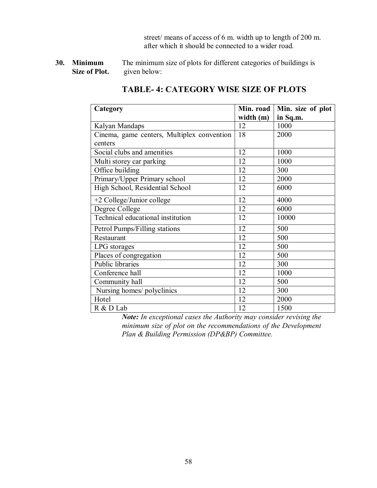street/ means of access of 6 m. width up to length of 200 m. after which it should be connected to a wider road.

**30. Minimum** The minimum size of plots for different categories of buildings is **Size of Plot.** given below:

| Category                                   | Min. road   | Min. size of plot |
|--------------------------------------------|-------------|-------------------|
|                                            | width $(m)$ | in Sq.m.          |
| Kalyan Mandaps                             | 12          | 1000              |
| Cinema, game centers, Multiplex convention | 18          | 2000              |
| centers                                    |             |                   |
| Social clubs and amenities                 | 12          | 1000              |
| Multi storey car parking                   | 12          | 1000              |
| Office building                            | 12          | 300               |
| Primary/Upper Primary school               | 12          | 2000              |
| High School, Residential School            | 12          | 6000              |
| +2 College/Junior college                  | 12          | 4000              |
| Degree College                             | 12          | 6000              |
| Technical educational institution          | 12          | 10000             |
| Petrol Pumps/Filling stations              | 12          | 500               |
| Restaurant                                 | 12          | 500               |
| LPG storages                               | 12          | 500               |
| Places of congregation                     | 12          | 500               |
| Public libraries                           | 12          | 300               |
| Conference hall                            | 12          | 1000              |
| Community hall                             | 12          | 500               |
| Nursing homes/ polyclinics                 | 12          | 300               |
| Hotel                                      | 12          | 2000              |
| R & D Lab                                  | 12          | 1500              |

## **TABLE- 4: CATEGORY WISE SIZE OF PLOTS**

*Note: In exceptional cases the Authority may consider revising the minimum size of plot on the recommendations of the Development Plan & Building Permission (DP&BP) Committee.*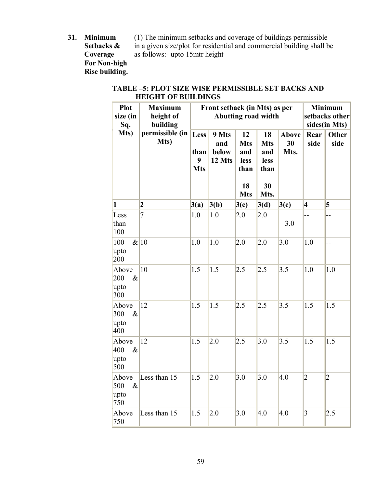**For Non-high Rise building.**

**31. Minimum** (1) The minimum setbacks and coverage of buildings permissible Setbacks  $\&$  in a given size/plot for residential and commercial building shall b **S[e](http://www.docu-track.com/buy/)tbacks &** in a given size/plot for residential and commercial building shall be **Coverage** as follows:- upto 15mtr height as follows:- upto 15mtr height

### **TABLE –5: PLOT SIZE WISE PERMISSIBLE SET BACKS AND HEIGHT OF BUILDINGS**

| <b>Plot</b><br>size (in<br>Sq.      | <b>Maximum</b><br>height of<br>building | Front setback (in Mts) as per<br>Abutting road width |                                 |                                                             |                                                       | <b>Minimum</b><br>setbacks other<br>sides(in Mts) |                 |               |
|-------------------------------------|-----------------------------------------|------------------------------------------------------|---------------------------------|-------------------------------------------------------------|-------------------------------------------------------|---------------------------------------------------|-----------------|---------------|
| Mts)                                | permissible (in<br>Mts)                 | Less<br>than<br>9<br><b>Mts</b>                      | 9 Mts<br>and<br>below<br>12 Mts | 12<br><b>Mts</b><br>and<br>less<br>than<br>18<br><b>Mts</b> | 18<br><b>Mts</b><br>and<br>less<br>than<br>30<br>Mts. | Above<br>30<br>Mts.                               | Rear<br>side    | Other<br>side |
| 1                                   | $\boldsymbol{2}$                        | 3(a)                                                 | 3(b)                            | 3(c)                                                        | 3(d)                                                  | 3(e)                                              | $\vert 4 \vert$ | 5             |
| Less<br>than<br>100                 | 7                                       | 1.0                                                  | 1.0                             | 2.0                                                         | 2.0                                                   | 3.0                                               |                 | --            |
| 100<br>upto<br>200                  | & 10                                    | 1.0                                                  | 1.0                             | 2.0                                                         | 2.0                                                   | 3.0                                               | 1.0             | --            |
| Above<br>200<br>$\&$<br>upto<br>300 | 10                                      | 1.5                                                  | 1.5                             | 2.5                                                         | 2.5                                                   | 3.5                                               | 1.0             | $1.0\,$       |
| Above<br>300<br>$\&$<br>upto<br>400 | 12                                      | 1.5                                                  | 1.5                             | 2.5                                                         | 2.5                                                   | 3.5                                               | 1.5             | 1.5           |
| Above<br>400<br>$\&$<br>upto<br>500 | 12                                      | 1.5                                                  | 2.0                             | 2.5                                                         | 3.0                                                   | 3.5                                               | 1.5             | 1.5           |
| Above<br>500<br>$\&$<br>upto<br>750 | Less than 15                            | 1.5                                                  | 2.0                             | 3.0                                                         | 3.0                                                   | 4.0                                               | $\overline{2}$  | $ 2\rangle$   |
| Above<br>750                        | Less than 15                            | 1.5                                                  | 2.0                             | 3.0                                                         | 4.0                                                   | 4.0                                               | $\overline{3}$  | 2.5           |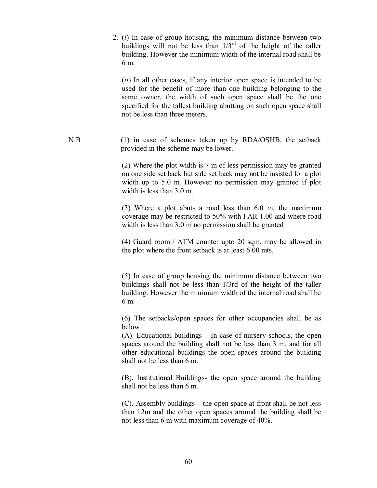2. (*i*) In case of group housing, the minimum distance between two buildings will not be less than  $1/3<sup>rd</sup>$  of the height of the taller building. However the minimum width of the internal road shall be 6 m.

(*ii*) In all other cases, if any interior open space is intended to be used for the benefit of more than one building belonging to the same owner, the width of such open space shall be the one specified for the tallest building abutting on such open space shall not be less than three meters.

N.B (1) in case of schemes taken up by RDA/OSHB, the setback provided in the scheme may be lower.

> (2) Where the plot width is 7 m of less permission may be granted on one side set back but side set back may not be insisted for a plot width up to 5.0 m. However no permission may granted if plot width is less than 3.0 m.

> (3) Where a plot abuts a road less than 6.0 m, the maximum coverage may be restricted to 50% with FAR 1.00 and where road width is less than 3.0 m no permission shall be granted

> (4) Guard room / ATM counter upto 20 sqm. may be allowed in the plot where the front setback is at least 6.00 mts.

> (5) In case of group housing the minimum distance between two buildings shall not be less than 1/3rd of the height of the taller building. However the minimum width of the internal road shall be 6 m.

> (6) The setbacks/open spaces for other occupancies shall be as below

> (A). Educational buildings – In case of nursery schools, the open spaces around the building shall not be less than 3 m. and for all other educational buildings the open spaces around the building shall not be less than 6 m.

> (B). Institutional Buildings- the open space around the building shall not be less than 6 m.

> (C). Assembly buildings – the open space at front shall be not less than 12m and the other open spaces around the building shall be not less than 6 m with maximum coverage of 40%.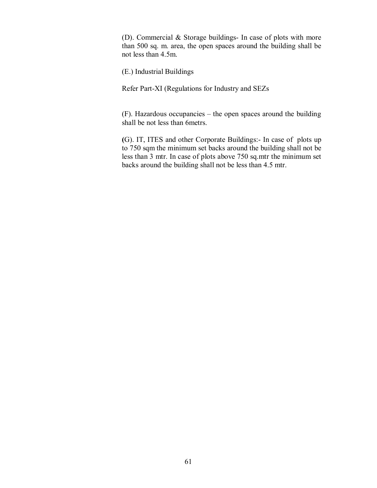(D). Commercial & Storage buildings- In case of plots with more than 500 sq. m. area, the open spaces around the building shall be not less than 4.5m.

(E.) Industrial Buildings

Refer Part-XI (Regulations for Industry and SEZs

(F). Hazardous occupancies – the open spaces around the building shall be not less than 6metrs.

**(**G). IT, ITES and other Corporate Buildings:- In case of plots up to 750 sqm the minimum set backs around the building shall not be less than 3 mtr. In case of plots above 750 sq.mtr the minimum set backs around the building shall not be less than 4.5 mtr.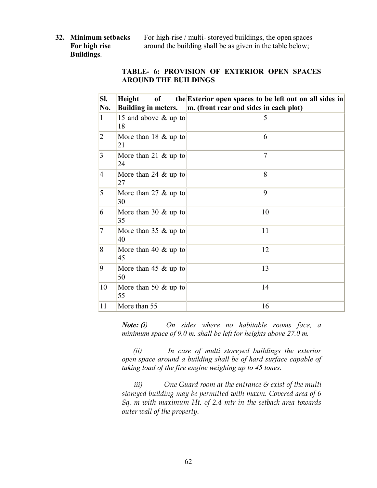**Buildings**.

**32. Minimum setbacks** For high-rise / multi- storeyed buildings, the open spaces **For high rise** around the building shall be as given in the table below;

#### **TABLE- 6: PROVISION OF EXTERIOR OPEN SPACES AROUND THE BUILDINGS**

| SI.            | Height<br>of                         | the Exterior open spaces to be left out on all sides in |
|----------------|--------------------------------------|---------------------------------------------------------|
| No.            | <b>Building in meters.</b>           | m. (front rear and sides in each plot)                  |
| $\mathbf{1}$   | 15 and above & up to<br>18           | 5                                                       |
| $\overline{2}$ | More than $18 \& \text{up to}$<br>21 | 6                                                       |
| $\overline{3}$ | More than 21 $\&$ up to<br>24        | $\overline{7}$                                          |
| $\overline{4}$ | More than 24 $\&$ up to<br>27        | 8                                                       |
| 5              | More than 27 $\&$ up to<br>30        | 9                                                       |
| 6              | More than 30 $\&$ up to<br>35        | 10                                                      |
| 7              | More than $35 \& \text{up to}$<br>40 | 11                                                      |
| 8              | More than 40 $\&$ up to<br>45        | 12                                                      |
| 9              | More than 45 $\&$ up to<br>50        | 13                                                      |
| 10             | More than 50 $&$ up to<br>55         | 14                                                      |
| 11             | More than 55                         | 16                                                      |

*Note: (i) On sides where no habitable rooms face, a minimum space of 9.0 m. shall be left for heights above 27.0 m.*

 *(ii) In case of multi storeyed buildings the exterior open space around a building shall be of hard surface capable of taking load of the fire engine weighing up to 45 tones.*

*iii) One Guard room at the entrance & exist of the multi storeyed building may be permitted with maxm. Covered area of 6 Sq. m with maximum Ht. of 2.4 mtr in the setback area towards outer wall of the property.*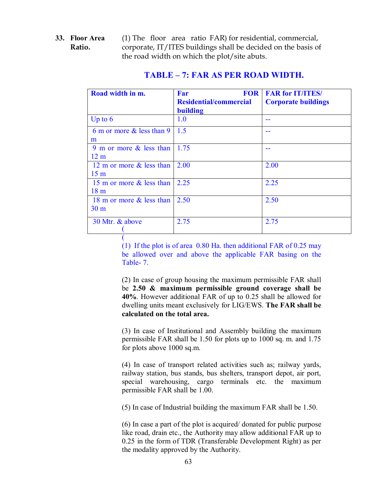**33. Floor Area** (1) The floor area ratio FAR) for residential, commercial, **Ratio.** corporate, IT/ITES buildings shall be decided on the basis of the road width on which the plot/site abuts.

| Road width in m.             | <b>FOR</b><br>Far             | <b>FAR for IT/ITES/</b>    |
|------------------------------|-------------------------------|----------------------------|
|                              | <b>Residential/commercial</b> | <b>Corporate buildings</b> |
|                              | <b>building</b>               |                            |
| Up to $6$                    | 1.0                           |                            |
| 6 m or more $\&$ less than 9 | 1.5                           |                            |
| m                            |                               |                            |
| 9 m or more $\&$ less than   | 1.75                          |                            |
| 12 <sub>m</sub>              |                               |                            |
| 12 m or more & less than     | 2.00                          | 2.00                       |
| 15 <sub>m</sub>              |                               |                            |
| 15 m or more & less than     | 2.25                          | 2.25                       |
| 18 <sub>m</sub>              |                               |                            |
| 18 m or more & less than     | 2.50                          | 2.50                       |
| 30 <sub>m</sub>              |                               |                            |
| 30 Mtr. & above              | 2.75                          | 2.75                       |
|                              |                               |                            |

## **TABLE – 7: FAR AS PER ROAD WIDTH.**

(1) If the plot is of area 0.80 Ha. then additional FAR of 0.25 may be allowed over and above the applicable FAR basing on the Table- 7.

(

(2) In case of group housing the maximum permissible FAR shall be **2.50 & maximum permissible ground coverage shall be 40%**. However additional FAR of up to 0.25 shall be allowed for dwelling units meant exclusively for LIG/EWS. **The FAR shall be calculated on the total area.**

(3) In case of Institutional and Assembly building the maximum permissible FAR shall be 1.50 for plots up to 1000 sq. m. and 1.75 for plots above 1000 sq.m.

(4) In case of transport related activities such as; railway yards, railway station, bus stands, bus shelters, transport depot, air port, special warehousing, cargo terminals etc. the maximum permissible FAR shall be 1.00.

(5) In case of Industrial building the maximum FAR shall be 1.50.

(6) In case a part of the plot is acquired/ donated for public purpose like road, drain etc., the Authority may allow additional FAR up to 0.25 in the form of TDR (Transferable Development Right) as per the modality approved by the Authority.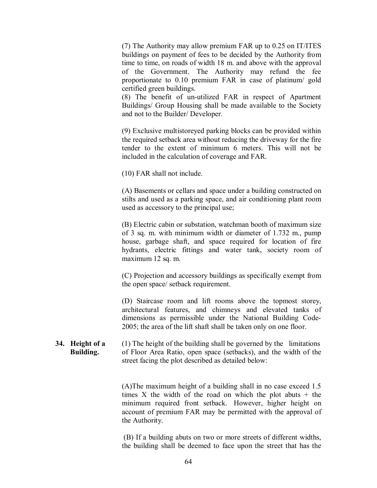(7) The Authority may allow premium FAR up to 0.25 on IT/ITES buildings on payment of fees to be decided by the Authority from time to time, on roads of width 18 m. and above with the approval of the Government. The Authority may refund the fee proportionate to 0.10 premium FAR in case of platinum/ gold certified green buildings.

(8) The benefit of un-utilized FAR in respect of Apartment Buildings/ Group Housing shall be made available to the Society and not to the Builder/ Developer.

(9) Exclusive multistoreyed parking blocks can be provided within the required setback area without reducing the driveway for the fire tender to the extent of minimum 6 meters. This will not be included in the calculation of coverage and FAR.

(10) FAR shall not include.

(A) Basements or cellars and space under a building constructed on stilts and used as a parking space, and air conditioning plant room used as accessory to the principal use;

(B) Electric cabin or substation, watchman booth of maximum size of 3 sq. m. with minimum width or diameter of 1.732 m., pump house, garbage shaft, and space required for location of fire hydrants, electric fittings and water tank, society room of maximum 12 sq. m.

(C) Projection and accessory buildings as specifically exempt from the open space/ setback requirement.

(D) Staircase room and lift rooms above the topmost storey, architectural features, and chimneys and elevated tanks of dimensions as permissible under the National Building Code-2005; the area of the lift shaft shall be taken only on one floor.

**34. Height of a** (1) The height of the building shall be governed by the limitations  **Building.** of Floor Area Ratio, open space (setbacks), and the width of the street facing the plot described as detailed below:

> (A)The maximum height of a building shall in no case exceed 1.5 times X the width of the road on which the plot abuts  $+$  the minimum required front setback. However, higher height on account of premium FAR may be permitted with the approval of the Authority.

> (B) If a building abuts on two or more streets of different widths, the building shall be deemed to face upon the street that has the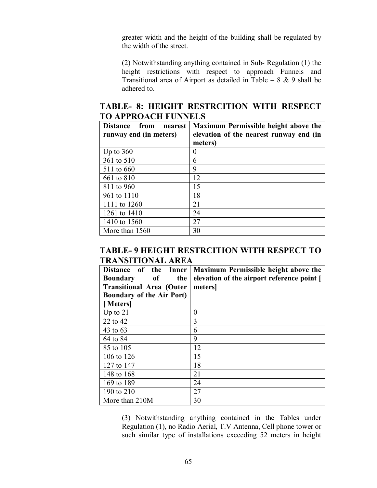greater width and the height of the building shall be regulated by the width of the street.

(2) Notwithstanding anything contained in Sub- Regulation (1) the height restrictions with respect to approach Funnels and Transitional area of Airport as detailed in Table –  $8 \& 9$  shall be adhered to.

## **TABLE- 8: HEIGHT RESTRCITION WITH RESPECT TO APPROACH FUNNELS**

| Distance from<br>nearest<br>runway end (in meters) | Maximum Permissible height above the<br>elevation of the nearest runway end (in |  |  |
|----------------------------------------------------|---------------------------------------------------------------------------------|--|--|
|                                                    | meters)                                                                         |  |  |
| Up to $360$                                        |                                                                                 |  |  |
| 361 to 510                                         | 6                                                                               |  |  |
| 511 to 660                                         | 9                                                                               |  |  |
| 661 to 810                                         | 12                                                                              |  |  |
| 811 to 960                                         | 15                                                                              |  |  |
| 961 to 1110                                        | 18                                                                              |  |  |
| 1111 to 1260                                       | 21                                                                              |  |  |
| 1261 to 1410                                       | 24                                                                              |  |  |
| 1410 to 1560                                       | 27                                                                              |  |  |
| More than 1560                                     | 30                                                                              |  |  |

### **TABLE- 9 HEIGHT RESTRCITION WITH RESPECT TO TRANSITIONAL AREA**

| Distance of the Inner            | Maximum Permissible height above the       |
|----------------------------------|--------------------------------------------|
| the<br>of<br><b>Boundary</b>     | elevation of the airport reference point [ |
| <b>Transitional Area (Outer</b>  | meters                                     |
| <b>Boundary of the Air Port)</b> |                                            |
| [Meters]                         |                                            |
| Up to $21$                       | 0                                          |
| 22 to 42                         | 3                                          |
| 43 to 63                         | 6                                          |
| 64 to 84                         | 9                                          |
| 85 to 105                        | 12                                         |
| 106 to 126                       | 15                                         |
| 127 to 147                       | 18                                         |
| 148 to 168                       | 21                                         |
| 169 to 189                       | 24                                         |
| 190 to 210                       | 27                                         |
| More than 210M                   | 30                                         |

(3) Notwithstanding anything contained in the Tables under Regulation (1), no Radio Aerial, T.V Antenna, Cell phone tower or such similar type of installations exceeding 52 meters in height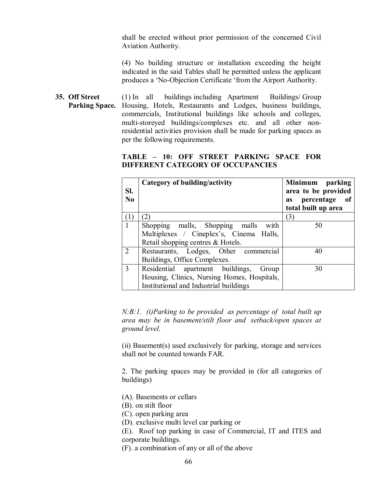shall be erected without prior permission of the concerned Civil Aviation Authority.

(4) No building structure or installation exceeding the height indicated in the said Tables shall be permitted unless the applicant produces a 'No-Objection Certificate 'from the Airport Authority.

**35. Off Street** (1) In all buildings including Apartment Buildings/ Group Parking Space. Housing, Hotels, Restaurants and Lodges, business buildings, commercials, Institutional buildings like schools and colleges, multi-storeyed buildings/complexes etc. and all other nonresidential activities provision shall be made for parking spaces as per the following requirements.

#### **TABLE – 10: OFF STREET PARKING SPACE FOR DIFFERENT CATEGORY OF OCCUPANCIES**

| Sl.<br>N <sub>0</sub> | Category of building/activity               | Minimum parking<br>area to be provided<br>percentage<br>- of<br><b>as</b> |
|-----------------------|---------------------------------------------|---------------------------------------------------------------------------|
|                       |                                             | total built up area                                                       |
| (1)                   | $\left( 2\right)$                           | (3)                                                                       |
| $\mathbf{1}$          | Shopping malls, Shopping malls with         | 50                                                                        |
|                       | Multiplexes / Cineplex's, Cinema Halls,     |                                                                           |
|                       | Retail shopping centres & Hotels.           |                                                                           |
| 2                     | Restaurants, Lodges, Other commercial       | 40                                                                        |
|                       | Buildings, Office Complexes.                |                                                                           |
| 3                     | Residential apartment buildings,<br>Group   | 30                                                                        |
|                       | Housing, Clinics, Nursing Homes, Hospitals, |                                                                           |
|                       | Institutional and Industrial buildings      |                                                                           |

*N:B:1. (i)Parking to be provided as percentage of total built up area may be in basement/stilt floor and setback/open spaces at ground level.*

(ii) Basement(s) used exclusively for parking, storage and services shall not be counted towards FAR.

2. The parking spaces may be provided in (for all categories of buildings)

- (A). Basements or cellars
- (B). on stilt floor
- (C). open parking area

(D). exclusive multi level car parking or

(E). Roof top parking in case of Commercial, IT and ITES and corporate buildings.

(F). a combination of any or all of the above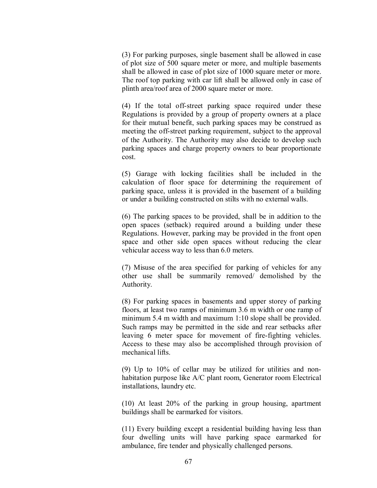(3) For parking purposes, single basement shall be allowed in case of plot size of 500 square meter or more, and multiple basements shall be allowed in case of plot size of 1000 square meter or more. The roof top parking with car lift shall be allowed only in case of plinth area/roof area of 2000 square meter or more.

(4) If the total off-street parking space required under these Regulations is provided by a group of property owners at a place for their mutual benefit, such parking spaces may be construed as meeting the off-street parking requirement, subject to the approval of the Authority. The Authority may also decide to develop such parking spaces and charge property owners to bear proportionate cost.

(5) Garage with locking facilities shall be included in the calculation of floor space for determining the requirement of parking space, unless it is provided in the basement of a building or under a building constructed on stilts with no external walls.

(6) The parking spaces to be provided, shall be in addition to the open spaces (setback) required around a building under these Regulations. However, parking may be provided in the front open space and other side open spaces without reducing the clear vehicular access way to less than 6.0 meters.

(7) Misuse of the area specified for parking of vehicles for any other use shall be summarily removed/ demolished by the Authority.

(8) For parking spaces in basements and upper storey of parking floors, at least two ramps of minimum 3.6 m width or one ramp of minimum 5.4 m width and maximum 1:10 slope shall be provided. Such ramps may be permitted in the side and rear setbacks after leaving 6 meter space for movement of fire-fighting vehicles. Access to these may also be accomplished through provision of mechanical lifts.

(9) Up to 10% of cellar may be utilized for utilities and nonhabitation purpose like A/C plant room, Generator room Electrical installations, laundry etc.

(10) At least 20% of the parking in group housing, apartment buildings shall be earmarked for visitors.

(11) Every building except a residential building having less than four dwelling units will have parking space earmarked for ambulance, fire tender and physically challenged persons.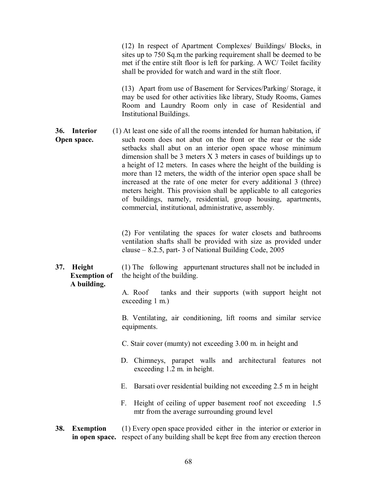(12) In respect of Apartment Complexes/ Buildings/ Blocks, in sites up to 750 Sq.m the parking requirement shall be deemed to be met if the entire stilt floor is left for parking. A WC/ Toilet facility shall be provided for watch and ward in the stilt floor.

(13) Apart from use of Basement for Services/Parking/ Storage, it may be used for other activities like library, Study Rooms, Games Room and Laundry Room only in case of Residential and Institutional Buildings.

**36. Interior** (1) At least one side of all the rooms intended for human habitation, if **Open space.** such room does not abut on the front or the rear or the side setbacks shall abut on an interior open space whose minimum dimension shall be 3 meters X 3 meters in cases of buildings up to a height of 12 meters. In cases where the height of the building is more than 12 meters, the width of the interior open space shall be increased at the rate of one meter for every additional 3 (three) meters height. This provision shall be applicable to all categories of buildings, namely, residential, group housing, apartments, commercial, institutional, administrative, assembly.

> (2) For ventilating the spaces for water closets and bathrooms ventilation shafts shall be provided with size as provided under clause – 8.2.5, part- 3 of National Building Code, 2005

**37. Height** (1) The following appurtenant structures shall not be included in **Exemption of** the height of the building. **A building.**

> A. Roof tanks and their supports (with support height not exceeding 1 m.)

> B. Ventilating, air conditioning, lift rooms and similar service equipments.

- C. Stair cover (mumty) not exceeding 3.00 m. in height and
- D. Chimneys, parapet walls and architectural features not exceeding 1.2 m. in height.
- E. Barsati over residential building not exceeding 2.5 m in height
- F. Height of ceiling of upper basement roof not exceeding 1.5 mtr from the average surrounding ground level
- **38. Exemption** (1) Every open space provided either in the interior or exterior in  **in open space.** respect of any building shall be kept free from any erection thereon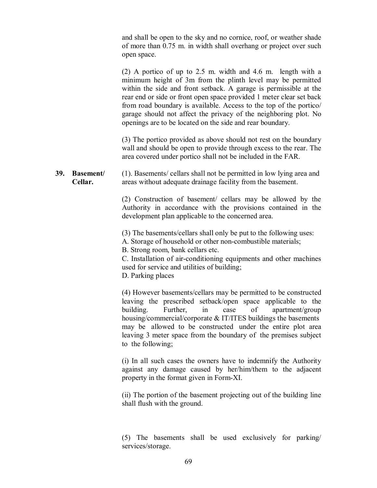and shall be open to the sky and no cornice, roof, or weather shade of more than 0.75 m. in width shall overhang or project over such open space.

(2) A portico of up to 2.5 m. width and 4.6 m. length with a minimum height of 3m from the plinth level may be permitted within the side and front setback. A garage is permissible at the rear end or side or front open space provided 1 meter clear set back from road boundary is available. Access to the top of the portico/ garage should not affect the privacy of the neighboring plot. No openings are to be located on the side and rear boundary.

(3) The portico provided as above should not rest on the boundary wall and should be open to provide through excess to the rear. The area covered under portico shall not be included in the FAR.

**39. Basement**/ (1). Basements/ cellars shall not be permitted in low lying area and **Cellar.** areas without adequate drainage facility from the basement.

> (2) Construction of basement/ cellars may be allowed by the Authority in accordance with the provisions contained in the development plan applicable to the concerned area.

(3) The basements/cellars shall only be put to the following uses:

A. Storage of household or other non-combustible materials;

B. Strong room, bank cellars etc.

C. Installation of air-conditioning equipments and other machines used for service and utilities of building;

D. Parking places

(4) However basements/cellars may be permitted to be constructed leaving the prescribed setback/open space applicable to the building. Further, in case of apartment/group housing/commercial/corporate & IT/ITES buildings the basements may be allowed to be constructed under the entire plot area leaving 3 meter space from the boundary of the premises subject to the following;

(i) In all such cases the owners have to indemnify the Authority against any damage caused by her/him/them to the adjacent property in the format given in Form-XI.

(ii) The portion of the basement projecting out of the building line shall flush with the ground.

(5) The basements shall be used exclusively for parking/ services/storage.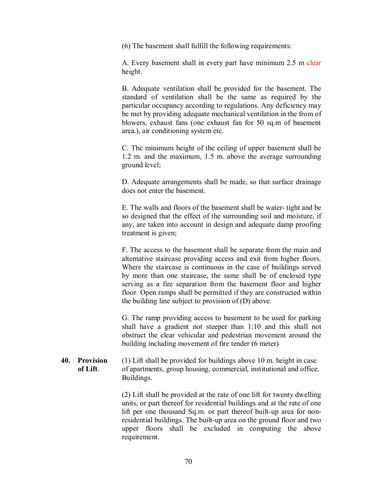(6) The basement shall fulfill the following requirements:

A. Every basement shall in every part have minimum 2.5 m clear height.

B. Adequate ventilation shall be provided for the basement. The standard of ventilation shall be the same as required by the particular occupancy according to regulations. Any deficiency may be met by providing adequate mechanical ventilation in the from of blowers, exhaust fans (one exhaust fan for 50 sq.m of basement area.), air conditioning system etc.

C. The minimum height of the ceiling of upper basement shall be 1.2 m. and the maximum, 1.5 m. above the average surrounding ground level;

D. Adequate arrangements shall be made, so that surface drainage does not enter the basement.

E. The walls and floors of the basement shall be water- tight and be so designed that the effect of the surrounding soil and moisture, if any, are taken into account in design and adequate damp proofing treatment is given;

F. The access to the basement shall be separate from the main and alternative staircase providing access and exit from higher floors. Where the staircase is continuous in the case of buildings served by more than one staircase, the same shall be of enclosed type serving as a fire separation from the basement floor and higher floor. Open ramps shall be permitted if they are constructed within the building line subject to provision of (D) above.

G. The ramp providing access to basement to be used for parking shall have a gradient not steeper than 1:10 and this shall not obstruct the clear vehicular and pedestrian movement around the building including movement of fire tender (6 meter)

#### **40. Provision** (1) Lift shall be provided for buildings above 10 m. height in case  **of Lift**. of apartments, group housing, commercial, institutional and office. Buildings.

(2) Lift shall be provided at the rate of one lift for twenty dwelling units, or part thereof for residential buildings and at the rate of one lift per one thousand Sq.m. or part thereof built-up area for nonresidential buildings. The built-up area on the ground floor and two upper floors shall be excluded in computing the above requirement.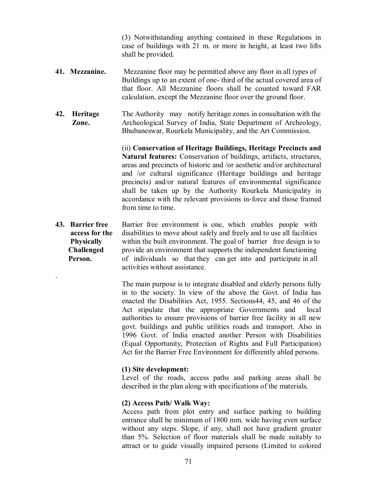(3) Notwithstanding anything contained in these Regulations in case of buildings with 21 m. or more in height, at least two lifts shall be provided.

- **41. Mezzanine.** Mezzanine floor may be permitted above any floor in all types of Buildings up to an extent of one- third of the actual covered area of that floor. All Mezzanine floors shall be counted toward FAR calculation, except the Mezzanine floor over the ground floor.
- **42. Heritage** The Authority may notify heritage zones in consultation with the **Zone.** Archeological Survey of India, State Department of Archeology, Bhubaneswar, Rourkela Municipality, and the Art Commission.

(ii) **Conservation of Heritage Buildings, Heritage Precincts and Natural features:** Conservation of buildings, artifacts, structures, areas and precincts of historic and /or aesthetic and/or architectural and /or cultural significance (Heritage buildings and heritage precincts) and/or natural features of environmental significance shall be taken up by the Authority Rourkela Municipality in accordance with the relevant provisions in-force and those framed from time to time.

**43. Barrier free** Barrier free environment is one, which enables people with **access for the** disabilities to move about safely and freely and to use all facilities **Physically** within the built environment. The goal of barrier free design is to **Challenged** provide an environment that supports the independent functioning **Person.** of individuals so that they can get into and participate in all activities without assistance.

> The main purpose is to integrate disabled and elderly persons fully in to the society. In view of the above the Govt. of India has enacted the Disabilities Act, 1955. Sections44, 45, and 46 of the Act stipulate that the appropriate Governments and local authorities to ensure provisions of barrier free facility in all new govt. buildings and public utilities roads and transport. Also in 1996 Govt. of India enacted another Person with Disabilities (Equal Opportunity, Protection of Rights and Full Participation) Act for the Barrier Free Environment for differently abled persons.

#### **(1) Site development:**

.

Level of the roads, access paths and parking areas shall be described in the plan along with specifications of the materials.

#### **(2) Access Path/ Walk Way:**

Access path from plot entry and surface parking to building entrance shall be minimum of 1800 mm. wide having even surface without any steps. Slope, if any, shall not have gradient greater than 5%. Selection of floor materials shall be made suitably to attract or to guide visually impaired persons (Limited to colored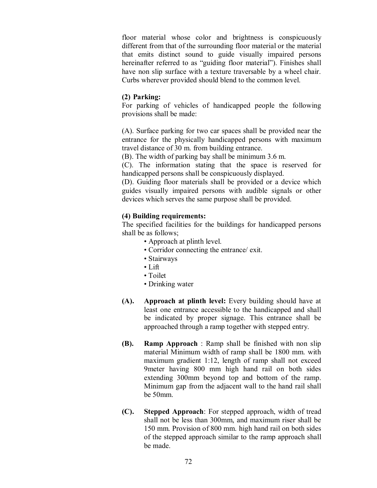floor material whose color and brightness is conspicuously different from that of the surrounding floor material or the material that emits distinct sound to guide visually impaired persons hereinafter referred to as "guiding floor material"). Finishes shall have non slip surface with a texture traversable by a wheel chair. Curbs wherever provided should blend to the common level.

#### **(2) Parking:**

For parking of vehicles of handicapped people the following provisions shall be made:

(A). Surface parking for two car spaces shall be provided near the entrance for the physically handicapped persons with maximum travel distance of 30 m. from building entrance.

(B). The width of parking bay shall be minimum 3.6 m.

(C). The information stating that the space is reserved for handicapped persons shall be conspicuously displayed.

(D). Guiding floor materials shall be provided or a device which guides visually impaired persons with audible signals or other devices which serves the same purpose shall be provided.

## **(4) Building requirements:**

The specified facilities for the buildings for handicapped persons shall be as follows;

- Approach at plinth level.
- Corridor connecting the entrance/ exit.
- Stairways
- Lift
- Toilet
- Drinking water
- **(A). Approach at plinth level:** Every building should have at least one entrance accessible to the handicapped and shall be indicated by proper signage. This entrance shall be approached through a ramp together with stepped entry.
- **(B). Ramp Approach** : Ramp shall be finished with non slip material Minimum width of ramp shall be 1800 mm. with maximum gradient 1:12, length of ramp shall not exceed 9meter having 800 mm high hand rail on both sides extending 300mm beyond top and bottom of the ramp. Minimum gap from the adjacent wall to the hand rail shall be 50mm.
- **(C). Stepped Approach**: For stepped approach, width of tread shall not be less than 300mm, and maximum riser shall be 150 mm. Provision of 800 mm. high hand rail on both sides of the stepped approach similar to the ramp approach shall be made.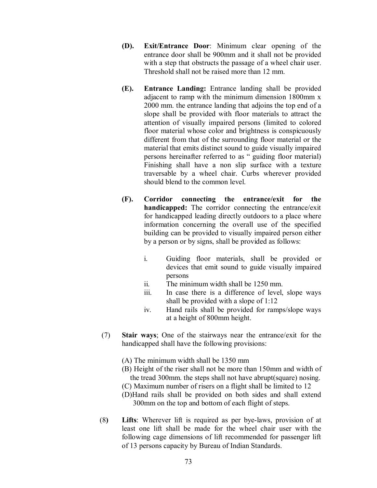- **(D). Exit/Entrance Door**: Minimum clear opening of the entrance door shall be 900mm and it shall not be provided with a step that obstructs the passage of a wheel chair user. Threshold shall not be raised more than 12 mm.
- **(E). Entrance Landing:** Entrance landing shall be provided adjacent to ramp with the minimum dimension 1800mm x 2000 mm. the entrance landing that adjoins the top end of a slope shall be provided with floor materials to attract the attention of visually impaired persons (limited to colored floor material whose color and brightness is conspicuously different from that of the surrounding floor material or the material that emits distinct sound to guide visually impaired persons hereinafter referred to as " guiding floor material) Finishing shall have a non slip surface with a texture traversable by a wheel chair. Curbs wherever provided should blend to the common level.
- **(F). Corridor connecting the entrance/exit for the handicapped:** The corridor connecting the entrance/exit for handicapped leading directly outdoors to a place where information concerning the overall use of the specified building can be provided to visually impaired person either by a person or by signs, shall be provided as follows:
	- i. Guiding floor materials, shall be provided or devices that emit sound to guide visually impaired persons
	- ii. The minimum width shall be 1250 mm.
	- iii. In case there is a difference of level, slope ways shall be provided with a slope of 1:12
	- iv. Hand rails shall be provided for ramps/slope ways at a height of 800mm height.
- (7) **Stair ways**; One of the stairways near the entrance/exit for the handicapped shall have the following provisions:
	- (A) The minimum width shall be 1350 mm
	- (B) Height of the riser shall not be more than 150mm and width of the tread 300mm. the steps shall not have abrupt(square) nosing.
	- (C) Maximum number of risers on a flight shall be limited to 12
	- (D)Hand rails shall be provided on both sides and shall extend 300mm on the top and bottom of each flight of steps.
- (8**) Lifts**: Wherever lift is required as per bye-laws, provision of at least one lift shall be made for the wheel chair user with the following cage dimensions of lift recommended for passenger lift of 13 persons capacity by Bureau of Indian Standards.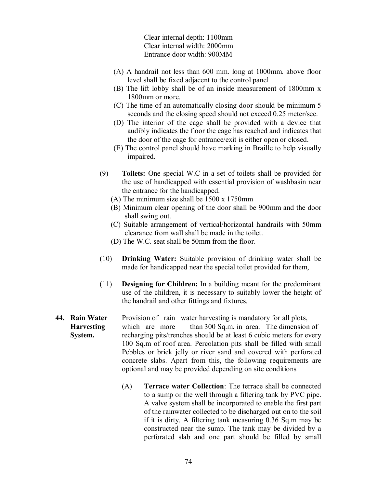Clear internal depth: 1100mm Clear internal width: 2000mm Entrance door width: 900MM

- (A) A handrail not less than 600 mm. long at 1000mm. above floor level shall be fixed adjacent to the control panel
- (B) The lift lobby shall be of an inside measurement of 1800mm x 1800mm or more.
- (C) The time of an automatically closing door should be minimum 5 seconds and the closing speed should not exceed 0.25 meter/sec.
- (D) The interior of the cage shall be provided with a device that audibly indicates the floor the cage has reached and indicates that the door of the cage for entrance/exit is either open or closed.
- (E) The control panel should have marking in Braille to help visually impaired.
- (9) **Toilets:** One special W.C in a set of toilets shall be provided for the use of handicapped with essential provision of washbasin near the entrance for the handicapped.
	- (A) The minimum size shall be 1500 x 1750mm
	- (B) Minimum clear opening of the door shall be 900mm and the door shall swing out.
	- (C) Suitable arrangement of vertical/horizontal handrails with 50mm clearance from wall shall be made in the toilet.
	- (D) The W.C. seat shall be 50mm from the floor.
- (10) **Drinking Water:** Suitable provision of drinking water shall be made for handicapped near the special toilet provided for them,
- (11) **Designing for Children:** In a building meant for the predominant use of the children, it is necessary to suitably lower the height of the handrail and other fittings and fixtures.

## **44. Rain Water** Provision of rain water harvesting is mandatory for all plots, **Harvesting** which are more than 300 Sq.m. in area. The dimension of **System.** recharging pits/trenches should be at least 6 cubic meters for every 100 Sq.m of roof area. Percolation pits shall be filled with small Pebbles or brick jelly or river sand and covered with perforated concrete slabs. Apart from this, the following requirements are optional and may be provided depending on site conditions

(A) **Terrace water Collection**: The terrace shall be connected to a sump or the well through a filtering tank by PVC pipe. A valve system shall be incorporated to enable the first part of the rainwater collected to be discharged out on to the soil if it is dirty. A filtering tank measuring 0.36 Sq.m may be constructed near the sump. The tank may be divided by a perforated slab and one part should be filled by small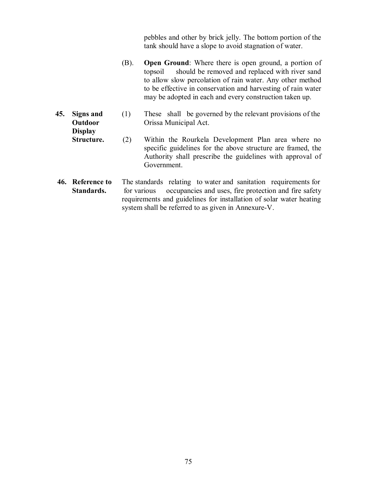pebbles and other by brick jelly. The bottom portion of the tank should have a slope to avoid stagnation of water.

- (B). **Open Ground**: Where there is open ground, a portion of topsoil should be removed and replaced with river sand to allow slow percolation of rain water. Any other method to be effective in conservation and harvesting of rain water may be adopted in each and every construction taken up.
- **45. Signs and** (1) These shall be governed by the relevant provisions of the **Outdoor** Orissa Municipal Act.

 **Display**

- **Structure.** (2) Within the Rourkela Development Plan area where no specific guidelines for the above structure are framed, the Authority shall prescribe the guidelines with approval of Government.
- **46. Reference to** The standards relating to water and sanitation requirements for **Standards.** for various occupancies and uses, fire protection and fire safety requirements and guidelines for installation of solar water heating system shall be referred to as given in Annexure-V.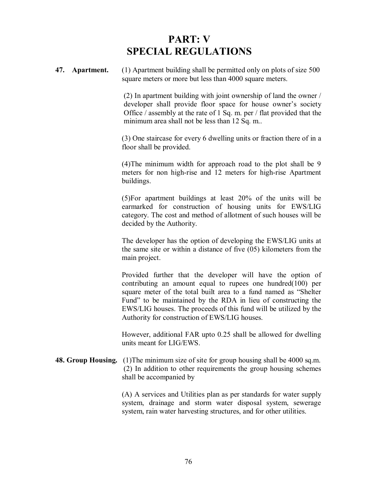# **PART: V SPECIAL REGULATIONS**

**47. Apartment.** (1) Apartment building shall be permitted only on plots of size 500 square meters or more but less than 4000 square meters.

> (2) In apartment building with joint ownership of land the owner / developer shall provide floor space for house owner's society Office / assembly at the rate of 1 Sq. m. per / flat provided that the minimum area shall not be less than 12 Sq. m..

> (3) One staircase for every 6 dwelling units or fraction there of in a floor shall be provided.

> (4)The minimum width for approach road to the plot shall be 9 meters for non high-rise and 12 meters for high-rise Apartment buildings.

> (5)For apartment buildings at least 20% of the units will be earmarked for construction of housing units for EWS/LIG category. The cost and method of allotment of such houses will be decided by the Authority.

> The developer has the option of developing the EWS/LIG units at the same site or within a distance of five (05) kilometers from the main project.

> Provided further that the developer will have the option of contributing an amount equal to rupees one hundred(100) per square meter of the total built area to a fund named as "Shelter Fund" to be maintained by the RDA in lieu of constructing the EWS/LIG houses. The proceeds of this fund will be utilized by the Authority for construction of EWS/LIG houses.

> However, additional FAR upto 0.25 shall be allowed for dwelling units meant for LIG/EWS.

**48. Group Housing.** (1)The minimum size of site for group housing shall be 4000 sq.m. (2) In addition to other requirements the group housing schemes shall be accompanied by

> (A) A services and Utilities plan as per standards for water supply system, drainage and storm water disposal system, sewerage system, rain water harvesting structures, and for other utilities.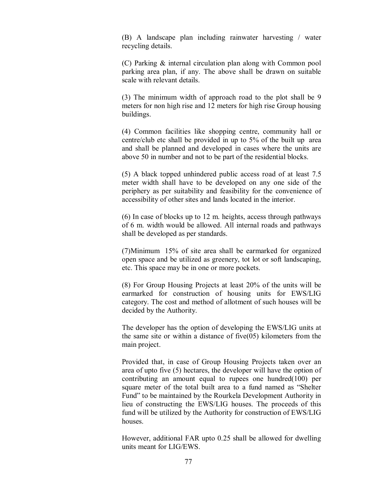(B) A landscape plan including rainwater harvesting / water recycling details.

(C) Parking & internal circulation plan along with Common pool parking area plan, if any. The above shall be drawn on suitable scale with relevant details.

(3) The minimum width of approach road to the plot shall be 9 meters for non high rise and 12 meters for high rise Group housing buildings.

(4) Common facilities like shopping centre, community hall or centre/club etc shall be provided in up to 5% of the built up area and shall be planned and developed in cases where the units are above 50 in number and not to be part of the residential blocks.

(5) A black topped unhindered public access road of at least 7.5 meter width shall have to be developed on any one side of the periphery as per suitability and feasibility for the convenience of accessibility of other sites and lands located in the interior.

(6) In case of blocks up to 12 m. heights, access through pathways of 6 m. width would be allowed. All internal roads and pathways shall be developed as per standards.

(7)Minimum 15% of site area shall be earmarked for organized open space and be utilized as greenery, tot lot or soft landscaping, etc. This space may be in one or more pockets.

(8) For Group Housing Projects at least 20% of the units will be earmarked for construction of housing units for EWS/LIG category. The cost and method of allotment of such houses will be decided by the Authority.

The developer has the option of developing the EWS/LIG units at the same site or within a distance of five(05) kilometers from the main project.

Provided that, in case of Group Housing Projects taken over an area of upto five (5) hectares, the developer will have the option of contributing an amount equal to rupees one hundred(100) per square meter of the total built area to a fund named as "Shelter Fund" to be maintained by the Rourkela Development Authority in lieu of constructing the EWS/LIG houses. The proceeds of this fund will be utilized by the Authority for construction of EWS/LIG houses.

However, additional FAR upto 0.25 shall be allowed for dwelling units meant for LIG/EWS.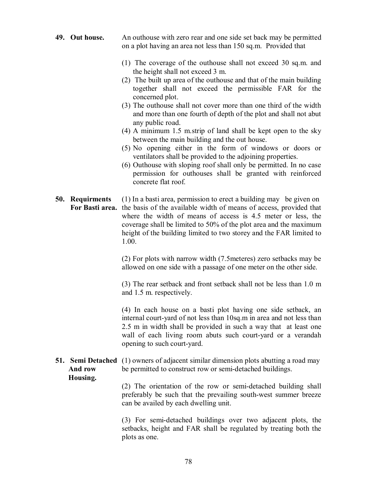## **49. Out house.** An outhouse with zero rear and one side set back may be permitted on a plot having an area not less than 150 sq.m. Provided that

- (1) The coverage of the outhouse shall not exceed 30 sq.m. and the height shall not exceed 3 m.
- (2) The built up area of the outhouse and that of the main building together shall not exceed the permissible FAR for the concerned plot.
- (3) The outhouse shall not cover more than one third of the width and more than one fourth of depth of the plot and shall not abut any public road.
- (4) A minimum 1.5 m.strip of land shall be kept open to the sky between the main building and the out house.
- (5) No opening either in the form of windows or doors or ventilators shall be provided to the adjoining properties.
- (6) Outhouse with sloping roof shall only be permitted. In no case permission for outhouses shall be granted with reinforced concrete flat roof.
- **50. Requirments** (1) In a basti area, permission to erect a building may be given on  **For Basti area.** the basis of the available width of means of access, provided that where the width of means of access is 4.5 meter or less, the coverage shall be limited to 50% of the plot area and the maximum height of the building limited to two storey and the FAR limited to 1.00.

(2) For plots with narrow width (7.5meteres) zero setbacks may be allowed on one side with a passage of one meter on the other side.

(3) The rear setback and front setback shall not be less than 1.0 m and 1.5 m. respectively.

(4) In each house on a basti plot having one side setback, an internal court-yard of not less than 10sq.m in area and not less than 2.5 m in width shall be provided in such a way that at least one wall of each living room abuts such court-yard or a verandah opening to such court-yard.

## **51. Semi Detached** (1) owners of adjacent similar dimension plots abutting a road may And row be permitted to construct row or semi-detached buildings.  **Housing.**

(2) The orientation of the row or semi-detached building shall preferably be such that the prevailing south-west summer breeze can be availed by each dwelling unit.

(3) For semi-detached buildings over two adjacent plots, the setbacks, height and FAR shall be regulated by treating both the plots as one.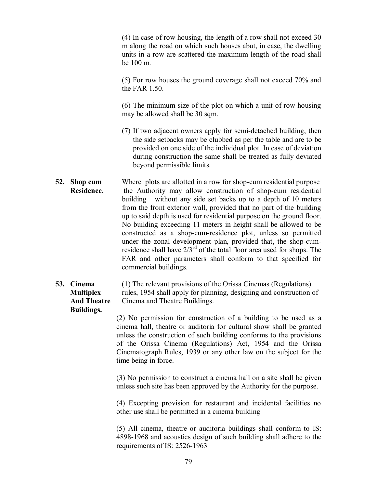(4) In case of row housing, the length of a row shall not exceed 30 m along the road on which such houses abut, in case, the dwelling units in a row are scattered the maximum length of the road shall be 100 m.

(5) For row houses the ground coverage shall not exceed 70% and the FAR 1.50.

(6) The minimum size of the plot on which a unit of row housing may be allowed shall be 30 sqm.

- (7) If two adjacent owners apply for semi-detached building, then the side setbacks may be clubbed as per the table and are to be provided on one side of the individual plot. In case of deviation during construction the same shall be treated as fully deviated beyond permissible limits.
- **52. Shop cum** Where plots are allotted in a row for shop-cum residential purpose **Residence.** the Authority may allow construction of shop-cum residential building without any side set backs up to a depth of 10 meters from the front exterior wall, provided that no part of the building up to said depth is used for residential purpose on the ground floor. No building exceeding 11 meters in height shall be allowed to be constructed as a shop-cum-residence plot, unless so permitted under the zonal development plan, provided that, the shop-cumresidence shall have  $2/3^{rd}$  of the total floor area used for shops. The FAR and other parameters shall conform to that specified for commercial buildings.

## **53. Cinema** (1) The relevant provisions of the Orissa Cinemas (Regulations)  **Multiplex** rules, 1954 shall apply for planning, designing and construction of  **And Theatre** Cinema and Theatre Buildings.  **Buildings.**

(2) No permission for construction of a building to be used as a cinema hall, theatre or auditoria for cultural show shall be granted unless the construction of such building conforms to the provisions of the Orissa Cinema (Regulations) Act, 1954 and the Orissa Cinematograph Rules, 1939 or any other law on the subject for the time being in force.

(3) No permission to construct a cinema hall on a site shall be given unless such site has been approved by the Authority for the purpose.

(4) Excepting provision for restaurant and incidental facilities no other use shall be permitted in a cinema building

(5) All cinema, theatre or auditoria buildings shall conform to IS: 4898-1968 and acoustics design of such building shall adhere to the requirements of IS: 2526-1963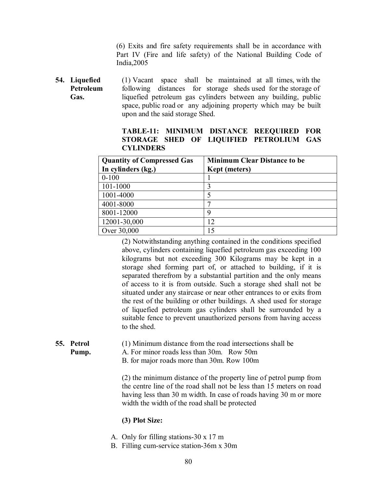(6) Exits and fire safety requirements shall be in accordance with Part IV (Fire and life safety) of the National Building Code of India,2005

**54. Liquefied** (1) Vacant space shall be maintained at all times, with the **Petroleum** following distances for storage sheds used for the storage of  **Gas.** liquefied petroleum gas cylinders between any building, public space, public road or any adjoining property which may be built upon and the said storage Shed.

**TABLE-11: MINIMUM DISTANCE REEQUIRED FOR STORAGE SHED OF LIQUIFIED PETROLIUM GAS CYLINDERS**

| <b>Quantity of Compressed Gas</b> | <b>Minimum Clear Distance to be</b> |
|-----------------------------------|-------------------------------------|
| In cylinders (kg.)                | <b>Kept</b> (meters)                |
| $0 - 100$                         |                                     |
| 101-1000                          |                                     |
| 1001-4000                         |                                     |
| 4001-8000                         |                                     |
| 8001-12000                        | Q                                   |
| 12001-30,000                      | 12                                  |
| Over 30,000                       | 15                                  |

(2) Notwithstanding anything contained in the conditions specified above, cylinders containing liquefied petroleum gas exceeding 100 kilograms but not exceeding 300 Kilograms may be kept in a storage shed forming part of, or attached to building, if it is separated therefrom by a substantial partition and the only means of access to it is from outside. Such a storage shed shall not be situated under any staircase or near other entrances to or exits from the rest of the building or other buildings. A shed used for storage of liquefied petroleum gas cylinders shall be surrounded by a suitable fence to prevent unauthorized persons from having access to the shed.

**55. Petrol** (1) Minimum distance from the road intersections shall be

**Pump.** A. For minor roads less than 30m. Row 50m

B. for major roads more than 30m. Row 100m

(2) the minimum distance of the property line of petrol pump from the centre line of the road shall not be less than 15 meters on road having less than 30 m width. In case of roads having 30 m or more width the width of the road shall be protected

## **(3) Plot Size:**

- A. Only for filling stations-30 x 17 m
- B. Filling cum-service station-36m x 30m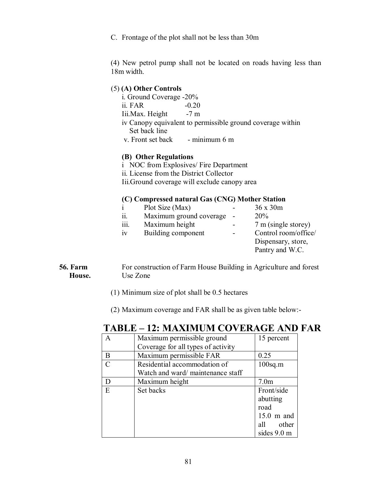C. Frontage of the plot shall not be less than 30m

(4) New petrol pump shall not be located on roads having less than 18m width.

## (5) **(A) Other Controls**

i. Ground Coverage -20% ii. FAR -0.20 Iii.Max. Height iv Canopy equivalent to permissible ground coverage within Set back line v. Front set back - minimum 6 m

## **(B) Other Regulations**

- i NOC from Explosives/ Fire Department
- ii. License from the District Collector

Iii.Ground coverage will exclude canopy area

## **(C) Compressed natural Gas (CNG) Mother Station**

|           | Plot Size (Max)         | 36x30m               |
|-----------|-------------------------|----------------------|
| 11.       | Maximum ground coverage | 20%                  |
| .<br>111. | Maximum height          | 7 m (single storey)  |
| 1V        | Building component      | Control room/office/ |
|           |                         | Dispensary, store,   |
|           |                         | Pantry and W.C.      |

## **56. Farm** For construction of Farm House Building in Agriculture and forest **House.** Use Zone

(1) Minimum size of plot shall be 0.5 hectares

(2) Maximum coverage and FAR shall be as given table below:-

## **TABLE – 12: MAXIMUM COVERAGE AND FAR**

| A                           | Maximum permissible ground         | 15 percent       |
|-----------------------------|------------------------------------|------------------|
|                             | Coverage for all types of activity |                  |
| B                           | Maximum permissible FAR            | 0.25             |
| $\mathcal{C}_{\mathcal{C}}$ | Residential accommodation of       | $100$ sq.m       |
|                             | Watch and ward/maintenance staff   |                  |
| D                           | Maximum height                     | 7.0 <sub>m</sub> |
| E                           | Set backs                          | Front/side       |
|                             |                                    | abutting         |
|                             |                                    | road             |
|                             |                                    | $15.0$ m and     |
|                             |                                    | all other        |
|                             |                                    | sides 9.0 m      |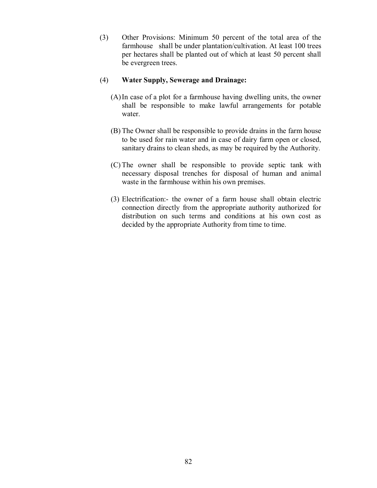(3) Other Provisions: Minimum 50 percent of the total area of the farmhouse shall be under plantation/cultivation. At least 100 trees per hectares shall be planted out of which at least 50 percent shall be evergreen trees.

#### (4) **Water Supply, Sewerage and Drainage:**

- (A) In case of a plot for a farmhouse having dwelling units, the owner shall be responsible to make lawful arrangements for potable water.
- (B) The Owner shall be responsible to provide drains in the farm house to be used for rain water and in case of dairy farm open or closed, sanitary drains to clean sheds, as may be required by the Authority.
- (C) The owner shall be responsible to provide septic tank with necessary disposal trenches for disposal of human and animal waste in the farmhouse within his own premises.
- (3) Electrification:- the owner of a farm house shall obtain electric connection directly from the appropriate authority authorized for distribution on such terms and conditions at his own cost as decided by the appropriate Authority from time to time.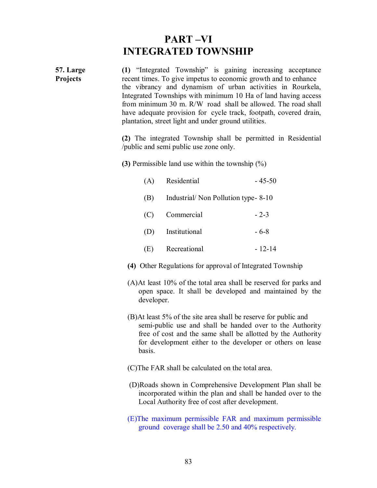# **PART –VI INTEGRATED TOWNSHIP**

| <b>57. Large</b><br>Projects | (1) "Integrated Township" is gaining increasing acceptance<br>recent times. To give impetus to economic growth and to enhance<br>the vibrancy and dynamism of urban activities in Rourkela,<br>Integrated Townships with minimum 10 Ha of land having access<br>from minimum 30 m. R/W road shall be allowed. The road shall<br>have adequate provision for cycle track, footpath, covered drain,<br>plantation, street light and under ground utilities. |                                                                                                                                                                                                                                                            |          |
|------------------------------|-----------------------------------------------------------------------------------------------------------------------------------------------------------------------------------------------------------------------------------------------------------------------------------------------------------------------------------------------------------------------------------------------------------------------------------------------------------|------------------------------------------------------------------------------------------------------------------------------------------------------------------------------------------------------------------------------------------------------------|----------|
|                              |                                                                                                                                                                                                                                                                                                                                                                                                                                                           | (2) The integrated Township shall be permitted in Residential<br>/public and semi public use zone only.                                                                                                                                                    |          |
|                              |                                                                                                                                                                                                                                                                                                                                                                                                                                                           | (3) Permissible land use within the township $(\%)$                                                                                                                                                                                                        |          |
|                              | (A)                                                                                                                                                                                                                                                                                                                                                                                                                                                       | Residential                                                                                                                                                                                                                                                | $-45-50$ |
|                              | (B)                                                                                                                                                                                                                                                                                                                                                                                                                                                       | Industrial/Non Pollution type-8-10                                                                                                                                                                                                                         |          |
|                              | (C)                                                                                                                                                                                                                                                                                                                                                                                                                                                       | Commercial                                                                                                                                                                                                                                                 | $-2-3$   |
|                              | (D)                                                                                                                                                                                                                                                                                                                                                                                                                                                       | Institutional                                                                                                                                                                                                                                              | $-6-8$   |
|                              | (E)                                                                                                                                                                                                                                                                                                                                                                                                                                                       | Recreational                                                                                                                                                                                                                                               | $-12-14$ |
|                              |                                                                                                                                                                                                                                                                                                                                                                                                                                                           | (4) Other Regulations for approval of Integrated Township                                                                                                                                                                                                  |          |
|                              | developer.                                                                                                                                                                                                                                                                                                                                                                                                                                                | $(A)$ At least 10% of the total area shall be reserved for parks and<br>open space. It shall be developed and maintained by the                                                                                                                            |          |
|                              | basis.                                                                                                                                                                                                                                                                                                                                                                                                                                                    | (B)At least 5% of the site area shall be reserve for public and<br>semi-public use and shall be handed over to the Authority<br>free of cost and the same shall be allotted by the Authority<br>for development either to the developer or others on lease |          |
|                              |                                                                                                                                                                                                                                                                                                                                                                                                                                                           |                                                                                                                                                                                                                                                            |          |

- (C)The FAR shall be calculated on the total area.
- (D)Roads shown in Comprehensive Development Plan shall be incorporated within the plan and shall be handed over to the Local Authority free of cost after development.
- (E)The maximum permissible FAR and maximum permissible ground coverage shall be 2.50 and 40% respectively.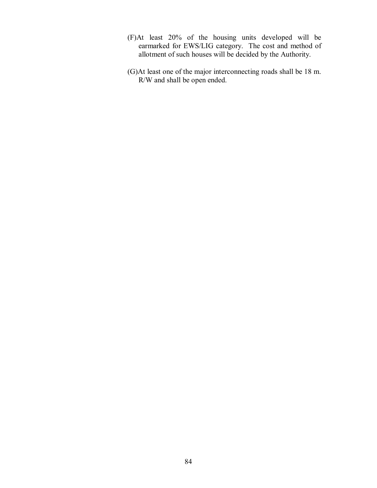- (F)At least 20% of the housing units developed will be earmarked for EWS/LIG category. The cost and method of allotment of such houses will be decided by the Authority.
- (G)At least one of the major interconnecting roads shall be 18 m. R/W and shall be open ended.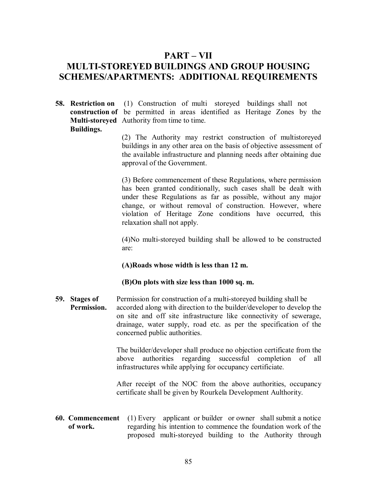## **PART – VII**

# **MULTI-STOREYED BUILDINGS AND GROUP HOUSING SCHEMES/APARTMENTS: ADDITIONAL REQUIREMENTS**

**58. Restriction on** (1) Construction of multi storeyed buildings shall not **construction of** be permitted in areas identified as Heritage Zones by the **Multi-storeyed** Authority from time to time.  **Buildings.**

> (2) The Authority may restrict construction of multistoreyed buildings in any other area on the basis of objective assessment of the available infrastructure and planning needs after obtaining due approval of the Government.

> (3) Before commencement of these Regulations, where permission has been granted conditionally, such cases shall be dealt with under these Regulations as far as possible, without any major change, or without removal of construction. However, where violation of Heritage Zone conditions have occurred, this relaxation shall not apply.

> (4)No multi-storeyed building shall be allowed to be constructed are:

#### **(A)Roads whose width is less than 12 m.**

## **(B)On plots with size less than 1000 sq. m.**

**59. Stages of** Permission for construction of a multi-storeyed building shall be **Permission.** accorded along with direction to the builder/developer to develop the on site and off site infrastructure like connectivity of sewerage, drainage, water supply, road etc. as per the specification of the concerned public authorities.

> The builder/developer shall produce no objection certificate from the above authorities regarding successful completion of all infrastructures while applying for occupancy certificiate.

> After receipt of the NOC from the above authorities, occupancy certificate shall be given by Rourkela Development Aulthority.

**60. Commencement** (1) Every applicant or builder or owner shall submit a notice **of work.** regarding his intention to commence the foundation work of the proposed multi-storeyed building to the Authority through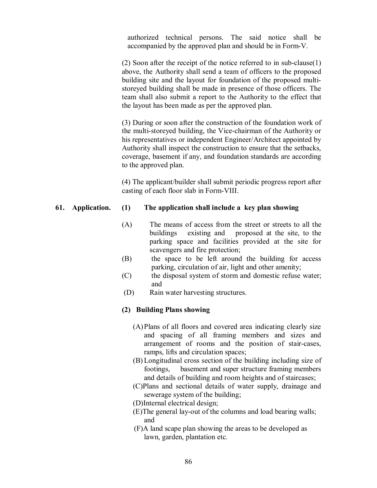authorized technical persons. The said notice shall be accompanied by the approved plan and should be in Form-V.

(2) Soon after the receipt of the notice referred to in sub-clause(1) above, the Authority shall send a team of officers to the proposed building site and the layout for foundation of the proposed multistoreyed building shall be made in presence of those officers. The team shall also submit a report to the Authority to the effect that the layout has been made as per the approved plan.

(3) During or soon after the construction of the foundation work of the multi-storeyed building, the Vice-chairman of the Authority or his representatives or independent Engineer/Architect appointed by Authority shall inspect the construction to ensure that the setbacks, coverage, basement if any, and foundation standards are according to the approved plan.

(4) The applicant/builder shall submit periodic progress report after casting of each floor slab in Form-VIII.

#### **61. Application. (1) The application shall include a key plan showing**

- (A) The means of access from the street or streets to all the buildings existing and proposed at the site, to the parking space and facilities provided at the site for scavengers and fire protection;
- (B) the space to be left around the building for access parking, circulation of air, light and other amenity;
- (C) the disposal system of storm and domestic refuse water; and
- (D) Rain water harvesting structures.

## **(2) Building Plans showing**

- (A) Plans of all floors and covered area indicating clearly size and spacing of all framing members and sizes and arrangement of rooms and the position of stair-cases, ramps, lifts and circulation spaces;
- (B) Longitudinal cross section of the building including size of footings, basement and super structure framing members and details of building and room heights and of staircases;
- (C)Plans and sectional details of water supply, drainage and sewerage system of the building;
- (D)Internal electrical design;
- (E)The general lay-out of the columns and load bearing walls; and
- (F)A land scape plan showing the areas to be developed as lawn, garden, plantation etc.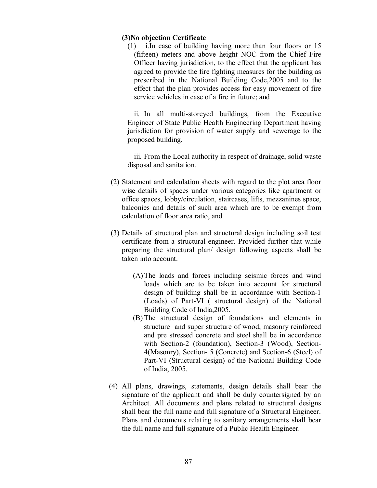#### **(3)No objection Certificate**

(1) i.In case of building having more than four floors or 15 (fifteen) meters and above height NOC from the Chief Fire Officer having jurisdiction, to the effect that the applicant has agreed to provide the fire fighting measures for the building as prescribed in the National Building Code,2005 and to the effect that the plan provides access for easy movement of fire service vehicles in case of a fire in future; and

ii. In all multi-storeyed buildings, from the Executive Engineer of State Public Health Engineering Department having jurisdiction for provision of water supply and sewerage to the proposed building.

iii. From the Local authority in respect of drainage, solid waste disposal and sanitation.

- (2) Statement and calculation sheets with regard to the plot area floor wise details of spaces under various categories like apartment or office spaces, lobby/circulation, staircases, lifts, mezzanines space, balconies and details of such area which are to be exempt from calculation of floor area ratio, and
- (3) Details of structural plan and structural design including soil test certificate from a structural engineer. Provided further that while preparing the structural plan/ design following aspects shall be taken into account.
	- (A) The loads and forces including seismic forces and wind loads which are to be taken into account for structural design of building shall be in accordance with Section-1 (Loads) of Part-VI ( structural design) of the National Building Code of India,2005.
	- (B) The structural design of foundations and elements in structure and super structure of wood, masonry reinforced and pre stressed concrete and steel shall be in accordance with Section-2 (foundation), Section-3 (Wood), Section-4(Masonry), Section- 5 (Concrete) and Section-6 (Steel) of Part-VI (Structural design) of the National Building Code of India, 2005.
- (4) All plans, drawings, statements, design details shall bear the signature of the applicant and shall be duly countersigned by an Architect. All documents and plans related to structural designs shall bear the full name and full signature of a Structural Engineer. Plans and documents relating to sanitary arrangements shall bear the full name and full signature of a Public Health Engineer.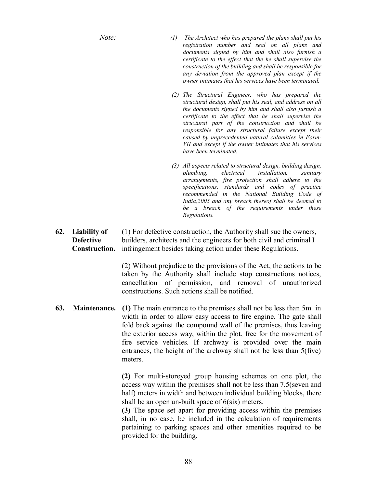- *Note: (1) The Architect who has prepared the plans shall put his registration number and seal on all plans and documents signed by him and shall also furnish a certificate to the effect that the he shall supervise the construction of the building and shall be responsible for any deviation from the approved plan except if the owner intimates that his services have been terminated.*
	- *(2) The Structural Engineer, who has prepared the structural design, shall put his seal, and address on all the documents signed by him and shall also furnish a certificate to the effect that he shall supervise the structural part of the construction and shall be responsible for any structural failure except their caused by unprecedented natural calamities in Form-VII and except if the owner intimates that his services have been terminated.*
	- *(3) All aspects related to structural design, building design, plumbing, electrical installation, sanitary arrangements, fire protection shall adhere to the specifications, standards and codes of practice recommended in the National Building Code of India,2005 and any breach thereof shall be deemed to be a breach of the requirements under these Regulations.*
- **62. Liability of** (1) For defective construction, the Authority shall sue the owners, **Defective** builders, architects and the engineers for both civil and criminal I **Construction.** infringement besides taking action under these Regulations.

(2) Without prejudice to the provisions of the Act, the actions to be taken by the Authority shall include stop constructions notices, cancellation of permission, and removal of unauthorized constructions. Such actions shall be notified.

**63. Maintenance. (1)** The main entrance to the premises shall not be less than 5m. in width in order to allow easy access to fire engine. The gate shall fold back against the compound wall of the premises, thus leaving the exterior access way, within the plot, free for the movement of fire service vehicles. If archway is provided over the main entrances, the height of the archway shall not be less than 5(five) meters.

> **(2)** For multi-storeyed group housing schemes on one plot, the access way within the premises shall not be less than 7.5(seven and half) meters in width and between individual building blocks, there shall be an open un-built space of 6(six) meters.

> **(3)** The space set apart for providing access within the premises shall, in no case, be included in the calculation of requirements pertaining to parking spaces and other amenities required to be provided for the building.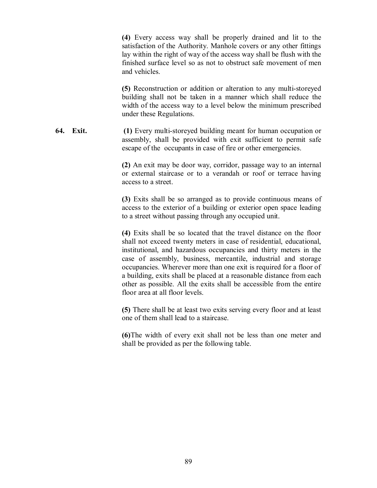**(4)** Every access way shall be properly drained and lit to the satisfaction of the Authority. Manhole covers or any other fittings lay within the right of way of the access way shall be flush with the finished surface level so as not to obstruct safe movement of men and vehicles.

**(5)** Reconstruction or addition or alteration to any multi-storeyed building shall not be taken in a manner which shall reduce the width of the access way to a level below the minimum prescribed under these Regulations.

**64. Exit. (1)** Every multi-storeyed building meant for human occupation or assembly, shall be provided with exit sufficient to permit safe escape of the occupants in case of fire or other emergencies.

> **(2)** An exit may be door way, corridor, passage way to an internal or external staircase or to a verandah or roof or terrace having access to a street.

> **(3)** Exits shall be so arranged as to provide continuous means of access to the exterior of a building or exterior open space leading to a street without passing through any occupied unit.

> **(4)** Exits shall be so located that the travel distance on the floor shall not exceed twenty meters in case of residential, educational, institutional, and hazardous occupancies and thirty meters in the case of assembly, business, mercantile, industrial and storage occupancies. Wherever more than one exit is required for a floor of a building, exits shall be placed at a reasonable distance from each other as possible. All the exits shall be accessible from the entire floor area at all floor levels.

> **(5)** There shall be at least two exits serving every floor and at least one of them shall lead to a staircase.

> **(6)**The width of every exit shall not be less than one meter and shall be provided as per the following table.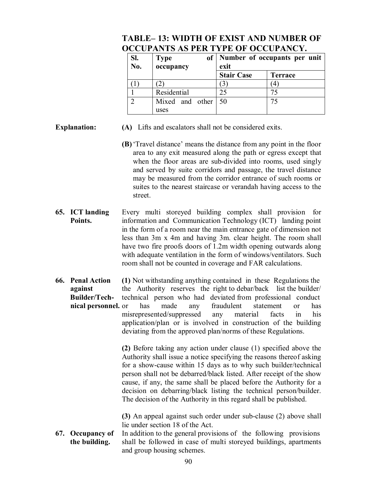## **TABLE– 13: WIDTH OF EXIST AND NUMBER OF OCCUPANTS AS PER TYPE OF OCCUPANCY.**

| SI.<br>No. | of <sub>l</sub><br><b>Type</b><br>occupancy | Number of occupants per unit<br>exit |                |
|------------|---------------------------------------------|--------------------------------------|----------------|
|            |                                             | <b>Stair Case</b>                    | <b>Terrace</b> |
|            |                                             |                                      | 4              |
|            | Residential                                 | 25                                   | 75             |
|            | Mixed and other                             | 50                                   |                |
|            | uses                                        |                                      |                |

- **Explanation: (A)** Lifts and escalators shall not be considered exits.
	- **(B)**'Travel distance' means the distance from any point in the floor area to any exit measured along the path or egress except that when the floor areas are sub-divided into rooms, used singly and served by suite corridors and passage, the travel distance may be measured from the corridor entrance of such rooms or suites to the nearest staircase or verandah having access to the street.
- **65. ICT landing** Every multi storeyed building complex shall provision for **Points.** information and Communication Technology (ICT) landing point in the form of a room near the main entrance gate of dimension not less than 3m x 4m and having 3m. clear height. The room shall have two fire proofs doors of 1.2m width opening outwards along with adequate ventilation in the form of windows/ventilators. Such room shall not be counted in coverage and FAR calculations.
- **66. Penal Action (1)** Not withstanding anything contained in these Regulations the **against** the Authority reserves the right to debar/back list the builder/  **Builder/Tech-** technical person who had deviated from professional conduct **nical personnel.** or has made any fraudulent statement or has misrepresented/suppressed any material facts in his application/plan or is involved in construction of the building deviating from the approved plan/norms of these Regulations.

**(2)** Before taking any action under clause (1) specified above the Authority shall issue a notice specifying the reasons thereof asking for a show-cause within 15 days as to why such builder/technical person shall not be debarred/black listed. After receipt of the show cause, if any, the same shall be placed before the Authority for a decision on debarring/black listing the technical person/builder. The decision of the Authority in this regard shall be published.

**(3)** An appeal against such order under sub-clause (2) above shall lie under section 18 of the Act.

**67. Occupancy of** In addition to the general provisions of the following provisions **the building.** shall be followed in case of multi storeyed buildings, apartments and group housing schemes.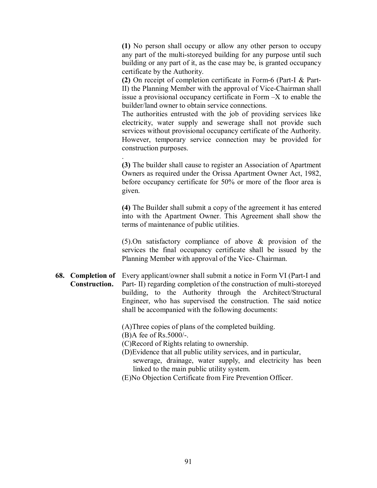**(1)** No person shall occupy or allow any other person to occupy any part of the multi-storeyed building for any purpose until such building or any part of it, as the case may be, is granted occupancy certificate by the Authority.

**(2)** On receipt of completion certificate in Form-6 (Part-I & Part-II) the Planning Member with the approval of Vice-Chairman shall issue a provisional occupancy certificate in Form –X to enable the builder/land owner to obtain service connections.

The authorities entrusted with the job of providing services like electricity, water supply and sewerage shall not provide such services without provisional occupancy certificate of the Authority. However, temporary service connection may be provided for construction purposes.

**(3)** The builder shall cause to register an Association of Apartment Owners as required under the Orissa Apartment Owner Act, 1982, before occupancy certificate for 50% or more of the floor area is given.

**(4)** The Builder shall submit a copy of the agreement it has entered into with the Apartment Owner. This Agreement shall show the terms of maintenance of public utilities.

(5).On satisfactory compliance of above & provision of the services the final occupancy certificate shall be issued by the Planning Member with approval of the Vice- Chairman.

**68. Completion of** Every applicant/owner shall submit a notice in Form VI (Part-I and  **Construction.** Part- II) regarding completion of the construction of multi-storeyed building, to the Authority through the Architect/Structural Engineer, who has supervised the construction. The said notice shall be accompanied with the following documents:

(A)Three copies of plans of the completed building.

(B)A fee of Rs.5000/-.

.

- (C)Record of Rights relating to ownership.
- (D)Evidence that all public utility services, and in particular, sewerage, drainage, water supply, and electricity has been linked to the main public utility system.
- (E)No Objection Certificate from Fire Prevention Officer.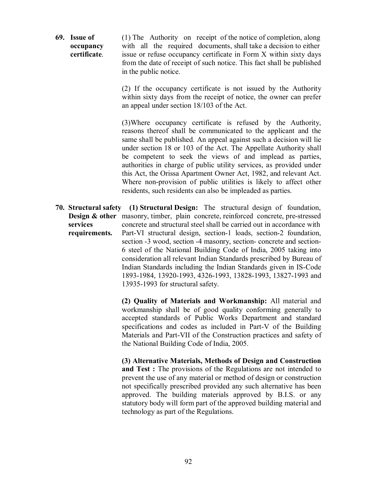**69. Issue of** (1) The Authority on receipt of the notice of completion, along **occupancy** with all the required documents, shall take a decision to either **certificate**. issue or refuse occupancy certificate in Form X within sixty days from the date of receipt of such notice. This fact shall be published in the public notice.

> (2) If the occupancy certificate is not issued by the Authority within sixty days from the receipt of notice, the owner can prefer an appeal under section 18/103 of the Act.

> (3)Where occupancy certificate is refused by the Authority, reasons thereof shall be communicated to the applicant and the same shall be published. An appeal against such a decision will lie under section 18 or 103 of the Act. The Appellate Authority shall be competent to seek the views of and implead as parties, authorities in charge of public utility services, as provided under this Act, the Orissa Apartment Owner Act, 1982, and relevant Act. Where non-provision of public utilities is likely to affect other residents, such residents can also be impleaded as parties.

**70. Structural safety (1) Structural Design:** The structural design of foundation, **Design & other** masonry, timber, plain concrete, reinforced concrete, pre-stressed **services** concrete and structural steel shall be carried out in accordance with **requirements.** Part-VI structural design, section-1 loads, section-2 foundation, section -3 wood, section -4 masonry, section- concrete and section-6 steel of the National Building Code of India, 2005 taking into consideration all relevant Indian Standards prescribed by Bureau of Indian Standards including the Indian Standards given in IS-Code 1893-1984, 13920-1993, 4326-1993, 13828-1993, 13827-1993 and 13935-1993 for structural safety.

> **(2) Quality of Materials and Workmanship:** All material and workmanship shall be of good quality conforming generally to accepted standards of Public Works Department and standard specifications and codes as included in Part-V of the Building Materials and Part-VII of the Construction practices and safety of the National Building Code of India, 2005.

> **(3) Alternative Materials, Methods of Design and Construction and Test :** The provisions of the Regulations are not intended to prevent the use of any material or method of design or construction not specifically prescribed provided any such alternative has been approved. The building materials approved by B.I.S. or any statutory body will form part of the approved building material and technology as part of the Regulations.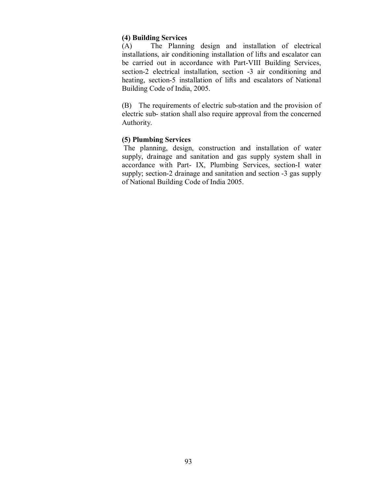#### **(4) Building Services**

(A) The Planning design and installation of electrical installations, air conditioning installation of lifts and escalator can be carried out in accordance with Part-VIII Building Services, section-2 electrical installation, section -3 air conditioning and heating, section-5 installation of lifts and escalators of National Building Code of India, 2005.

(B) The requirements of electric sub-station and the provision of electric sub- station shall also require approval from the concerned Authority.

#### **(5) Plumbing Services**

 The planning, design, construction and installation of water supply, drainage and sanitation and gas supply system shall in accordance with Part- IX, Plumbing Services, section-I water supply; section-2 drainage and sanitation and section -3 gas supply of National Building Code of India 2005.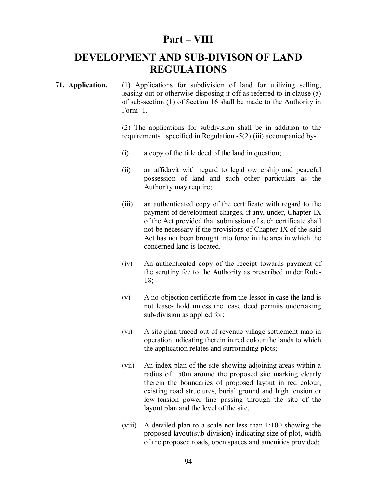## **Part – VIII**

# **DEVELOPMENT AND SUB-DIVISON OF LAND REGULATIONS**

**71. Application.** (1) Applications for subdivision of land for utilizing selling, leasing out or otherwise disposing it off as referred to in clause (a) of sub-section (1) of Section 16 shall be made to the Authority in Form -1.

> (2) The applications for subdivision shall be in addition to the requirements specified in Regulation -5(2) (iii) accompanied by-

- (i) a copy of the title deed of the land in question;
- (ii) an affidavit with regard to legal ownership and peaceful possession of land and such other particulars as the Authority may require;
- (iii) an authenticated copy of the certificate with regard to the payment of development charges, if any, under, Chapter-IX of the Act provided that submission of such certificate shall not be necessary if the provisions of Chapter-IX of the said Act has not been brought into force in the area in which the concerned land is located.
- (iv) An authenticated copy of the receipt towards payment of the scrutiny fee to the Authority as prescribed under Rule-18;
- (v) A no-objection certificate from the lessor in case the land is not lease- hold unless the lease deed permits undertaking sub-division as applied for;
- (vi) A site plan traced out of revenue village settlement map in operation indicating therein in red colour the lands to which the application relates and surrounding plots;
- (vii) An index plan of the site showing adjoining areas within a radius of 150m around the proposed site marking clearly therein the boundaries of proposed layout in red colour, existing road structures, burial ground and high tension or low-tension power line passing through the site of the layout plan and the level of the site.
- (viii) A detailed plan to a scale not less than 1:100 showing the proposed layout(sub-division) indicating size of plot, width of the proposed roads, open spaces and amenities provided;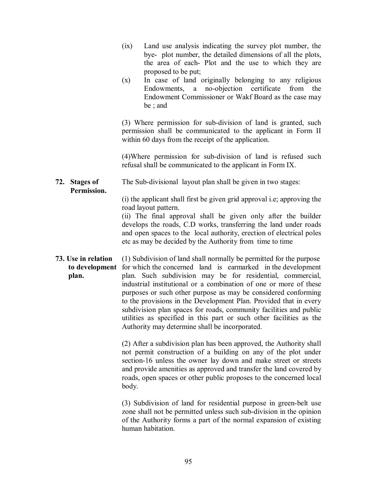- (ix) Land use analysis indicating the survey plot number, the bye- plot number, the detailed dimensions of all the plots, the area of each- Plot and the use to which they are proposed to be put;
- (x) In case of land originally belonging to any religious Endowments, a no-objection certificate from the Endowment Commissioner or Wakf Board as the case may be ; and

(3) Where permission for sub-division of land is granted, such permission shall be communicated to the applicant in Form II within 60 days from the receipt of the application.

(4)Where permission for sub-division of land is refused such refusal shall be communicated to the applicant in Form IX.

**72. Stages of** The Sub-divisional layout plan shall be given in two stages: **Permission.**

> (i) the applicant shall first be given grid approval i.e; approving the road layout pattern.

> (ii) The final approval shall be given only after the builder develops the roads, C.D works, transferring the land under roads and open spaces to the local authority, erection of electrical poles etc as may be decided by the Authority from time to time

**73. Use in relation** (1) Subdivision of land shall normally be permitted for the purpose **to development** for which the concerned land is earmarked in the development **plan.** plan. Such subdivision may be for residential, commercial, industrial institutional or a combination of one or more of these purposes or such other purpose as may be considered conforming to the provisions in the Development Plan. Provided that in every subdivision plan spaces for roads, community facilities and public utilities as specified in this part or such other facilities as the Authority may determine shall be incorporated.

> (2) After a subdivision plan has been approved, the Authority shall not permit construction of a building on any of the plot under section-16 unless the owner lay down and make street or streets and provide amenities as approved and transfer the land covered by roads, open spaces or other public proposes to the concerned local body.

> (3) Subdivision of land for residential purpose in green-belt use zone shall not be permitted unless such sub-division in the opinion of the Authority forms a part of the normal expansion of existing human habitation.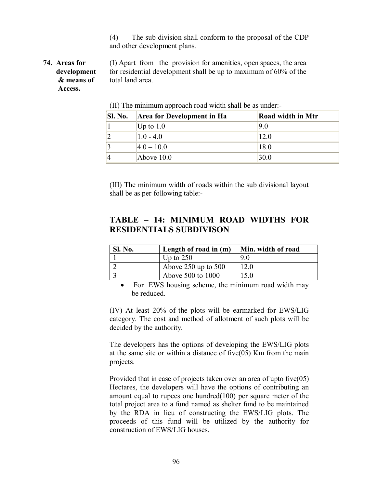(4) The sub division shall conform to the proposal of the CDP and other development plans.

 **Access.**

**74. Areas for** (I) Apart from the provision for amenities, open spaces, the area **development** for residential development shall be up to maximum of 60% of the  **& means of** total land area.

| <b>Sl. No.</b> | <b>Area for Development in Ha</b> | <b>Road width in Mtr</b> |
|----------------|-----------------------------------|--------------------------|
|                | Up to $1.0$                       | 9.0                      |
|                | $1.0 - 4.0$                       | 12.0                     |
|                | $ 4.0 - 10.0 $                    | 18.0                     |
|                | Above $10.0$                      | 30.0                     |

(II) The minimum approach road width shall be as under:-

(III) The minimum width of roads within the sub divisional layout shall be as per following table:-

## **TABLE – 14: MINIMUM ROAD WIDTHS FOR RESIDENTIALS SUBDIVISON**

| <b>Sl. No.</b> | Length of road in $(m)$ | Min. width of road |
|----------------|-------------------------|--------------------|
|                | Up to $250$             | 90                 |
|                | Above $250$ up to $500$ | 12.0               |
|                | Above 500 to 1000       | 15.0               |

• For EWS housing scheme, the minimum road width may be reduced.

(IV) At least 20% of the plots will be earmarked for EWS/LIG category. The cost and method of allotment of such plots will be decided by the authority.

The developers has the options of developing the EWS/LIG plots at the same site or within a distance of five(05) Km from the main projects.

Provided that in case of projects taken over an area of upto five(05) Hectares, the developers will have the options of contributing an amount equal to rupees one hundred(100) per square meter of the total project area to a fund named as shelter fund to be maintained by the RDA in lieu of constructing the EWS/LIG plots. The proceeds of this fund will be utilized by the authority for construction of EWS/LIG houses.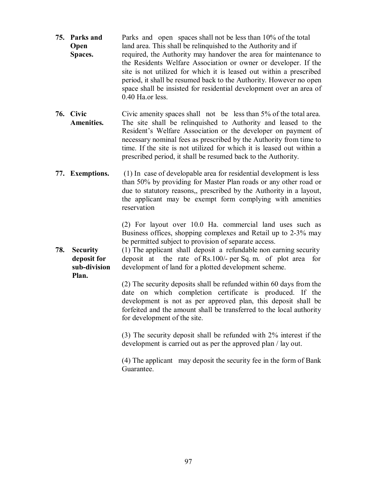- **75. Parks and** Parks and open spaces shall not be less than 10% of the total **Open** land area. This shall be relinquished to the Authority and if **Spaces.** required, the Authority may handover the area for maintenance to the Residents Welfare Association or owner or developer. If the site is not utilized for which it is leased out within a prescribed period, it shall be resumed back to the Authority. However no open space shall be insisted for residential development over an area of 0.40 Ha.or less.
- **76. Civic** Civic amenity spaces shall not be less than 5% of the total area.  **Amenities.** The site shall be relinquished to Authority and leased to the Resident's Welfare Association or the developer on payment of necessary nominal fees as prescribed by the Authority from time to time. If the site is not utilized for which it is leased out within a prescribed period, it shall be resumed back to the Authority.
- **77. Exemptions.** (1) In case of developable area for residential development is less than 50% by providing for Master Plan roads or any other road or due to statutory reasons,, prescribed by the Authority in a layout, the applicant may be exempt form complying with amenities reservation

(2) For layout over 10.0 Ha. commercial land uses such as Business offices, shopping complexes and Retail up to 2-3% may be permitted subject to provision of separate access.

**78.** Security (1) The applicant shall deposit a refundable non earning security **deposit for** deposit at the rate of Rs.100/- per Sq. m. of plot area for **sub-division** development of land for a plotted development scheme. **Plan.**

> (2) The security deposits shall be refunded within 60 days from the date on which completion certificate is produced. If the development is not as per approved plan, this deposit shall be forfeited and the amount shall be transferred to the local authority for development of the site.

> (3) The security deposit shall be refunded with 2% interest if the development is carried out as per the approved plan / lay out.

> (4) The applicant may deposit the security fee in the form of Bank Guarantee.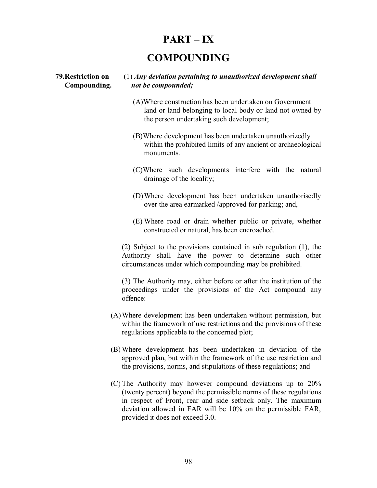## **PART – IX**

## **COMPOUNDING**

## **79.Restriction on** (1) *Any deviation pertaining to unauthorized development shall* **Compounding.** *not be compounded;*

- (A)Where construction has been undertaken on Government land or land belonging to local body or land not owned by the person undertaking such development;
- (B)Where development has been undertaken unauthorizedly within the prohibited limits of any ancient or archaeological monuments.
- (C)Where such developments interfere with the natural drainage of the locality;
- (D) Where development has been undertaken unauthorisedly over the area earmarked /approved for parking; and,
- (E) Where road or drain whether public or private, whether constructed or natural, has been encroached.

(2) Subject to the provisions contained in sub regulation (1), the Authority shall have the power to determine such other circumstances under which compounding may be prohibited.

(3) The Authority may, either before or after the institution of the proceedings under the provisions of the Act compound any offence:

- (A) Where development has been undertaken without permission, but within the framework of use restrictions and the provisions of these regulations applicable to the concerned plot;
- (B) Where development has been undertaken in deviation of the approved plan, but within the framework of the use restriction and the provisions, norms, and stipulations of these regulations; and
- (C) The Authority may however compound deviations up to 20% (twenty percent) beyond the permissible norms of these regulations in respect of Front, rear and side setback only. The maximum deviation allowed in FAR will be 10% on the permissible FAR, provided it does not exceed 3.0.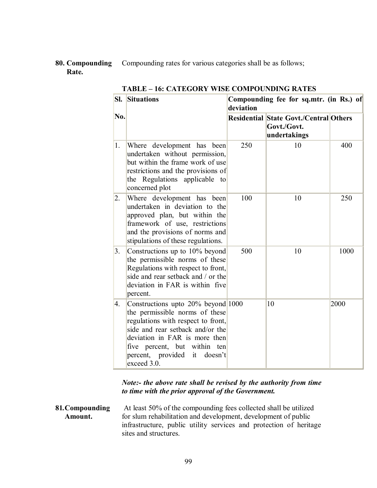**80. Compounding** Compounding rates for various categories shall be as follows;  **Rate.**

| <b>Situations</b><br>SI.<br>deviation |                                                                                                                                                                                                                                                                      |     | Compounding fee for sq.mtr. (in Rs.) of                                      |      |  |
|---------------------------------------|----------------------------------------------------------------------------------------------------------------------------------------------------------------------------------------------------------------------------------------------------------------------|-----|------------------------------------------------------------------------------|------|--|
| No.                                   |                                                                                                                                                                                                                                                                      |     | <b>Residential State Govt./Central Others</b><br>Govt./Govt.<br>undertakings |      |  |
| 1.                                    | Where development has been<br>undertaken without permission,<br>but within the frame work of use<br>restrictions and the provisions of<br>the Regulations applicable to<br>concerned plot                                                                            | 250 | 10                                                                           | 400  |  |
| $\overline{2}$ .                      | Where development has been<br>undertaken in deviation to the<br>approved plan, but within the<br>framework of use, restrictions<br>and the provisions of norms and<br>stipulations of these regulations.                                                             | 100 | 10                                                                           | 250  |  |
| 3.                                    | Constructions up to 10% beyond<br>the permissible norms of these<br>Regulations with respect to front,<br>side and rear setback and / or the<br>deviation in FAR is within five<br>percent.                                                                          | 500 | 10                                                                           | 1000 |  |
| 4.                                    | Constructions upto 20% beyond 1000<br>the permissible norms of these<br>regulations with respect to front,<br>side and rear setback and/or the<br>deviation in FAR is more then<br>five percent, but within ten<br>percent, provided<br>it<br>doesn't<br>exceed 3.0. |     | 10                                                                           | 2000 |  |

**TABLE – 16: CATEGORY WISE COMPOUNDING RATES**

## *Note:- the above rate shall be revised by the authority from time to time with the prior approval of the Government.*

**81***.***Compounding** At least 50% of the compounding fees collected shall be utilized Amount. **For slum rehabilitation and development, development of public** infrastructure, public utility services and protection of heritage sites and structures.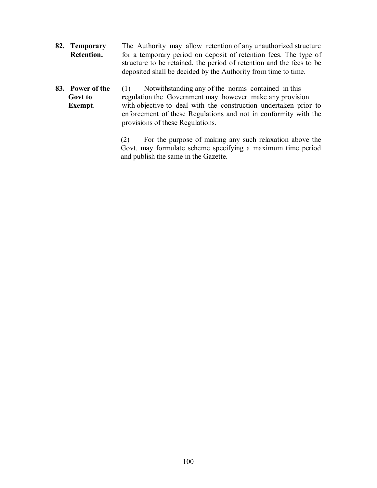- **82. Temporary** The Authority may allow retention of any unauthorized structure **Retention.** for a temporary period on deposit of retention fees. The type of structure to be retained, the period of retention and the fees to be deposited shall be decided by the Authority from time to time.
- **83. Power of the** (1) Notwithstanding any of the norms contained in this **Govt to** regulation the Government may however make any provision **Exempt.** with objective to deal with the construction undertaken prior to enforcement of these Regulations and not in conformity with the provisions of these Regulations.

(2) For the purpose of making any such relaxation above the Govt. may formulate scheme specifying a maximum time period and publish the same in the Gazette.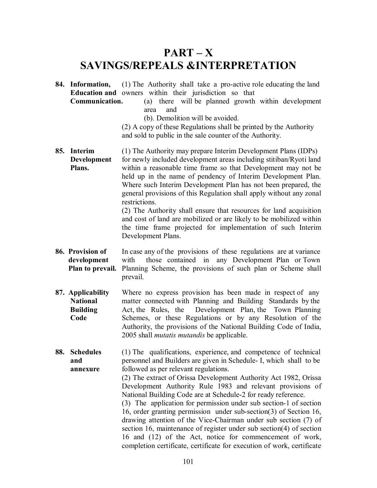# **PART – X SAVINGS/REPEALS &INTERPRETATION**

**84. Information,** (1) The Authority shall take a pro-active role educating the land **Education and** owners within their jurisdiction so that  **Communication.** (a) there will be planned growth within development

area and

(b). Demolition will be avoided.

(2) A copy of these Regulations shall be printed by the Authority and sold to public in the sale counter of the Authority.

- **85. Interim** (1) The Authority may prepare Interim Development Plans (IDPs) **Development** for newly included development areas including stitiban/Ryoti land **Plans.** within a reasonable time frame so that Development may not be held up in the name of pendency of Interim Development Plan. Where such Interim Development Plan has not been prepared, the general provisions of this Regulation shall apply without any zonal restrictions. (2) The Authority shall ensure that resources for land acquisition and cost of land are mobilized or are likely to be mobilized within the time frame projected for implementation of such Interim Development Plans.
- **86. Provision of** In case any of the provisions of these regulations are at variance **development** with those contained in any Development Plan or Town **Plan to prevail.** Planning Scheme, the provisions of such plan or Scheme shall prevail.
- **87. Applicability** Where no express provision has been made in respect of any **National** matter connected with Planning and Building Standards by the **Building** Act, the Rules, the Development Plan, the Town Planning **Code** Schemes, or these Regulations or by any Resolution of the Authority, the provisions of the National Building Code of India, 2005 shall *mutatis mutandis* be applicable.
- **88. Schedules** (1) The qualifications, experience, and competence of technical **and** personnel and Builders are given in Schedule- I, which shall to be **annexure** followed as per relevant regulations. (2) The extract of Orissa Development Authority Act 1982, Orissa Development Authority Rule 1983 and relevant provisions of National Building Code are at Schedule-2 for ready reference. (3) The application for permission under sub section-1 of section 16, order granting permission under sub-section(3) of Section 16,

drawing attention of the Vice-Chairman under sub section (7) of section 16, maintenance of register under sub section(4) of section 16 and (12) of the Act, notice for commencement of work, completion certificate, certificate for execution of work, certificate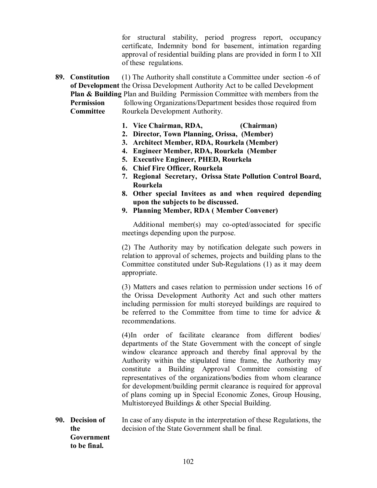for structural stability, period progress report, occupancy certificate, Indemnity bond for basement, intimation regarding approval of residential building plans are provided in form I to XII of these regulations.

- **89. Constitution** (1) The Authority shall constitute a Committee under section -6 of **of Development** the Orissa Development Authority Act to be called Development **Plan & Building** Plan and Building Permission Committee with members from the **Permission** following Organizations/Department besides those required from **Committee** Rourkela Development Authority.
	- **1. Vice Chairman, RDA, (Chairman)**
	- **2. Director, Town Planning, Orissa, (Member)**
	- **3. Architect Member, RDA, Rourkela (Member)**
	- **4. Engineer Member, RDA, Rourkela (Member**
	- **5. Executive Engineer, PHED, Rourkela**
	- **6. Chief Fire Officer, Rourkela**
	- **7. Regional Secretary, Orissa State Pollution Control Board, Rourkela**
	- **8. Other special Invitees as and when required depending upon the subjects to be discussed.**
	- **9. Planning Member, RDA ( Member Convener)**

Additional member(s) may co-opted/associated for specific meetings depending upon the purpose.

(2) The Authority may by notification delegate such powers in relation to approval of schemes, projects and building plans to the Committee constituted under Sub-Regulations (1) as it may deem appropriate.

(3) Matters and cases relation to permission under sections 16 of the Orissa Development Authority Act and such other matters including permission for multi storeyed buildings are required to be referred to the Committee from time to time for advice  $\&$ recommendations.

(4)In order of facilitate clearance from different bodies/ departments of the State Government with the concept of single window clearance approach and thereby final approval by the Authority within the stipulated time frame, the Authority may constitute a Building Approval Committee consisting of representatives of the organizations/bodies from whom clearance for development/building permit clearance is required for approval of plans coming up in Special Economic Zones, Group Housing, Multistoreyed Buildings & other Special Building.

**90. Decision of** In case of any dispute in the interpretation of these Regulations, the  **the** decision of the State Government shall be final.  **Government to be final.**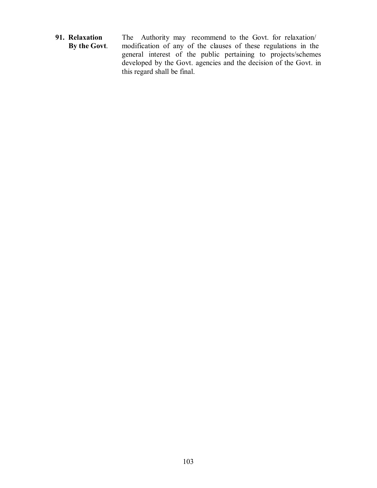**91. Relaxation** The Authority may recommend to the Govt. for relaxation/<br>**By the Govt.** modification of any of the clauses of these regulations in the modification of any of the clauses of these regulations in the general interest of the public pertaining to projects/schemes developed by the Govt. agencies and the decision of the Govt. in this regard shall be final.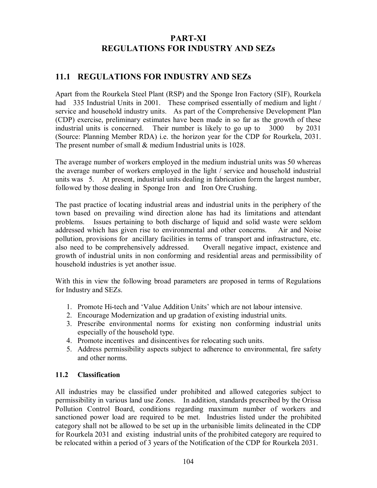## **PART-XI REGULATIONS FOR INDUSTRY AND SEZs**

## **11.1 REGULATIONS FOR INDUSTRY AND SEZs**

Apart from the Rourkela Steel Plant (RSP) and the Sponge Iron Factory (SIF), Rourkela had 335 Industrial Units in 2001. These comprised essentially of medium and light / service and household industry units. As part of the Comprehensive Development Plan (CDP) exercise, preliminary estimates have been made in so far as the growth of these industrial units is concerned. Their number is likely to go up to 3000 by 2031 (Source: Planning Member RDA) i.e. the horizon year for the CDP for Rourkela, 2031. The present number of small  $\&$  medium Industrial units is 1028.

The average number of workers employed in the medium industrial units was 50 whereas the average number of workers employed in the light / service and household industrial units was 5. At present, industrial units dealing in fabrication form the largest number, followed by those dealing in Sponge Iron and Iron Ore Crushing.

The past practice of locating industrial areas and industrial units in the periphery of the town based on prevailing wind direction alone has had its limitations and attendant problems. Issues pertaining to both discharge of liquid and solid waste were seldom addressed which has given rise to environmental and other concerns. Air and Noise pollution, provisions for ancillary facilities in terms of transport and infrastructure, etc. also need to be comprehensively addressed. Overall negative impact, existence and growth of industrial units in non conforming and residential areas and permissibility of household industries is yet another issue.

With this in view the following broad parameters are proposed in terms of Regulations for Industry and SEZs.

- 1. Promote Hi-tech and 'Value Addition Units' which are not labour intensive.
- 2. Encourage Modernization and up gradation of existing industrial units.
- 3. Prescribe environmental norms for existing non conforming industrial units especially of the household type.
- 4. Promote incentives and disincentives for relocating such units.
- 5. Address permissibility aspects subject to adherence to environmental, fire safety and other norms.

## **11.2 Classification**

All industries may be classified under prohibited and allowed categories subject to permissibility in various land use Zones. In addition, standards prescribed by the Orissa Pollution Control Board, conditions regarding maximum number of workers and sanctioned power load are required to be met. Industries listed under the prohibited category shall not be allowed to be set up in the urbanisible limits delineated in the CDP for Rourkela 2031 and existing industrial units of the prohibited category are required to be relocated within a period of 3 years of the Notification of the CDP for Rourkela 2031.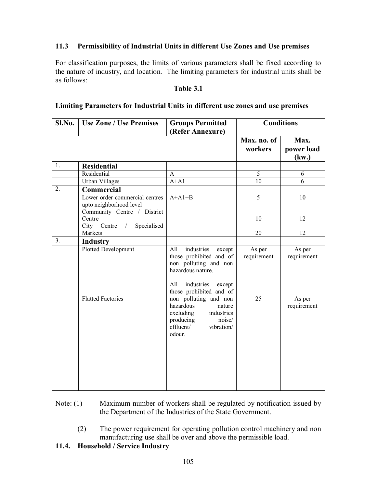## **11.3 Permissibility of Industrial Units in different Use Zones and Use premises**

For classification purposes, the limits of various parameters shall be fixed according to the nature of industry, and location. The limiting parameters for industrial units shall be as follows:

#### **Table 3.1**

## **Limiting Parameters for Industrial Units in different use zones and use premises**

| Sl.No. | <b>Use Zone / Use Premises</b>                                                           | <b>Groups Permitted</b><br>(Refer Annexure)                                                                                                                                                                                                                                                           | <b>Conditions</b>           |                                                |
|--------|------------------------------------------------------------------------------------------|-------------------------------------------------------------------------------------------------------------------------------------------------------------------------------------------------------------------------------------------------------------------------------------------------------|-----------------------------|------------------------------------------------|
|        |                                                                                          |                                                                                                                                                                                                                                                                                                       | Max. no. of<br>workers      | Max.<br>power load<br>(kw.)                    |
| 1.     | <b>Residential</b>                                                                       |                                                                                                                                                                                                                                                                                                       |                             |                                                |
|        | Residential                                                                              | $\mathsf{A}$                                                                                                                                                                                                                                                                                          | 5                           | 6                                              |
|        | <b>Urban Villages</b>                                                                    | $A+A1$                                                                                                                                                                                                                                                                                                | $\overline{10}$             | 6                                              |
| 2.     | Commercial                                                                               |                                                                                                                                                                                                                                                                                                       |                             |                                                |
|        | Lower order commercial centres<br>upto neighborhood level<br>Community Centre / District | $A+A1+B$                                                                                                                                                                                                                                                                                              | $\overline{5}$              | $\overline{10}$                                |
|        | Centre<br>$City$ Centre /<br>Specialised                                                 |                                                                                                                                                                                                                                                                                                       | 10                          | 12                                             |
|        | Markets                                                                                  |                                                                                                                                                                                                                                                                                                       | 20                          | 12                                             |
| 3.     | <b>Industry</b>                                                                          |                                                                                                                                                                                                                                                                                                       |                             |                                                |
|        | Plotted Development<br><b>Flatted Factories</b>                                          | industries<br>All<br>except<br>those prohibited and of<br>non polluting and non<br>hazardous nature.<br>industries<br>All<br>except<br>those prohibited and of<br>non polluting and non<br>hazardous<br>nature<br>excluding<br>industries<br>noise/<br>producing<br>effluent/<br>vibration/<br>odour. | As per<br>requirement<br>25 | As per<br>requirement<br>As per<br>requirement |

- Note: (1) Maximum number of workers shall be regulated by notification issued by the Department of the Industries of the State Government.
	- (2) The power requirement for operating pollution control machinery and non manufacturing use shall be over and above the permissible load.

## **11.4. Household / Service Industry**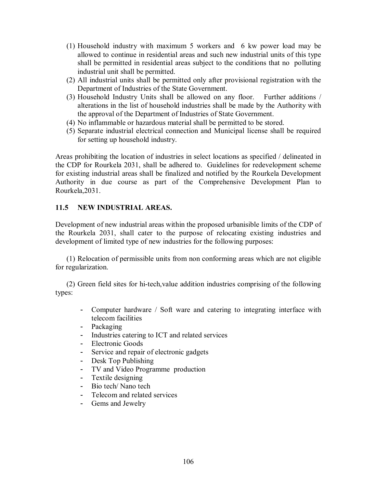- (1) Household industry with maximum 5 workers and 6 kw power load may be allowed to continue in residential areas and such new industrial units of this type shall be permitted in residential areas subject to the conditions that no polluting industrial unit shall be permitted.
- (2) All industrial units shall be permitted only after provisional registration with the Department of Industries of the State Government.
- (3) Household Industry Units shall be allowed on any floor. Further additions / alterations in the list of household industries shall be made by the Authority with the approval of the Department of Industries of State Government.
- (4) No inflammable or hazardous material shall be permitted to be stored.
- (5) Separate industrial electrical connection and Municipal license shall be required for setting up household industry.

Areas prohibiting the location of industries in select locations as specified / delineated in the CDP for Rourkela 2031, shall be adhered to. Guidelines for redevelopment scheme for existing industrial areas shall be finalized and notified by the Rourkela Development Authority in due course as part of the Comprehensive Development Plan to Rourkela,2031.

## **11.5 NEW INDUSTRIAL AREAS.**

Development of new industrial areas within the proposed urbanisible limits of the CDP of the Rourkela 2031, shall cater to the purpose of relocating existing industries and development of limited type of new industries for the following purposes:

(1) Relocation of permissible units from non conforming areas which are not eligible for regularization.

(2) Green field sites for hi-tech,value addition industries comprising of the following types:

- Computer hardware / Soft ware and catering to integrating interface with telecom facilities
- Packaging
- Industries catering to ICT and related services
- Electronic Goods
- Service and repair of electronic gadgets
- Desk Top Publishing
- TV and Video Programme production
- Textile designing
- Bio tech/ Nano tech
- Telecom and related services
- Gems and Jewelry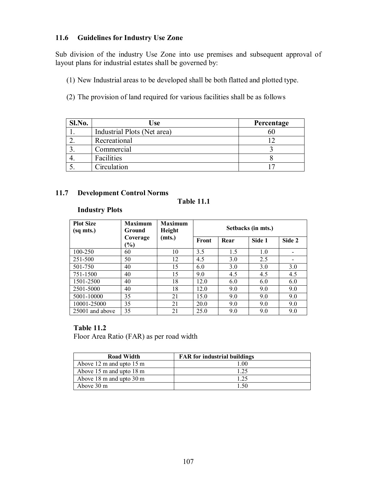## **11.6 Guidelines for Industry Use Zone**

Sub division of the industry Use Zone into use premises and subsequent approval of layout plans for industrial estates shall be governed by:

- (1) New Industrial areas to be developed shall be both flatted and plotted type.
- (2) The provision of land required for various facilities shall be as follows

| Sl.No. | Use                         | Percentage |
|--------|-----------------------------|------------|
|        | Industrial Plots (Net area) | 6U         |
|        | Recreational                |            |
|        | Commercial                  |            |
|        | Facilities                  |            |
|        | Circulation                 |            |

## **11.7 Development Control Norms**

## **Table 11.1**

## **Industry Plots**

| <b>Plot Size</b><br>(sq mts.) | <b>Maximum</b><br><b>Ground</b><br>Coverage | <b>Maximum</b><br>Height |       |      | Setbacks (in mts.) |        |
|-------------------------------|---------------------------------------------|--------------------------|-------|------|--------------------|--------|
|                               | $\frac{9}{9}$                               | (mts.)                   | Front | Rear | Side 1             | Side 2 |
| 100-250                       | 60                                          | 10                       | 3.5   | 1.5  | 1.0                |        |
| 251-500                       | 50                                          | 12                       | 4.5   | 3.0  | 2.5                |        |
| 501-750                       | 40                                          | 15                       | 6.0   | 3.0  | 3.0                | 3.0    |
| 751-1500                      | 40                                          | 15                       | 9.0   | 4.5  | 4.5                | 4.5    |
| 1501-2500                     | 40                                          | 18                       | 12.0  | 6.0  | 6.0                | 6.0    |
| 2501-5000                     | 40                                          | 18                       | 12.0  | 9.0  | 9.0                | 9.0    |
| 5001-10000                    | 35                                          | 21                       | 15.0  | 9.0  | 9.0                | 9.0    |
| 10001-25000                   | 35                                          | 21                       | 20.0  | 9.0  | 9.0                | 9.0    |
| 25001 and above               | 35                                          | 21                       | 25.0  | 9.0  | 9.0                | 9.0    |

## **Table 11.2**

Floor Area Ratio (FAR) as per road width

| <b>Road Width</b>                            | <b>FAR</b> for industrial buildings |
|----------------------------------------------|-------------------------------------|
| Above $12 \text{ m}$ and upto $15 \text{ m}$ | 1 00                                |
| Above 15 m and upto 18 m                     | 1.25                                |
| Above 18 m and upto 30 m                     | 1.25                                |
| Above 30 m                                   |                                     |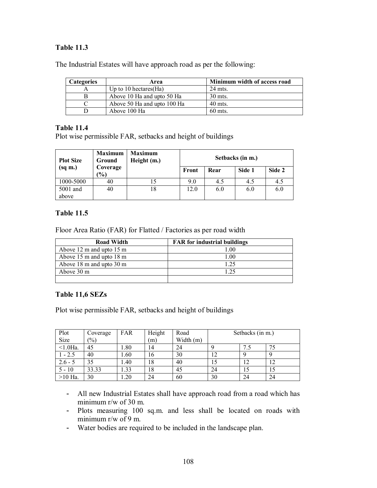# **Table 11.3**

| The Industrial Estates will have approach road as per the following: |
|----------------------------------------------------------------------|
|----------------------------------------------------------------------|

| Categories | Area                        | Minimum width of access road |
|------------|-----------------------------|------------------------------|
|            | Up to 10 hectares $(Ha)$    | 24 mts.                      |
| В          | Above 10 Ha and upto 50 Ha  | 30 mts.                      |
|            | Above 50 Ha and upto 100 Ha | $40$ mts.                    |
|            | Above 100 Ha                | $60$ mts.                    |

### **Table 11.4**

Plot wise permissible FAR, setbacks and height of buildings

| <b>Maximum</b><br><b>Plot Size</b><br>Ground |                              | <b>Maximum</b><br>Height (m.) | Setbacks (in m.) |      |        |        |
|----------------------------------------------|------------------------------|-------------------------------|------------------|------|--------|--------|
| $(sq \; m.)$                                 | Coverage<br>$\mathcal{O}(6)$ |                               | Front            | Rear | Side 1 | Side 2 |
| 1000-5000                                    | 40                           |                               | 9.0              | 4.5  | 4.5    | 4.5    |
| 5001 and<br>above                            | 40                           | 18                            | 12.0             | 6.0  | 6.0    | 6.0    |

### **Table 11.5**

Floor Area Ratio (FAR) for Flatted / Factories as per road width

| <b>Road Width</b>        | <b>FAR</b> for industrial buildings |
|--------------------------|-------------------------------------|
| Above 12 m and upto 15 m | $1.00\,$                            |
| Above 15 m and upto 18 m | 1.00                                |
| Above 18 m and upto 30 m | 1 25                                |
| Above 30 m               | 1 25                                |
|                          |                                     |

# **Table 11,6 SEZs**

Plot wise permissible FAR, setbacks and height of buildings

| Plot        | Coverage        | FAR  | Height | Road        |    | Setbacks (in m.) |    |
|-------------|-----------------|------|--------|-------------|----|------------------|----|
| Size        | $\frac{(0)}{0}$ |      | (m)    | Width $(m)$ |    |                  |    |
| $< 1.0$ Ha. | 45              | .80  | 14     | 24          |    |                  | 75 |
| $-2.5$      | 40              | 1.60 | 16     | 30          | 12 |                  |    |
| $2.6 - 5$   | 35              | 1.40 | 18     | 40          | 15 | 12               | 12 |
| $5 - 10$    | 33.33           | .33  | 18     | 45          | 24 | 15               | 15 |
| $>10$ Ha.   | 30              | .20  | 24     | 60          | 30 | 24               | 24 |

- All new Industrial Estates shall have approach road from a road which has minimum r/w of 30 m.
- Plots measuring 100 sq.m. and less shall be located on roads with minimum r/w of 9 m.
- Water bodies are required to be included in the landscape plan.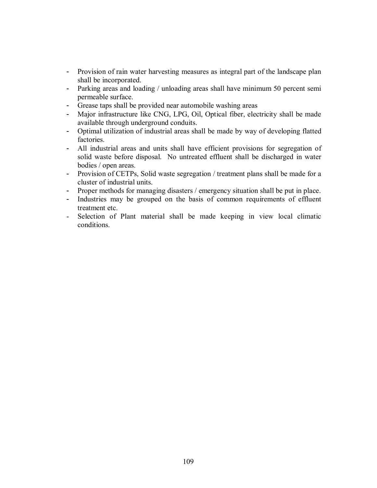- Provision of rain water harvesting measures as integral part of the landscape plan shall be incorporated.
- Parking areas and loading / unloading areas shall have minimum 50 percent semi permeable surface.
- Grease taps shall be provided near automobile washing areas
- Major infrastructure like CNG, LPG, Oil, Optical fiber, electricity shall be made available through underground conduits.
- Optimal utilization of industrial areas shall be made by way of developing flatted factories.
- All industrial areas and units shall have efficient provisions for segregation of solid waste before disposal. No untreated effluent shall be discharged in water bodies / open areas.
- Provision of CETPs, Solid waste segregation / treatment plans shall be made for a cluster of industrial units.
- Proper methods for managing disasters / emergency situation shall be put in place.
- Industries may be grouped on the basis of common requirements of effluent treatment etc.
- Selection of Plant material shall be made keeping in view local climatic conditions.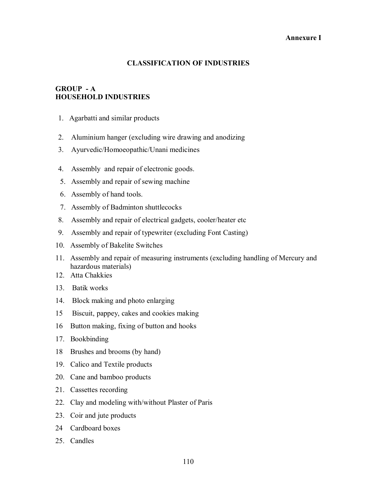### **Annexure I**

# **CLASSIFICATION OF INDUSTRIES**

# **GROUP - A HOUSEHOLD INDUSTRIES**

- 1. Agarbatti and similar products
- 2. Aluminium hanger (excluding wire drawing and anodizing
- 3. Ayurvedic/Homoeopathic/Unani medicines
- 4. Assembly and repair of electronic goods.
- 5. Assembly and repair of sewing machine
- 6. Assembly of hand tools.
- 7. Assembly of Badminton shuttlecocks
- 8. Assembly and repair of electrical gadgets, cooler/heater etc
- 9. Assembly and repair of typewriter (excluding Font Casting)
- 10. Assembly of Bakelite Switches
- 11. Assembly and repair of measuring instruments (excluding handling of Mercury and hazardous materials)
- 12. Atta Chakkies
- 13. Batik works
- 14. Block making and photo enlarging
- 15 Biscuit, pappey, cakes and cookies making
- 16 Button making, fixing of button and hooks
- 17. Bookbinding
- 18 Brushes and brooms (by hand)
- 19. Calico and Textile products
- 20. Cane and bamboo products
- 21. Cassettes recording
- 22. Clay and modeling with/without Plaster of Paris
- 23. Coir and jute products
- 24 Cardboard boxes
- 25. Candles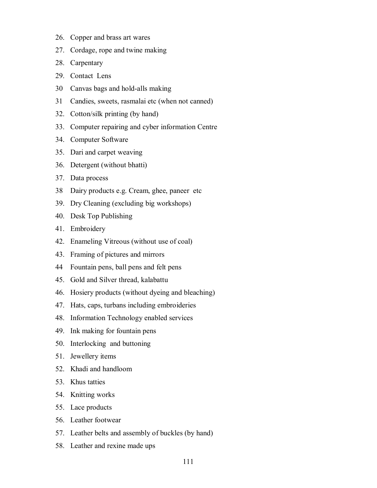- 26. Copper and brass art wares
- 27. Cordage, rope and twine making
- 28. Carpentary
- 29. Contact Lens
- 30 Canvas bags and hold-alls making
- 31 Candies, sweets, rasmalai etc (when not canned)
- 32. Cotton/silk printing (by hand)
- 33. Computer repairing and cyber information Centre
- 34. Computer Software
- 35. Dari and carpet weaving
- 36. Detergent (without bhatti)
- 37. Data process
- 38 Dairy products e.g. Cream, ghee, paneer etc
- 39. Dry Cleaning (excluding big workshops)
- 40. Desk Top Publishing
- 41. Embroidery
- 42. Enameling Vitreous (without use of coal)
- 43. Framing of pictures and mirrors
- 44 Fountain pens, ball pens and felt pens
- 45. Gold and Silver thread, kalabattu
- 46. Hosiery products (without dyeing and bleaching)
- 47. Hats, caps, turbans including embroideries
- 48. Information Technology enabled services
- 49. Ink making for fountain pens
- 50. Interlocking and buttoning
- 51. Jewellery items
- 52. Khadi and handloom
- 53. Khus tatties
- 54. Knitting works
- 55. Lace products
- 56. Leather footwear
- 57. Leather belts and assembly of buckles (by hand)
- 58. Leather and rexine made ups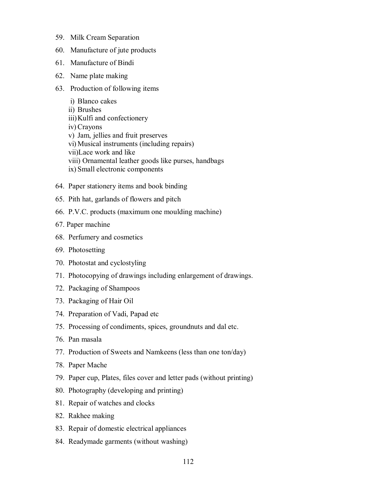- 59. Milk Cream Separation
- 60. Manufacture of jute products
- 61. Manufacture of Bindi
- 62. Name plate making
- 63. Production of following items
	- i) Blanco cakes
	- ii) Brushes
	- iii) Kulfi and confectionery
	- iv) Crayons
	- v) Jam, jellies and fruit preserves
	- vi) Musical instruments (including repairs)
	- vii)Lace work and like
	- viii) Ornamental leather goods like purses, handbags
	- ix) Small electronic components
- 64. Paper stationery items and book binding
- 65. Pith hat, garlands of flowers and pitch
- 66. P.V.C. products (maximum one moulding machine)
- 67. Paper machine
- 68. Perfumery and cosmetics
- 69. Photosetting
- 70. Photostat and cyclostyling
- 71. Photocopying of drawings including enlargement of drawings.
- 72. Packaging of Shampoos
- 73. Packaging of Hair Oil
- 74. Preparation of Vadi, Papad etc
- 75. Processing of condiments, spices, groundnuts and dal etc.
- 76. Pan masala
- 77. Production of Sweets and Namkeens (less than one ton/day)
- 78. Paper Mache
- 79. Paper cup, Plates, files cover and letter pads (without printing)
- 80. Photography (developing and printing)
- 81. Repair of watches and clocks
- 82. Rakhee making
- 83. Repair of domestic electrical appliances
- 84. Readymade garments (without washing)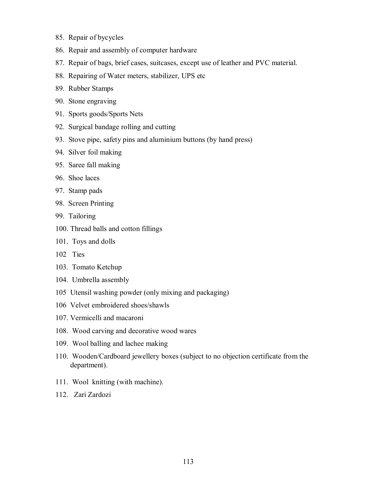- 85. Repair of bycycles
- 86. Repair and assembly of computer hardware
- 87. Repair of bags, brief cases, suitcases, except use of leather and PVC material.
- 88. Repairing of Water meters, stabilizer, UPS etc
- 89. Rubber Stamps
- 90. Stone engraving
- 91. Sports goods/Sports Nets
- 92. Surgical bandage rolling and cutting
- 93. Stove pipe, safety pins and aluminium buttons (by hand press)
- 94. Silver foil making
- 95. Saree fall making
- 96. Shoe laces
- 97. Stamp pads
- 98. Screen Printing
- 99. Tailoring
- 100. Thread balls and cotton fillings
- 101. Toys and dolls
- 102 Ties
- 103. Tomato Ketchup
- 104. Umbrella assembly
- 105 Utensil washing powder (only mixing and packaging)
- 106 Velvet embroidered shoes/shawls
- 107. Vermicelli and macaroni
- 108. Wood carving and decorative wood wares
- 109. Wool balling and lachee making
- 110. Wooden/Cardboard jewellery boxes (subject to no objection certificate from the department).
- 111. Wool knitting (with machine).
- 112. Zari Zardozi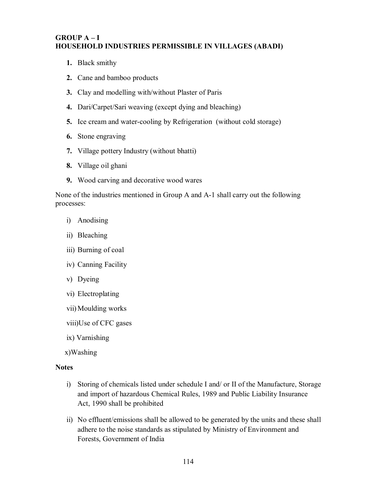# **GROUP A – I HOUSEHOLD INDUSTRIES PERMISSIBLE IN VILLAGES (ABADI)**

- **1.** Black smithy
- **2.** Cane and bamboo products
- **3.** Clay and modelling with/without Plaster of Paris
- **4.** Dari/Carpet/Sari weaving (except dying and bleaching)
- **5.** Ice cream and water-cooling by Refrigeration (without cold storage)
- **6.** Stone engraving
- **7.** Village pottery Industry (without bhatti)
- **8.** Village oil ghani
- **9.** Wood carving and decorative wood wares

None of the industries mentioned in Group A and A-1 shall carry out the following processes:

- i) Anodising
- ii) Bleaching
- iii) Burning of coal
- iv) Canning Facility
- v) Dyeing
- vi) Electroplating
- vii) Moulding works

viii)Use of CFC gases

ix) Varnishing

x)Washing

# **Notes**

- i) Storing of chemicals listed under schedule I and/ or II of the Manufacture, Storage and import of hazardous Chemical Rules, 1989 and Public Liability Insurance Act, 1990 shall be prohibited
- ii) No effluent/emissions shall be allowed to be generated by the units and these shall adhere to the noise standards as stipulated by Ministry of Environment and Forests, Government of India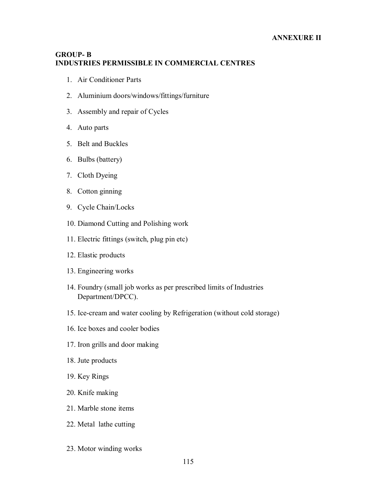### **GROUP- B INDUSTRIES PERMISSIBLE IN COMMERCIAL CENTRES**

- 1. Air Conditioner Parts
- 2. Aluminium doors/windows/fittings/furniture
- 3. Assembly and repair of Cycles
- 4. Auto parts
- 5. Belt and Buckles
- 6. Bulbs (battery)
- 7. Cloth Dyeing
- 8. Cotton ginning
- 9. Cycle Chain/Locks
- 10. Diamond Cutting and Polishing work
- 11. Electric fittings (switch, plug pin etc)
- 12. Elastic products
- 13. Engineering works
- 14. Foundry (small job works as per prescribed limits of Industries Department/DPCC).
- 15. Ice-cream and water cooling by Refrigeration (without cold storage)
- 16. Ice boxes and cooler bodies
- 17. Iron grills and door making
- 18. Jute products
- 19. Key Rings
- 20. Knife making
- 21. Marble stone items
- 22. Metal lathe cutting
- 23. Motor winding works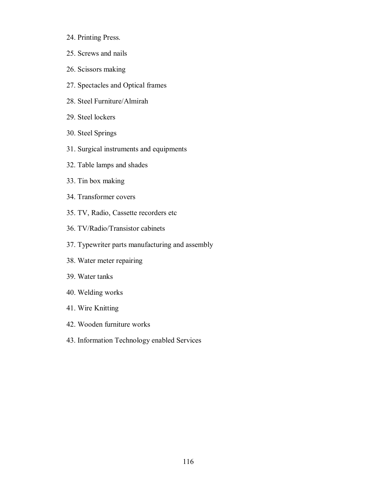- 24. Printing Press.
- 25. Screws and nails
- 26. Scissors making
- 27. Spectacles and Optical frames
- 28. Steel Furniture/Almirah
- 29. Steel lockers
- 30. Steel Springs
- 31. Surgical instruments and equipments
- 32. Table lamps and shades
- 33. Tin box making
- 34. Transformer covers
- 35. TV, Radio, Cassette recorders etc
- 36. TV/Radio/Transistor cabinets
- 37. Typewriter parts manufacturing and assembly
- 38. Water meter repairing
- 39. Water tanks
- 40. Welding works
- 41. Wire Knitting
- 42. Wooden furniture works
- 43. Information Technology enabled Services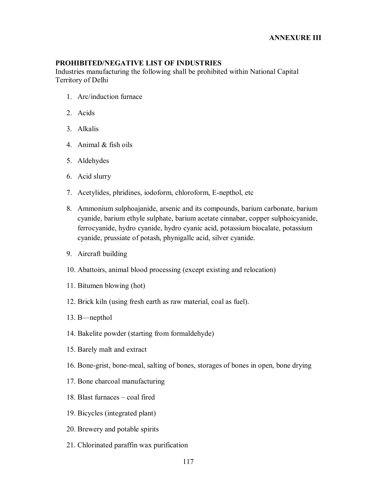# **PROHIBITED/NEGATIVE LIST OF INDUSTRIES**

Industries manufacturing the following shall be prohibited within National Capital Territory of Delhi

- 1. Arc/induction furnace
- 2. Acids
- 3. Alkalis
- 4. Animal & fish oils
- 5. Aldehydes
- 6. Acid slurry
- 7. Acetylides, phridines, iodoform, chloroform, E-nepthol, etc
- 8. Ammonium sulphoajanide, arsenic and its compounds, barium carbonate, barium cyanide, barium ethyle sulphate, barium acetate cinnabar, copper sulphoicyanide, ferrocyanide, hydro cyanide, hydro cyanic acid, potassium biocalate, potassium cyanide, prussiate of potash, phynigallc acid, silver cyanide.
- 9. Aircraft building
- 10. Abattoirs, animal blood processing (except existing and relocation)
- 11. Bitumen blowing (hot)
- 12. Brick kiln (using fresh earth as raw material, coal as fuel).
- 13. B—nepthol
- 14. Bakelite powder (starting from formaldehyde)
- 15. Barely malt and extract
- 16. Bone-grist, bone-meal, salting of bones, storages of bones in open, bone drying
- 17. Bone charcoal manufacturing
- 18. Blast furnaces coal fired
- 19. Bicycles (integrated plant)
- 20. Brewery and potable spirits
- 21. Chlorinated paraffin wax purification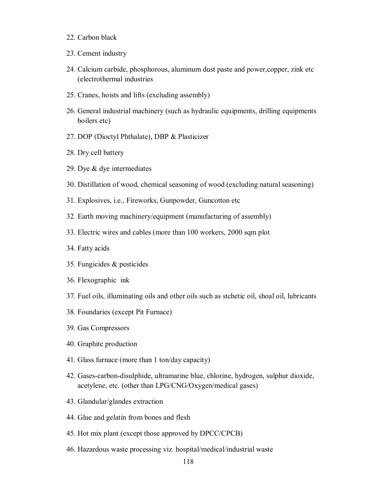- 22. Carbon black
- 23. Cement industry
- 24. Calcium carbide, phosphorous, aluminum dust paste and power,copper, zink etc (electrothermal industries
- 25. Cranes, hoists and lifts (excluding assembly)
- 26. General industrial machinery (such as hydraulic equipments, drilling equipments boilers etc)
- 27. DOP (Dioctyl Phthalate), DBP & Plasticizer
- 28. Dry cell battery
- 29. Dye & dye intermediates
- 30. Distillation of wood, chemical seasoning of wood (excluding natural seasoning)
- 31. Explosives, i.e., Fireworks, Gunpowder, Guncotton etc
- 32. Earth moving machinery/equipment (manufacturing of assembly)
- 33. Electric wires and cables (more than 100 workers, 2000 sqm plot
- 34. Fatty acids
- 35. Fungicides & pesticides
- 36. Flexographic ink
- 37. Fuel oils, illuminating oils and other oils such as stchetic oil, shoal oil, lubricants
- 38. Foundaries (except Pit Furnace)
- 39. Gas Compressors
- 40. Graphite production
- 41. Glass furnace (more than 1 ton/day capacity)
- 42. Gases-carbon-disulphide, ultramarine blue, chlorine, hydrogen, sulphur dioxide, acetylene, etc. (other than LPG/CNG/Oxygen/medical gases)
- 43. Glandular/glandes extraction
- 44. Glue and gelatin from bones and flesh
- 45. Hot mix plant (except those approved by DPCC/CPCB)
- 46. Hazardous waste processing viz. hospital/medical/industrial waste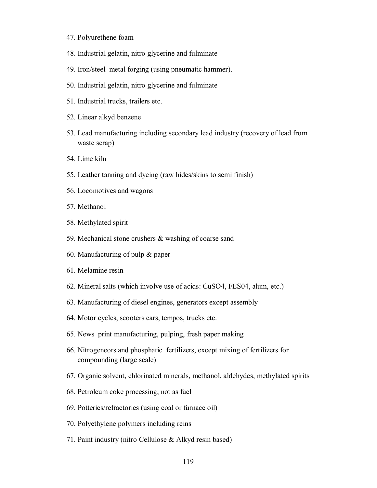- 47. Polyurethene foam
- 48. Industrial gelatin, nitro glycerine and fulminate
- 49. Iron/steel metal forging (using pneumatic hammer).
- 50. Industrial gelatin, nitro glycerine and fulminate
- 51. Industrial trucks, trailers etc.
- 52. Linear alkyd benzene
- 53. Lead manufacturing including secondary lead industry (recovery of lead from waste scrap)
- 54. Lime kiln
- 55. Leather tanning and dyeing (raw hides/skins to semi finish)
- 56. Locomotives and wagons
- 57. Methanol
- 58. Methylated spirit
- 59. Mechanical stone crushers & washing of coarse sand
- 60. Manufacturing of pulp & paper
- 61. Melamine resin
- 62. Mineral salts (which involve use of acids: CuSO4, FES04, alum, etc.)
- 63. Manufacturing of diesel engines, generators except assembly
- 64. Motor cycles, scooters cars, tempos, trucks etc.
- 65. News print manufacturing, pulping, fresh paper making
- 66. Nitrogeneors and phosphatic fertilizers, except mixing of fertilizers for compounding (large scale)
- 67. Organic solvent, chlorinated minerals, methanol, aldehydes, methylated spirits
- 68. Petroleum coke processing, not as fuel
- 69. Potteries/refractories (using coal or furnace oil)
- 70. Polyethylene polymers including reins
- 71. Paint industry (nitro Cellulose & Alkyd resin based)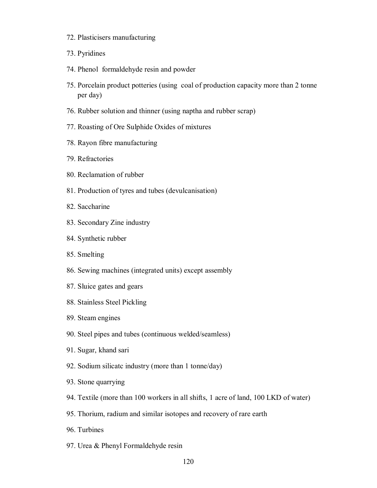- 72. Plasticisers manufacturing
- 73. Pyridines
- 74. Phenol formaldehyde resin and powder
- 75. Porcelain product potteries (using coal of production capacity more than 2 tonne per day)
- 76. Rubber solution and thinner (using naptha and rubber scrap)
- 77. Roasting of Ore Sulphide Oxides of mixtures
- 78. Rayon fibre manufacturing
- 79. Refractories
- 80. Reclamation of rubber
- 81. Production of tyres and tubes (devulcanisation)
- 82. Saccharine
- 83. Secondary Zine industry
- 84. Synthetic rubber
- 85. Smelting
- 86. Sewing machines (integrated units) except assembly
- 87. Sluice gates and gears
- 88. Stainless Steel Pickling
- 89. Steam engines
- 90. Steel pipes and tubes (continuous welded/seamless)
- 91. Sugar, khand sari
- 92. Sodium silicatc industry (more than 1 tonne/day)
- 93. Stone quarrying
- 94. Textile (more than 100 workers in all shifts, 1 acre of land, 100 LKD of water)
- 95. Thorium, radium and similar isotopes and recovery of rare earth
- 96. Turbines
- 97. Urea & Phenyl Formaldehyde resin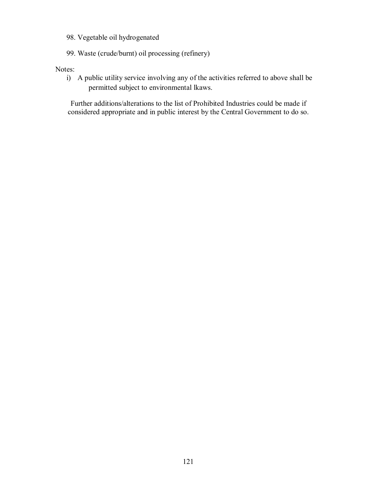- 98. Vegetable oil hydrogenated
- 99. Waste (crude/burnt) oil processing (refinery)

Notes:

i) A public utility service involving any of the activities referred to above shall be permitted subject to environmental lkaws.

Further additions/alterations to the list of Prohibited Industries could be made if considered appropriate and in public interest by the Central Government to do so.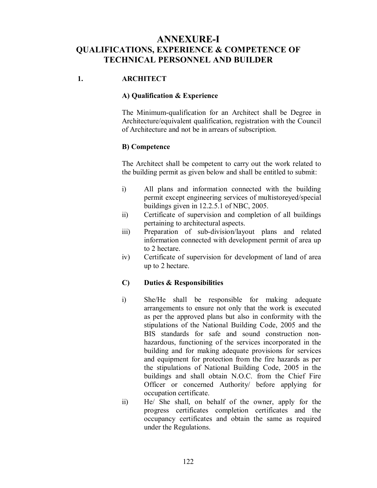# **ANNEXURE-I QUALIFICATIONS, EXPERIENCE & COMPETENCE OF TECHNICAL PERSONNEL AND BUILDER**

# **1. ARCHITECT**

### **A) Qualification & Experience**

The Minimum-qualification for an Architect shall be Degree in Architecture/equivalent qualification, registration with the Council of Architecture and not be in arrears of subscription.

### **B) Competence**

The Architect shall be competent to carry out the work related to the building permit as given below and shall be entitled to submit:

- i) All plans and information connected with the building permit except engineering services of multistoreyed/special buildings given in 12.2.5.1 of NBC, 2005.
- ii) Certificate of supervision and completion of all buildings pertaining to architectural aspects.
- iii) Preparation of sub-division/layout plans and related information connected with development permit of area up to 2 hectare.
- iv) Certificate of supervision for development of land of area up to 2 hectare.

# **C) Duties & Responsibilities**

- i) She/He shall be responsible for making adequate arrangements to ensure not only that the work is executed as per the approved plans but also in conformity with the stipulations of the National Building Code, 2005 and the BIS standards for safe and sound construction nonhazardous, functioning of the services incorporated in the building and for making adequate provisions for services and equipment for protection from the fire hazards as per the stipulations of National Building Code, 2005 in the buildings and shall obtain N.O.C. from the Chief Fire Officer or concerned Authority/ before applying for occupation certificate.
- ii) He/ She shall, on behalf of the owner, apply for the progress certificates completion certificates and the occupancy certificates and obtain the same as required under the Regulations.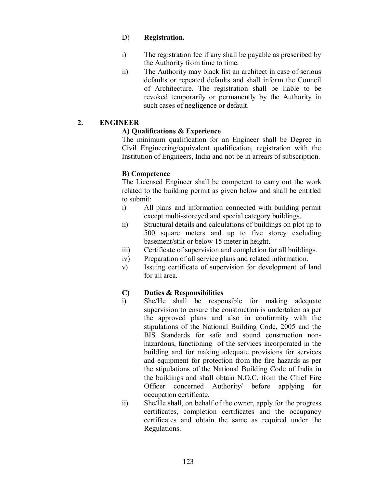### D) **Registration.**

- i) The registration fee if any shall be payable as prescribed by the Authority from time to time.
- ii) The Authority may black list an architect in case of serious defaults or repeated defaults and shall inform the Council of Architecture. The registration shall be liable to be revoked temporarily or permanently by the Authority in such cases of negligence or default.

# **2. ENGINEER**

# **A) Qualifications & Experience**

The minimum qualification for an Engineer shall be Degree in Civil Engineering/equivalent qualification, registration with the Institution of Engineers, India and not be in arrears of subscription.

# **B) Competence**

The Licensed Engineer shall be competent to carry out the work related to the building permit as given below and shall be entitled to submit:

- i) All plans and information connected with building permit except multi-storeyed and special category buildings.
- ii) Structural details and calculations of buildings on plot up to 500 square meters and up to five storey excluding basement/stilt or below 15 meter in height.
- iii) Certificate of supervision and completion for all buildings.
- iv) Preparation of all service plans and related information.
- v) Issuing certificate of supervision for development of land for all area.

# **C) Duties & Responsibilities**

- i) She/He shall be responsible for making adequate supervision to ensure the construction is undertaken as per the approved plans and also in conformity with the stipulations of the National Building Code, 2005 and the BIS Standards for safe and sound construction nonhazardous, functioning of the services incorporated in the building and for making adequate provisions for services and equipment for protection from the fire hazards as per the stipulations of the National Building Code of India in the buildings and shall obtain N.O.C. from the Chief Fire Officer concerned Authority/ before applying for occupation certificate.
- ii) She/He shall, on behalf of the owner, apply for the progress certificates, completion certificates and the occupancy certificates and obtain the same as required under the Regulations.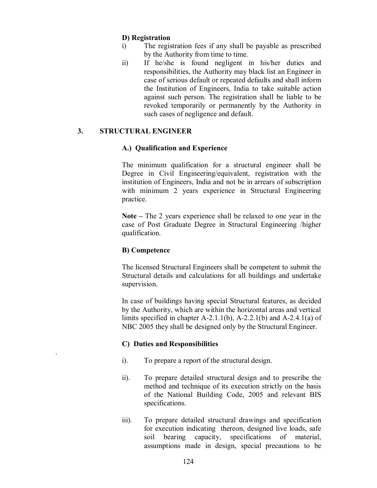### **D) Registration**

- i) The registration fees if any shall be payable as prescribed by the Authority from time to time.
- ii) If he/she is found negligent in his/her duties and responsibilities, the Authority may black list an Engineer in case of serious default or repeated defaults and shall inform the Institution of Engineers, India to take suitable action against such person. The registration shall be liable to be revoked temporarily or permanently by the Authority in such cases of negligence and default.

### **3. STRUCTURAL ENGINEER**

#### **A.) Qualification and Experience**

The minimum qualification for a structural engineer shall be Degree in Civil Engineering/equivalent, registration with the institution of Engineers, India and not be in arrears of subscription with minimum 2 years experience in Structural Engineering practice.

**Note –** The 2 years experience shall be relaxed to one year in the case of Post Graduate Degree in Structural Engineering /higher qualification.

#### **B) Competence**

.

The licensed Structural Engineers shall be competent to submit the Structural details and calculations for all buildings and undertake supervision.

In case of buildings having special Structural features, as decided by the Authority, which are within the horizontal areas and vertical limits specified in chapter A-2.1.1(b), A-2.2.1(b) and A-2.4.1(a) of NBC 2005 they shall be designed only by the Structural Engineer.

#### **C) Duties and Responsibilities**

- i). To prepare a report of the structural design.
- ii). To prepare detailed structural design and to prescribe the method and technique of its execution strictly on the basis of the National Building Code, 2005 and relevant BIS specifications.
- iii). To prepare detailed structural drawings and specification for execution indicating thereon, designed live loads, safe soil bearing capacity, specifications of material, assumptions made in design, special precautions to be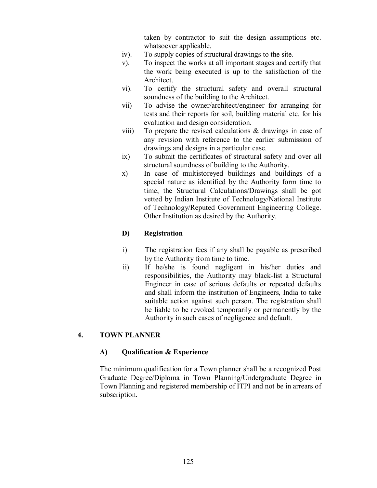taken by contractor to suit the design assumptions etc. whatsoever applicable.

- iv). To supply copies of structural drawings to the site.
- v). To inspect the works at all important stages and certify that the work being executed is up to the satisfaction of the Architect.
- vi). To certify the structural safety and overall structural soundness of the building to the Architect.
- vii) To advise the owner/architect/engineer for arranging for tests and their reports for soil, building material etc. for his evaluation and design consideration.
- viii) To prepare the revised calculations & drawings in case of any revision with reference to the earlier submission of drawings and designs in a particular case.
- ix) To submit the certificates of structural safety and over all structural soundness of building to the Authority.
- x) In case of multistoreyed buildings and buildings of a special nature as identified by the Authority form time to time, the Structural Calculations/Drawings shall be got vetted by Indian Institute of Technology/National Institute of Technology/Reputed Government Engineering College. Other Institution as desired by the Authority.

# **D) Registration**

- i) The registration fees if any shall be payable as prescribed by the Authority from time to time.
- ii) If he/she is found negligent in his/her duties and responsibilities, the Authority may black-list a Structural Engineer in case of serious defaults or repeated defaults and shall inform the institution of Engineers, India to take suitable action against such person. The registration shall be liable to be revoked temporarily or permanently by the Authority in such cases of negligence and default.

# **4. TOWN PLANNER**

# **A) Qualification & Experience**

The minimum qualification for a Town planner shall be a recognized Post Graduate Degree/Diploma in Town Planning/Undergraduate Degree in Town Planning and registered membership of ITPI and not be in arrears of subscription.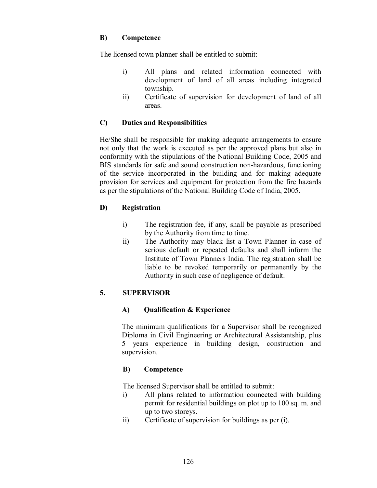### **B) Competence**

The licensed town planner shall be entitled to submit:

- i) All plans and related information connected with development of land of all areas including integrated township.
- ii) Certificate of supervision for development of land of all areas.

# **C) Duties and Responsibilities**

He/She shall be responsible for making adequate arrangements to ensure not only that the work is executed as per the approved plans but also in conformity with the stipulations of the National Building Code, 2005 and BIS standards for safe and sound construction non-hazardous, functioning of the service incorporated in the building and for making adequate provision for services and equipment for protection from the fire hazards as per the stipulations of the National Building Code of India, 2005.

# **D) Registration**

- i) The registration fee, if any, shall be payable as prescribed by the Authority from time to time.
- ii) The Authority may black list a Town Planner in case of serious default or repeated defaults and shall inform the Institute of Town Planners India. The registration shall be liable to be revoked temporarily or permanently by the Authority in such case of negligence of default.

# **5. SUPERVISOR**

# **A) Qualification & Experience**

The minimum qualifications for a Supervisor shall be recognized Diploma in Civil Engineering or Architectural Assistantship, plus 5 years experience in building design, construction and supervision.

# **B) Competence**

The licensed Supervisor shall be entitled to submit:

- i) All plans related to information connected with building permit for residential buildings on plot up to 100 sq. m. and up to two storeys.
- ii) Certificate of supervision for buildings as per (i).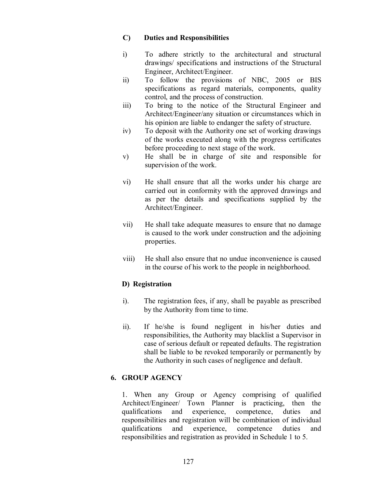### **C) Duties and Responsibilities**

- i) To adhere strictly to the architectural and structural drawings/ specifications and instructions of the Structural Engineer, Architect/Engineer.
- ii) To follow the provisions of NBC, 2005 or BIS specifications as regard materials, components, quality control, and the process of construction.
- iii) To bring to the notice of the Structural Engineer and Architect/Engineer/any situation or circumstances which in his opinion are liable to endanger the safety of structure.
- iv) To deposit with the Authority one set of working drawings of the works executed along with the progress certificates before proceeding to next stage of the work.
- v) He shall be in charge of site and responsible for supervision of the work.
- vi) He shall ensure that all the works under his charge are carried out in conformity with the approved drawings and as per the details and specifications supplied by the Architect/Engineer.
- vii) He shall take adequate measures to ensure that no damage is caused to the work under construction and the adjoining properties.
- viii) He shall also ensure that no undue inconvenience is caused in the course of his work to the people in neighborhood.

# **D) Registration**

- i). The registration fees, if any, shall be payable as prescribed by the Authority from time to time.
- ii). If he/she is found negligent in his/her duties and responsibilities, the Authority may blacklist a Supervisor in case of serious default or repeated defaults. The registration shall be liable to be revoked temporarily or permanently by the Authority in such cases of negligence and default.

# **6. GROUP AGENCY**

1. When any Group or Agency comprising of qualified Architect/Engineer/ Town Planner is practicing, then the qualifications and experience, competence, duties and responsibilities and registration will be combination of individual qualifications and experience, competence duties and responsibilities and registration as provided in Schedule 1 to 5.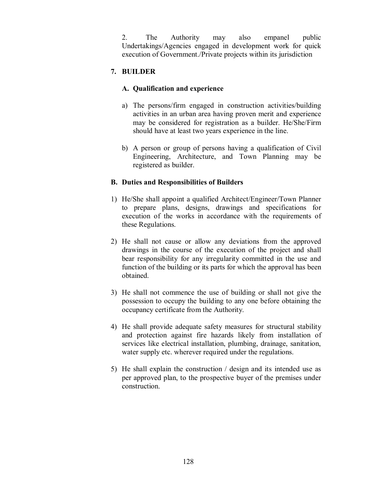2. The Authority may also empanel public Undertakings/Agencies engaged in development work for quick execution of Government./Private projects within its jurisdiction

# **7. BUILDER**

# **A. Qualification and experience**

- a) The persons/firm engaged in construction activities/building activities in an urban area having proven merit and experience may be considered for registration as a builder. He/She/Firm should have at least two years experience in the line.
- b) A person or group of persons having a qualification of Civil Engineering, Architecture, and Town Planning may be registered as builder.

# **B. Duties and Responsibilities of Builders**

- 1) He/She shall appoint a qualified Architect/Engineer/Town Planner to prepare plans, designs, drawings and specifications for execution of the works in accordance with the requirements of these Regulations.
- 2) He shall not cause or allow any deviations from the approved drawings in the course of the execution of the project and shall bear responsibility for any irregularity committed in the use and function of the building or its parts for which the approval has been obtained.
- 3) He shall not commence the use of building or shall not give the possession to occupy the building to any one before obtaining the occupancy certificate from the Authority.
- 4) He shall provide adequate safety measures for structural stability and protection against fire hazards likely from installation of services like electrical installation, plumbing, drainage, sanitation, water supply etc. wherever required under the regulations.
- 5) He shall explain the construction / design and its intended use as per approved plan, to the prospective buyer of the premises under construction.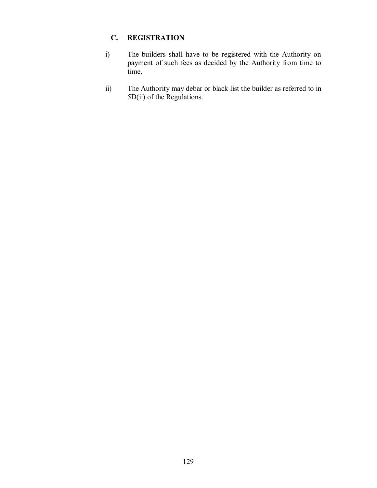# **C. REGISTRATION**

- i) The builders shall have to be registered with the Authority on payment of such fees as decided by the Authority from time to time.
- ii) The Authority may debar or black list the builder as referred to in 5D(ii) of the Regulations.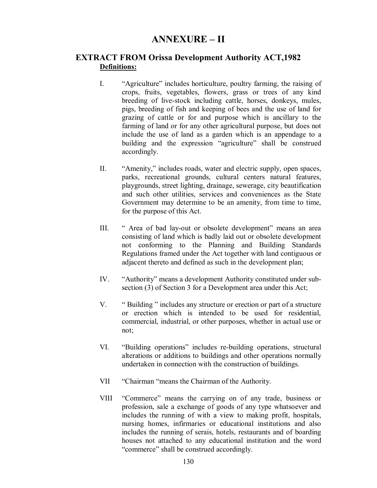# **ANNEXURE – II**

# **EXTRACT FROM Orissa Development Authority ACT,1982 Definitions:**

- I. "Agriculture" includes horticulture, poultry farming, the raising of crops, fruits, vegetables, flowers, grass or trees of any kind breeding of live-stock including cattle, horses, donkeys, mules, pigs, breeding of fish and keeping of bees and the use of land for grazing of cattle or for and purpose which is ancillary to the farming of land or for any other agricultural purpose, but does not include the use of land as a garden which is an appendage to a building and the expression "agriculture" shall be construed accordingly.
- II. "Amenity," includes roads, water and electric supply, open spaces, parks, recreational grounds, cultural centers natural features, playgrounds, street lighting, drainage, sewerage, city beautification and such other utilities, services and conveniences as the State Government may determine to be an amenity, from time to time, for the purpose of this Act.
- III. " Area of bad lay-out or obsolete development" means an area consisting of land which is badly laid out or obsolete development not conforming to the Planning and Building Standards Regulations framed under the Act together with land contiguous or adjacent thereto and defined as such in the development plan;
- IV. "Authority" means a development Authority constituted under subsection (3) of Section 3 for a Development area under this Act;
- V. " Building " includes any structure or erection or part of a structure or erection which is intended to be used for residential, commercial, industrial, or other purposes, whether in actual use or not;
- VI. "Building operations" includes re-building operations, structural alterations or additions to buildings and other operations normally undertaken in connection with the construction of buildings.
- VII "Chairman "means the Chairman of the Authority.
- VIII "Commerce" means the carrying on of any trade, business or profession, sale a exchange of goods of any type whatsoever and includes the running of with a view to making profit, hospitals, nursing homes, infirmaries or educational institutions and also includes the running of serais, hotels, restaurants and of boarding houses not attached to any educational institution and the word "commerce" shall be construed accordingly.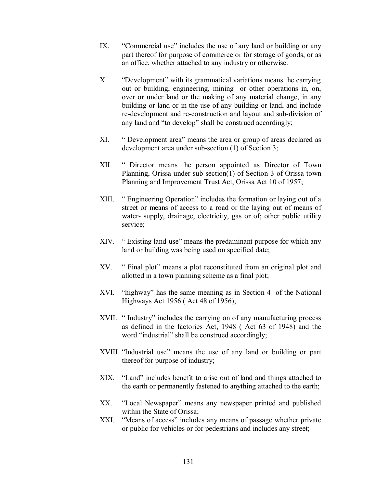- IX. "Commercial use" includes the use of any land or building or any part thereof for purpose of commerce or for storage of goods, or as an office, whether attached to any industry or otherwise.
- X. "Development" with its grammatical variations means the carrying out or building, engineering, mining or other operations in, on, over or under land or the making of any material change, in any building or land or in the use of any building or land, and include re-development and re-construction and layout and sub-division of any land and "to develop" shall be construed accordingly;
- XI. " Development area" means the area or group of areas declared as development area under sub-section (1) of Section 3;
- XII. " Director means the person appointed as Director of Town Planning, Orissa under sub section(1) of Section 3 of Orissa town Planning and Improvement Trust Act, Orissa Act 10 of 1957;
- XIII. " Engineering Operation" includes the formation or laying out of a street or means of access to a road or the laying out of means of water- supply, drainage, electricity, gas or of; other public utility service;
- XIV. " Existing land-use" means the predaminant purpose for which any land or building was being used on specified date;
- XV. " Final plot" means a plot reconstituted from an original plot and allotted in a town planning scheme as a final plot;
- XVI. "highway" has the same meaning as in Section 4 of the National Highways Act 1956 ( Act 48 of 1956);
- XVII. "Industry" includes the carrying on of any manufacturing process as defined in the factories Act, 1948 ( Act 63 of 1948) and the word "industrial" shall be construed accordingly;
- XVIII. "Industrial use" means the use of any land or building or part thereof for purpose of industry;
- XIX. "Land" includes benefit to arise out of land and things attached to the earth or permanently fastened to anything attached to the earth;
- XX. "Local Newspaper" means any newspaper printed and published within the State of Orissa;
- XXI. "Means of access" includes any means of passage whether private or public for vehicles or for pedestrians and includes any street;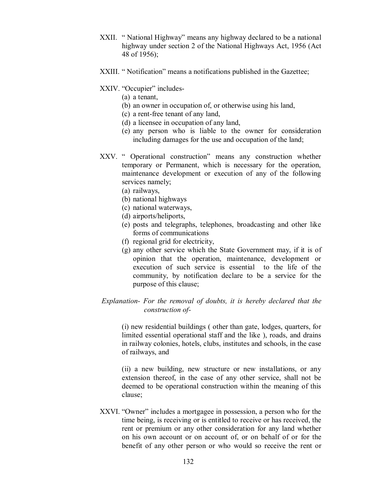- XXII. " National Highway" means any highway declared to be a national highway under section 2 of the National Highways Act, 1956 (Act 48 of 1956);
- XXIII. " Notification" means a notifications published in the Gazettee;
- XXIV. "Occupier" includes-
	- (a) a tenant,
	- (b) an owner in occupation of, or otherwise using his land,
	- (c) a rent-free tenant of any land,
	- (d) a licensee in occupation of any land,
	- (e) any person who is liable to the owner for consideration including damages for the use and occupation of the land;
- XXV. " Operational construction" means any construction whether temporary or Permanent, which is necessary for the operation, maintenance development or execution of any of the following services namely;
	- (a) railways,
	- (b) national highways
	- (c) national waterways,
	- (d) airports/heliports,
	- (e) posts and telegraphs, telephones, broadcasting and other like forms of communications
	- (f) regional grid for electricity,
	- (g) any other service which the State Government may, if it is of opinion that the operation, maintenance, development or execution of such service is essential to the life of the community, by notification declare to be a service for the purpose of this clause;

### *Explanation- For the removal of doubts, it is hereby declared that the construction of-*

(i) new residential buildings ( other than gate, lodges, quarters, for limited essential operational staff and the like ), roads, and drains in railway colonies, hotels, clubs, institutes and schools, in the case of railways, and

(ii) a new building, new structure or new installations, or any extension thereof, in the case of any other service, shall not be deemed to be operational construction within the meaning of this clause;

XXVI. "Owner" includes a mortgagee in possession, a person who for the time being, is receiving or is entitled to receive or has received, the rent or premium or any other consideration for any land whether on his own account or on account of, or on behalf of or for the benefit of any other person or who would so receive the rent or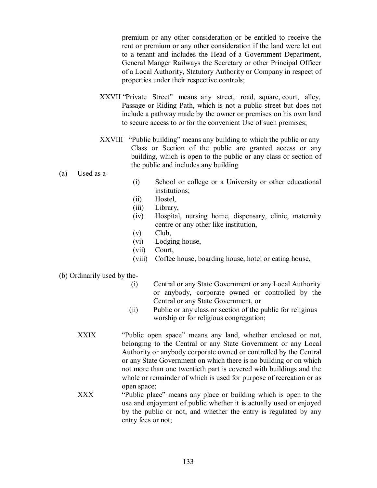premium or any other consideration or be entitled to receive the rent or premium or any other consideration if the land were let out to a tenant and includes the Head of a Government Department, General Manger Railways the Secretary or other Principal Officer of a Local Authority, Statutory Authority or Company in respect of properties under their respective controls;

- XXVII "Private Street" means any street, road, square, court, alley, Passage or Riding Path, which is not a public street but does not include a pathway made by the owner or premises on his own land to secure access to or for the convenient Use of such premises;
- XXVIII "Public building" means any building to which the public or any Class or Section of the public are granted access or any building, which is open to the public or any class or section of the public and includes any building
- (a) Used as a-
- (i) School or college or a University or other educational institutions;
- (ii) Hostel,
- (iii) Library,
- (iv) Hospital, nursing home, dispensary, clinic, maternity centre or any other like institution,
- (v) Club,
- (vi) Lodging house,
- (vii) Court,
- (viii) Coffee house, boarding house, hotel or eating house,

### (b) Ordinarily used by the-

- (i) Central or any State Government or any Local Authority or anybody, corporate owned or controlled by the Central or any State Government, or
- (ii) Public or any class or section of the public for religious worship or for religious congregation;
- XXIX "Public open space" means any land, whether enclosed or not, belonging to the Central or any State Government or any Local Authority or anybody corporate owned or controlled by the Central or any State Government on which there is no building or on which not more than one twentieth part is covered with buildings and the whole or remainder of which is used for purpose of recreation or as open space;
- XXX "Public place" means any place or building which is open to the use and enjoyment of public whether it is actually used or enjoyed by the public or not, and whether the entry is regulated by any entry fees or not;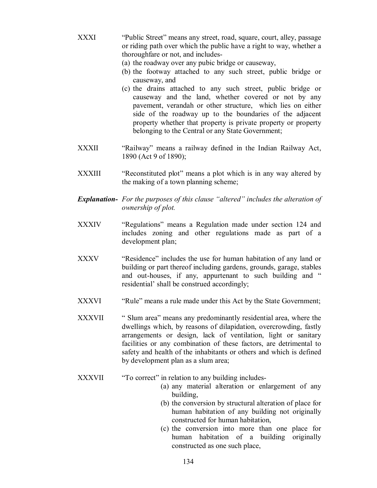- XXXI "Public Street" means any street, road, square, court, alley, passage or riding path over which the public have a right to way, whether a thoroughfare or not, and includes-
	- (a) the roadway over any pubic bridge or causeway,
	- (b) the footway attached to any such street, public bridge or causeway, and
	- (c) the drains attached to any such street, public bridge or causeway and the land, whether covered or not by any pavement, verandah or other structure, which lies on either side of the roadway up to the boundaries of the adjacent property whether that property is private property or property belonging to the Central or any State Government;
- XXXII "Railway" means a railway defined in the Indian Railway Act, 1890 (Act 9 of 1890);
- XXXIII "Reconstituted plot" means a plot which is in any way altered by the making of a town planning scheme;
- *Explanation- For the purposes of this clause "altered" includes the alteration of ownership of plot.*
- XXXIV "Regulations" means a Regulation made under section 124 and includes zoning and other regulations made as part of a development plan;
- XXXV "Residence" includes the use for human habitation of any land or building or part thereof including gardens, grounds, garage, stables and out-houses, if any, appurtenant to such building and " residential' shall be construed accordingly;
- XXXVI "Rule" means a rule made under this Act by the State Government;
- XXXVII "Slum area" means any predominantly residential area, where the dwellings which, by reasons of dilapidation, overcrowding, fastly arrangements or design, lack of ventilation, light or sanitary facilities or any combination of these factors, are detrimental to safety and health of the inhabitants or others and which is defined by development plan as a slum area;
- XXXVII "To correct" in relation to any building includes-
	- (a) any material alteration or enlargement of any building,
	- (b) the conversion by structural alteration of place for human habitation of any building not originally constructed for human habitation,
	- (c) the conversion into more than one place for human habitation of a building originally constructed as one such place,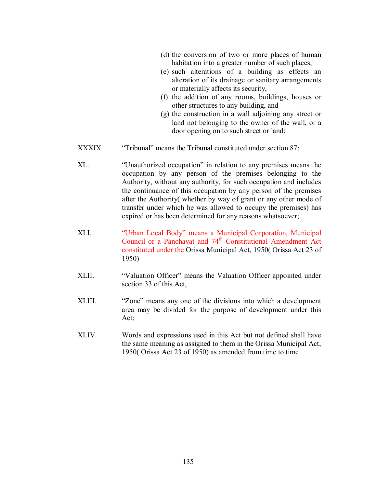|        | (d) the conversion of two or more places of human<br>habitation into a greater number of such places,<br>(e) such alterations of a building as effects an<br>alteration of its drainage or sanitary arrangements<br>or materially affects its security,<br>(f) the addition of any rooms, buildings, houses or<br>other structures to any building, and<br>(g) the construction in a wall adjoining any street or<br>land not belonging to the owner of the wall, or a<br>door opening on to such street or land; |
|--------|-------------------------------------------------------------------------------------------------------------------------------------------------------------------------------------------------------------------------------------------------------------------------------------------------------------------------------------------------------------------------------------------------------------------------------------------------------------------------------------------------------------------|
| XXXIX  | "Tribunal" means the Tribunal constituted under section 87;                                                                                                                                                                                                                                                                                                                                                                                                                                                       |
| XL.    | "Unauthorized occupation" in relation to any premises means the<br>occupation by any person of the premises belonging to the<br>Authority, without any authority, for such occupation and includes<br>the continuance of this occupation by any person of the premises<br>after the Authority(whether by way of grant or any other mode of<br>transfer under which he was allowed to occupy the premises) has<br>expired or has been determined for any reasons whatsoever;                                       |
| XLI.   | "Urban Local Body" means a Municipal Corporation, Municipal<br>Council or a Panchayat and 74 <sup>th</sup> Constitutional Amendment Act<br>constituted under the Orissa Municipal Act, 1950(Orissa Act 23 of<br>1950)                                                                                                                                                                                                                                                                                             |
| XLII.  | "Valuation Officer" means the Valuation Officer appointed under<br>section 33 of this Act,                                                                                                                                                                                                                                                                                                                                                                                                                        |
| XLIII. | "Zone" means any one of the divisions into which a development<br>area may be divided for the purpose of development under this<br>Act;                                                                                                                                                                                                                                                                                                                                                                           |
| XLIV.  | Words and expressions used in this Act but not defined shall have<br>the same meaning as assigned to them in the Orissa Municipal Act,                                                                                                                                                                                                                                                                                                                                                                            |

1950( Orissa Act 23 of 1950) as amended from time to time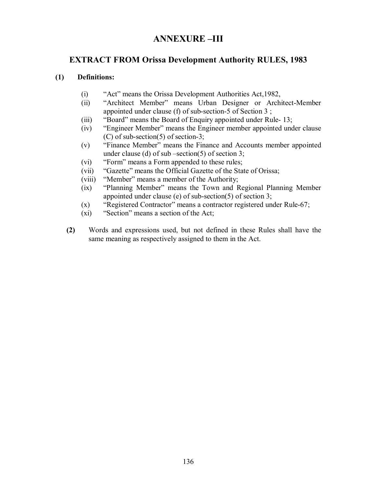# **ANNEXURE –III**

# **EXTRACT FROM Orissa Development Authority RULES, 1983**

### **(1) Definitions:**

- (i) "Act" means the Orissa Development Authorities Act,1982,
- (ii) "Architect Member" means Urban Designer or Architect-Member appointed under clause (f) of sub-section-5 of Section 3 ;
- (iii) "Board" means the Board of Enquiry appointed under Rule- 13;
- (iv) "Engineer Member" means the Engineer member appointed under clause (C) of sub-section(5) of section-3;
- (v) "Finance Member" means the Finance and Accounts member appointed under clause (d) of sub –section(5) of section 3;
- (vi) "Form" means a Form appended to these rules;
- (vii) "Gazette" means the Official Gazette of the State of Orissa;
- (viii) "Member" means a member of the Authority;
- (ix) "Planning Member" means the Town and Regional Planning Member appointed under clause (e) of sub-section(5) of section 3;
- (x) "Registered Contractor" means a contractor registered under Rule-67;
- (xi) "Section" means a section of the Act;
- **(2)** Words and expressions used, but not defined in these Rules shall have the same meaning as respectively assigned to them in the Act.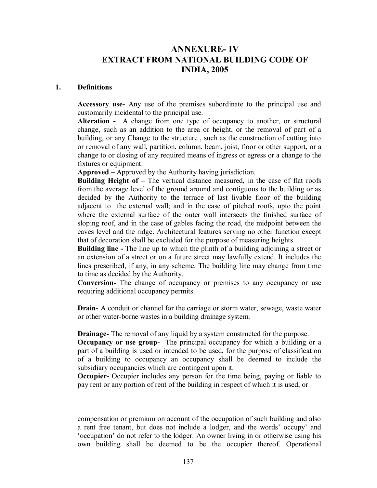# **ANNEXURE- IV EXTRACT FROM NATIONAL BUILDING CODE OF INDIA, 2005**

#### **1. Definitions**

**Accessory use-** Any use of the premises subordinate to the principal use and customarily incidental to the principal use.

**Alteration -** A change from one type of occupancy to another, or structural change, such as an addition to the area or height, or the removal of part of a building, or any Change to the structure , such as the construction of cutting into or removal of any wall, partition, column, beam, joist, floor or other support, or a change to or closing of any required means of ingress or egress or a change to the fixtures or equipment.

**Approved –** Approved by the Authority having jurisdiction.

**Building Height of –** The vertical distance measured, in the case of flat roofs from the average level of the ground around and contiguous to the building or as decided by the Authority to the terrace of last livable floor of the building adjacent to the external wall; and in the case of pitched roofs, upto the point where the external surface of the outer wall intersects the finished surface of sloping roof, and in the case of gables facing the road, the midpoint between the eaves level and the ridge. Architectural features serving no other function except that of decoration shall be excluded for the purpose of measuring heights.

**Building line -** The line up to which the plinth of a building adjoining a street or an extension of a street or on a future street may lawfully extend. It includes the lines prescribed, if any, in any scheme. The building line may change from time to time as decided by the Authority.

**Conversion-** The change of occupancy or premises to any occupancy or use requiring additional occupancy permits.

**Drain-** A conduit or channel for the carriage or storm water, sewage, waste water or other water-borne wastes in a building drainage system.

**Drainage-** The removal of any liquid by a system constructed for the purpose.

**Occupancy or use group-** The principal occupancy for which a building or a part of a building is used or intended to be used, for the purpose of classification of a building to occupancy an occupancy shall be deemed to include the subsidiary occupancies which are contingent upon it.

**Occupier-** Occupier includes any person for the time being, paying or liable to pay rent or any portion of rent of the building in respect of which it is used, or

compensation or premium on account of the occupation of such building and also a rent free tenant, but does not include a lodger, and the words' occupy' and 'occupation' do not refer to the lodger. An owner living in or otherwise using his own building shall be deemed to be the occupier thereof. Operational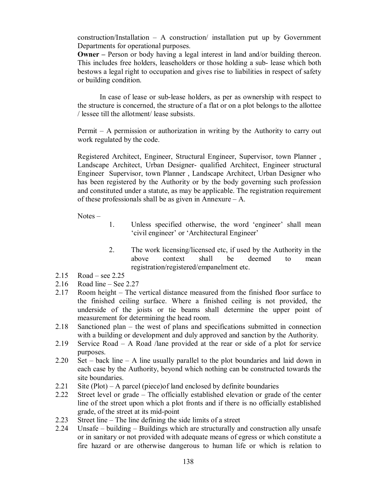construction/Installation – A construction/ installation put up by Government Departments for operational purposes.

**Owner** – Person or body having a legal interest in land and/or building thereon. This includes free holders, leaseholders or those holding a sub- lease which both bestows a legal right to occupation and gives rise to liabilities in respect of safety or building condition.

In case of lease or sub-lease holders, as per as ownership with respect to the structure is concerned, the structure of a flat or on a plot belongs to the allottee / lessee till the allotment/ lease subsists.

Permit – A permission or authorization in writing by the Authority to carry out work regulated by the code.

Registered Architect, Engineer, Structural Engineer, Supervisor, town Planner , Landscape Architect, Urban Designer- qualified Architect, Engineer structural Engineer Supervisor, town Planner , Landscape Architect, Urban Designer who has been registered by the Authority or by the body governing such profession and constituted under a statute, as may be applicable. The registration requirement of these professionals shall be as given in Annexure – A.

Notes –

- 1. Unless specified otherwise, the word 'engineer' shall mean 'civil engineer' or 'Architectural Engineer'
- 2. The work licensing/licensed etc, if used by the Authority in the above context shall be deemed to mean registration/registered/empanelment etc.
- 2.15 Road see 2.25
- 2.16 Road line See 2.27
- 2.17 Room height The vertical distance measured from the finished floor surface to the finished ceiling surface. Where a finished ceiling is not provided, the underside of the joists or tie beams shall determine the upper point of measurement for determining the head room.
- 2.18 Sanctioned plan the west of plans and specifications submitted in connection with a building or development and duly approved and sanction by the Authority.
- 2.19 Service Road A Road /lane provided at the rear or side of a plot for service purposes.
- 2.20 Set back line A line usually parallel to the plot boundaries and laid down in each case by the Authority, beyond which nothing can be constructed towards the site boundaries.
- 2.21 Site (Plot) A parcel (piece)of land enclosed by definite boundaries
- 2.22 Street level or grade The officially established elevation or grade of the center line of the street upon which a plot fronts and if there is no officially established grade, of the street at its mid-point
- 2.23 Street line The line defining the side limits of a street
- 2.24 Unsafe building Buildings which are structurally and construction ally unsafe or in sanitary or not provided with adequate means of egress or which constitute a fire hazard or are otherwise dangerous to human life or which is relation to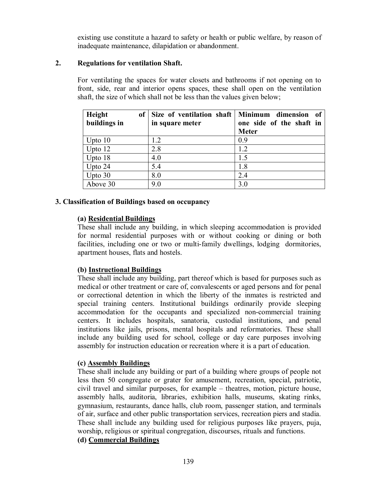existing use constitute a hazard to safety or health or public welfare, by reason of inadequate maintenance, dilapidation or abandonment.

### **2. Regulations for ventilation Shaft.**

For ventilating the spaces for water closets and bathrooms if not opening on to front, side, rear and interior opens spaces, these shall open on the ventilation shaft, the size of which shall not be less than the values given below;

| Height       | of Size of ventilation shaft   Minimum dimension | of                       |
|--------------|--------------------------------------------------|--------------------------|
| buildings in | in square meter                                  | one side of the shaft in |
|              |                                                  | <b>Meter</b>             |
| Upto $10$    | 1.2                                              | 0.9                      |
| Upto 12      | 2.8                                              | 1.2                      |
| Upto 18      | 4.0                                              | 1.5                      |
| Upto 24      | 5.4                                              | 1.8                      |
| Upto $30$    | 8.0                                              | 2.4                      |
| Above 30     | 9.0                                              | 3.0                      |

#### **3. Classification of Buildings based on occupancy**

### **(a) Residential Buildings**

These shall include any building, in which sleeping accommodation is provided for normal residential purposes with or without cooking or dining or both facilities, including one or two or multi-family dwellings, lodging dormitories, apartment houses, flats and hostels.

### **(b) Instructional Buildings**

These shall include any building, part thereof which is based for purposes such as medical or other treatment or care of, convalescents or aged persons and for penal or correctional detention in which the liberty of the inmates is restricted and special training centers. Institutional buildings ordinarily provide sleeping accommodation for the occupants and specialized non-commercial training centers. It includes hospitals, sanatoria, custodial institutions, and penal institutions like jails, prisons, mental hospitals and reformatories. These shall include any building used for school, college or day care purposes involving assembly for instruction education or recreation where it is a part of education.

### **(c) Assembly Buildings**

These shall include any building or part of a building where groups of people not less then 50 congregate or grater for amusement, recreation, special, patriotic, civil travel and similar purposes, for example – theatres, motion, picture house, assembly halls, auditoria, libraries, exhibition halls, museums, skating rinks, gymnasium, restaurants, dance halls, club room, passenger station, and terminals of air, surface and other public transportation services, recreation piers and stadia. These shall include any building used for religious purposes like prayers, puja, worship, religious or spiritual congregation, discourses, rituals and functions.

# **(d) Commercial Buildings**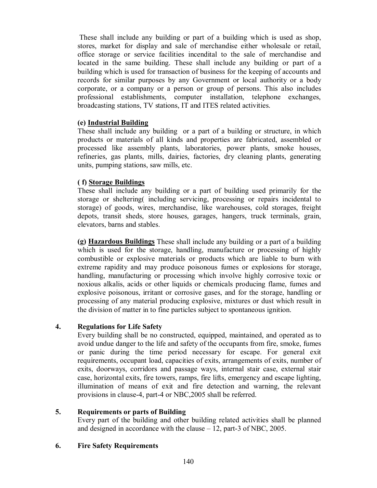These shall include any building or part of a building which is used as shop, stores, market for display and sale of merchandise either wholesale or retail, office storage or service facilities incendital to the sale of merchandise and located in the same building. These shall include any building or part of a building which is used for transaction of business for the keeping of accounts and records for similar purposes by any Government or local authority or a body corporate, or a company or a person or group of persons. This also includes professional establishments, computer installation, telephone exchanges, broadcasting stations, TV stations, IT and ITES related activities.

# **(e) Industrial Building**

These shall include any building or a part of a building or structure, in which products or materials of all kinds and properties are fabricated, assembled or processed like assembly plants, laboratories, power plants, smoke houses, refineries, gas plants, mills, dairies, factories, dry cleaning plants, generating units, pumping stations, saw mills, etc.

# **( f) Storage Buildings**

These shall include any building or a part of building used primarily for the storage or sheltering( including servicing, processing or repairs incidental to storage) of goods, wires, merchandise, like warehouses, cold storages, freight depots, transit sheds, store houses, garages, hangers, truck terminals, grain, elevators, barns and stables.

**(g) Hazardous Buildings** These shall include any building or a part of a building which is used for the storage, handling, manufacture or processing of highly combustible or explosive materials or products which are liable to burn with extreme rapidity and may produce poisonous fumes or explosions for storage, handling, manufacturing or processing which involve highly corrosive toxic or noxious alkalis, acids or other liquids or chemicals producing flame, fumes and explosive poisonous, irritant or corrosive gases, and for the storage, handling or processing of any material producing explosive, mixtures or dust which result in the division of matter in to fine particles subject to spontaneous ignition.

# **4. Regulations for Life Safety**

Every building shall be no constructed, equipped, maintained, and operated as to avoid undue danger to the life and safety of the occupants from fire, smoke, fumes or panic during the time period necessary for escape. For general exit requirements, occupant load, capacities of exits, arrangements of exits, number of exits, doorways, corridors and passage ways, internal stair case, external stair case, horizontal exits, fire towers, ramps, fire lifts, emergency and escape lighting, illumination of means of exit and fire detection and warning, the relevant provisions in clause-4, part-4 or NBC,2005 shall be referred.

# **5. Requirements or parts of Building**

Every part of the building and other building related activities shall be planned and designed in accordance with the clause – 12, part-3 of NBC, 2005.

# **6. Fire Safety Requirements**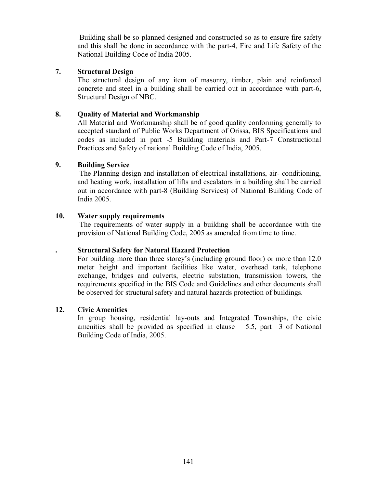Building shall be so planned designed and constructed so as to ensure fire safety and this shall be done in accordance with the part-4, Fire and Life Safety of the National Building Code of India 2005.

### **7. Structural Design**

The structural design of any item of masonry, timber, plain and reinforced concrete and steel in a building shall be carried out in accordance with part-6, Structural Design of NBC.

### **8. Quality of Material and Workmanship**

All Material and Workmanship shall be of good quality conforming generally to accepted standard of Public Works Department of Orissa, BIS Specifications and codes as included in part -5 Building materials and Part-7 Constructional Practices and Safety of national Building Code of India, 2005.

# **9. Building Service**

The Planning design and installation of electrical installations, air- conditioning, and heating work, installation of lifts and escalators in a building shall be carried out in accordance with part-8 (Building Services) of National Building Code of India 2005.

### **10. Water supply requirements**

The requirements of water supply in a building shall be accordance with the provision of National Building Code, 2005 as amended from time to time.

### **. Structural Safety for Natural Hazard Protection**

For building more than three storey's (including ground floor) or more than 12.0 meter height and important facilities like water, overhead tank, telephone exchange, bridges and culverts, electric substation, transmission towers, the requirements specified in the BIS Code and Guidelines and other documents shall be observed for structural safety and natural hazards protection of buildings.

### **12. Civic Amenities**

In group housing, residential lay-outs and Integrated Townships, the civic amenities shall be provided as specified in clause  $-$  5.5, part  $-3$  of National Building Code of India, 2005.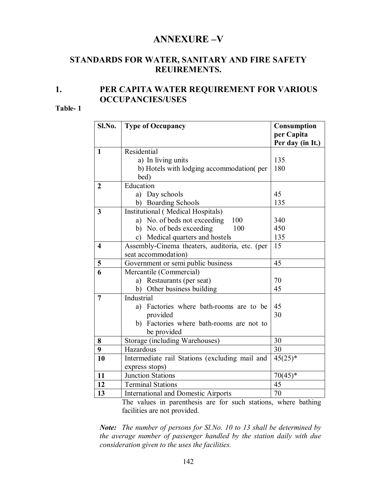# **ANNEXURE –V**

# **STANDARDS FOR WATER, SANITARY AND FIRE SAFETY REUIREMENTS.**

# **1. PER CAPITA WATER REQUIREMENT FOR VARIOUS OCCUPANCIES/USES**

#### **Table- 1**

| Sl.No.                  | <b>Type of Occupancy</b>                                                                   | <b>Consumption</b><br>per Capita<br>Per day (in It.) |  |
|-------------------------|--------------------------------------------------------------------------------------------|------------------------------------------------------|--|
| $\mathbf{1}$            | Residential                                                                                |                                                      |  |
|                         | a) In living units                                                                         | 135                                                  |  |
|                         | b) Hotels with lodging accommodation(per                                                   | 180                                                  |  |
|                         | bed)                                                                                       |                                                      |  |
| $\overline{2}$          | Education                                                                                  |                                                      |  |
|                         | a) Day schools                                                                             | 45                                                   |  |
|                         | <b>Boarding Schools</b><br>b)                                                              | 135                                                  |  |
| $\overline{\mathbf{3}}$ | Institutional (Medical Hospitals)                                                          |                                                      |  |
|                         | a) No. of beds not exceeding<br>100                                                        | 340                                                  |  |
|                         | b) No. of beds exceeding<br>100                                                            | 450                                                  |  |
|                         | Medical quarters and hostels<br>$\mathbf{c})$                                              | 135                                                  |  |
| $\overline{\mathbf{4}}$ | Assembly-Cinema theaters, auditoria, etc. (per<br>15                                       |                                                      |  |
|                         | seat accommodation)                                                                        |                                                      |  |
| 5                       | Government or semi public business                                                         | 45                                                   |  |
| $\overline{6}$          | Mercantile (Commercial)                                                                    |                                                      |  |
|                         | a) Restaurants (per seat)                                                                  | 70                                                   |  |
|                         | b) Other business building                                                                 | 45                                                   |  |
| $\overline{7}$          | Industrial                                                                                 |                                                      |  |
|                         | a) Factories where bath-rooms are to be                                                    | 45                                                   |  |
|                         | provided                                                                                   | 30                                                   |  |
|                         | b) Factories where bath-rooms are not to                                                   |                                                      |  |
|                         | be provided                                                                                |                                                      |  |
| 8                       | Storage (including Warehouses)                                                             | 30                                                   |  |
| 9                       | Hazardous                                                                                  | 30                                                   |  |
| 10                      | Intermediate rail Stations (excluding mail and                                             | $45(25)^*$                                           |  |
|                         | express stops)                                                                             |                                                      |  |
| 11                      | $70(45)*$<br>Junction Stations                                                             |                                                      |  |
| 12                      | 45<br><b>Terminal Stations</b>                                                             |                                                      |  |
| 13                      | <b>International and Domestic Airports</b><br>The colorer in negro the case from the state | 70<br>$-1 - 1 - 1 = 1 - 1$                           |  |

The values in parenthesis are for such stations, where bathing facilities are not provided.

*Note: The number of persons for Sl.No. 10 to 13 shall be determined by the average number of passenger handled by the station daily with due consideration given to the uses the facilities.*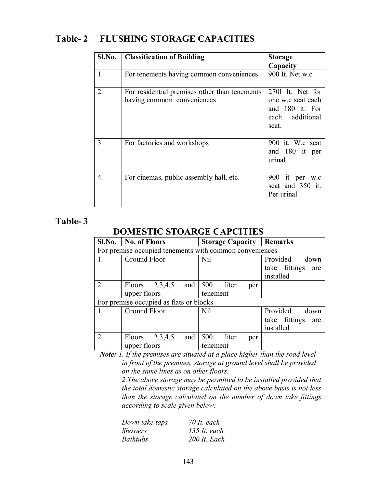# **Table- 2 FLUSHING STORAGE CAPACITIES**

| Sl.No. | <b>Classification of Building</b>                                           | <b>Storage</b>                                                                       |
|--------|-----------------------------------------------------------------------------|--------------------------------------------------------------------------------------|
|        |                                                                             | Capacity                                                                             |
| 1.     | For tenements having common conveniences                                    | 900 It. Net w.c                                                                      |
| 2.     | For residential premises other than tenements<br>having common conveniences | 2701 It. Net for<br>one w.c seat each<br>and 180 it. For<br>each additional<br>seat. |
| 3      | For factories and workshops                                                 | 900 it. W.c seat<br>and 180 it per<br>urinal.                                        |
| 4.     | For cinemas, public assembly hall, etc.                                     | 900 it per w.c<br>seat and 350 it.<br>Per urinal                                     |

# **Table- 3**

# **DOMESTIC STOARGE CAPCITIES**

|                                         | Sl.No.   No. of Floors                                  |  | <b>Storage Capacity   Remarks</b> |     |                      |
|-----------------------------------------|---------------------------------------------------------|--|-----------------------------------|-----|----------------------|
|                                         | For premise occupied tenements with common conveniences |  |                                   |     |                      |
| $\mathbf{1}_{-}$                        | Ground Floor                                            |  | <b>Nil</b>                        |     | Provided<br>down     |
|                                         |                                                         |  |                                   |     | take fittings<br>are |
|                                         |                                                         |  |                                   |     | installed            |
| $\overline{2}$ .                        | Floors $2.3,4,5$ and $500$ liter                        |  |                                   | per |                      |
|                                         | upper floors                                            |  | tenement                          |     |                      |
| For premise occupied as flats or blocks |                                                         |  |                                   |     |                      |
| $\mathbf{1}$ .                          | Ground Floor                                            |  | Nil                               |     | Provided<br>down     |
|                                         |                                                         |  |                                   |     | take fittings<br>are |
|                                         |                                                         |  |                                   |     | installed            |
| 2.                                      | Floors $2.3,4,5$<br>and $\vert$                         |  | 500<br>liter                      | per |                      |
|                                         | upper floors                                            |  | tenement                          |     |                      |

*Note: 1. If the premises are situated at a place higher than the road level in front of the premises, storage at ground level shall be provided on the same lines as on other floors.*

> *2.The above storage may be permitted to be installed provided that the total domestic storage calculated on the above basis is not less than the storage calculated on the number of down take fittings according to scale given below:*

| Down take taps  | $70$ It. each  |
|-----------------|----------------|
| <i>Showers</i>  | $135$ It. each |
| <i>Bathtubs</i> | 200 It. Each   |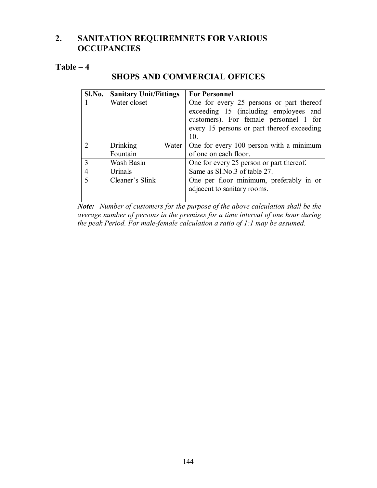### **2. SANITATION REQUIREMNETS FOR VARIOUS OCCUPANCIES**

### **Table – 4**

### **SHOPS AND COMMERCIAL OFFICES**

| Sl.No.         | <b>Sanitary Unit/Fittings</b> | <b>For Personnel</b>                                                              |
|----------------|-------------------------------|-----------------------------------------------------------------------------------|
|                | Water closet                  | One for every 25 persons or part thereof<br>exceeding 15 (including employees and |
|                |                               | customers). For female personnel 1 for                                            |
|                |                               | every 15 persons or part thereof exceeding                                        |
|                |                               | 10                                                                                |
|                | Drinking<br>Water             | One for every 100 person with a minimum                                           |
|                | Fountain                      | of one on each floor.                                                             |
| 3              | Wash Basin                    | One for every 25 person or part thereof.                                          |
| $\overline{4}$ | Urinals                       | Same as Sl.No.3 of table 27.                                                      |
| $\varsigma$    | Cleaner's Slink               | One per floor minimum, preferably in or                                           |
|                |                               | adjacent to sanitary rooms.                                                       |

*Note: Number of customers for the purpose of the above calculation shall be the average number of persons in the premises for a time interval of one hour during the peak Period. For male-female calculation a ratio of 1:1 may be assumed.*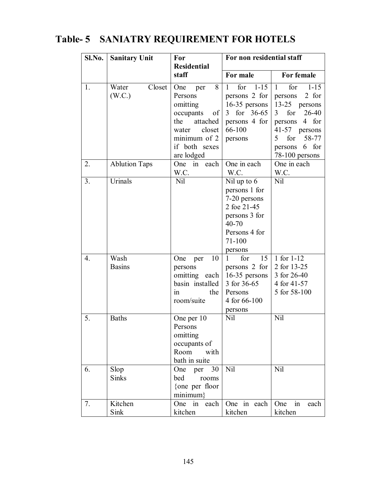#### **Sl.No. Sanitary Unit For For non residential staff Residential staff For male For female** 1. Water Closet (W.C.) One per 8 Persons omitting occupants of the attached water closet minimum of 2 if both sexes are lodged<br>One in each 1 for 1-15 persons 2 for persons 2 for 16-35 persons 3 for 36-65 persons 4 for 66-100 persons 1 for 1-15 13-25 persons 3 for 26-40 persons 4 for 41-57 persons 5 for 58-77 persons 6 for 78-100 persons 2.  $\vert$  Ablution Taps W.C. One in each W.C. One in each W.C. 3. Urinals Nil Nil up to 6 persons 1 for 7-20 persons 2 foe 21-45 persons 3 for 40-70 Persons 4 for 71-100 persons Nil 4. Wash Basins One per 10 persons omitting each basin installed in the room/suite 1 for 15 persons 2 for 16-35 persons 3 for 36-65 Persons 4 for 66-100 persons 1 for 1-12 2 for 13-25 3 for 26-40 4 for 41-57 5 for 58-100 5. Baths One per 10 Persons omitting occupants of Room with bath in suite Nil Nil 6. Slop Sinks One per 30 bed rooms {one per floor minimum} Nil Nil 7. Kitchen Sink One in each kitchen One in each kitchen One in each kitchen

### **Table- 5 SANIATRY REQUIREMENT FOR HOTELS**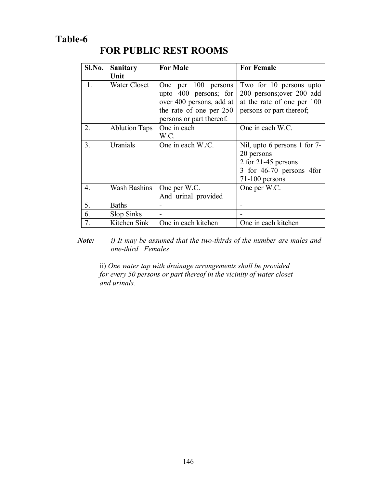### **Table-6**

## **FOR PUBLIC REST ROOMS**

| Sl.No.           | <b>Sanitary</b>      | <b>For Male</b>          | <b>For Female</b>            |
|------------------|----------------------|--------------------------|------------------------------|
|                  | Unit                 |                          |                              |
| $1_{\cdot}$      | <b>Water Closet</b>  | 100 persons<br>One per   | Two for 10 persons upto      |
|                  |                      | upto 400 persons; for    | 200 persons; over 200 add    |
|                  |                      | over 400 persons, add at | at the rate of one per 100   |
|                  |                      | the rate of one per 250  | persons or part thereof;     |
|                  |                      | persons or part thereof. |                              |
| 2.               | <b>Ablution Taps</b> | One in each              | One in each W.C.             |
|                  |                      | W.C.                     |                              |
| 3.               | Uranials             | One in each W./C.        | Nil, upto 6 persons 1 for 7- |
|                  |                      |                          | 20 persons                   |
|                  |                      |                          | 2 for 21-45 persons          |
|                  |                      |                          | 3 for 46-70 persons 4 for    |
|                  |                      |                          | $71-100$ persons             |
| $\overline{4}$ . | <b>Wash Bashins</b>  | One per W.C.             | One per W.C.                 |
|                  |                      | And urinal provided      |                              |
| 5.               | <b>Baths</b>         |                          |                              |
| 6.               | Slop Sinks           |                          |                              |
| 7.               | Kitchen Sink         | One in each kitchen      | One in each kitchen          |

*Note: i) It may be assumed that the two-thirds of the number are males and one-third Females*

ii) *One water tap with drainage arrangements shall be provided for every 50 persons or part thereof in the vicinity of water closet and urinals.*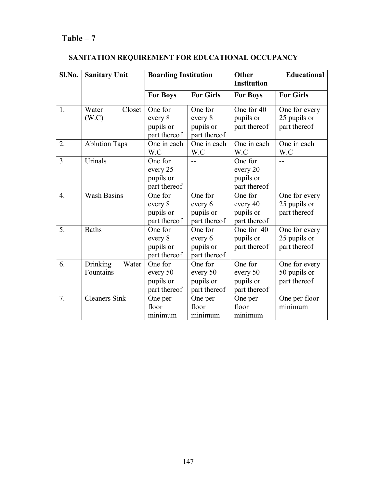### **Table – 7**

| Sl.No.           | <b>Sanitary Unit</b>           | <b>Boarding Institution</b>                      |                                                  | Other<br><b>Institution</b>                      | Educational                                   |
|------------------|--------------------------------|--------------------------------------------------|--------------------------------------------------|--------------------------------------------------|-----------------------------------------------|
|                  |                                | <b>For Boys</b>                                  | <b>For Girls</b>                                 | <b>For Boys</b>                                  | <b>For Girls</b>                              |
| 1.               | Closet<br>Water<br>(W.C)       | One for<br>every 8<br>pupils or<br>part thereof  | One for<br>every 8<br>pupils or<br>part thereof  | One for 40<br>pupils or<br>part thereof          | One for every<br>25 pupils or<br>part thereof |
| 2.               | <b>Ablution Taps</b>           | One in each<br>W.C                               | One in each<br>W.C                               | One in each<br>W.C                               | One in each<br>W.C                            |
| 3.               | <b>Urinals</b>                 | One for<br>every 25<br>pupils or<br>part thereof |                                                  | One for<br>every 20<br>pupils or<br>part thereof | $\overline{a}$                                |
| $\overline{4}$ . | <b>Wash Basins</b>             | One for<br>every 8<br>pupils or<br>part thereof  | One for<br>every 6<br>pupils or<br>part thereof  | One for<br>every 40<br>pupils or<br>part thereof | One for every<br>25 pupils or<br>part thereof |
| 5.               | <b>Baths</b>                   | One for<br>every 8<br>pupils or<br>part thereof  | One for<br>every 6<br>pupils or<br>part thereof  | One for 40<br>pupils or<br>part thereof          | One for every<br>25 pupils or<br>part thereof |
| 6.               | Drinking<br>Water<br>Fountains | One for<br>every 50<br>pupils or<br>part thereof | One for<br>every 50<br>pupils or<br>part thereof | One for<br>every 50<br>pupils or<br>part thereof | One for every<br>50 pupils or<br>part thereof |
| 7.               | Cleaners Sink                  | One per<br>floor<br>minimum                      | One per<br>floor<br>minimum                      | One per<br>floor<br>minimum                      | One per floor<br>minimum                      |

### **SANITATION REQUIREMENT FOR EDUCATIONAL OCCUPANCY**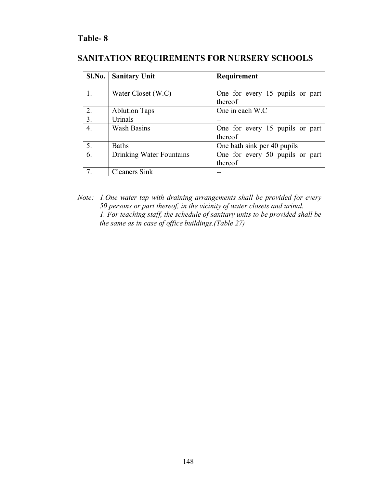### **Table- 8**

### **SANITATION REQUIREMENTS FOR NURSERY SCHOOLS**

| Sl.No.           | <b>Sanitary Unit</b>     | Requirement                     |
|------------------|--------------------------|---------------------------------|
|                  |                          |                                 |
|                  | Water Closet (W.C)       | One for every 15 pupils or part |
|                  |                          | thereof                         |
| 2.               | <b>Ablution Taps</b>     | One in each W.C.                |
| 3.               | Urinals                  |                                 |
| $\overline{4}$ . | <b>Wash Basins</b>       | One for every 15 pupils or part |
|                  |                          | thereof                         |
| 5.               | <b>Baths</b>             | One bath sink per 40 pupils     |
| 6.               | Drinking Water Fountains | One for every 50 pupils or part |
|                  |                          | thereof                         |
|                  | <b>Cleaners Sink</b>     |                                 |

*Note: 1.One water tap with draining arrangements shall be provided for every 50 persons or part thereof, in the vicinity of water closets and urinal. 1. For teaching staff, the schedule of sanitary units to be provided shall be the same as in case of office buildings.(Table 27)*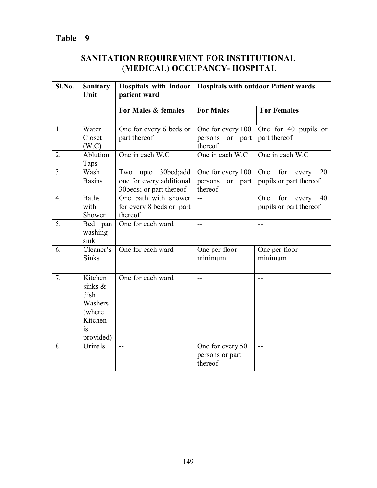### **SANITATION REQUIREMENT FOR INSTITUTIONAL (MEDICAL) OCCUPANCY- HOSPITAL**

| Sl.No.         | <b>Sanitary</b><br>Unit                                                                 | patient ward                                                               | Hospitals with indoor   Hospitals with outdoor Patient wards |                                                     |  |
|----------------|-----------------------------------------------------------------------------------------|----------------------------------------------------------------------------|--------------------------------------------------------------|-----------------------------------------------------|--|
|                |                                                                                         | For Males & females                                                        | <b>For Males</b>                                             | <b>For Females</b>                                  |  |
| 1.             | Water<br>Closet<br>(W.C)                                                                | One for every 6 beds or<br>part thereof                                    | One for every 100<br>persons<br>or part<br>thereof           | One for 40 pupils or<br>part thereof                |  |
| 2.             | Ablution<br>Taps                                                                        | One in each W.C                                                            | One in each W.C                                              | One in each W.C                                     |  |
| 3 <sub>1</sub> | Wash<br><b>Basins</b>                                                                   | Two upto 30bed;add<br>one for every additional<br>30 beds; or part thereof | One for every 100<br>persons<br>or part<br>thereof           | One<br>for<br>20<br>every<br>pupils or part thereof |  |
| 4.             | <b>Baths</b><br>with<br>Shower                                                          | One bath with shower<br>for every 8 beds or part<br>thereof                | $\mathbf{u}$                                                 | for<br>One<br>every<br>40<br>pupils or part thereof |  |
| 5.             | Bed pan<br>washing<br>sink                                                              | One for each ward                                                          | $\overline{a}$                                               | $-$                                                 |  |
| 6.             | Cleaner's<br><b>Sinks</b>                                                               | One for each ward                                                          | One per floor<br>minimum                                     | One per floor<br>minimum                            |  |
| 7.             | Kitchen<br>sinks $\&$<br>dish<br>Washers<br>(where<br>Kitchen<br><b>1S</b><br>provided) | One for each ward                                                          | $- -$                                                        | $-$                                                 |  |
| 8.             | Urinals                                                                                 | $-$                                                                        | One for every 50<br>persons or part<br>thereof               | $-$                                                 |  |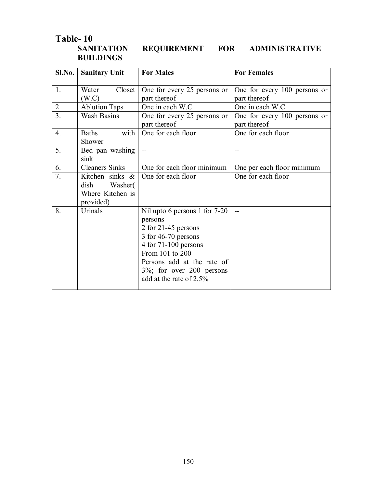# Table-10<br>SANITATION **BUILDINGS**

REQUIREMENT FOR ADMINISTRATIVE

| Sl.No.           | <b>Sanitary Unit</b>                                                | <b>For Males</b>                                                                                                                                                                                                             | <b>For Females</b>                           |
|------------------|---------------------------------------------------------------------|------------------------------------------------------------------------------------------------------------------------------------------------------------------------------------------------------------------------------|----------------------------------------------|
| 1.               | Closet<br>Water<br>(W.C)                                            | One for every 25 persons or<br>part thereof                                                                                                                                                                                  | One for every 100 persons or<br>part thereof |
| 2.               | <b>Ablution Taps</b>                                                | One in each W.C                                                                                                                                                                                                              | One in each W.C                              |
| $\overline{3}$ . | <b>Wash Basins</b>                                                  | One for every 25 persons or<br>part thereof                                                                                                                                                                                  | One for every 100 persons or<br>part thereof |
| 4.               | with<br><b>Baths</b><br>Shower                                      | One for each floor                                                                                                                                                                                                           | One for each floor                           |
| 5.               | Bed pan washing<br>sink                                             |                                                                                                                                                                                                                              |                                              |
| 6.               | <b>Cleaners Sinks</b>                                               | One for each floor minimum                                                                                                                                                                                                   | One per each floor minimum                   |
| 7.               | Kitchen sinks &<br>Washer(<br>dish<br>Where Kitchen is<br>provided) | One for each floor                                                                                                                                                                                                           | One for each floor                           |
| 8.               | Urinals                                                             | Nil upto 6 persons 1 for 7-20<br>persons<br>2 for 21-45 persons<br>3 for 46-70 persons<br>4 for $71-100$ persons<br>From 101 to 200<br>Persons add at the rate of<br>$3\%$ ; for over 200 persons<br>add at the rate of 2.5% | $-$                                          |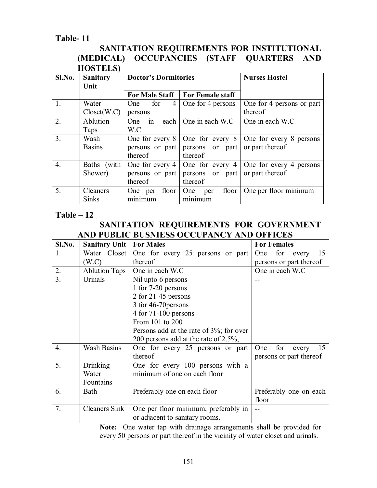### **Table- 11**

### **SANITATION REQUIREMENTS FOR INSTITUTIONAL (MEDICAL) OCCUPANCIES (STAFF QUARTERS AND HOSTELS)**

| Sl.No.           | <b>Sanitary</b><br>Unit | <b>Doctor's Dormitories</b>       |                      | <b>Nurses Hostel</b>      |
|------------------|-------------------------|-----------------------------------|----------------------|---------------------------|
|                  |                         | For Male Staff   For Female staff |                      |                           |
| $\overline{1}$ . | Water                   | $\vert 4 \vert$<br>One for        | One for 4 persons    | One for 4 persons or part |
|                  | Closed(W.C)             | persons                           |                      | thereof                   |
| 2.               | Ablution                | each  <br>One in                  | One in each W.C      | One in each W.C.          |
|                  | Taps                    | W.C                               |                      |                           |
| 3.               | Wash                    | One for every 8                   | One for every $8$    | One for every 8 persons   |
|                  | <b>Basins</b>           | persons or part                   | persons or part      | or part thereof           |
|                  |                         | thereof                           | thereof              |                           |
| $\overline{4}$ . | Baths (with             | One for every 4                   | One for every $4$    | One for every 4 persons   |
|                  | Shower)                 | persons or part                   | persons or part      | or part thereof           |
|                  |                         | thereof                           | thereof              |                           |
| 5.               | Cleaners                | floor<br>One per                  | floor $ $<br>One per | One per floor minimum     |
|                  | <b>Sinks</b>            | minimum                           | minimum              |                           |

### **Table – 12**

### **SANITATION REQUIREMENTS FOR GOVERNMENT AND PUBLIC BUSNIESS OCCUPANCY AND OFFICES**

| Sl.No.           | <b>Sanitary Unit</b> | <b>For Males</b>                            | <b>For Females</b>        |
|------------------|----------------------|---------------------------------------------|---------------------------|
| 1.               | Water Closet         | One for every 25 persons or part            | for<br>15<br>One<br>every |
|                  | (W.C)                | thereof                                     | persons or part thereof   |
| 2.               | <b>Ablution Taps</b> | One in each W.C                             | One in each W.C           |
| 3.               | Urinals              | Nil upto 6 persons                          |                           |
|                  |                      | 1 for 7-20 persons                          |                           |
|                  |                      | 2 for 21-45 persons                         |                           |
|                  |                      | 3 for 46-70 persons                         |                           |
|                  |                      | 4 for $71-100$ persons                      |                           |
|                  |                      | From 101 to 200                             |                           |
|                  |                      | Persons add at the rate of $3\%$ ; for over |                           |
|                  |                      | 200 persons add at the rate of 2.5%,        |                           |
| $\overline{4}$ . | <b>Wash Basins</b>   | One for every 25 persons or part            | for<br>15<br>One<br>every |
|                  |                      | thereof                                     | persons or part thereof   |
| 5.               | Drinking             | One for every 100 persons with a            |                           |
|                  | Water                | minimum of one on each floor                |                           |
|                  | Fountains            |                                             |                           |
| 6.               | Bath                 | Preferably one on each floor                | Preferably one on each    |
|                  |                      |                                             | floor                     |
| 7.               | <b>Cleaners Sink</b> | One per floor minimum; preferably in        |                           |
|                  |                      | or adjacent to sanitary rooms.              |                           |

**Note:** One water tap with drainage arrangements shall be provided for every 50 persons or part thereof in the vicinity of water closet and urinals.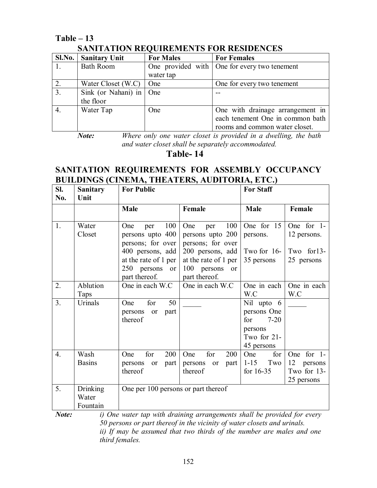### **Table – 13 SANITATION REQUIREMENTS FOR RESIDENCES**

|                  | <u> SIR (Frittion RB) chabhlóigí ó raibhdóig bhuall an </u> |                  |                                              |  |  |  |
|------------------|-------------------------------------------------------------|------------------|----------------------------------------------|--|--|--|
|                  | Sl.No.   Sanitary Unit                                      | <b>For Males</b> | <b>For Females</b>                           |  |  |  |
|                  | <b>Bath Room</b>                                            |                  | One provided with One for every two tenement |  |  |  |
|                  |                                                             | water tap        |                                              |  |  |  |
| 2.               | Water Closet (W.C)                                          | One              | One for every two tenement                   |  |  |  |
| $\overline{3}$ . | Sink (or Nahani) in                                         | One              |                                              |  |  |  |
|                  | the floor                                                   |                  |                                              |  |  |  |
|                  | Water Tap                                                   | One              | One with drainage arrangement in             |  |  |  |
|                  |                                                             |                  | each tenement One in common bath             |  |  |  |
|                  |                                                             |                  | rooms and common water closet.               |  |  |  |

*Note: Where only one water closet is provided in a dwelling, the bath and water closet shall be separately accommodated.*

**Table- 14**

### **SANITATION REQUIREMENTS FOR ASSEMBLY OCCUPANCY BUILDINGS (CINEMA, THEATERS, AUDITORIA, ETC.)**

| Sl.<br>No.       | <b>Sanitary</b><br>Unit | <b>For Public</b>                                                              |                                                                             | <b>For Staff</b>                             |                                 |
|------------------|-------------------------|--------------------------------------------------------------------------------|-----------------------------------------------------------------------------|----------------------------------------------|---------------------------------|
|                  |                         | Male                                                                           | Female                                                                      | Male                                         | Female                          |
| 1.               | Water<br>Closet         | 100<br>One<br>per<br>persons upto 400<br>persons; for over                     | 100<br>One<br>per<br>persons upto 200<br>persons; for over                  | One for 15<br>persons.                       | One for 1-<br>12 persons.       |
|                  |                         | 400 persons, add<br>at the rate of 1 per<br>250 persons<br>or<br>part thereof. | 200 persons, add<br>at the rate of 1 per<br>100 persons or<br>part thereof. | Two for 16-<br>35 persons                    | Two for13-<br>25 persons        |
| 2.               | Ablution                | One in each W.C                                                                | One in each W.C                                                             | One in each                                  | One in each                     |
|                  | Taps                    |                                                                                |                                                                             | W.C                                          | W.C                             |
| 3.               | Urinals                 | for<br>50<br>One<br>part<br>persons<br>or<br>thereof                           |                                                                             | Nil upto 6<br>persons One<br>for<br>$7 - 20$ |                                 |
|                  |                         |                                                                                |                                                                             | persons<br>Two for 21-<br>45 persons         |                                 |
| $\overline{4}$ . | Wash                    | for<br>200<br>One                                                              | for<br>One<br>200                                                           | for<br>One                                   | One for 1-                      |
|                  | <b>Basins</b>           | persons<br>part<br><sub>or</sub>                                               | persons<br>part<br>or                                                       | $1 - 15$<br>Two                              | 12<br>persons                   |
|                  |                         | thereof                                                                        | thereof                                                                     | for $16-35$                                  | Two for 13-                     |
|                  |                         |                                                                                |                                                                             |                                              | 25 persons                      |
| 5.               | Drinking<br>Water       | One per 100 persons or part thereof                                            |                                                                             |                                              |                                 |
|                  | Fountain                | $\cdot$ $\cdot$ $\cdot$ $\cdot$                                                |                                                                             | 7.77.7                                       | $\cdot$ $\cdot$ $\cdot$ $\cdot$ |

*Note: i) One water tap with draining arrangements shall be provided for every 50 persons or part thereof in the vicinity of water closets and urinals. ii) If may be assumed that two thirds of the number are males and one third females.*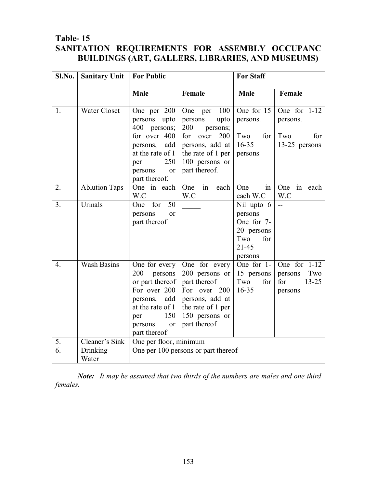### **Table- 15 SANITATION REQUIREMENTS FOR ASSEMBLY OCCUPANC BUILDINGS (ART, GALLERS, LIBRARIES, AND MUSEUMS)**

| Sl.No.           | <b>Sanitary Unit</b> | <b>For Public</b>                                                                                                                                        |                                                                                                                                                       | <b>For Staff</b>                                                                        |                                                           |
|------------------|----------------------|----------------------------------------------------------------------------------------------------------------------------------------------------------|-------------------------------------------------------------------------------------------------------------------------------------------------------|-----------------------------------------------------------------------------------------|-----------------------------------------------------------|
|                  |                      | Male                                                                                                                                                     | Female                                                                                                                                                | Male                                                                                    | Female                                                    |
| 1.               | <b>Water Closet</b>  | One per 200<br>persons<br>upto<br>400 persons;<br>for over 400<br>add<br>persons,<br>at the rate of 1<br>250<br>per<br>persons<br>or<br>part thereof.    | One per<br>100<br>persons<br>upto<br>200<br>persons;<br>for<br>over<br>200<br>persons, add at<br>the rate of 1 per<br>100 persons or<br>part thereof. | One for 15<br>persons.<br>Two<br>for<br>$16 - 35$<br>persons                            | One for 1-12<br>persons.<br>Two<br>for<br>13-25 persons   |
| 2.               | <b>Ablution Taps</b> | One in each<br>W.C                                                                                                                                       | $\overline{\text{in}}$<br>One<br>each<br>W.C                                                                                                          | One<br>in<br>each W.C                                                                   | One<br>in each<br>W.C                                     |
| 3.               | Urinals              | for<br>50<br>One<br>persons<br>or<br>part thereof                                                                                                        |                                                                                                                                                       | Nil upto 6<br>persons<br>One for 7-<br>20 persons<br>Two<br>for<br>$21 - 45$<br>persons | $\mathbf{L}$                                              |
| $\overline{4}$ . | <b>Wash Basins</b>   | One for every<br>200<br>persons<br>or part thereof<br>For over 200<br>persons,<br>add<br>at the rate of 1<br>150<br>per<br>persons<br>or<br>part thereof | One for every<br>200 persons or<br>part thereof<br>For over 200<br>persons, add at<br>the rate of 1 per<br>150 persons or<br>part thereof             | One for 1-<br>15 persons<br>Two<br>for<br>$16 - 35$                                     | One for 1-12<br>Two<br>persons<br>for<br>13-25<br>persons |
| 5.               | Cleaner's Sink       | One per floor, minimum                                                                                                                                   |                                                                                                                                                       |                                                                                         |                                                           |
| 6.               | Drinking<br>Water    |                                                                                                                                                          | One per 100 persons or part thereof                                                                                                                   |                                                                                         |                                                           |

*Note: It may be assumed that two thirds of the numbers are males and one third females.*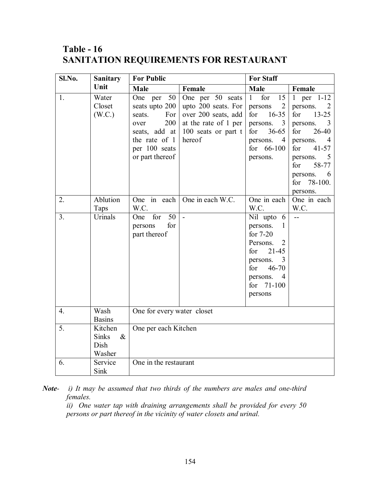### **Table - 16 SANITATION REQUIREMENTS FOR RESTAURANT**

| Sl.No.         | <b>Sanitary</b>                                   | <b>For Public</b>                                                                                                                     |                                                                                                                         | <b>For Staff</b>                                                                                                                                          |                                                                                                                                                                                                      |
|----------------|---------------------------------------------------|---------------------------------------------------------------------------------------------------------------------------------------|-------------------------------------------------------------------------------------------------------------------------|-----------------------------------------------------------------------------------------------------------------------------------------------------------|------------------------------------------------------------------------------------------------------------------------------------------------------------------------------------------------------|
|                | Unit                                              | <b>Male</b>                                                                                                                           | Female                                                                                                                  | Male                                                                                                                                                      | Female                                                                                                                                                                                               |
| 1.             | Water<br>Closet<br>(W.C.)                         | One per<br>50<br>seats upto 200<br>For<br>seats.<br>200<br>over<br>seats, add at<br>the rate of 1<br>per 100 seats<br>or part thereof | One per 50 seats<br>upto 200 seats. For<br>over 200 seats, add<br>at the rate of 1 per<br>100 seats or part t<br>hereof | for<br>15<br>$\mathbf{1}$<br>2<br>persons<br>$16 - 35$<br>for<br>persons.<br>3<br>$36 - 65$<br>for<br>persons.<br>4<br>for $66-100$<br>persons.           | 1 per $1-12$<br>persons.<br>2<br>$13 - 25$<br>for<br>persons.<br>3<br>26-40<br>for<br>persons.<br>4<br>$41 - 57$<br>for<br>persons.<br>5<br>58-77<br>for<br>persons.<br>6<br>for 78-100.<br>persons. |
| 2.             | Ablution<br>Taps                                  | One in each<br>W.C.                                                                                                                   | One in each W.C.                                                                                                        | One in each<br>W.C.                                                                                                                                       | One in each<br>W.C.                                                                                                                                                                                  |
| 3 <sub>1</sub> | Urinals                                           | 50<br>One for<br>for<br>persons<br>part thereof                                                                                       | $\overline{a}$                                                                                                          | Nil upto 6<br>persons.<br>1<br>for $7-20$<br>Persons.<br>2<br>$21 - 45$<br>for<br>persons.<br>3<br>46-70<br>for<br>persons.<br>4<br>for 71-100<br>persons | $\overline{a}$                                                                                                                                                                                       |
| 4.             | Wash<br><b>Basins</b>                             | One for every water closet                                                                                                            |                                                                                                                         |                                                                                                                                                           |                                                                                                                                                                                                      |
| 5.             | Kitchen<br><b>Sinks</b><br>$\&$<br>Dish<br>Washer | One per each Kitchen                                                                                                                  |                                                                                                                         |                                                                                                                                                           |                                                                                                                                                                                                      |
| 6.             | Service<br>Sink                                   | One in the restaurant                                                                                                                 |                                                                                                                         |                                                                                                                                                           |                                                                                                                                                                                                      |

*Note- i) It may be assumed that two thirds of the numbers are males and one-third females.*

*ii) One water tap with draining arrangements shall be provided for every 50 persons or part thereof in the vicinity of water closets and urinal.*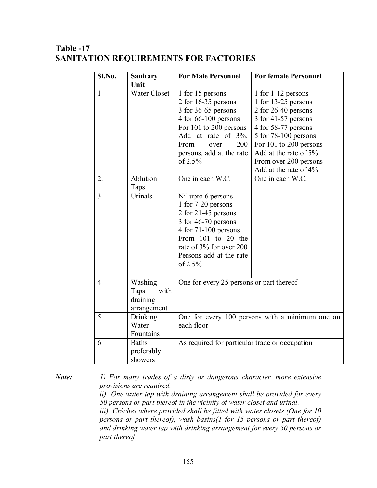### **Table -17 SANITATION REQUIREMENTS FOR FACTORIES**

| Sl.No. | <b>Sanitary</b>                                    | <b>For Male Personnel</b>                                                                                                                                                                             | <b>For female Personnel</b>                                                                                                                                                                                                                 |  |
|--------|----------------------------------------------------|-------------------------------------------------------------------------------------------------------------------------------------------------------------------------------------------------------|---------------------------------------------------------------------------------------------------------------------------------------------------------------------------------------------------------------------------------------------|--|
| 1      | Unit<br><b>Water Closet</b>                        | 1 for 15 persons<br>2 for 16-35 persons<br>3 for 36-65 persons<br>4 for 66-100 persons<br>For 101 to 200 persons<br>Add at rate of 3%.<br>200<br>From<br>over<br>persons, add at the rate<br>of 2.5%  | 1 for 1-12 persons<br>1 for 13-25 persons<br>2 for 26-40 persons<br>3 for 41-57 persons<br>4 for 58-77 persons<br>5 for 78-100 persons<br>For 101 to 200 persons<br>Add at the rate of 5%<br>From over 200 persons<br>Add at the rate of 4% |  |
| 2.     | Ablution<br>Taps                                   | One in each W.C.                                                                                                                                                                                      | One in each W.C.                                                                                                                                                                                                                            |  |
| 3.     | Urinals                                            | Nil upto 6 persons<br>1 for 7-20 persons<br>2 for 21-45 persons<br>3 for 46-70 persons<br>4 for 71-100 persons<br>From 101 to 20 the<br>rate of 3% for over 200<br>Persons add at the rate<br>of 2.5% |                                                                                                                                                                                                                                             |  |
| 4      | Washing<br>with<br>Taps<br>draining<br>arrangement | One for every 25 persons or part thereof                                                                                                                                                              |                                                                                                                                                                                                                                             |  |
| 5.     | Drinking<br>Water<br>Fountains                     | One for every 100 persons with a minimum one on<br>each floor                                                                                                                                         |                                                                                                                                                                                                                                             |  |
| 6      | <b>Baths</b><br>preferably<br>showers              | As required for particular trade or occupation                                                                                                                                                        |                                                                                                                                                                                                                                             |  |

*Note: 1) For many trades of a dirty or dangerous character, more extensive provisions are required.*

> *ii) One water tap with draining arrangement shall be provided for every 50 persons or part thereof in the vicinity of water closet and urinal.*

> *iii) Crèches where provided shall be fitted with water closets (One for 10 persons or part thereof), wash basins(1 for 15 persons or part thereof) and drinking water tap with drinking arrangement for every 50 persons or part thereof*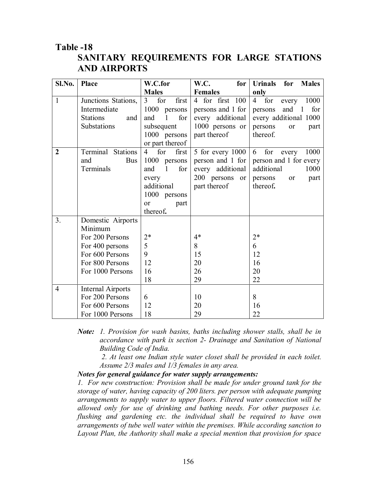### **Table -18 SANITARY REQUIREMENTS FOR LARGE STATIONS AND AIRPORTS**

| Sl.No.           | Place                    | W.C.for                        | W.C.<br>for       | <b>Urinals</b><br><b>Males</b><br>for  |
|------------------|--------------------------|--------------------------------|-------------------|----------------------------------------|
|                  |                          | <b>Males</b>                   | <b>Females</b>    | only                                   |
| $\mathbf{1}$     | Junctions Stations,      | 3<br>for<br>first              | 4 for first 100   | 1000<br>for<br>$\overline{4}$<br>every |
|                  | Intermediate             | 1000 persons                   | persons and 1 for | for<br>and<br>$\mathbf{1}$<br>persons  |
|                  | <b>Stations</b><br>and   | for<br>and<br>1                | every additional  | every additional 1000                  |
|                  | Substations              | subsequent                     | 1000 persons or   | persons<br>or<br>part                  |
|                  |                          | 1000 persons                   | part thereof      | thereof.                               |
|                  |                          | or part thereof                |                   |                                        |
| $\boldsymbol{2}$ | Terminal Stations        | $\overline{4}$<br>for<br>first | 5 for every 1000  | for<br>1000<br>6<br>every              |
|                  | <b>Bus</b><br>and        | 1000<br>persons                | person and 1 for  | person and 1 for every                 |
|                  | Terminals                | 1<br>for<br>and                | every additional  | additional<br>1000                     |
|                  |                          | every                          | 200 persons<br>or | persons<br>or<br>part                  |
|                  |                          | additional                     | part thereof      | thereof.                               |
|                  |                          | 1000 persons                   |                   |                                        |
|                  |                          | or<br>part                     |                   |                                        |
|                  |                          | thereof.                       |                   |                                        |
| 3.               | Domestic Airports        |                                |                   |                                        |
|                  | Minimum                  |                                |                   |                                        |
|                  | For 200 Persons          | $2*$                           | $4*$              | $2*$                                   |
|                  | For 400 persons          | 5                              | 8                 | 6                                      |
|                  | For 600 Persons          | 9                              | 15                | 12                                     |
|                  | For 800 Persons          | 12                             | 20                | 16                                     |
|                  | For 1000 Persons         | 16                             | 26                | 20                                     |
|                  |                          | 18                             | 29                | 22                                     |
| $\overline{4}$   | <b>Internal Airports</b> |                                |                   |                                        |
|                  | For 200 Persons          | 6                              | 10                | 8                                      |
|                  | For 600 Persons          | 12                             | 20                | 16                                     |
|                  | For 1000 Persons         | 18                             | 29                | 22                                     |

*Note: 1. Provision for wash basins, baths including shower stalls, shall be in accordance with park ix section 2- Drainage and Sanitation of National Building Code of India.*

*2. At least one Indian style water closet shall be provided in each toilet. Assume 2/3 males and 1/3 females in any area.*

#### *Notes for general guidance for water supply arrangements:*

*1. For new construction: Provision shall be made for under ground tank for the storage of water, having capacity of 200 liters. per person with adequate pumping arrangements to supply water to upper floors. Filtered water connection will be allowed only for use of drinking and bathing needs. For other purposes i.e. flushing and gardening etc. the individual shall be required to have own arrangements of tube well water within the premises. While according sanction to Layout Plan, the Authority shall make a special mention that provision for space*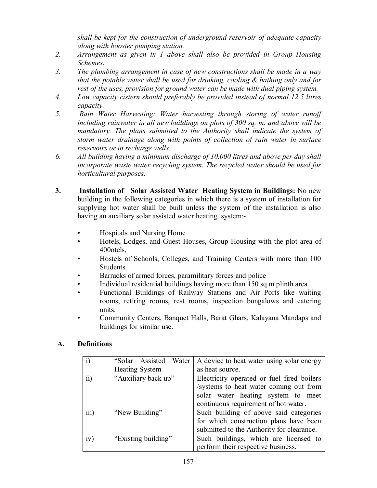*shall be kept for the construction of underground reservoir of adequate capacity along with booster pumping station.*

- *2. Arrangement as given in 1 above shall also be provided in Group Housing Schemes.*
- *3. The plumbing arrangement in case of new constructions shall be made in a way that the potable water shall be used for drinking, cooling & bathing only and for rest of the uses, provision for ground water can be made with dual piping system.*
- *4. Low capacity cistern should preferably be provided instead of normal 12.5 litres capacity.*
- *5. Rain Water Harvesting: Water harvesting through storing of water runoff including rainwater in all new buildings on plots of 300 sq. m. and above will be mandatory. The plans submitted to the Authority shall indicate the system of storm water drainage along with points of collection of rain water in surface reservoirs or in recharge wells.*
- *6. All building having a minimum discharge of 10,000 litres and above per day shall incorporate waste water recycling system. The recycled water should be used for horticultural purposes.*
- **3. Installation of Solar Assisted Water Heating System in Buildings:** No new building in the following categories in which there is a system of installation for supplying hot water shall be built unless the system of the installation is also having an auxiliary solar assisted water heating system:-
	- Hospitals and Nursing Home
	- Hotels, Lodges, and Guest Houses, Group Housing with the plot area of 400otels,
	- Hostels of Schools, Colleges, and Training Centers with more than 100 Students.
	- Barracks of armed forces, paramilitary forces and police
	- Individual residential buildings having more than 150 sq.m plinth area
	- Functional Buildings of Railway Stations and Air Ports like waiting rooms, retiring rooms, rest rooms, inspection bungalows and catering units.
	- Community Centers, Banquet Halls, Barat Ghars, Kalayana Mandaps and buildings for similar use.

### **A. Definitions**

|                 | "Solar Assisted Water"<br><b>Heating System</b> | A device to heat water using solar energy<br>as heat source.                                                                                                       |
|-----------------|-------------------------------------------------|--------------------------------------------------------------------------------------------------------------------------------------------------------------------|
| $\overline{ii}$ | "Auxiliary back up"                             | Electricity operated or fuel fired boilers<br>/systems to heat water coming out from<br>solar water heating system to meet<br>continuous requirement of hot water. |
| iii)            | "New Building"                                  | Such building of above said categories<br>for which construction plans have been<br>submitted to the Authority for clearance.                                      |
| iv)             | "Existing building"                             | Such buildings, which are licensed to<br>perform their respective business.                                                                                        |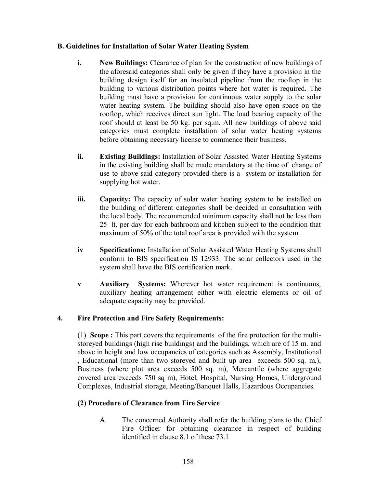#### **B. Guidelines for Installation of Solar Water Heating System**

- **i. New Buildings:** Clearance of plan for the construction of new buildings of the aforesaid categories shall only be given if they have a provision in the building design itself for an insulated pipeline from the rooftop in the building to various distribution points where hot water is required. The building must have a provision for continuous water supply to the solar water heating system. The building should also have open space on the rooftop, which receives direct sun light. The load bearing capacity of the roof should at least be 50 kg. per sq.m. All new buildings of above said categories must complete installation of solar water heating systems before obtaining necessary license to commence their business.
- **ii. Existing Buildings:** Installation of Solar Assisted Water Heating Systems in the existing building shall be made mandatory at the time of change of use to above said category provided there is a system or installation for supplying hot water.
- **iii. Capacity:** The capacity of solar water heating system to be installed on the building of different categories shall be decided in consultation with the local body. The recommended minimum capacity shall not be less than 25 lt. per day for each bathroom and kitchen subject to the condition that maximum of 50% of the total roof area is provided with the system.
- **iv Specifications:** Installation of Solar Assisted Water Heating Systems shall conform to BIS specification IS 12933. The solar collectors used in the system shall have the BIS certification mark.
- **v Auxiliary Systems:** Wherever hot water requirement is continuous, auxiliary heating arrangement either with electric elements or oil of adequate capacity may be provided.

### **4. Fire Protection and Fire Safety Requirements:**

(1) **Scope :** This part covers the requirements of the fire protection for the multistoreyed buildings (high rise buildings) and the buildings, which are of 15 m. and above in height and low occupancies of categories such as Assembly, Institutional , Educational (more than two storeyed and built up area exceeds 500 sq. m.), Business (where plot area exceeds 500 sq. m), Mercantile (where aggregate covered area exceeds 750 sq m), Hotel, Hospital, Nursing Homes, Underground Complexes, Industrial storage, Meeting/Banquet Halls, Hazardous Occupancies.

### **(2) Procedure of Clearance from Fire Service**

A. The concerned Authority shall refer the building plans to the Chief Fire Officer for obtaining clearance in respect of building identified in clause 8.1 of these 73.1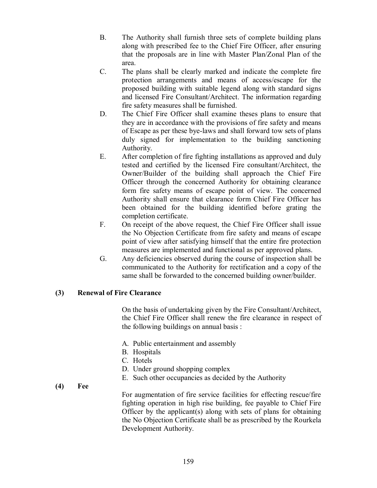- B. The Authority shall furnish three sets of complete building plans along with prescribed fee to the Chief Fire Officer, after ensuring that the proposals are in line with Master Plan/Zonal Plan of the area.
- C. The plans shall be clearly marked and indicate the complete fire protection arrangements and means of access/escape for the proposed building with suitable legend along with standard signs and licensed Fire Consultant/Architect. The information regarding fire safety measures shall be furnished.
- D. The Chief Fire Officer shall examine theses plans to ensure that they are in accordance with the provisions of fire safety and means of Escape as per these bye-laws and shall forward tow sets of plans duly signed for implementation to the building sanctioning Authority.
- E. After completion of fire fighting installations as approved and duly tested and certified by the licensed Fire consultant/Architect, the Owner/Builder of the building shall approach the Chief Fire Officer through the concerned Authority for obtaining clearance form fire safety means of escape point of view. The concerned Authority shall ensure that clearance form Chief Fire Officer has been obtained for the building identified before grating the completion certificate.
- F. On receipt of the above request, the Chief Fire Officer shall issue the No Objection Certificate from fire safety and means of escape point of view after satisfying himself that the entire fire protection measures are implemented and functional as per approved plans.
- G. Any deficiencies observed during the course of inspection shall be communicated to the Authority for rectification and a copy of the same shall be forwarded to the concerned building owner/builder.

#### **(3) Renewal of Fire Clearance**

On the basis of undertaking given by the Fire Consultant/Architect, the Chief Fire Officer shall renew the fire clearance in respect of the following buildings on annual basis :

- A. Public entertainment and assembly
- B. Hospitals
- C. Hotels
- D. Under ground shopping complex
- E. Such other occupancies as decided by the Authority

**(4) Fee**

For augmentation of fire service facilities for effecting rescue/fire fighting operation in high rise building, fee payable to Chief Fire Officer by the applicant(s) along with sets of plans for obtaining the No Objection Certificate shall be as prescribed by the Rourkela Development Authority.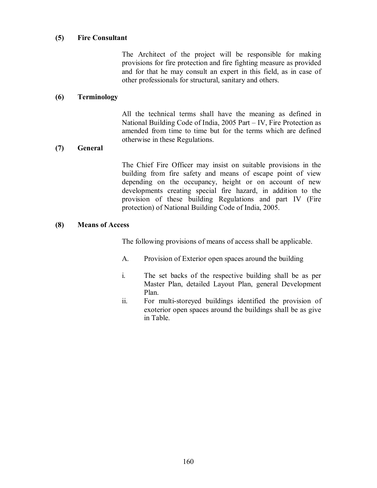#### **(5) Fire Consultant**

The Architect of the project will be responsible for making provisions for fire protection and fire fighting measure as provided and for that he may consult an expert in this field, as in case of other professionals for structural, sanitary and others.

#### **(6) Terminology**

All the technical terms shall have the meaning as defined in National Building Code of India, 2005 Part – IV, Fire Protection as amended from time to time but for the terms which are defined otherwise in these Regulations.

#### **(7) General**

The Chief Fire Officer may insist on suitable provisions in the building from fire safety and means of escape point of view depending on the occupancy, height or on account of new developments creating special fire hazard, in addition to the provision of these building Regulations and part IV (Fire protection) of National Building Code of India, 2005.

#### **(8) Means of Access**

The following provisions of means of access shall be applicable.

- A. Provision of Exterior open spaces around the building
- i. The set backs of the respective building shall be as per Master Plan, detailed Layout Plan, general Development Plan.
- ii. For multi-storeyed buildings identified the provision of exoterior open spaces around the buildings shall be as give in Table.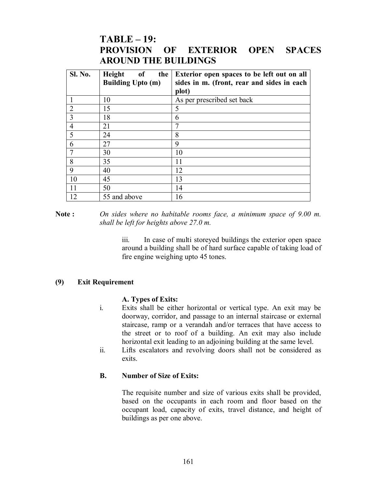### **TABLE – 19: PROVISION OF EXTERIOR OPEN SPACES AROUND THE BUILDINGS**

| <b>Sl. No.</b> | Height<br>of<br>the<br><b>Building Upto (m)</b> | Exterior open spaces to be left out on all<br>sides in m. (front, rear and sides in each<br>plot) |
|----------------|-------------------------------------------------|---------------------------------------------------------------------------------------------------|
|                | 10                                              | As per prescribed set back                                                                        |
| $\overline{2}$ | 15                                              | 5                                                                                                 |
| 3              | 18                                              | 6                                                                                                 |
| $\overline{4}$ | 21                                              |                                                                                                   |
| 5              | 24                                              | 8                                                                                                 |
| 6              | 27                                              | 9                                                                                                 |
|                | 30                                              | 10                                                                                                |
| 8              | 35                                              | 11                                                                                                |
| 9              | 40                                              | 12                                                                                                |
| 10             | 45                                              | 13                                                                                                |
| 11             | 50                                              | 14                                                                                                |
| 12             | 55 and above                                    | 16                                                                                                |

**Note :** *On sides where no habitable rooms face, a minimum space of 9.00 m. shall be left for heights above 27.0 m.*

> iii. In case of multi storeyed buildings the exterior open space around a building shall be of hard surface capable of taking load of fire engine weighing upto 45 tones.

#### **(9) Exit Requirement**

#### **A. Types of Exits:**

- i. Exits shall be either horizontal or vertical type. An exit may be doorway, corridor, and passage to an internal staircase or external staircase, ramp or a verandah and/or terraces that have access to the street or to roof of a building. An exit may also include horizontal exit leading to an adjoining building at the same level.
- ii. Lifts escalators and revolving doors shall not be considered as exits.

#### **B. Number of Size of Exits:**

The requisite number and size of various exits shall be provided, based on the occupants in each room and floor based on the occupant load, capacity of exits, travel distance, and height of buildings as per one above.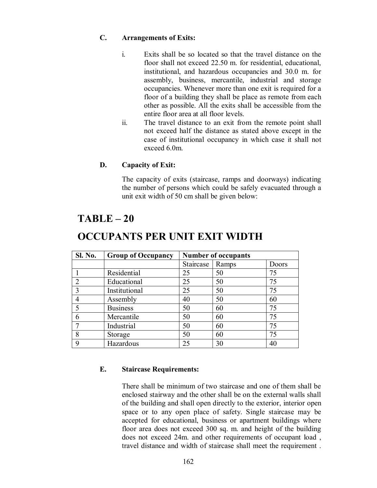#### **C. Arrangements of Exits:**

- i. Exits shall be so located so that the travel distance on the floor shall not exceed 22.50 m. for residential, educational, institutional, and hazardous occupancies and 30.0 m. for assembly, business, mercantile, industrial and storage occupancies. Whenever more than one exit is required for a floor of a building they shall be place as remote from each other as possible. All the exits shall be accessible from the entire floor area at all floor levels.
- ii. The travel distance to an exit from the remote point shall not exceed half the distance as stated above except in the case of institutional occupancy in which case it shall not exceed 6.0m.

#### **D. Capacity of Exit:**

The capacity of exits (staircase, ramps and doorways) indicating the number of persons which could be safely evacuated through a unit exit width of 50 cm shall be given below:

### **TABLE – 20**

| <b>Sl. No.</b> | <b>Group of Occupancy</b> | <b>Number of occupants</b> |       |       |
|----------------|---------------------------|----------------------------|-------|-------|
|                |                           | Staircase                  | Ramps | Doors |
|                | Residential               | 25                         | 50    | 75    |
| $\overline{2}$ | Educational               | 25                         | 50    | 75    |
| 3              | Institutional             | 25                         | 50    | 75    |
| $\overline{4}$ | Assembly                  | 40                         | 50    | 60    |
| 5              | <b>Business</b>           | 50                         | 60    | 75    |
| 6              | Mercantile                | 50                         | 60    | 75    |
| $\tau$         | Industrial                | 50                         | 60    | 75    |
| 8              | Storage                   | 50                         | 60    | 75    |
| 9              | Hazardous                 | 25                         | 30    | 40    |

### **OCCUPANTS PER UNIT EXIT WIDTH**

#### **E. Staircase Requirements:**

There shall be minimum of two staircase and one of them shall be enclosed stairway and the other shall be on the external walls shall of the building and shall open directly to the exterior, interior open space or to any open place of safety. Single staircase may be accepted for educational, business or apartment buildings where floor area does not exceed 300 sq. m. and height of the building does not exceed 24m. and other requirements of occupant load , travel distance and width of staircase shall meet the requirement .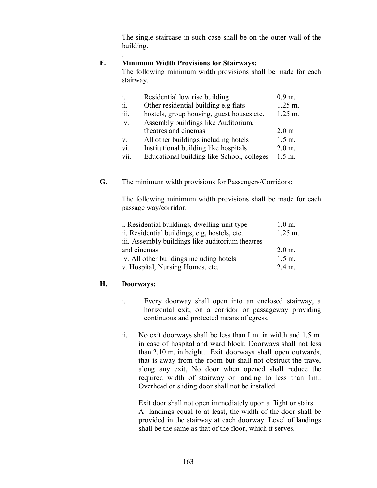The single staircase in such case shall be on the outer wall of the building.

#### . **F. Minimum Width Provisions for Stairways:**

The following minimum width provisions shall be made for each stairway.

| $\mathbf{i}$ . | Residential low rise building              | $0.9 \,\mathrm{m}$ . |
|----------------|--------------------------------------------|----------------------|
| ii.            | Other residential building e.g flats       | $1.25 \text{ m}$ .   |
| <i>iii.</i>    | hostels, group housing, guest houses etc.  | $1.25 \text{ m}$ .   |
| iv.            | Assembly buildings like Auditorium,        |                      |
|                | theatres and cinemas                       | 2.0 <sub>m</sub>     |
| $V_{\cdot}$    | All other buildings including hotels       | $1.5 \text{ m}$ .    |
| vi.            | Institutional building like hospitals      | $2.0 \text{ m}$ .    |
| vii.           | Educational building like School, colleges | $1.5 \; \text{m}$ .  |

**G.** The minimum width provisions for Passengers/Corridors:

The following minimum width provisions shall be made for each passage way/corridor.

| i. Residential buildings, dwelling unit type     | $1.0$ m.           |
|--------------------------------------------------|--------------------|
| ii. Residential buildings, e.g. hostels, etc.    | $1.25 \text{ m}$ . |
| iii. Assembly buildings like auditorium theatres |                    |
| and cinemas                                      | $2.0 \text{ m}$ .  |
| iv. All other buildings including hotels         | $1.5 \text{ m}$ .  |
| v. Hospital, Nursing Homes, etc.                 | 2.4 m.             |

#### **H. Doorways:**

- i. Every doorway shall open into an enclosed stairway, a horizontal exit, on a corridor or passageway providing continuous and protected means of egress.
- ii. No exit doorways shall be less than I m. in width and 1.5 m. in case of hospital and ward block. Doorways shall not less than 2.10 m. in height. Exit doorways shall open outwards, that is away from the room but shall not obstruct the travel along any exit, No door when opened shall reduce the required width of stairway or landing to less than 1m.. Overhead or sliding door shall not be installed.

Exit door shall not open immediately upon a flight or stairs. A landings equal to at least, the width of the door shall be provided in the stairway at each doorway. Level of landings shall be the same as that of the floor, which it serves.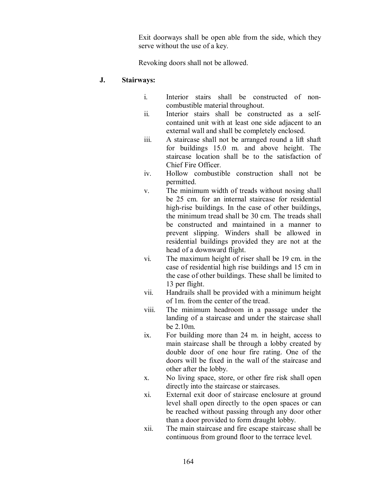Exit doorways shall be open able from the side, which they serve without the use of a key.

Revoking doors shall not be allowed.

#### **J. Stairways:**

- i. Interior stairs shall be constructed of noncombustible material throughout.
- ii. Interior stairs shall be constructed as a selfcontained unit with at least one side adjacent to an external wall and shall be completely enclosed.
- iii. A staircase shall not be arranged round a lift shaft for buildings 15.0 m. and above height. The staircase location shall be to the satisfaction of Chief Fire Officer.
- iv. Hollow combustible construction shall not be permitted.
- v. The minimum width of treads without nosing shall be 25 cm. for an internal staircase for residential high-rise buildings. In the case of other buildings, the minimum tread shall be 30 cm. The treads shall be constructed and maintained in a manner to prevent slipping. Winders shall be allowed in residential buildings provided they are not at the head of a downward flight.
- vi. The maximum height of riser shall be 19 cm. in the case of residential high rise buildings and 15 cm in the case of other buildings. These shall be limited to 13 per flight.
- vii. Handrails shall be provided with a minimum height of 1m. from the center of the tread.
- viii. The minimum headroom in a passage under the landing of a staircase and under the staircase shall be 2.10m.
- ix. For building more than 24 m. in height, access to main staircase shall be through a lobby created by double door of one hour fire rating. One of the doors will be fixed in the wall of the staircase and other after the lobby.
- x. No living space, store, or other fire risk shall open directly into the staircase or staircases.
- xi. External exit door of staircase enclosure at ground level shall open directly to the open spaces or can be reached without passing through any door other than a door provided to form draught lobby.
- xii. The main staircase and fire escape staircase shall be continuous from ground floor to the terrace level.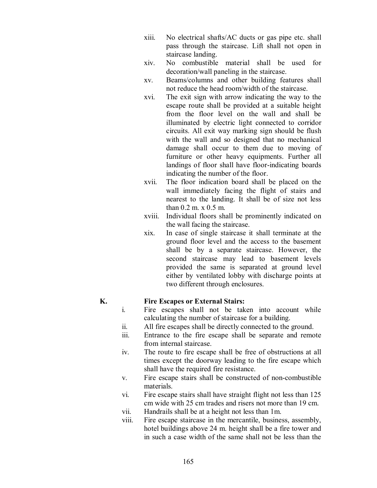- xiii. No electrical shafts/AC ducts or gas pipe etc. shall pass through the staircase. Lift shall not open in staircase landing.
- xiv. No combustible material shall be used for decoration/wall paneling in the staircase.
- xv. Beams/columns and other building features shall not reduce the head room/width of the staircase.
- xvi. The exit sign with arrow indicating the way to the escape route shall be provided at a suitable height from the floor level on the wall and shall be illuminated by electric light connected to corridor circuits. All exit way marking sign should be flush with the wall and so designed that no mechanical damage shall occur to them due to moving of furniture or other heavy equipments. Further all landings of floor shall have floor-indicating boards indicating the number of the floor.
- xvii. The floor indication board shall be placed on the wall immediately facing the flight of stairs and nearest to the landing. It shall be of size not less than 0.2 m. x 0.5 m.
- xviii. Individual floors shall be prominently indicated on the wall facing the staircase.
- xix. In case of single staircase it shall terminate at the ground floor level and the access to the basement shall be by a separate staircase. However, the second staircase may lead to basement levels provided the same is separated at ground level either by ventilated lobby with discharge points at two different through enclosures.

#### **K. Fire Escapes or External Stairs:**

- i. Fire escapes shall not be taken into account while calculating the number of staircase for a building.
- ii. All fire escapes shall be directly connected to the ground.
- iii. Entrance to the fire escape shall be separate and remote from internal staircase.
- iv. The route to fire escape shall be free of obstructions at all times except the doorway leading to the fire escape which shall have the required fire resistance.
- v. Fire escape stairs shall be constructed of non-combustible materials.
- vi. Fire escape stairs shall have straight flight not less than 125 cm wide with 25 cm trades and risers not more than 19 cm.
- vii. Handrails shall be at a height not less than 1m.
- viii. Fire escape staircase in the mercantile, business, assembly, hotel buildings above 24 m. height shall be a fire tower and in such a case width of the same shall not be less than the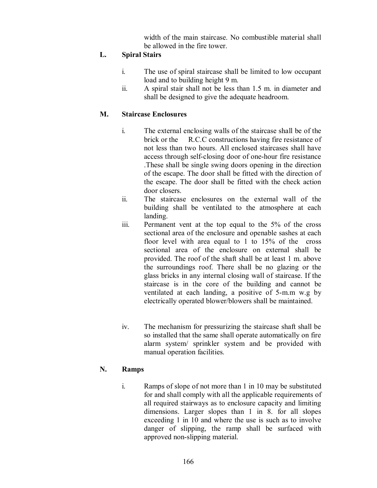width of the main staircase. No combustible material shall be allowed in the fire tower.

#### **L. Spiral Stairs**

- i. The use of spiral staircase shall be limited to low occupant load and to building height 9 m.
- ii. A spiral stair shall not be less than 1.5 m. in diameter and shall be designed to give the adequate headroom.

#### **M. Staircase Enclosures**

- i. The external enclosing walls of the staircase shall be of the brick or the R.C.C constructions having fire resistance of not less than two hours. All enclosed staircases shall have access through self-closing door of one-hour fire resistance .These shall be single swing doors opening in the direction of the escape. The door shall be fitted with the direction of the escape. The door shall be fitted with the check action door closers.
- ii. The staircase enclosures on the external wall of the building shall be ventilated to the atmosphere at each landing.
- iii. Permanent vent at the top equal to the 5% of the cross sectional area of the enclosure and openable sashes at each floor level with area equal to 1 to 15% of the cross sectional area of the enclosure on external shall be provided. The roof of the shaft shall be at least 1 m. above the surroundings roof. There shall be no glazing or the glass bricks in any internal closing wall of staircase. If the staircase is in the core of the building and cannot be ventilated at each landing, a positive of 5-m.m w.g by electrically operated blower/blowers shall be maintained.
- iv. The mechanism for pressurizing the staircase shaft shall be so installed that the same shall operate automatically on fire alarm system/ sprinkler system and be provided with manual operation facilities.

#### **N. Ramps**

i. Ramps of slope of not more than 1 in 10 may be substituted for and shall comply with all the applicable requirements of all required stairways as to enclosure capacity and limiting dimensions. Larger slopes than 1 in 8. for all slopes exceeding 1 in 10 and where the use is such as to involve danger of slipping, the ramp shall be surfaced with approved non-slipping material.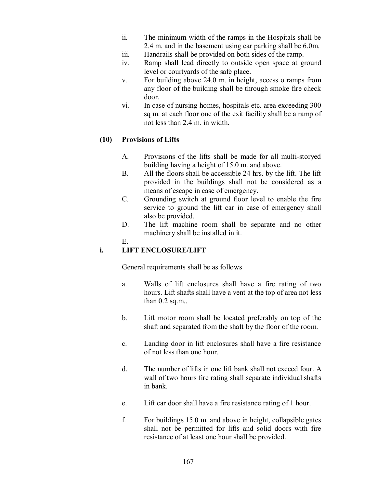- ii. The minimum width of the ramps in the Hospitals shall be 2.4 m. and in the basement using car parking shall be 6.0m.
- iii. Handrails shall be provided on both sides of the ramp.
- iv. Ramp shall lead directly to outside open space at ground level or courtyards of the safe place.
- v. For building above 24.0 m. in height, access o ramps from any floor of the building shall be through smoke fire check door.
- vi. In case of nursing homes, hospitals etc. area exceeding 300 sq m. at each floor one of the exit facility shall be a ramp of not less than 2.4 m. in width.

#### **(10) Provisions of Lifts**

- A. Provisions of the lifts shall be made for all multi-storyed building having a height of 15.0 m. and above.
- B. All the floors shall be accessible 24 hrs. by the lift. The lift provided in the buildings shall not be considered as a means of escape in case of emergency.
- C. Grounding switch at ground floor level to enable the fire service to ground the lift car in case of emergency shall also be provided.
- D. The lift machine room shall be separate and no other machinery shall be installed in it.
- E.

### **i. LIFT ENCLOSURE/LIFT**

General requirements shall be as follows

- a. Walls of lift enclosures shall have a fire rating of two hours. Lift shafts shall have a vent at the top of area not less than  $0.2$  sq.m..
- b. Lift motor room shall be located preferably on top of the shaft and separated from the shaft by the floor of the room.
- c. Landing door in lift enclosures shall have a fire resistance of not less than one hour.
- d. The number of lifts in one lift bank shall not exceed four. A wall of two hours fire rating shall separate individual shafts in bank.
- e. Lift car door shall have a fire resistance rating of 1 hour.
- f. For buildings 15.0 m. and above in height, collapsible gates shall not be permitted for lifts and solid doors with fire resistance of at least one hour shall be provided.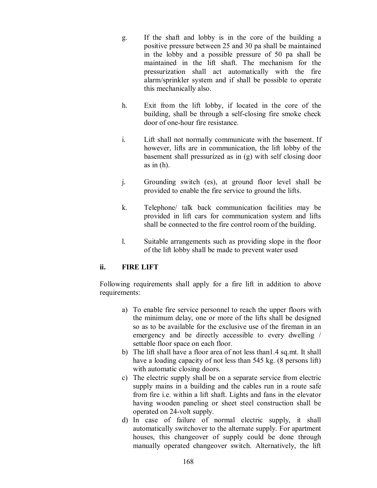- g. If the shaft and lobby is in the core of the building a positive pressure between 25 and 30 pa shall be maintained in the lobby and a possible pressure of 50 pa shall be maintained in the lift shaft. The mechanism for the pressurization shall act automatically with the fire alarm/sprinkler system and if shall be possible to operate this mechanically also.
- h. Exit from the lift lobby, if located in the core of the building, shall be through a self-closing fire smoke check door of one-hour fire resistance.
- i. Lift shall not normally communicate with the basement. If however, lifts are in communication, the lift lobby of the basement shall pressurized as in (g) with self closing door as in (h).
- j. Grounding switch (es), at ground floor level shall be provided to enable the fire service to ground the lifts.
- k. Telephone/ talk back communication facilities may be provided in lift cars for communication system and lifts shall be connected to the fire control room of the building.
- l. Suitable arrangements such as providing slope in the floor of the lift lobby shall be made to prevent water used

#### **ii. FIRE LIFT**

Following requirements shall apply for a fire lift in addition to above requirements:

- a) To enable fire service personnel to reach the upper floors with the minimum delay, one or more of the lifts shall be designed so as to be available for the exclusive use of the fireman in an emergency and be directly accessible to every dwelling / settable floor space on each floor.
- b) The lift shall have a floor area of not less than1.4 sq.mt. It shall have a loading capacity of not less than 545 kg. (8 persons lift) with automatic closing doors.
- c) The electric supply shall be on a separate service from electric supply mains in a building and the cables run in a route safe from fire i.e. within a lift shaft. Lights and fans in the elevator having wooden paneling or sheet steel construction shall be operated on 24-volt supply.
- d) In case of failure of normal electric supply, it shall automatically switchover to the alternate supply. For apartment houses, this changeover of supply could be done through manually operated changeover switch. Alternatively, the lift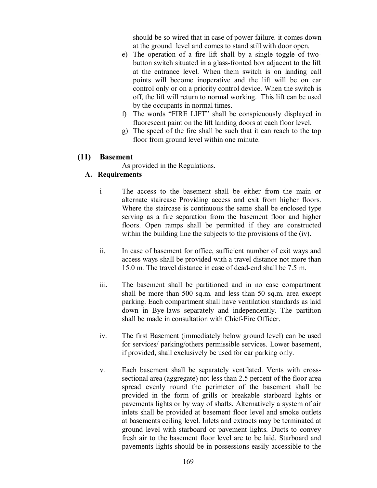should be so wired that in case of power failure. it comes down at the ground level and comes to stand still with door open.

- e) The operation of a fire lift shall by a single toggle of twobutton switch situated in a glass-fronted box adjacent to the lift at the entrance level. When them switch is on landing call points will become inoperative and the lift will be on car control only or on a priority control device. When the switch is off, the lift will return to normal working. This lift can be used by the occupants in normal times.
- f) The words "FIRE LIFT" shall be conspicuously displayed in fluorescent paint on the lift landing doors at each floor level.
- g) The speed of the fire shall be such that it can reach to the top floor from ground level within one minute.

#### **(11) Basement**

As provided in the Regulations.

#### **A. Requirements**

- i The access to the basement shall be either from the main or alternate staircase Providing access and exit from higher floors. Where the staircase is continuous the same shall be enclosed type serving as a fire separation from the basement floor and higher floors. Open ramps shall be permitted if they are constructed within the building line the subjects to the provisions of the (iv).
- ii. In case of basement for office, sufficient number of exit ways and access ways shall be provided with a travel distance not more than 15.0 m. The travel distance in case of dead-end shall be 7.5 m.
- iii. The basement shall be partitioned and in no case compartment shall be more than 500 sq.m. and less than 50 sq.m. area except parking. Each compartment shall have ventilation standards as laid down in Bye-laws separately and independently. The partition shall be made in consultation with Chief-Fire Officer.
- iv. The first Basement (immediately below ground level) can be used for services/ parking/others permissible services. Lower basement, if provided, shall exclusively be used for car parking only.
- v. Each basement shall be separately ventilated. Vents with crosssectional area (aggregate) not less than 2.5 percent of the floor area spread evenly round the perimeter of the basement shall be provided in the form of grills or breakable starboard lights or pavements lights or by way of shafts. Alternatively a system of air inlets shall be provided at basement floor level and smoke outlets at basements ceiling level. Inlets and extracts may be terminated at ground level with starboard or pavement lights. Ducts to convey fresh air to the basement floor level are to be laid. Starboard and pavements lights should be in possessions easily accessible to the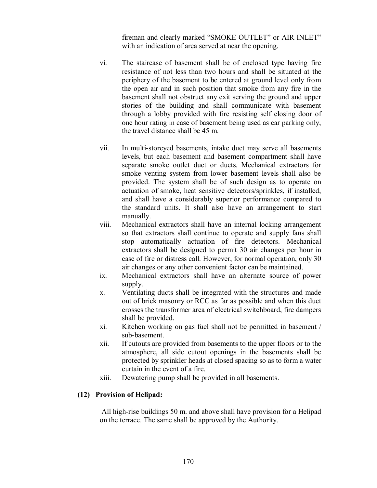fireman and clearly marked "SMOKE OUTLET" or AIR INLET" with an indication of area served at near the opening.

- vi. The staircase of basement shall be of enclosed type having fire resistance of not less than two hours and shall be situated at the periphery of the basement to be entered at ground level only from the open air and in such position that smoke from any fire in the basement shall not obstruct any exit serving the ground and upper stories of the building and shall communicate with basement through a lobby provided with fire resisting self closing door of one hour rating in case of basement being used as car parking only, the travel distance shall be 45 m.
- vii. In multi-storeyed basements, intake duct may serve all basements levels, but each basement and basement compartment shall have separate smoke outlet duct or ducts. Mechanical extractors for smoke venting system from lower basement levels shall also be provided. The system shall be of such design as to operate on actuation of smoke, heat sensitive detectors/sprinkles, if installed, and shall have a considerably superior performance compared to the standard units. It shall also have an arrangement to start manually.
- viii. Mechanical extractors shall have an internal locking arrangement so that extractors shall continue to operate and supply fans shall stop automatically actuation of fire detectors. Mechanical extractors shall be designed to permit 30 air changes per hour in case of fire or distress call. However, for normal operation, only 30 air changes or any other convenient factor can be maintained.
- ix. Mechanical extractors shall have an alternate source of power supply.
- x. Ventilating ducts shall be integrated with the structures and made out of brick masonry or RCC as far as possible and when this duct crosses the transformer area of electrical switchboard, fire dampers shall be provided.
- xi. Kitchen working on gas fuel shall not be permitted in basement / sub-basement.
- xii. If cutouts are provided from basements to the upper floors or to the atmosphere, all side cutout openings in the basements shall be protected by sprinkler heads at closed spacing so as to form a water curtain in the event of a fire.
- xiii. Dewatering pump shall be provided in all basements.

#### **(12) Provision of Helipad:**

All high-rise buildings 50 m. and above shall have provision for a Helipad on the terrace. The same shall be approved by the Authority.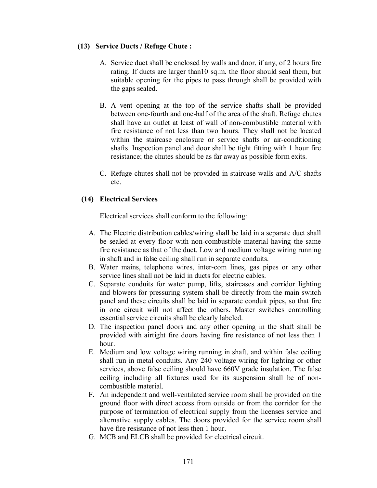#### **(13) Service Ducts / Refuge Chute :**

- A. Service duct shall be enclosed by walls and door, if any, of 2 hours fire rating. If ducts are larger than10 sq.m. the floor should seal them, but suitable opening for the pipes to pass through shall be provided with the gaps sealed.
- B. A vent opening at the top of the service shafts shall be provided between one-fourth and one-half of the area of the shaft. Refuge chutes shall have an outlet at least of wall of non-combustible material with fire resistance of not less than two hours. They shall not be located within the staircase enclosure or service shafts or air-conditioning shafts. Inspection panel and door shall be tight fitting with 1 hour fire resistance; the chutes should be as far away as possible form exits.
- C. Refuge chutes shall not be provided in staircase walls and A/C shafts etc.

### **(14) Electrical Services**

Electrical services shall conform to the following:

- A. The Electric distribution cables/wiring shall be laid in a separate duct shall be sealed at every floor with non-combustible material having the same fire resistance as that of the duct. Low and medium voltage wiring running in shaft and in false ceiling shall run in separate conduits.
- B. Water mains, telephone wires, inter-com lines, gas pipes or any other service lines shall not be laid in ducts for electric cables.
- C. Separate conduits for water pump, lifts, staircases and corridor lighting and blowers for pressuring system shall be directly from the main switch panel and these circuits shall be laid in separate conduit pipes, so that fire in one circuit will not affect the others. Master switches controlling essential service circuits shall be clearly labeled.
- D. The inspection panel doors and any other opening in the shaft shall be provided with airtight fire doors having fire resistance of not less then 1 hour.
- E. Medium and low voltage wiring running in shaft, and within false ceiling shall run in metal conduits. Any 240 voltage wiring for lighting or other services, above false ceiling should have 660V grade insulation. The false ceiling including all fixtures used for its suspension shall be of noncombustible material.
- F. An independent and well-ventilated service room shall be provided on the ground floor with direct access from outside or from the corridor for the purpose of termination of electrical supply from the licenses service and alternative supply cables. The doors provided for the service room shall have fire resistance of not less then 1 hour.
- G. MCB and ELCB shall be provided for electrical circuit.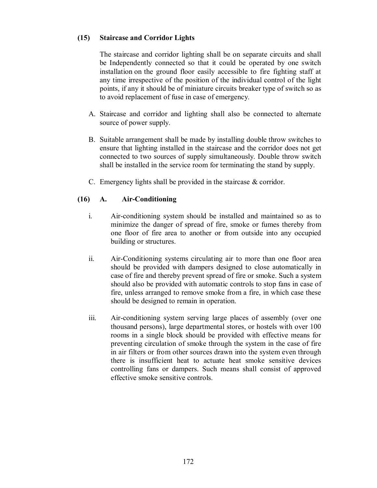#### **(15) Staircase and Corridor Lights**

The staircase and corridor lighting shall be on separate circuits and shall be Independently connected so that it could be operated by one switch installation on the ground floor easily accessible to fire fighting staff at any time irrespective of the position of the individual control of the light points, if any it should be of miniature circuits breaker type of switch so as to avoid replacement of fuse in case of emergency.

- A. Staircase and corridor and lighting shall also be connected to alternate source of power supply.
- B. Suitable arrangement shall be made by installing double throw switches to ensure that lighting installed in the staircase and the corridor does not get connected to two sources of supply simultaneously. Double throw switch shall be installed in the service room for terminating the stand by supply.
- C. Emergency lights shall be provided in the staircase & corridor.

#### **(16) A. Air-Conditioning**

- i. Air-conditioning system should be installed and maintained so as to minimize the danger of spread of fire, smoke or fumes thereby from one floor of fire area to another or from outside into any occupied building or structures.
- ii. Air-Conditioning systems circulating air to more than one floor area should be provided with dampers designed to close automatically in case of fire and thereby prevent spread of fire or smoke. Such a system should also be provided with automatic controls to stop fans in case of fire, unless arranged to remove smoke from a fire, in which case these should be designed to remain in operation.
- iii. Air-conditioning system serving large places of assembly (over one thousand persons), large departmental stores, or hostels with over 100 rooms in a single block should be provided with effective means for preventing circulation of smoke through the system in the case of fire in air filters or from other sources drawn into the system even through there is insufficient heat to actuate heat smoke sensitive devices controlling fans or dampers. Such means shall consist of approved effective smoke sensitive controls.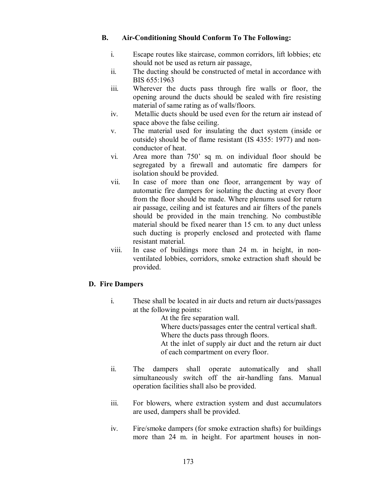#### **B. Air-Conditioning Should Conform To The Following:**

- i. Escape routes like staircase, common corridors, lift lobbies; etc should not be used as return air passage,
- ii. The ducting should be constructed of metal in accordance with BIS 655:1963
- iii. Wherever the ducts pass through fire walls or floor, the opening around the ducts should be sealed with fire resisting material of same rating as of walls/floors.
- iv. Metallic ducts should be used even for the return air instead of space above the false ceiling.
- v. The material used for insulating the duct system (inside or outside) should be of flame resistant (IS 4355: 1977) and nonconductor of heat.
- vi. Area more than 750' sq m. on individual floor should be segregated by a firewall and automatic fire dampers for isolation should be provided.
- vii. In case of more than one floor, arrangement by way of automatic fire dampers for isolating the ducting at every floor from the floor should be made. Where plenums used for return air passage, ceiling and ist features and air filters of the panels should be provided in the main trenching. No combustible material should be fixed nearer than 15 cm. to any duct unless such ducting is properly enclosed and protected with flame resistant material.
- viii. In case of buildings more than 24 m. in height, in nonventilated lobbies, corridors, smoke extraction shaft should be provided.

#### **D. Fire Dampers**

i. These shall be located in air ducts and return air ducts/passages at the following points:

At the fire separation wall.

Where ducts/passages enter the central vertical shaft.

Where the ducts pass through floors.

At the inlet of supply air duct and the return air duct of each compartment on every floor.

- ii. The dampers shall operate automatically and shall simultaneously switch off the air-handling fans. Manual operation facilities shall also be provided.
- iii. For blowers, where extraction system and dust accumulators are used, dampers shall be provided.
- iv. Fire/smoke dampers (for smoke extraction shafts) for buildings more than 24 m. in height. For apartment houses in non-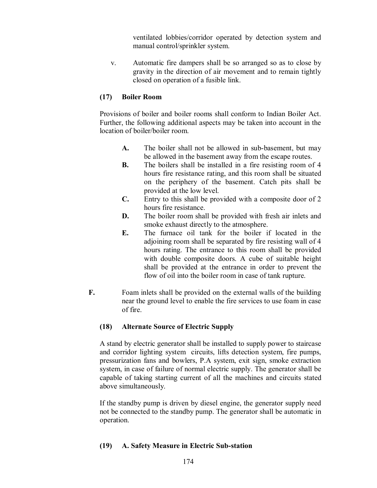ventilated lobbies/corridor operated by detection system and manual control/sprinkler system.

v. Automatic fire dampers shall be so arranged so as to close by gravity in the direction of air movement and to remain tightly closed on operation of a fusible link.

#### **(17) Boiler Room**

Provisions of boiler and boiler rooms shall conform to Indian Boiler Act. Further, the following additional aspects may be taken into account in the location of boiler/boiler room.

- **A.** The boiler shall not be allowed in sub-basement, but may be allowed in the basement away from the escape routes.
- **B.** The boilers shall be installed in a fire resisting room of 4 hours fire resistance rating, and this room shall be situated on the periphery of the basement. Catch pits shall be provided at the low level.
- **C.** Entry to this shall be provided with a composite door of 2 hours fire resistance.
- **D.** The boiler room shall be provided with fresh air inlets and smoke exhaust directly to the atmosphere.
- **E.** The furnace oil tank for the boiler if located in the adjoining room shall be separated by fire resisting wall of 4 hours rating. The entrance to this room shall be provided with double composite doors. A cube of suitable height shall be provided at the entrance in order to prevent the flow of oil into the boiler room in case of tank rupture.
- **F.** Foam inlets shall be provided on the external walls of the building near the ground level to enable the fire services to use foam in case of fire.

### **(18) Alternate Source of Electric Supply**

A stand by electric generator shall be installed to supply power to staircase and corridor lighting system circuits, lifts detection system, fire pumps, pressurization fans and bowlers, P.A system, exit sign, smoke extraction system, in case of failure of normal electric supply. The generator shall be capable of taking starting current of all the machines and circuits stated above simultaneously.

If the standby pump is driven by diesel engine, the generator supply need not be connected to the standby pump. The generator shall be automatic in operation.

### **(19) A. Safety Measure in Electric Sub-station**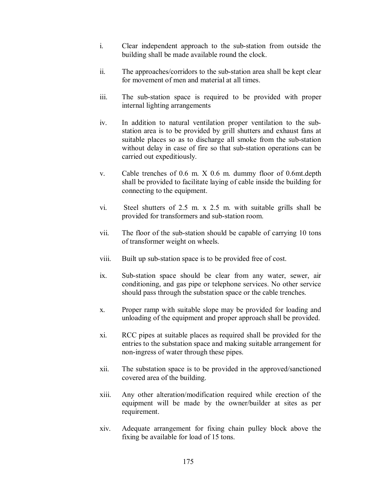- i. Clear independent approach to the sub-station from outside the building shall be made available round the clock.
- ii. The approaches/corridors to the sub-station area shall be kept clear for movement of men and material at all times.
- iii. The sub-station space is required to be provided with proper internal lighting arrangements
- iv. In addition to natural ventilation proper ventilation to the substation area is to be provided by grill shutters and exhaust fans at suitable places so as to discharge all smoke from the sub-station without delay in case of fire so that sub-station operations can be carried out expeditiously.
- v. Cable trenches of 0.6 m. X 0.6 m. dummy floor of 0.6mt.depth shall be provided to facilitate laying of cable inside the building for connecting to the equipment.
- vi. Steel shutters of 2.5 m. x 2.5 m. with suitable grills shall be provided for transformers and sub-station room.
- vii. The floor of the sub-station should be capable of carrying 10 tons of transformer weight on wheels.
- viii. Built up sub-station space is to be provided free of cost.
- ix. Sub-station space should be clear from any water, sewer, air conditioning, and gas pipe or telephone services. No other service should pass through the substation space or the cable trenches.
- x. Proper ramp with suitable slope may be provided for loading and unloading of the equipment and proper approach shall be provided.
- xi. RCC pipes at suitable places as required shall be provided for the entries to the substation space and making suitable arrangement for non-ingress of water through these pipes.
- xii. The substation space is to be provided in the approved/sanctioned covered area of the building.
- xiii. Any other alteration/modification required while erection of the equipment will be made by the owner/builder at sites as per requirement.
- xiv. Adequate arrangement for fixing chain pulley block above the fixing be available for load of 15 tons.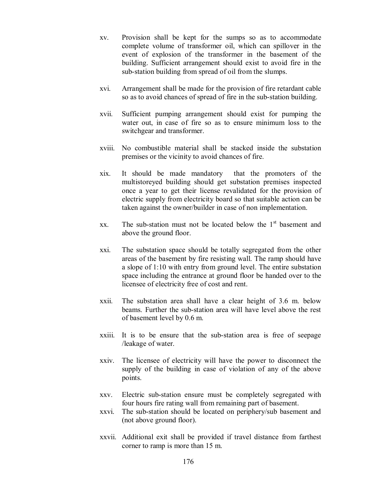- xv. Provision shall be kept for the sumps so as to accommodate complete volume of transformer oil, which can spillover in the event of explosion of the transformer in the basement of the building. Sufficient arrangement should exist to avoid fire in the sub-station building from spread of oil from the slumps.
- xvi. Arrangement shall be made for the provision of fire retardant cable so as to avoid chances of spread of fire in the sub-station building.
- xvii. Sufficient pumping arrangement should exist for pumping the water out, in case of fire so as to ensure minimum loss to the switchgear and transformer.
- xviii. No combustible material shall be stacked inside the substation premises or the vicinity to avoid chances of fire.
- xix. It should be made mandatory that the promoters of the multistoreyed building should get substation premises inspected once a year to get their license revalidated for the provision of electric supply from electricity board so that suitable action can be taken against the owner/builder in case of non implementation.
- xx. The sub-station must not be located below the  $1<sup>st</sup>$  basement and above the ground floor.
- xxi. The substation space should be totally segregated from the other areas of the basement by fire resisting wall. The ramp should have a slope of 1:10 with entry from ground level. The entire substation space including the entrance at ground floor be handed over to the licensee of electricity free of cost and rent.
- xxii. The substation area shall have a clear height of 3.6 m. below beams. Further the sub-station area will have level above the rest of basement level by 0.6 m.
- xxiii. It is to be ensure that the sub-station area is free of seepage /leakage of water.
- xxiv. The licensee of electricity will have the power to disconnect the supply of the building in case of violation of any of the above points.
- xxv. Electric sub-station ensure must be completely segregated with four hours fire rating wall from remaining part of basement.
- xxvi. The sub-station should be located on periphery/sub basement and (not above ground floor).
- xxvii. Additional exit shall be provided if travel distance from farthest corner to ramp is more than 15 m.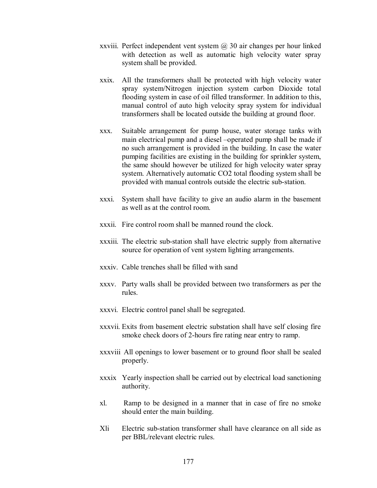- xxviii. Perfect independent vent system  $\omega$  30 air changes per hour linked with detection as well as automatic high velocity water spray system shall be provided.
- xxix. All the transformers shall be protected with high velocity water spray system/Nitrogen injection system carbon Dioxide total flooding system in case of oil filled transformer. In addition to this, manual control of auto high velocity spray system for individual transformers shall be located outside the building at ground floor.
- xxx. Suitable arrangement for pump house, water storage tanks with main electrical pump and a diesel –operated pump shall be made if no such arrangement is provided in the building. In case the water pumping facilities are existing in the building for sprinkler system, the same should however be utilized for high velocity water spray system. Alternatively automatic CO2 total flooding system shall be provided with manual controls outside the electric sub-station.
- xxxi. System shall have facility to give an audio alarm in the basement as well as at the control room.
- xxxii. Fire control room shall be manned round the clock.
- xxxiii. The electric sub-station shall have electric supply from alternative source for operation of vent system lighting arrangements.
- xxxiv. Cable trenches shall be filled with sand
- xxxv. Party walls shall be provided between two transformers as per the rules.
- xxxvi. Electric control panel shall be segregated.
- xxxvii. Exits from basement electric substation shall have self closing fire smoke check doors of 2-hours fire rating near entry to ramp.
- xxxviii All openings to lower basement or to ground floor shall be sealed properly.
- xxxix Yearly inspection shall be carried out by electrical load sanctioning authority.
- xl. Ramp to be designed in a manner that in case of fire no smoke should enter the main building.
- Xli Electric sub-station transformer shall have clearance on all side as per BBL/relevant electric rules.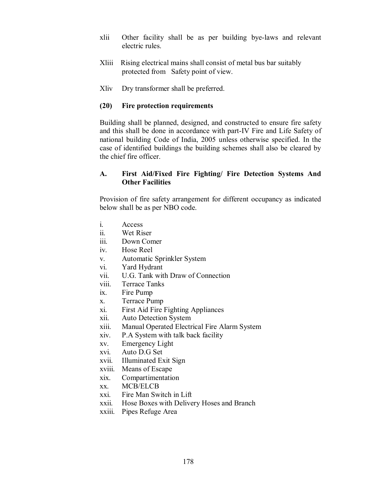- xlii Other facility shall be as per building bye-laws and relevant electric rules.
- Xliii Rising electrical mains shall consist of metal bus bar suitably protected from Safety point of view.
- Xliv Dry transformer shall be preferred.

#### **(20) Fire protection requirements**

Building shall be planned, designed, and constructed to ensure fire safety and this shall be done in accordance with part-IV Fire and Life Safety of national building Code of India, 2005 unless otherwise specified. In the case of identified buildings the building schemes shall also be cleared by the chief fire officer.

#### **A. First Aid/Fixed Fire Fighting/ Fire Detection Systems And Other Facilities**

Provision of fire safety arrangement for different occupancy as indicated below shall be as per NBO code.

- i. Access
- ii. Wet Riser
- iii. Down Comer
- iv. Hose Reel
- v. Automatic Sprinkler System
- vi. Yard Hydrant
- vii. U.G. Tank with Draw of Connection
- viii. Terrace Tanks
- ix. Fire Pump
- x. Terrace Pump
- xi. First Aid Fire Fighting Appliances
- xii. Auto Detection System
- xiii. Manual Operated Electrical Fire Alarm System
- xiv. P.A System with talk back facility
- xv. Emergency Light
- xvi. Auto D.G Set
- xvii. Illuminated Exit Sign
- xviii. Means of Escape
- xix. Compartimentation
- xx. MCB/ELCB
- xxi. Fire Man Switch in Lift
- xxii. Hose Boxes with Delivery Hoses and Branch
- xxiii. Pipes Refuge Area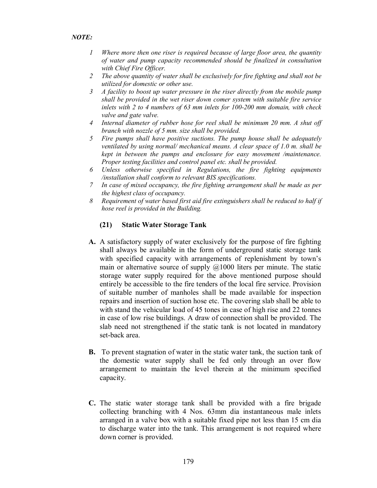- *1 Where more then one riser is required because of large floor area, the quantity of water and pump capacity recommended should be finalized in consultation with Chief Fire Officer.*
- *2 The above quantity of water shall be exclusively for fire fighting and shall not be utilized for domestic or other use.*
- *3 A facility to boost up water pressure in the riser directly from the mobile pump shall be provided in the wet riser down comer system with suitable fire service inlets with 2 to 4 numbers of 63 mm inlets for 100-200 mm domain, with check valve and gate valve.*
- *4 Internal diameter of rubber hose for reel shall be minimum 20 mm. A shut off branch with nozzle of 5 mm. size shall be provided.*
- *5 Fire pumps shall have positive suctions. The pump house shall be adequately ventilated by using normal/ mechanical means. A clear space of 1.0 m. shall be kept in between the pumps and enclosure for easy movement /maintenance. Proper testing facilities and control panel etc. shall be provided.*
- *6 Unless otherwise specified in Regulations, the fire fighting equipments /installation shall conform to relevant BIS specifications.*
- *7 In case of mixed occupancy, the fire fighting arrangement shall be made as per the highest class of occupancy.*
- *8 Requirement of water based first aid fire extinguishers shall be reduced to half if hose reel is provided in the Building.*

#### **(21) Static Water Storage Tank**

- **A.** A satisfactory supply of water exclusively for the purpose of fire fighting shall always be available in the form of underground static storage tank with specified capacity with arrangements of replenishment by town's main or alternative source of supply  $\omega$ 1000 liters per minute. The static storage water supply required for the above mentioned purpose should entirely be accessible to the fire tenders of the local fire service. Provision of suitable number of manholes shall be made available for inspection repairs and insertion of suction hose etc. The covering slab shall be able to with stand the vehicular load of 45 tones in case of high rise and 22 tonnes in case of low rise buildings. A draw of connection shall be provided. The slab need not strengthened if the static tank is not located in mandatory set-back area.
- **B.** To prevent stagnation of water in the static water tank, the suction tank of the domestic water supply shall be fed only through an over flow arrangement to maintain the level therein at the minimum specified capacity.
- **C.** The static water storage tank shall be provided with a fire brigade collecting branching with 4 Nos. 63mm dia instantaneous male inlets arranged in a valve box with a suitable fixed pipe not less than 15 cm dia to discharge water into the tank. This arrangement is not required where down corner is provided.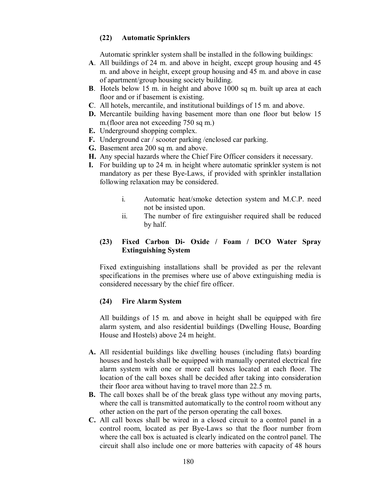#### **(22) Automatic Sprinklers**

Automatic sprinkler system shall be installed in the following buildings:

- **A**. All buildings of 24 m. and above in height, except group housing and 45 m. and above in height, except group housing and 45 m. and above in case of apartment/group housing society building.
- **B**. Hotels below 15 m. in height and above 1000 sq m. built up area at each floor and or if basement is existing.
- **C**. All hotels, mercantile, and institutional buildings of 15 m. and above.
- **D.** Mercantile building having basement more than one floor but below 15 m.(floor area not exceeding 750 sq m.)
- **E.** Underground shopping complex.
- **F.** Underground car / scooter parking /enclosed car parking.
- **G.** Basement area 200 sq m. and above.
- **H.** Any special hazards where the Chief Fire Officer considers it necessary.
- **I.** For building up to 24 m. in height where automatic sprinkler system is not mandatory as per these Bye-Laws, if provided with sprinkler installation following relaxation may be considered.
	- i. Automatic heat/smoke detection system and M.C.P. need not be insisted upon.
	- ii. The number of fire extinguisher required shall be reduced by half.

### **(23) Fixed Carbon Di- Oxide / Foam / DCO Water Spray Extinguishing System**

Fixed extinguishing installations shall be provided as per the relevant specifications in the premises where use of above extinguishing media is considered necessary by the chief fire officer.

### **(24) Fire Alarm System**

All buildings of 15 m. and above in height shall be equipped with fire alarm system, and also residential buildings (Dwelling House, Boarding House and Hostels) above 24 m height.

- **A.** All residential buildings like dwelling houses (including flats) boarding houses and hostels shall be equipped with manually operated electrical fire alarm system with one or more call boxes located at each floor. The location of the call boxes shall be decided after taking into consideration their floor area without having to travel more than 22.5 m.
- **B.** The call boxes shall be of the break glass type without any moving parts, where the call is transmitted automatically to the control room without any other action on the part of the person operating the call boxes.
- **C.** All call boxes shall be wired in a closed circuit to a control panel in a control room, located as per Bye-Laws so that the floor number from where the call box is actuated is clearly indicated on the control panel. The circuit shall also include one or more batteries with capacity of 48 hours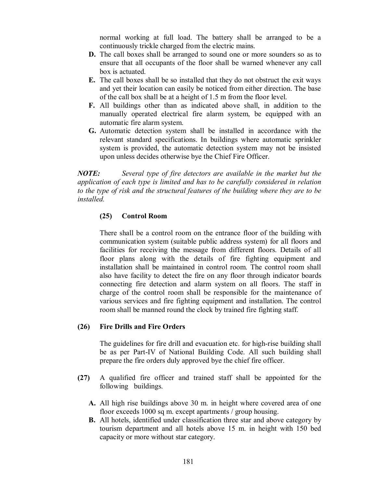normal working at full load. The battery shall be arranged to be a continuously trickle charged from the electric mains.

- **D.** The call boxes shall be arranged to sound one or more sounders so as to ensure that all occupants of the floor shall be warned whenever any call box is actuated.
- **E.** The call boxes shall be so installed that they do not obstruct the exit ways and yet their location can easily be noticed from either direction. The base of the call box shall be at a height of 1.5 m from the floor level.
- **F.** All buildings other than as indicated above shall, in addition to the manually operated electrical fire alarm system, be equipped with an automatic fire alarm system.
- **G.** Automatic detection system shall be installed in accordance with the relevant standard specifications. In buildings where automatic sprinkler system is provided, the automatic detection system may not be insisted upon unless decides otherwise bye the Chief Fire Officer.

*NOTE: Several type of fire detectors are available in the market but the application of each type is limited and has to be carefully considered in relation to the type of risk and the structural features of the building where they are to be installed.*

### **(25) Control Room**

There shall be a control room on the entrance floor of the building with communication system (suitable public address system) for all floors and facilities for receiving the message from different floors. Details of all floor plans along with the details of fire fighting equipment and installation shall be maintained in control room. The control room shall also have facility to detect the fire on any floor through indicator boards connecting fire detection and alarm system on all floors. The staff in charge of the control room shall be responsible for the maintenance of various services and fire fighting equipment and installation. The control room shall be manned round the clock by trained fire fighting staff.

#### **(26) Fire Drills and Fire Orders**

The guidelines for fire drill and evacuation etc. for high-rise building shall be as per Part-IV of National Building Code. All such building shall prepare the fire orders duly approved bye the chief fire officer.

- **(27)** A qualified fire officer and trained staff shall be appointed for the following buildings.
	- **A.** All high rise buildings above 30 m. in height where covered area of one floor exceeds 1000 sq m. except apartments / group housing.
	- **B.** All hotels, identified under classification three star and above category by tourism department and all hotels above 15 m. in height with 150 bed capacity or more without star category.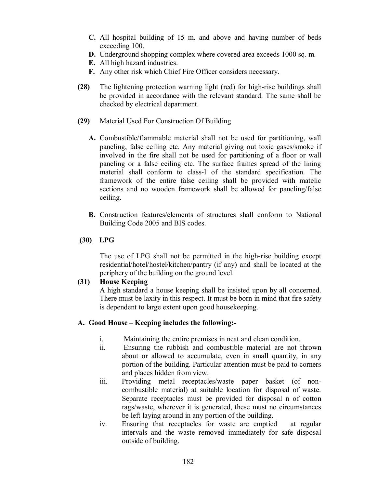- **C.** All hospital building of 15 m. and above and having number of beds exceeding 100.
- **D.** Underground shopping complex where covered area exceeds 1000 sq. m.
- **E.** All high hazard industries.
- **F.** Any other risk which Chief Fire Officer considers necessary.
- **(28)** The lightening protection warning light (red) for high-rise buildings shall be provided in accordance with the relevant standard. The same shall be checked by electrical department.
- **(29)** Material Used For Construction Of Building
	- **A.** Combustible/flammable material shall not be used for partitioning, wall paneling, false ceiling etc. Any material giving out toxic gases/smoke if involved in the fire shall not be used for partitioning of a floor or wall paneling or a false ceiling etc. The surface frames spread of the lining material shall conform to class-I of the standard specification. The framework of the entire false ceiling shall be provided with matelic sections and no wooden framework shall be allowed for paneling/false ceiling.
	- **B.** Construction features/elements of structures shall conform to National Building Code 2005 and BIS codes.

### **(30) LPG**

The use of LPG shall not be permitted in the high-rise building except residential/hotel/hostel/kitchen/pantry (if any) and shall be located at the periphery of the building on the ground level.

#### **(31) House Keeping**

A high standard a house keeping shall be insisted upon by all concerned. There must be laxity in this respect. It must be born in mind that fire safety is dependent to large extent upon good housekeeping.

#### **A. Good House – Keeping includes the following:-**

- i. Maintaining the entire premises in neat and clean condition.
- ii. Ensuring the rubbish and combustible material are not thrown about or allowed to accumulate, even in small quantity, in any portion of the building. Particular attention must be paid to corners and places hidden from view.
- iii. Providing metal receptacles/waste paper basket (of noncombustible material) at suitable location for disposal of waste. Separate receptacles must be provided for disposal n of cotton rags/waste, wherever it is generated, these must no circumstances be left laying around in any portion of the building.
- iv. Ensuring that receptacles for waste are emptied at regular intervals and the waste removed immediately for safe disposal outside of building.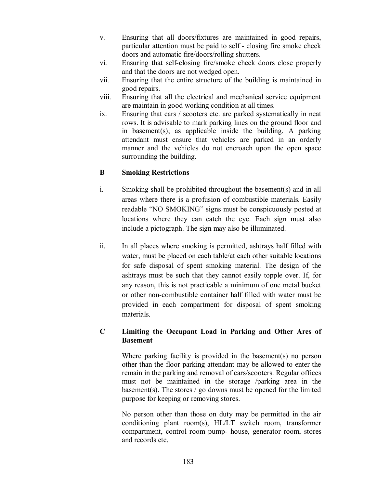- v. Ensuring that all doors/fixtures are maintained in good repairs, particular attention must be paid to self - closing fire smoke check doors and automatic fire/doors/rolling shutters.
- vi. Ensuring that self-closing fire/smoke check doors close properly and that the doors are not wedged open.
- vii. Ensuring that the entire structure of the building is maintained in good repairs.
- viii. Ensuring that all the electrical and mechanical service equipment are maintain in good working condition at all times.
- ix. Ensuring that cars / scooters etc. are parked systematically in neat rows. It is advisable to mark parking lines on the ground floor and in basement(s); as applicable inside the building. A parking attendant must ensure that vehicles are parked in an orderly manner and the vehicles do not encroach upon the open space surrounding the building.

### **B Smoking Restrictions**

- i. Smoking shall be prohibited throughout the basement(s) and in all areas where there is a profusion of combustible materials. Easily readable "NO SMOKING" signs must be conspicuously posted at locations where they can catch the eye. Each sign must also include a pictograph. The sign may also be illuminated.
- ii. In all places where smoking is permitted, ashtrays half filled with water, must be placed on each table/at each other suitable locations for safe disposal of spent smoking material. The design of the ashtrays must be such that they cannot easily topple over. If, for any reason, this is not practicable a minimum of one metal bucket or other non-combustible container half filled with water must be provided in each compartment for disposal of spent smoking materials.

### **C Limiting the Occupant Load in Parking and Other Ares of Basement**

Where parking facility is provided in the basement(s) no person other than the floor parking attendant may be allowed to enter the remain in the parking and removal of cars/scooters. Regular offices must not be maintained in the storage /parking area in the basement(s). The stores  $\ell$  go downs must be opened for the limited purpose for keeping or removing stores.

No person other than those on duty may be permitted in the air conditioning plant room(s), HL/LT switch room, transformer compartment, control room pump- house, generator room, stores and records etc.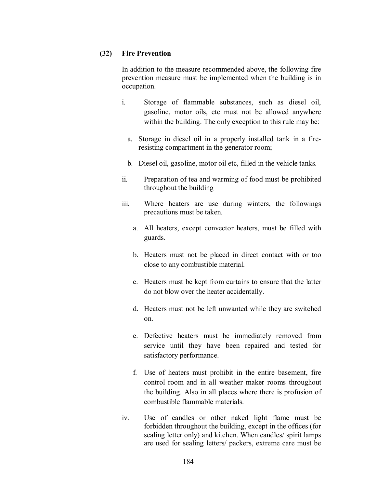### **(32) Fire Prevention**

In addition to the measure recommended above, the following fire prevention measure must be implemented when the building is in occupation.

- i. Storage of flammable substances, such as diesel oil, gasoline, motor oils, etc must not be allowed anywhere within the building. The only exception to this rule may be:
	- a. Storage in diesel oil in a properly installed tank in a fireresisting compartment in the generator room;
	- b. Diesel oil, gasoline, motor oil etc, filled in the vehicle tanks.
- ii. Preparation of tea and warming of food must be prohibited throughout the building
- iii. Where heaters are use during winters, the followings precautions must be taken.
	- a. All heaters, except convector heaters, must be filled with guards.
	- b. Heaters must not be placed in direct contact with or too close to any combustible material.
	- c. Heaters must be kept from curtains to ensure that the latter do not blow over the heater accidentally.
	- d. Heaters must not be left unwanted while they are switched on.
	- e. Defective heaters must be immediately removed from service until they have been repaired and tested for satisfactory performance.
	- f. Use of heaters must prohibit in the entire basement, fire control room and in all weather maker rooms throughout the building. Also in all places where there is profusion of combustible flammable materials.
- iv. Use of candles or other naked light flame must be forbidden throughout the building, except in the offices (for sealing letter only) and kitchen. When candles/ spirit lamps are used for sealing letters/ packers, extreme care must be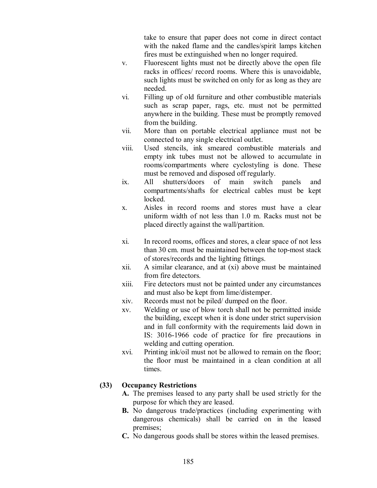take to ensure that paper does not come in direct contact with the naked flame and the candles/spirit lamps kitchen fires must be extinguished when no longer required.

- v. Fluorescent lights must not be directly above the open file racks in offices/ record rooms. Where this is unavoidable, such lights must be switched on only for as long as they are needed.
- vi. Filling up of old furniture and other combustible materials such as scrap paper, rags, etc. must not be permitted anywhere in the building. These must be promptly removed from the building.
- vii. More than on portable electrical appliance must not be connected to any single electrical outlet.
- viii. Used stencils, ink smeared combustible materials and empty ink tubes must not be allowed to accumulate in rooms/compartments where cyclostyling is done. These must be removed and disposed off regularly.
- ix. All shutters/doors of main switch panels and compartments/shafts for electrical cables must be kept locked.
- x. Aisles in record rooms and stores must have a clear uniform width of not less than 1.0 m. Racks must not be placed directly against the wall/partition.
- xi. In record rooms, offices and stores, a clear space of not less than 30 cm. must be maintained between the top-most stack of stores/records and the lighting fittings.
- xii. A similar clearance, and at (xi) above must be maintained from fire detectors.
- xiii. Fire detectors must not be painted under any circumstances and must also be kept from lime/distemper.
- xiv. Records must not be piled/ dumped on the floor.
- xv. Welding or use of blow torch shall not be permitted inside the building, except when it is done under strict supervision and in full conformity with the requirements laid down in IS: 3016-1966 code of practice for fire precautions in welding and cutting operation.
- xvi. Printing ink/oil must not be allowed to remain on the floor; the floor must be maintained in a clean condition at all times.

### **(33) Occupancy Restrictions**

- **A.** The premises leased to any party shall be used strictly for the purpose for which they are leased.
- **B.** No dangerous trade/practices (including experimenting with dangerous chemicals) shall be carried on in the leased premises;
- **C.** No dangerous goods shall be stores within the leased premises.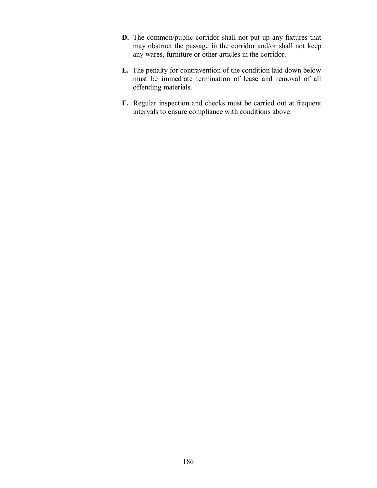- **D.** The common/public corridor shall not put up any fixtures that may obstruct the passage in the corridor and/or shall not keep any wares, furniture or other articles in the corridor.
- **E.** The penalty for contravention of the condition laid down below must be immediate termination of lease and removal of all offending materials.
- **F.** Regular inspection and checks must be carried out at frequent intervals to ensure compliance with conditions above.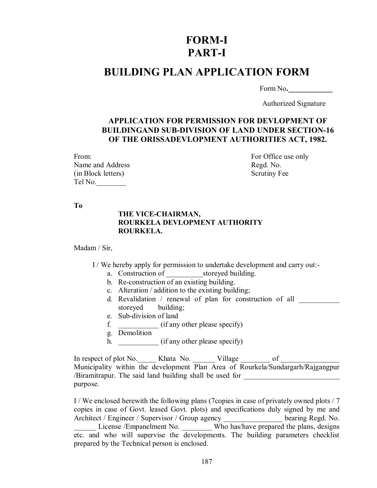# **FORM-I PART-I**

# **BUILDING PLAN APPLICATION FORM**

Form No**.\_\_\_\_\_\_\_\_\_\_\_\_**

Authorized Signature

### **APPLICATION FOR PERMISSION FOR DEVLOPMENT OF BUILDINGAND SUB-DIVISION OF LAND UNDER SECTION-16 OF THE ORISSADEVLOPMENT AUTHORITIES ACT, 1982.**

| From:              |
|--------------------|
| Name and Address   |
| (in Block letters) |
| Tel No.            |

For Office use only Regd. No. Scrutiny Fee

**To**

### **THE VICE-CHAIRMAN, ROURKELA DEVLOPMENT AUTHORITY ROURKELA.**

Madam / Sir,

I / We hereby apply for permission to undertake development and carry out:-

- a. Construction of storeyed building.
- b. Re-construction of an existing building.
- c. Alteration / addition to the existing building;
- d. Revalidation / renewal of plan for construction of all \_\_\_\_\_\_\_\_\_\_\_ storeyed building;
- e. Sub-division of land
- f. \_\_\_\_\_\_\_\_\_\_\_ (if any other please specify)
- g. Demolition
- h. \_\_\_\_\_\_\_\_\_\_\_\_ (if any other please specify)

In respect of plot No.  $\blacksquare$  Khata No.  $\blacksquare$  Village of  $\blacksquare$ Municipality within the development Plan Area of Rourkela/Sundargarh/Rajgangpur /Biramitrapur. The said land building shall be used for purpose.

I / We enclosed herewith the following plans (7copies in case of privately owned plots / 7 copies in case of Govt. leased Govt. plots) and specifications duly signed by me and Architect / Engineer / Supervisor / Group agency \_\_\_\_\_\_\_\_\_\_\_\_\_\_\_\_ bearing Regd. No. License /Empanelment No. Who has/have prepared the plans, designs etc. and who will supervise the developments. The building parameters checklist prepared by the Technical person is enclosed.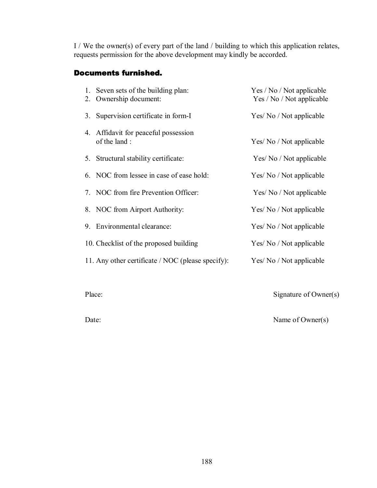I / We the owner(s) of every part of the land / building to which this application rela[tes,](http://www.docu-track.com/buy/) requests permission for the above development may kindly be accorded.

### Documents furnished.

| 1. Seven sets of the building plan:<br>2. Ownership document: | Yes / No / Not applicable<br>Yes / No / Not applicable |
|---------------------------------------------------------------|--------------------------------------------------------|
| 3. Supervision certificate in form-I                          | Yes/ No / Not applicable                               |
| 4. Affidavit for peaceful possession<br>of the land:          | Yes/ No / Not applicable                               |
| 5. Structural stability certificate:                          | Yes/ No / Not applicable                               |
| 6. NOC from lessee in case of ease hold:                      | Yes/ No / Not applicable                               |
| 7. NOC from fire Prevention Officer:                          | Yes/ No / Not applicable                               |
| 8. NOC from Airport Authority:                                | Yes/ No / Not applicable                               |
| 9. Environmental clearance:                                   | Yes/ No / Not applicable                               |
| 10. Checklist of the proposed building                        | Yes/ No / Not applicable                               |
| 11. Any other certificate / NOC (please specify):             | Yes/ No / Not applicable                               |
|                                                               |                                                        |

Place: Signature of Owner(s)

Date: Name of Owner(s)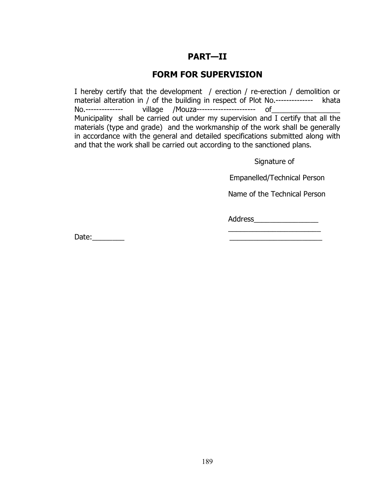## **PART—II**

## **FORM FOR SUPERVISION**

I hereby certify that the development / erection / re-erection / demolition or material alteration in / of the building in respect of Plot No.-------------- khata No.-------------- village /Mouza---------------------- of\_\_\_\_\_\_\_\_\_\_\_\_\_\_\_\_\_ Municipality shall be carried out under my supervision and I certify that all the materials (type and grade) and the workmanship of the work shall be generally in accordance with the general and detailed specifications submitted along with and that the work shall be carried out according to the sanctioned plans.

Signature of

Empanelled/Technical Person

Name of the Technical Person

\_\_\_\_\_\_\_\_\_\_\_\_\_\_\_\_\_\_\_\_\_\_\_

Address\_\_\_\_\_\_\_\_\_\_\_\_\_\_\_\_

Date: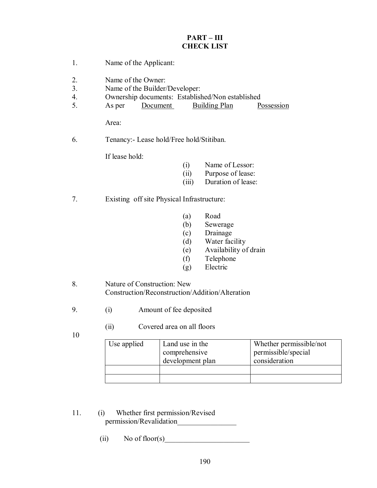#### **PART – III CHECK LIST**

- 1. Name of the Applicant: 2. Name of the Owner: 3. Name of the Builder/Developer: 4. Ownership documents: Established/Non established 5. As per Document Building Plan Possession Area: 6. Tenancy:- Lease hold/Free hold/Stitiban. If lease hold: (i) Name of Lessor: (ii) Purpose of lease: (iii) Duration of lease: 7. Existing off site Physical Infrastructure: (a) Road (b) Sewerage (c) Drainage (d) Water facility (e) Availability of drain (f) Telephone (g) Electric 8. Nature of Construction: New Construction/Reconstruction/Addition/Alteration
	- 9. (i) Amount of fee deposited
		- (ii) Covered area on all floors
	- 10
- Use applied Land use in the comprehensive development plan Whether permissible/not permissible/special consideration
- 11. (i) Whether first permission/Revised permission/Revalidation\_\_\_\_\_\_\_\_\_\_\_\_\_\_\_\_
	- (ii) No of floor(s)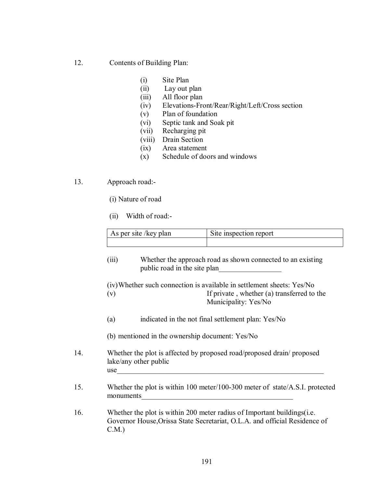#### 12. Contents of Building Plan:

- (i) Site Plan
- (ii) Lay out plan
- (iii) All floor plan
- (iv) Elevations-Front/Rear/Right/Left/Cross section
- (v) Plan of foundation
- (vi) Septic tank and Soak pit
- (vii) Recharging pit
- (viii) Drain Section
- (ix) Area statement
- (x) Schedule of doors and windows

13. Approach road:-

- (i) Nature of road
- (ii) Width of road:-

| As per site / key plan | Site inspection report |
|------------------------|------------------------|
|                        |                        |

(iii) Whether the approach road as shown connected to an existing public road in the site plan

(iv) Whether such connection is available in settlement sheets: Yes/No (v) If private , whether (a) transferred to the Municipality: Yes/No

- (a) indicated in the not final settlement plan: Yes/No
- (b) mentioned in the ownership document: Yes/No
- 14. Whether the plot is affected by proposed road/proposed drain/ proposed lake/any other public use
- 15. Whether the plot is within 100 meter/100-300 meter of state/A.S.I. protected monuments

16. Whether the plot is within 200 meter radius of Important buildings(i.e. Governor House,Orissa State Secretariat, O.L.A. and official Residence of C.M.)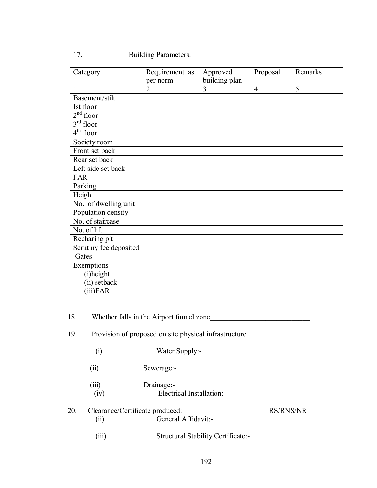17. Building Parameters:

| Category               | Requirement as | Approved      | Proposal       | Remarks |
|------------------------|----------------|---------------|----------------|---------|
|                        | per norm       | building plan |                |         |
| $\mathbf{1}$           | $\overline{2}$ | 3             | $\overline{4}$ | 5       |
| Basement/stilt         |                |               |                |         |
| Ist floor              |                |               |                |         |
| $2nd$ floor            |                |               |                |         |
| $3rd$ floor            |                |               |                |         |
| $4th$ floor            |                |               |                |         |
| Society room           |                |               |                |         |
| Front set back         |                |               |                |         |
| Rear set back          |                |               |                |         |
| Left side set back     |                |               |                |         |
| <b>FAR</b>             |                |               |                |         |
| Parking                |                |               |                |         |
| Height                 |                |               |                |         |
| No. of dwelling unit   |                |               |                |         |
| Population density     |                |               |                |         |
| No. of staircase       |                |               |                |         |
| No. of lift            |                |               |                |         |
| Recharing pit          |                |               |                |         |
| Scrutiny fee deposited |                |               |                |         |
| Gates                  |                |               |                |         |
| Exemptions             |                |               |                |         |
| (i)height              |                |               |                |         |
| (ii) setback           |                |               |                |         |
| $(iii)$ FAR            |                |               |                |         |
|                        |                |               |                |         |

18. Whether falls in the Airport funnel zone

### 19. Provision of proposed on site physical infrastructure

(i) Water Supply:-

(ii) Sewerage:-

 (iii) Drainage:- (iv) Electrical Installation:-

### 20. Clearance/Certificate produced: RS/RNS/NR (ii) General Affidavit:-

(iii) Structural Stability Certificate:-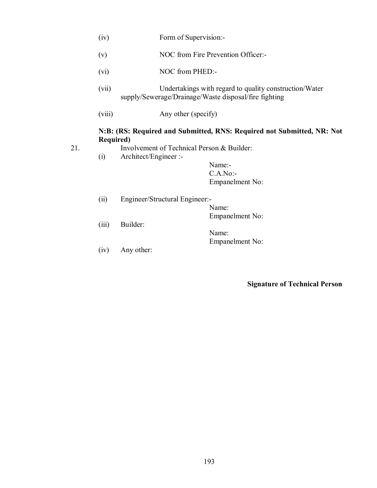- (iv) Form of Supervision:-
- (v) NOC from Fire Prevention Officer:-
- (vi) NOC from PHED:-
- (vii) Undertakings with regard to quality construction/Water supply/Sewerage/Drainage/Waste disposal/fire fighting
- (viii) Any other (specify)

### **N:B: (RS: Required and Submitted, RNS: Required not Submitted, NR: Not Required)**

- 
- 21. Involvement of Technical Person & Builder:
	- (i) Architect/Engineer :-

Name:- C.A.No:- Empanelment No:

- (ii) Engineer/Structural Engineer:- Name: Empanelment No: (iii) Builder: Name: Empanelment No:
- (iv) Any other:

**Signature of Technical Person**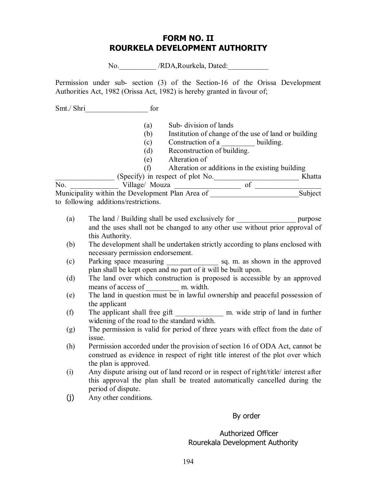### **FORM NO. II ROURKELA DEVELOPMENT AUTHORITY**

No. /RDA,Rourkela, Dated:

Permission under sub- section (3) of the Section-16 of the Orissa Development Authorities Act, 1982 (Orissa Act, 1982) is hereby granted in favour of;

Smt./ Shri

(a) Sub- division of lands

(b) Institution of change of the use of land or building

Construction of a \_\_\_\_\_\_\_\_\_\_ building. (c) Construction of a<br>
(d) Reconstruction of building.

(e) Alteration of

(f) Alteration or additions in the existing building

\_\_\_\_\_\_\_\_\_\_\_\_\_\_\_\_ (Specify) in respect of plot No.\_\_\_\_\_\_\_\_\_\_\_\_\_\_\_\_\_\_\_\_\_\_\_ Khatta

No. \_\_\_\_\_\_\_\_\_\_\_\_\_ Village/ Mouza \_\_\_\_\_\_\_\_\_\_\_\_\_\_\_\_\_\_ of \_\_\_\_\_\_\_\_\_\_\_\_\_\_\_\_\_\_ Municipality within the Development Plan Area of \_\_\_\_\_\_\_\_\_\_\_\_\_\_\_\_\_\_\_\_\_\_\_\_\_\_\_\_\_\_\_Subject to following additions/restrictions.

- (a) The land / Building shall be used exclusively for \_\_\_\_\_\_\_\_\_\_\_\_\_\_\_\_ purpose and the uses shall not be changed to any other use without prior approval of this Authority.
- (b) The development shall be undertaken strictly according to plans enclosed with necessary permission endorsement.
- (c) Parking space measuring \_\_\_\_\_\_\_\_\_\_\_\_\_\_ sq. m. as shown in the approved plan shall be kept open and no part of it will be built upon.
- (d) The land over which construction is proposed is accessible by an approved means of access of m. width.
- (e) The land in question must be in lawful ownership and peaceful possession of the applicant
- (f) The applicant shall free gift \_\_\_\_\_\_\_\_\_\_\_\_\_ m. wide strip of land in further widening of the road to the standard width.
- (g) The permission is valid for period of three years with effect from the date of issue.
- (h) Permission accorded under the provision of section 16 of ODA Act, cannot be construed as evidence in respect of right title interest of the plot over which the plan is approved.
- (i) Any dispute arising out of land record or in respect of right/title/ interest after this approval the plan shall be treated automatically cancelled during the period of dispute.
- (j) Any other conditions.

#### By order

#### Authorized Officer Rourekala Development Authority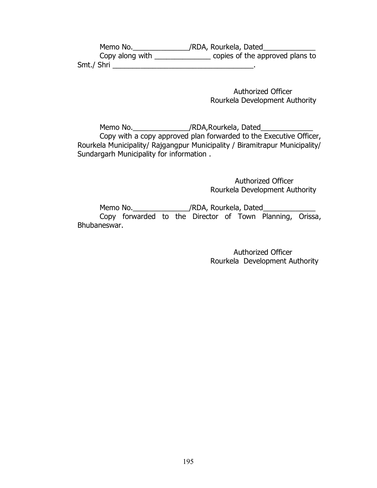| Memo No.        | /RDA, Rourkela, Dated           |
|-----------------|---------------------------------|
| Copy along with | copies of the approved plans to |
| Smt./ Shri      |                                 |

 Authorized Officer Rourkela Development Authority

Memo No.\_\_\_\_\_\_\_\_\_\_\_\_\_\_\_\_\_/RDA,Rourkela, Dated\_\_\_\_\_\_\_\_\_\_\_\_\_\_\_\_\_\_\_\_\_\_\_\_\_\_\_\_\_\_\_\_\_\_\_ Copy with a copy approved plan forwarded to the Executive Officer, Rourkela Municipality/ Rajgangpur Municipality / Biramitrapur Municipality/ Sundargarh Municipality for information .

> Authorized Officer Rourkela Development Authority

Memo No.\_\_\_\_\_\_\_\_\_\_\_\_\_\_\_\_\_/RDA, Rourkela, Dated\_\_\_\_\_\_\_ Copy forwarded to the Director of Town Planning, Orissa, Bhubaneswar.

> Authorized Officer Rourkela Development Authority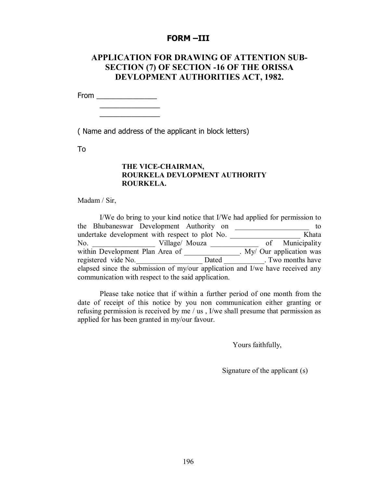#### **FORM –III**

### **APPLICATION FOR DRAWING OF ATTENTION SUB-SECTION (7) OF SECTION -16 OF THE ORISSA DEVLOPMENT AUTHORITIES ACT, 1982.**

From \_\_\_\_\_\_\_\_\_\_\_\_\_\_\_

\_\_\_\_\_\_\_\_\_\_\_\_\_\_\_ \_\_\_\_\_\_\_\_\_\_\_\_\_\_\_

( Name and address of the applicant in block letters)

To

#### **THE VICE-CHAIRMAN, ROURKELA DEVLOPMENT AUTHORITY ROURKELA.**

Madam / Sir,

I/We do bring to your kind notice that I/We had applied for permission to the Bhubaneswar Development Authority on \_\_\_\_\_\_\_\_\_\_\_\_\_\_\_\_\_\_\_\_ to undertake development with respect to plot No. \_\_\_\_\_\_\_\_\_\_\_\_\_\_\_\_\_\_\_ Khata No. \_\_\_\_\_\_\_\_\_\_\_\_\_\_\_\_\_ Village/ Mouza \_\_\_\_\_\_\_\_\_\_\_\_\_ of Municipality within Development Plan Area of \_\_\_\_\_\_\_\_\_\_\_\_\_\_. My/ Our application was registered vide No. Dated Dated Two months have elapsed since the submission of my/our application and I/we have received any communication with respect to the said application.

Please take notice that if within a further period of one month from the date of receipt of this notice by you non communication either granting or refusing permission is received by me / us , I/we shall presume that permission as applied for has been granted in my/our favour.

Yours faithfully,

Signature of the applicant (s)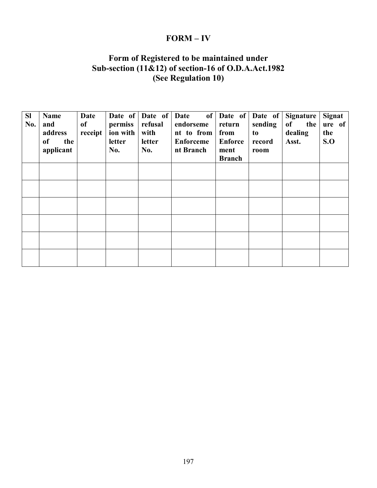## **FORM – IV**

### **Form of Registered to be maintained under Sub-section (11&12) of section-16 of O.D.A.Act.1982 (See Regulation 10)**

| <b>SI</b><br>No. | <b>Name</b><br>and<br>address<br>the<br>of<br>applicant | <b>Date</b><br>of<br>receipt | permiss<br>ion with<br><b>letter</b><br>No. | Date of Date of<br>refusal<br>with<br>letter<br>No. | of<br>Date<br>endorseme<br>nt to from<br><b>Enforceme</b><br>nt Branch | Date of<br>return<br>from<br><b>Enforce</b><br>ment<br><b>Branch</b> | Date of<br>sending<br>to<br>record<br>room | Signature<br>of<br>the<br>dealing<br>Asst. | <b>Signat</b><br>ure of<br>the<br>S.O |
|------------------|---------------------------------------------------------|------------------------------|---------------------------------------------|-----------------------------------------------------|------------------------------------------------------------------------|----------------------------------------------------------------------|--------------------------------------------|--------------------------------------------|---------------------------------------|
|                  |                                                         |                              |                                             |                                                     |                                                                        |                                                                      |                                            |                                            |                                       |
|                  |                                                         |                              |                                             |                                                     |                                                                        |                                                                      |                                            |                                            |                                       |
|                  |                                                         |                              |                                             |                                                     |                                                                        |                                                                      |                                            |                                            |                                       |
|                  |                                                         |                              |                                             |                                                     |                                                                        |                                                                      |                                            |                                            |                                       |
|                  |                                                         |                              |                                             |                                                     |                                                                        |                                                                      |                                            |                                            |                                       |
|                  |                                                         |                              |                                             |                                                     |                                                                        |                                                                      |                                            |                                            |                                       |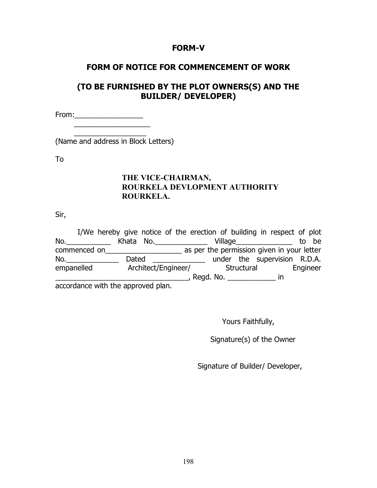### **FORM-V**

## **FORM OF NOTICE FOR COMMENCEMENT OF WORK**

## **(TO BE FURNISHED BY THE PLOT OWNERS(S) AND THE BUILDER/ DEVELOPER)**

From:\_\_\_\_\_\_\_\_\_\_\_\_\_\_\_\_\_  $\overline{\phantom{a}}$  ,  $\overline{\phantom{a}}$  ,  $\overline{\phantom{a}}$  ,  $\overline{\phantom{a}}$  ,  $\overline{\phantom{a}}$  ,  $\overline{\phantom{a}}$  ,  $\overline{\phantom{a}}$  ,  $\overline{\phantom{a}}$  ,  $\overline{\phantom{a}}$  ,  $\overline{\phantom{a}}$  ,  $\overline{\phantom{a}}$  ,  $\overline{\phantom{a}}$  ,  $\overline{\phantom{a}}$  ,  $\overline{\phantom{a}}$  ,  $\overline{\phantom{a}}$  ,  $\overline{\phantom{a}}$ 

 $\overline{\phantom{a}}$  . The contract of the contract of the contract of the contract of the contract of the contract of the contract of the contract of the contract of the contract of the contract of the contract of the contract of (Name and address in Block Letters)

To

### **THE VICE-CHAIRMAN, ROURKELA DEVLOPMENT AUTHORITY ROURKELA.**

Sir,

|                                   | I/We hereby give notice of the erection of building in respect of plot |           |                     |           |            |                                            |  |          |
|-----------------------------------|------------------------------------------------------------------------|-----------|---------------------|-----------|------------|--------------------------------------------|--|----------|
| No.                               |                                                                        | Khata No. |                     |           |            | Village                                    |  | to be    |
| commenced on                      |                                                                        |           |                     |           |            | as per the permission given in your letter |  |          |
| No.                               | Dated                                                                  |           |                     |           |            | under the supervision R.D.A.               |  |          |
| empanelled                        |                                                                        |           | Architect/Engineer/ |           | Structural |                                            |  | Engineer |
|                                   |                                                                        |           |                     | Regd. No. |            | ın                                         |  |          |
| accordance with the annroved plan |                                                                        |           |                     |           |            |                                            |  |          |

accordance with the approved plan.

Yours Faithfully,

Signature(s) of the Owner

Signature of Builder/ Developer,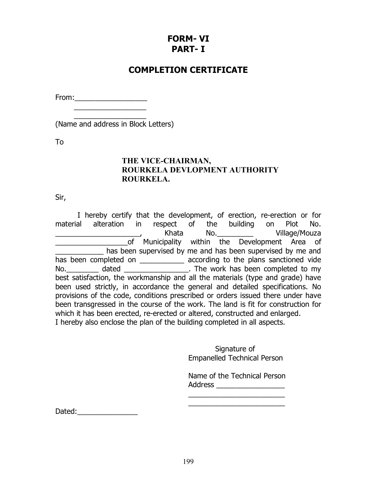## **FORM- VI PART- I**

## **COMPLETION CERTIFICATE**

From: when  $\sim$  $\overline{\phantom{a}}$  . The contract of the contract of the contract of the contract of the contract of the contract of the contract of the contract of the contract of the contract of the contract of the contract of the contract of

 $\overline{\phantom{a}}$  ,  $\overline{\phantom{a}}$  ,  $\overline{\phantom{a}}$  ,  $\overline{\phantom{a}}$  ,  $\overline{\phantom{a}}$  ,  $\overline{\phantom{a}}$  ,  $\overline{\phantom{a}}$  ,  $\overline{\phantom{a}}$  ,  $\overline{\phantom{a}}$  ,  $\overline{\phantom{a}}$  ,  $\overline{\phantom{a}}$  ,  $\overline{\phantom{a}}$  ,  $\overline{\phantom{a}}$  ,  $\overline{\phantom{a}}$  ,  $\overline{\phantom{a}}$  ,  $\overline{\phantom{a}}$ (Name and address in Block Letters)

To

### **THE VICE-CHAIRMAN, ROURKELA DEVLOPMENT AUTHORITY ROURKELA.**

Sir,

I hereby certify that the development, of erection, re-erection or for material alteration in respect of the building on Plot No. \_\_\_\_\_\_\_\_\_\_\_\_\_\_\_\_\_\_\_\_\_, Khata No.\_\_\_\_\_\_\_\_\_ Village/Mouza \_\_\_\_\_\_\_\_\_\_\_\_\_\_\_\_\_\_of Municipality within the Development Area of has been supervised by me and has been supervised by me and has been completed on \_\_\_\_\_\_\_\_\_\_\_\_\_ according to the plans sanctioned vide No.\_\_\_\_\_\_\_\_\_\_ dated \_\_\_\_\_\_\_\_\_\_\_\_\_\_\_\_\_\_\_. The work has been completed to my best satisfaction, the workmanship and all the materials (type and grade) have been used strictly, in accordance the general and detailed specifications. No provisions of the code, conditions prescribed or orders issued there under have been transgressed in the course of the work. The land is fit for construction for which it has been erected, re-erected or altered, constructed and enlarged. I hereby also enclose the plan of the building completed in all aspects.

> Signature of Empanelled Technical Person

Name of the Technical Person Address \_\_\_\_\_\_\_\_\_\_\_\_\_\_\_\_\_

\_\_\_\_\_\_\_\_\_\_\_\_\_\_\_\_\_\_\_\_\_\_\_\_ \_\_\_\_\_\_\_\_\_\_\_\_\_\_\_\_\_\_\_\_\_\_\_\_

Dated: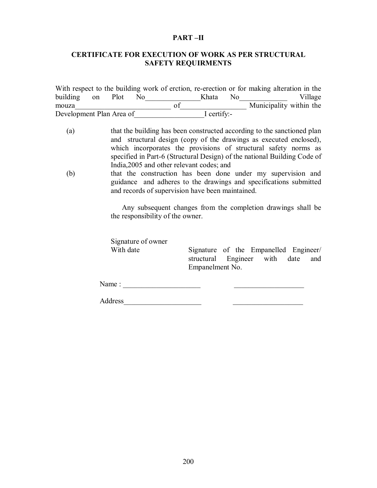#### **PART –II**

#### **CERTIFICATE FOR EXECUTION OF WORK AS PER STRUCTURAL SAFETY REQUIRMENTS**

|                          |  |      |             |                | With respect to the building work of erction, re-erection or for making alteration in the |         |
|--------------------------|--|------|-------------|----------------|-------------------------------------------------------------------------------------------|---------|
| building on Plot         |  | - No | Khata.      | N <sub>0</sub> |                                                                                           | Village |
| mouza                    |  |      |             |                | Municipality within the                                                                   |         |
| Development Plan Area of |  |      | I certify:- |                |                                                                                           |         |

- (a) that the building has been constructed according to the sanctioned plan and structural design (copy of the drawings as executed enclosed), which incorporates the provisions of structural safety norms as specified in Part-6 (Structural Design) of the national Building Code of India,2005 and other relevant codes; and
- (b) that the construction has been done under my supervision and guidance and adheres to the drawings and specifications submitted and records of supervision have been maintained.

Any subsequent changes from the completion drawings shall be the responsibility of the owner.

Signature of owner

With date Signature of the Empanelled Engineer/ structural Engineer with date and Empanelment No.

Name : \_\_\_\_\_\_\_\_\_\_\_\_\_\_\_\_\_\_\_\_\_ \_\_\_\_\_\_\_\_\_\_\_\_\_\_\_\_\_\_\_

Address\_\_\_\_\_\_\_\_\_\_\_\_\_\_\_\_\_\_\_\_\_ \_\_\_\_\_\_\_\_\_\_\_\_\_\_\_\_\_\_\_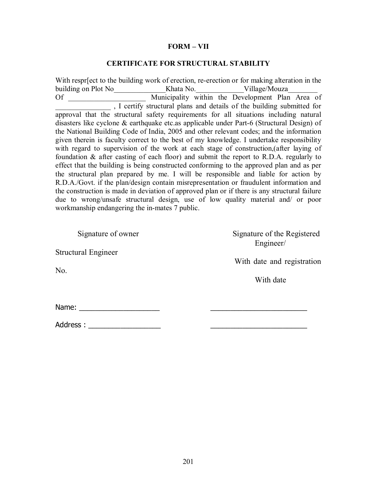#### **FORM – VII**

#### **CERTIFICATE FOR STRUCTURAL STABILITY**

With respr[ect to the building work of erection, re-erection or for making alteration in the building on Plot No Whata No. Willage/Mouza Of Municipality within the Development Plan Area of \_\_\_\_\_\_\_\_\_\_\_\_\_\_\_ , I certify structural plans and details of the building submitted for approval that the structural safety requirements for all situations including natural disasters like cyclone & earthquake etc.as applicable under Part-6 (Structural Design) of the National Building Code of India, 2005 and other relevant codes; and the information given therein is faculty correct to the best of my knowledge. I undertake responsibility with regard to supervision of the work at each stage of construction,(after laying of foundation & after casting of each floor) and submit the report to R.D.A. regularly to effect that the building is being constructed conforming to the approved plan and as per the structural plan prepared by me. I will be responsible and liable for action by R.D.A./Govt. if the plan/design contain misrepresentation or fraudulent information and the construction is made in deviation of approved plan or if there is any structural failure due to wrong/unsafe structural design, use of low quality material and/ or poor workmanship endangering the in-mates 7 public.

Structural Engineer

No.

Signature of owner Signature of the Registered Engineer/

With date and registration

With date

Name:  $\blacksquare$ 

Address :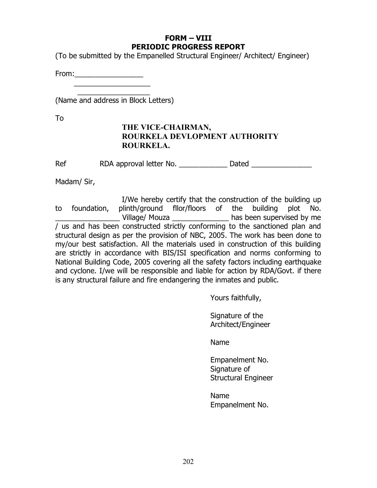### **FORM – VIII PERIODIC PROGRESS REPORT**

(To be submitted by the Empanelled Structural Engineer/ Architect/ Engineer)

From:\_\_\_\_\_\_\_\_\_\_\_\_\_\_\_\_\_  $\overline{\phantom{a}}$  ,  $\overline{\phantom{a}}$  ,  $\overline{\phantom{a}}$  ,  $\overline{\phantom{a}}$  ,  $\overline{\phantom{a}}$  ,  $\overline{\phantom{a}}$  ,  $\overline{\phantom{a}}$  ,  $\overline{\phantom{a}}$  ,  $\overline{\phantom{a}}$  ,  $\overline{\phantom{a}}$  ,  $\overline{\phantom{a}}$  ,  $\overline{\phantom{a}}$  ,  $\overline{\phantom{a}}$  ,  $\overline{\phantom{a}}$  ,  $\overline{\phantom{a}}$  ,  $\overline{\phantom{a}}$ 

\_\_\_\_\_\_\_\_\_\_\_\_\_\_\_\_\_\_ (Name and address in Block Letters)

To

### **THE VICE-CHAIRMAN, ROURKELA DEVLOPMENT AUTHORITY ROURKELA.**

Ref RDA approval letter No. The Dated Dated RDA approval letter No.

Madam/ Sir,

I/We hereby certify that the construction of the building up to foundation, plinth/ground fllor/floors of the building plot No. Village/ Mouza **Example 20** has been supervised by me / us and has been constructed strictly conforming to the sanctioned plan and structural design as per the provision of NBC, 2005. The work has been done to my/our best satisfaction. All the materials used in construction of this building are strictly in accordance with BIS/ISI specification and norms conforming to National Building Code, 2005 covering all the safety factors including earthquake and cyclone. I/we will be responsible and liable for action by RDA/Govt. if there is any structural failure and fire endangering the inmates and public.

Yours faithfully,

Signature of the Architect/Engineer

Name

Empanelment No. Signature of Structural Engineer

Name Empanelment No.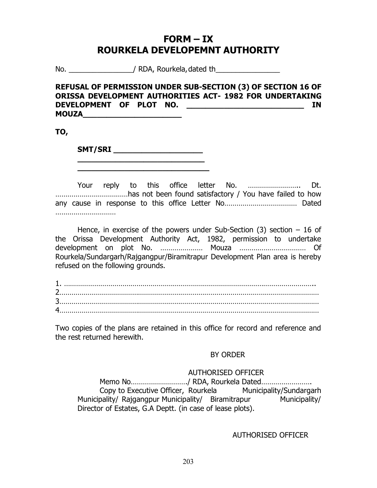## **FORM – IX ROURKELA DEVELOPEMNT AUTHORITY**

No. The same of  $\sim$  / RDA, Rourkela, dated the same of  $\sim$ 

### **REFUSAL OF PERMISSION UNDER SUB-SECTION (3) OF SECTION 16 OF ORISSA DEVELOPMENT AUTHORITIES ACT- 1982 FOR UNDERTAKING DEVELOPMENT OF PLOT NO. \_\_\_\_\_\_\_\_\_\_\_\_\_\_\_\_\_\_\_\_\_\_\_\_\_ IN MOUZA\_\_\_\_\_\_\_\_\_\_\_\_\_\_\_\_\_\_\_\_\_**

**TO,**

**SMT/SRI**  $\blacksquare$ **\_\_\_\_\_\_\_\_\_\_\_\_\_\_\_\_\_\_\_\_\_\_\_\_\_\_\_**

**\_\_\_\_\_\_\_\_\_\_\_\_\_\_\_\_\_\_\_\_\_\_\_\_\_\_\_\_**

Your reply to this office letter No. …………………….. Dt. ………………………………has not been found satisfactory / You have failed to how any cause in response to this office Letter No……………………………… Dated …………………………

Hence, in exercise of the powers under Sub-Section  $(3)$  section  $-16$  of the Orissa Development Authority Act, 1982, permission to undertake development on plot No. ………………… Mouza …………………………… Of Rourkela/Sundargarh/Rajgangpur/Biramitrapur Development Plan area is hereby refused on the following grounds.

| $\mathbf 4$ |  |
|-------------|--|

Two copies of the plans are retained in this office for record and reference and the rest returned herewith.

### BY ORDER

### AUTHORISED OFFICER

Memo No………………………./ RDA, Rourkela Dated……………………. Copy to Executive Officer, Rourkela Municipality/Sundargarh Municipality/ Rajgangpur Municipality/ Biramitrapur Municipality/ Director of Estates, G.A Deptt. (in case of lease plots).

AUTHORISED OFFICER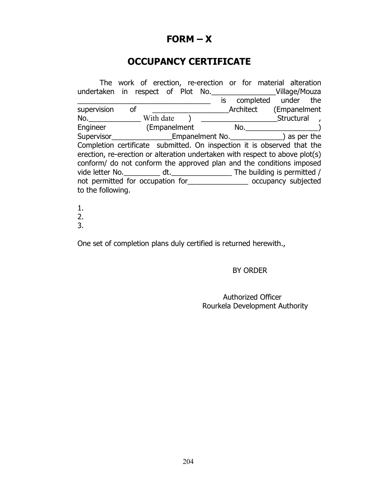## **FORM – X**

# **OCCUPANCY CERTIFICATE**

| undertaken in respect of Plot No. _______________________Village/Mouza                                                                                                                                                               |               | The work of erection, re-erection or for material alteration |                                   |  |  |                                                                                                                |  |
|--------------------------------------------------------------------------------------------------------------------------------------------------------------------------------------------------------------------------------------|---------------|--------------------------------------------------------------|-----------------------------------|--|--|----------------------------------------------------------------------------------------------------------------|--|
|                                                                                                                                                                                                                                      |               |                                                              |                                   |  |  | is completed under the                                                                                         |  |
| supervision                                                                                                                                                                                                                          | <sub>of</sub> |                                                              |                                   |  |  | Architect (Empanelment                                                                                         |  |
| $No.$ With date $\qquad$                                                                                                                                                                                                             |               |                                                              |                                   |  |  | Structural by Structural by the Structural basic of the Structural basic set of the Structural basic set of th |  |
| Engineer (Empanelment                                                                                                                                                                                                                |               |                                                              | $\mathsf{No.}$ and $\mathsf{No.}$ |  |  |                                                                                                                |  |
| Supervisor Supervisor Supervisor Supervisor Supervisor Supervisor Supervisor Supervisor Supervisor Supervisor Supervisor Supervisor Supervisor Supervisor Supervisor Supervisor Supervisor Supervisor Supervisor Supervisor Su       |               |                                                              |                                   |  |  |                                                                                                                |  |
| Completion certificate submitted. On inspection it is observed that the                                                                                                                                                              |               |                                                              |                                   |  |  |                                                                                                                |  |
| erection, re-erection or alteration undertaken with respect to above plot(s)                                                                                                                                                         |               |                                                              |                                   |  |  |                                                                                                                |  |
| conform/ do not conform the approved plan and the conditions imposed                                                                                                                                                                 |               |                                                              |                                   |  |  |                                                                                                                |  |
|                                                                                                                                                                                                                                      |               |                                                              |                                   |  |  |                                                                                                                |  |
| not permitted for occupation for<br><u> letted</u> coccupancy subjected  contains the contact of the subjected interact of the subjected interact of the subjected interact of the subjected  subjected interact of the subjected  s |               |                                                              |                                   |  |  |                                                                                                                |  |
| to the following.                                                                                                                                                                                                                    |               |                                                              |                                   |  |  |                                                                                                                |  |

- 1.
- 2.
- 3.

One set of completion plans duly certified is returned herewith.,

### BY ORDER

### Authorized Officer Rourkela Development Authority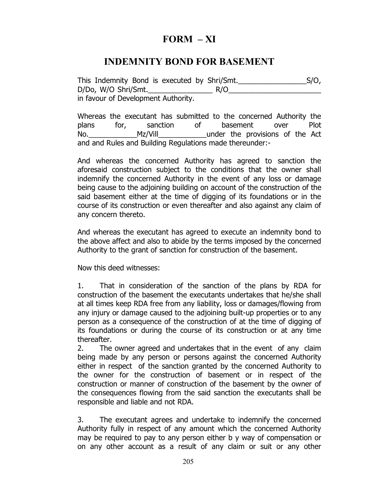## **FORM – XI**

## **INDEMNITY BOND FOR BASEMENT**

This Indemnity Bond is executed by Shri/Smt.\_\_\_\_\_\_\_\_\_\_\_\_\_\_\_\_\_S/O, D/Do, W/O Shri/Smt.\_\_\_\_\_\_\_\_\_\_\_\_\_\_\_\_ R/O\_\_\_\_\_\_\_\_\_\_\_\_\_\_\_\_\_\_\_\_\_\_\_ in favour of Development Authority.

Whereas the executant has submitted to the concerned Authority the plans for, sanction of basement over Plot No. Mz/Vill under the provisions of the Act and and Rules and Building Regulations made thereunder:-

And whereas the concerned Authority has agreed to sanction the aforesaid construction subject to the conditions that the owner shall indemnify the concerned Authority in the event of any loss or damage being cause to the adjoining building on account of the construction of the said basement either at the time of digging of its foundations or in the course of its construction or even thereafter and also against any claim of any concern thereto.

And whereas the executant has agreed to execute an indemnity bond to the above affect and also to abide by the terms imposed by the concerned Authority to the grant of sanction for construction of the basement.

Now this deed witnesses:

1. That in consideration of the sanction of the plans by RDA for construction of the basement the executants undertakes that he/she shall at all times keep RDA free from any liability, loss or damages/flowing from any injury or damage caused to the adjoining built-up properties or to any person as a consequence of the construction of at the time of digging of its foundations or during the course of its construction or at any time thereafter.

2. The owner agreed and undertakes that in the event of any claim being made by any person or persons against the concerned Authority either in respect of the sanction granted by the concerned Authority to the owner for the construction of basement or in respect of the construction or manner of construction of the basement by the owner of the consequences flowing from the said sanction the executants shall be responsible and liable and not RDA.

3. The executant agrees and undertake to indemnify the concerned Authority fully in respect of any amount which the concerned Authority may be required to pay to any person either b y way of compensation or on any other account as a result of any claim or suit or any other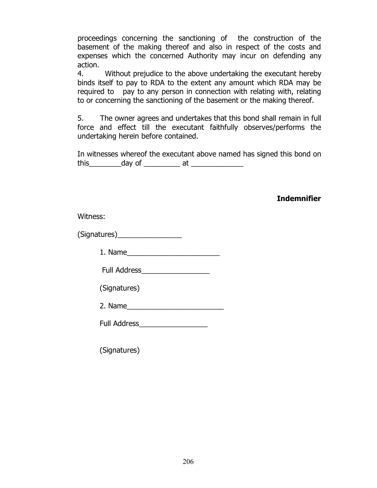proceedings concerning the sanctioning of the construction of the basement of the making thereof and also in respect of the costs and expenses which the concerned Authority may incur on defending any action.

4. Without prejudice to the above undertaking the executant hereby binds itself to pay to RDA to the extent any amount which RDA may be required to pay to any person in connection with relating with, relating to or concerning the sanctioning of the basement or the making thereof.

5. The owner agrees and undertakes that this bond shall remain in full force and effect till the executant faithfully observes/performs the undertaking herein before contained.

In witnesses whereof the executant above named has signed this bond on this day of this at the day of the state of  $\alpha$ 

**Indemnifier**

Witness:

(Signatures)\_\_\_\_\_\_\_\_\_\_\_\_\_\_\_\_

1. Name\_\_\_\_\_\_\_\_\_\_\_\_\_\_\_\_\_\_\_\_\_\_\_

Full Address\_\_\_\_\_\_\_\_\_\_\_\_\_\_\_\_\_

(Signatures)

2. Name\_\_\_\_\_\_\_\_\_\_\_\_\_\_\_\_\_\_\_\_\_\_\_\_

Full Address\_\_\_\_\_\_\_\_\_\_\_\_\_\_\_\_\_

(Signatures)